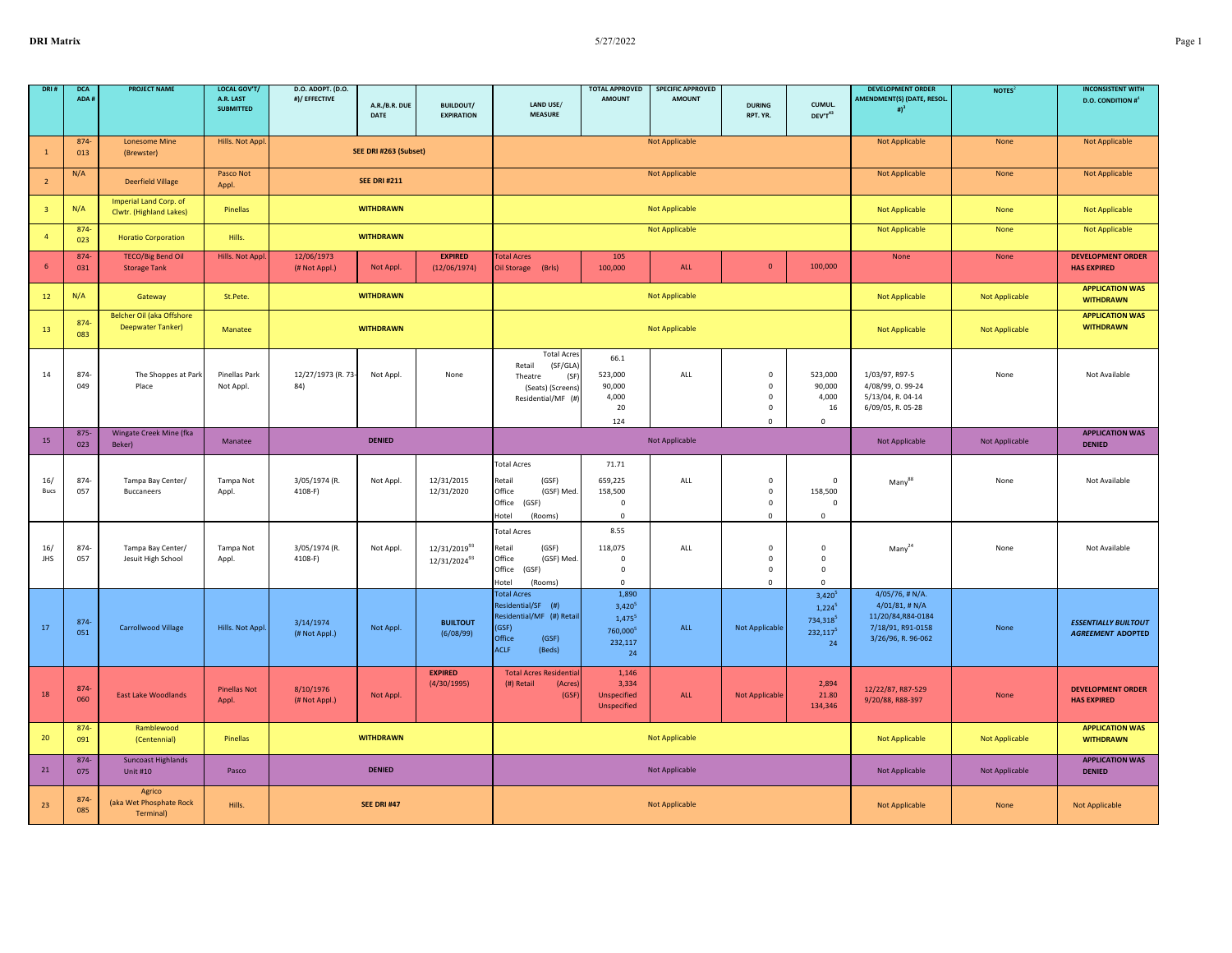| DRI:                    | <b>DCA</b><br>ADA # | <b>PROJECT NAME</b>                               | <b>LOCAL GOV'T/</b><br>A.R. LAST<br><b>SUBMITTED</b> | D.O. ADOPT. (D.O.<br>#)/ EFFECTIVE | A.R./B.R. DUE<br>DATE | <b>BUILDOUT/</b><br><b>EXPIRATION</b>                | LAND USE/<br><b>MEASURE</b>                                                                                               | <b>TOTAL APPROVED</b><br><b>AMOUNT</b>                                                | <b>SPECIFIC APPROVED</b><br><b>AMOUNT</b> | <b>DURING</b><br>RPT. YR.                                        | CUMUL.<br>DEV'T43                                                                | <b>DEVELOPMENT ORDER</b><br>AMENDMENT(S) (DATE, RESOL.<br>$#$ <sup>3</sup>                               | NOTES <sup>2</sup> | <b>INCONSISTENT WITH</b><br><b>D.O. CONDITION #</b>     |
|-------------------------|---------------------|---------------------------------------------------|------------------------------------------------------|------------------------------------|-----------------------|------------------------------------------------------|---------------------------------------------------------------------------------------------------------------------------|---------------------------------------------------------------------------------------|-------------------------------------------|------------------------------------------------------------------|----------------------------------------------------------------------------------|----------------------------------------------------------------------------------------------------------|--------------------|---------------------------------------------------------|
| $\mathbf{1}$            | 874-<br>013         | <b>Lonesome Mine</b><br>(Brewster)                | Hills. Not Appl                                      |                                    | SEE DRI #263 (Subset) |                                                      |                                                                                                                           |                                                                                       | <b>Not Applicable</b>                     |                                                                  |                                                                                  | <b>Not Applicable</b>                                                                                    | None               | <b>Not Applicable</b>                                   |
| $\overline{2}$          | N/A                 | <b>Deerfield Village</b>                          | Pasco Not<br>Appl.                                   |                                    | <b>SEE DRI #211</b>   |                                                      |                                                                                                                           |                                                                                       | <b>Not Applicable</b>                     |                                                                  |                                                                                  | Not Applicable                                                                                           | None               | <b>Not Applicable</b>                                   |
| $\overline{\mathbf{3}}$ | N/A                 | Imperial Land Corp. of<br>Clwtr. (Highland Lakes) | Pinellas                                             |                                    | <b>WITHDRAWN</b>      |                                                      |                                                                                                                           |                                                                                       | <b>Not Applicable</b>                     |                                                                  |                                                                                  | <b>Not Applicable</b>                                                                                    | None               | Not Applicable                                          |
| $\overline{4}$          | 874-<br>023         | <b>Horatio Corporation</b>                        | Hills.                                               |                                    | <b>WITHDRAWN</b>      |                                                      |                                                                                                                           |                                                                                       | <b>Not Applicable</b>                     |                                                                  |                                                                                  | <b>Not Applicable</b>                                                                                    | None               | <b>Not Applicable</b>                                   |
| -6                      | 874-<br>031         | <b>TECO/Big Bend Oil</b><br><b>Storage Tank</b>   | Hills. Not Appl                                      | 12/06/1973<br>(# Not Appl.)        | Not Appl.             | <b>EXPIRED</b><br>(12/06/1974)                       | <b>Total Acres</b><br>(Brls)<br>Oil Storage                                                                               | 105<br>100,000                                                                        | <b>ALL</b>                                | $\mathbf{0}$                                                     | 100,000                                                                          | None                                                                                                     | None               | <b>DEVELOPMENT ORDER</b><br><b>HAS EXPIRED</b>          |
| 12                      | N/A                 | Gateway                                           | St.Pete.                                             |                                    | <b>WITHDRAWN</b>      |                                                      |                                                                                                                           |                                                                                       | Not Applicable                            |                                                                  |                                                                                  | Not Applicable                                                                                           | Not Applicable     | <b>APPLICATION WAS</b><br><b>WITHDRAWN</b>              |
| 13                      | 874-<br>083         | Belcher Oil (aka Offshore<br>Deepwater Tanker)    | Manatee                                              |                                    | <b>WITHDRAWN</b>      |                                                      |                                                                                                                           |                                                                                       | Not Applicable                            |                                                                  |                                                                                  | Not Applicable                                                                                           | Not Applicable     | <b>APPLICATION WAS</b><br><b>WITHDRAWN</b>              |
| 14                      | 874<br>049          | The Shoppes at Park<br>Place                      | Pinellas Park<br>Not Appl.                           | 12/27/1973 (R. 73-<br>84)          | Not Appl.             | None                                                 | <b>Total Acres</b><br>Retail<br>(SF/GLA)<br>Theatre<br>(SF)<br>(Seats) (Screens)<br>Residential/MF (#)                    | 66.1<br>523,000<br>90,000<br>4,000<br>20<br>124                                       | ALL                                       | $\pmb{0}$<br>$\mathsf 0$<br>$\mathbf 0$<br>$\pmb{0}$<br>$\Omega$ | 523,000<br>90,000<br>4,000<br>16<br>$\Omega$                                     | 1/03/97, R97-5<br>4/08/99, 0.99-24<br>5/13/04, R. 04-14<br>6/09/05, R. 05-28                             | None               | Not Available                                           |
| 15                      | $875 -$<br>023      | Wingate Creek Mine (fka<br>Beker)                 | Manatee                                              |                                    | <b>DENIED</b>         |                                                      |                                                                                                                           |                                                                                       | <b>Not Applicable</b>                     |                                                                  |                                                                                  | Not Applicable                                                                                           | Not Applicable     | <b>APPLICATION WAS</b><br><b>DENIED</b>                 |
| 16/<br>Bucs             | 874<br>057          | Tampa Bay Center/<br>Buccaneers                   | Tampa Not<br>Appl.                                   | 3/05/1974 (R.<br>4108-F)           | Not Appl.             | 12/31/2015<br>12/31/2020                             | <b>Total Acres</b><br>(GSF)<br>Retail<br>Office<br>(GSF) Med.<br>Office<br>(GSF)<br>Hotel<br>(Rooms)                      | 71.71<br>659,225<br>158,500<br>$\mathbf 0$<br>$\Omega$                                | ALL                                       | $\mathsf 0$<br>$\mathsf 0$<br>$\mathbf 0$<br>$\mathsf 0$         | $\mathsf 0$<br>158,500<br>$\mathbf 0$<br>$\mathsf 0$                             | Many                                                                                                     | None               | Not Available                                           |
| 16/<br>JHS              | 874<br>057          | Tampa Bay Center/<br>Jesuit High School           | Tampa Not<br>Appl.                                   | 3/05/1974 (R.<br>4108-F)           | Not Appl.             | 12/31/2019 <sup>93</sup><br>12/31/2024 <sup>93</sup> | <b>Total Acres</b><br>(GSF)<br>Retail<br>Office<br>(GSF) Med.<br>Office<br>(GSF)<br>Hotel<br>(Rooms)                      | 8.55<br>118,075<br>$\mathbf{0}$<br>$\mathbf 0$<br>$\Omega$                            | ALL                                       | $\pmb{0}$<br>$\pmb{0}$<br>$\mathbf 0$<br>$\mathbf{0}$            | $\mathbf 0$<br>$\mathbf 0$<br>$\mathbf 0$<br>$\Omega$                            | $Many^{24}$                                                                                              | None               | Not Available                                           |
| 17                      | 874<br>051          | <b>Carrollwood Village</b>                        | Hills. Not Appl.                                     | 3/14/1974<br>(# Not Appl.)         | Not Appl.             | <b>BUILTOUT</b><br>(6/08/99)                         | <b>Total Acres</b><br>Residential/SF (#)<br>Residential/MF (#) Retai<br>(GSF)<br>Office<br>(GSF)<br><b>ACLF</b><br>(Beds) | 1,890<br>$3,420^{5}$<br>$1,475$ <sup>5</sup><br>760,000 <sup>5</sup><br>232,117<br>24 | ALL                                       | <b>Not Applicable</b>                                            | $3,420^{5}$<br>$1.224^{5}$<br>734,318 <sup>5</sup><br>232,117 <sup>5</sup><br>24 | $4/05/76$ , # N/A.<br>$4/01/81$ , # N/A<br>11/20/84, R84-0184<br>7/18/91, R91-0158<br>3/26/96, R. 96-062 | None               | <b>ESSENTIALLY BUILTOUT</b><br><b>AGREEMENT ADOPTED</b> |
| 18                      | 874-<br>060         | <b>East Lake Woodlands</b>                        | <b>Pinellas Not</b><br>Appl.                         | 8/10/1976<br>(# Not Appl.)         | Not Appl.             | <b>EXPIRED</b><br>(4/30/1995)                        | <b>Total Acres Residentia</b><br>(#) Retail<br>(Acres<br>(GSF                                                             | 1,146<br>3,334<br>Unspecified<br>Unspecified                                          | ALL                                       | Not Applicable                                                   | 2,894<br>21.80<br>134,346                                                        | 12/22/87, R87-529<br>9/20/88, R88-397                                                                    | None               | <b>DEVELOPMENT ORDER</b><br><b>HAS EXPIRED</b>          |
| 20                      | 874-<br>091         | Ramblewood<br>(Centennial)                        | Pinellas                                             |                                    | <b>WITHDRAWN</b>      |                                                      |                                                                                                                           |                                                                                       | <b>Not Applicable</b>                     |                                                                  |                                                                                  | <b>Not Applicable</b>                                                                                    | Not Applicable     | <b>APPLICATION WAS</b><br><b>WITHDRAWN</b>              |
| 21                      | 874-<br>075         | <b>Suncoast Highlands</b><br><b>Unit #10</b>      | Pasco                                                |                                    | <b>DENIED</b>         |                                                      |                                                                                                                           |                                                                                       | <b>Not Applicable</b>                     |                                                                  |                                                                                  | Not Applicable                                                                                           | Not Applicable     | <b>APPLICATION WAS</b><br><b>DENIED</b>                 |
| 23                      | 874<br>085          | Agrico<br>(aka Wet Phosphate Rock<br>Terminal)    | Hills.                                               |                                    | <b>SEE DRI #47</b>    |                                                      |                                                                                                                           |                                                                                       | <b>Not Applicable</b>                     |                                                                  |                                                                                  | Not Applicable                                                                                           | None               | <b>Not Applicable</b>                                   |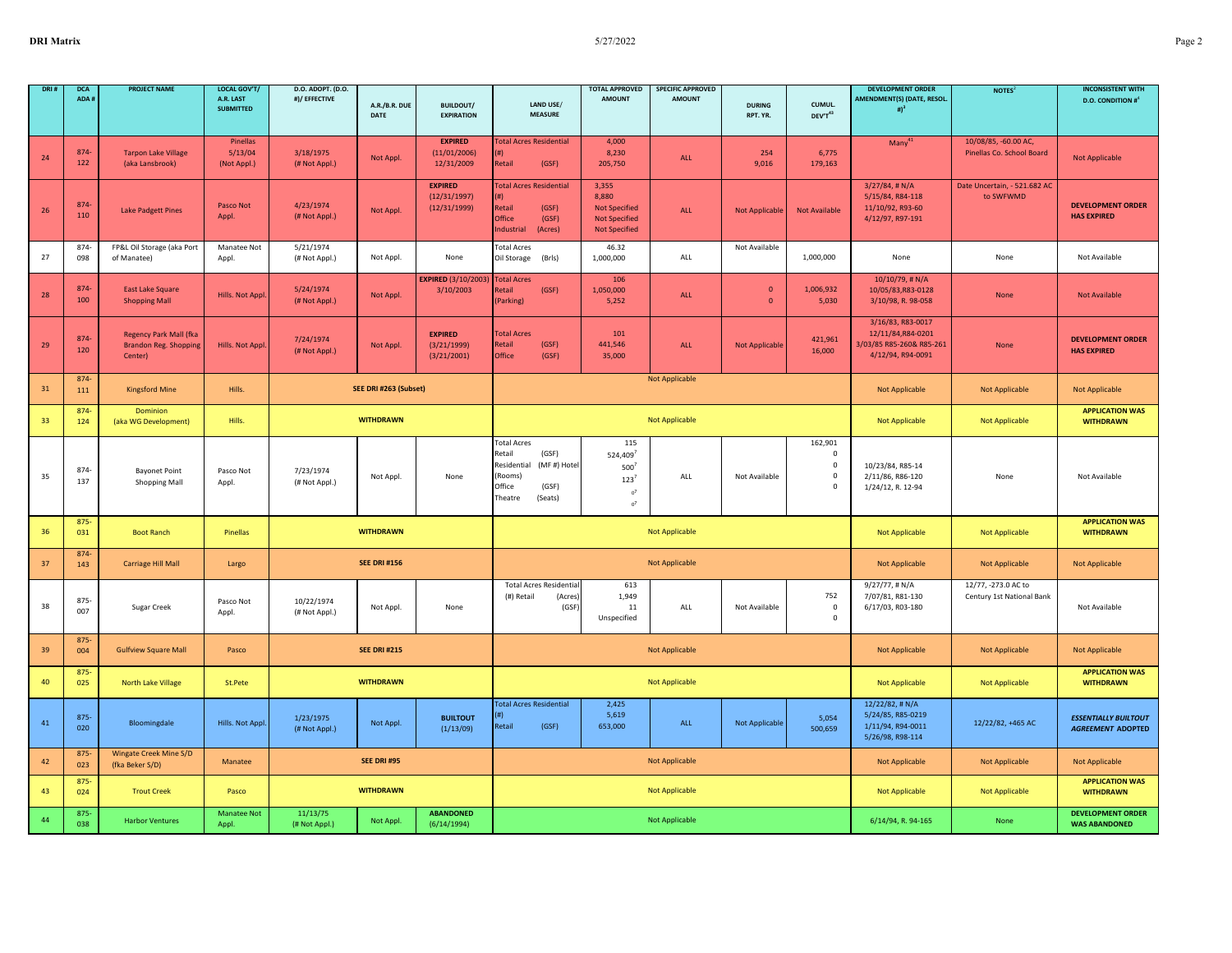|    | <b>DCA</b><br>ADA# | <b>PROJECT NAME</b>                                                      | <b>LOCAL GOV'T</b><br>A.R. LAST<br><b>SUBMITTED</b> | D.O. ADOPT. (D.O.<br>#)/ EFFECTIVE | A.R./B.R. DUE<br>DATE | <b>BUILDOUT/</b><br><b>EXPIRATION</b>          | LAND USE/<br><b>MEASURE</b>                                                                                             | <b>TOTAL APPROVED</b><br><b>AMOUNT</b>                                                 | <b>SPECIFIC APPROVED</b><br><b>AMOUNT</b> | <b>DURING</b><br>RPT. YR.    | CUMUL.<br>DEV'T43                                                | <b>DEVELOPMENT ORDER</b><br>AMENDMENT(S) (DATE, RESOL.<br># $)^3$                        | NOTES <sup>2</sup>                                | <b>INCONSISTENT WITH</b><br><b>D.O. CONDITION #</b> <sup>4</sup> |
|----|--------------------|--------------------------------------------------------------------------|-----------------------------------------------------|------------------------------------|-----------------------|------------------------------------------------|-------------------------------------------------------------------------------------------------------------------------|----------------------------------------------------------------------------------------|-------------------------------------------|------------------------------|------------------------------------------------------------------|------------------------------------------------------------------------------------------|---------------------------------------------------|------------------------------------------------------------------|
| 24 | 874-<br>122        | <b>Tarpon Lake Village</b><br>(aka Lansbrook)                            | Pinellas<br>5/13/04<br>(Not Appl.)                  | 3/18/1975<br>(# Not Appl.)         | Not Appl.             | <b>EXPIRED</b><br>(11/01/2006)<br>12/31/2009   | <b>Total Acres Residential</b><br>Retail<br>(GSF)                                                                       | 4,000<br>8,230<br>205,750                                                              | ALL                                       | 254<br>9,016                 | 6,775<br>179,163                                                 | $Many^{41}$                                                                              | 10/08/85, -60.00 AC,<br>Pinellas Co. School Board | <b>Not Applicable</b>                                            |
| 26 | 874-<br>110        | <b>Lake Padgett Pines</b>                                                | Pasco Not<br>Appl.                                  | 4/23/1974<br>(# Not Appl.)         | Not Appl.             | <b>EXPIRED</b><br>(12/31/1997)<br>(12/31/1999) | <b>Total Acres Residential</b><br>(# )<br>Retail<br>(GSF)<br>Office<br>(GSF)<br>(Acres)<br>ndustrial                    | 3,355<br>8.880<br><b>Not Specified</b><br><b>Not Specified</b><br><b>Not Specified</b> | ALL                                       | <b>Not Applicable</b>        | <b>Not Available</b>                                             | $3/27/84$ , #N/A<br>5/15/84, R84-118<br>11/10/92, R93-60<br>4/12/97, R97-191             | Date Uncertain, - 521.682 AC<br>to SWFWMD         | <b>DEVELOPMENT ORDER</b><br><b>HAS EXPIRED</b>                   |
| 27 | 874<br>098         | FP&L Oil Storage (aka Port<br>of Manatee)                                | Manatee Not<br>Appl.                                | 5/21/1974<br>(# Not Appl.)         | Not Appl.             | None                                           | <b>Total Acres</b><br>Oil Storage<br>(Brls)                                                                             | 46.32<br>1,000,000                                                                     | ALL                                       | Not Available                | 1,000,000                                                        | None                                                                                     | None                                              | Not Available                                                    |
| 28 | 874-<br>100        | <b>East Lake Square</b><br><b>Shopping Mall</b>                          | Hills. Not Appl                                     | 5/24/1974<br>(# Not Appl.)         | Not Appl.             | <b>EXPIRED (3/10/2003</b><br>3/10/2003         | <b>Total Acres</b><br><b>Retail</b><br>(GSF)<br>(Parking)                                                               | 106<br>1,050,000<br>5,252                                                              | ALL                                       | $\mathbf{0}$<br>$\mathbf{0}$ | 1,006,932<br>5,030                                               | $10/10/79$ , # N/A<br>10/05/83, R83-0128<br>3/10/98, R. 98-058                           | None                                              | <b>Not Available</b>                                             |
| 29 | 874-<br>120        | <b>Regency Park Mall (fka</b><br><b>Brandon Reg. Shopping</b><br>Center) | Hills. Not Appl                                     | 7/24/1974<br>(# Not Appl.)         | Not Appl.             | <b>EXPIRED</b><br>(3/21/1999)<br>(3/21/2001)   | <b>Total Acres</b><br>(GSF)<br>Retail<br>Office<br>(GSF)                                                                | 101<br>441,546<br>35,000                                                               | <b>ALL</b>                                | Not Applicable               | 421,961<br>16,000                                                | 3/16/83, R83-0017<br>12/11/84, R84-0201<br>3/03/85 R85-260& R85-261<br>4/12/94, R94-0091 | None                                              | <b>DEVELOPMENT ORDER</b><br><b>HAS EXPIRED</b>                   |
| 31 | 874-<br>111        | <b>Kingsford Mine</b>                                                    | Hills.                                              |                                    | SEE DRI #263 (Subset) |                                                |                                                                                                                         |                                                                                        | <b>Not Applicable</b>                     |                              |                                                                  | Not Applicable                                                                           | <b>Not Applicable</b>                             | <b>Not Applicable</b>                                            |
| 33 | 874<br>124         | Dominion<br>(aka WG Development)                                         | Hills.                                              |                                    | <b>WITHDRAWN</b>      |                                                |                                                                                                                         |                                                                                        | Not Applicable                            |                              |                                                                  | <b>Not Applicable</b>                                                                    | Not Applicable                                    | <b>APPLICATION WAS</b><br><b>WITHDRAWN</b>                       |
| 35 | 874<br>137         | <b>Bayonet Point</b><br><b>Shopping Mall</b>                             | Pasco Not<br>Appl.                                  | 7/23/1974<br>(# Not Appl.)         | Not Appl.             | None                                           | <b>Total Acres</b><br>(GSF)<br>Retail<br>(MF#) Hotel<br>Residential<br>(Rooms)<br>Office<br>(GSF)<br>Theatre<br>(Seats) | 115<br>524,409<br>500'<br>$123$ <sup>7</sup><br>$07$<br>0 <sup>7</sup>                 | ALL                                       | Not Available                | 162,901<br>$\mathbf 0$<br>$\mathsf 0$<br>$\mathbf 0$<br>$\Omega$ | 10/23/84, R85-14<br>2/11/86, R86-120<br>1/24/12, R. 12-94                                | None                                              | Not Available                                                    |
| 36 | $875 -$<br>031     | <b>Boot Ranch</b>                                                        | Pinellas                                            |                                    | <b>WITHDRAWN</b>      |                                                |                                                                                                                         |                                                                                        | <b>Not Applicable</b>                     |                              |                                                                  | <b>Not Applicable</b>                                                                    | Not Applicable                                    | <b>APPLICATION WAS</b><br><b>WITHDRAWN</b>                       |
| 37 | 874-<br>143        | Carriage Hill Mall                                                       | Largo                                               |                                    | <b>SEE DRI #156</b>   |                                                |                                                                                                                         |                                                                                        | Not Applicable                            |                              |                                                                  | Not Applicable                                                                           | Not Applicable                                    | <b>Not Applicable</b>                                            |
| 38 | $875 -$<br>007     | Sugar Creek                                                              | Pasco Not<br>Appl.                                  | 10/22/1974<br>(# Not Appl.)        | Not Appl.             | None                                           | <b>Total Acres Residential</b><br>(#) Retail<br>(Acres)<br>(GSF)                                                        | 613<br>1,949<br>11<br>Unspecified                                                      | ALL                                       | Not Available                | 752<br>$\mathbf 0$<br>$\mathbf 0$                                | 9/27/77, # N/A<br>7/07/81, R81-130<br>6/17/03, R03-180                                   | 12/77, -273.0 AC to<br>Century 1st National Bank  | Not Available                                                    |
| 39 | 875<br>004         | <b>Gulfview Square Mall</b>                                              | Pasco                                               |                                    | <b>SEE DRI #215</b>   |                                                |                                                                                                                         |                                                                                        | <b>Not Applicable</b>                     |                              |                                                                  | <b>Not Applicable</b>                                                                    | Not Applicable                                    | <b>Not Applicable</b>                                            |
| 40 | $875 -$<br>025     | North Lake Village                                                       | St.Pete                                             |                                    | <b>WITHDRAWN</b>      |                                                |                                                                                                                         |                                                                                        | Not Applicable                            |                              |                                                                  | <b>Not Applicable</b>                                                                    | Not Applicable                                    | <b>APPLICATION WAS</b><br><b>WITHDRAWN</b>                       |
| 41 | 875-<br>020        | Bloomingdale                                                             | Hills. Not Appl.                                    | 1/23/1975<br>(# Not Appl.)         | Not Appl.             | <b>BUILTOUT</b><br>(1/13/09)                   | <b>Total Acres Residential</b><br>(#)<br>Retail<br>(GSF)                                                                | 2,425<br>5,619<br>653,000                                                              | ALL                                       | Not Applicable               | 5,054<br>500,659                                                 | 12/22/82, # N/A<br>5/24/85, R85-0219<br>1/11/94, R94-0011<br>5/26/98, R98-114            | 12/22/82, +465 AC                                 | <b>ESSENTIALLY BUILTOUT</b><br><b>AGREEMENT ADOPTED</b>          |
| 42 | $875 -$<br>023     | Wingate Creek Mine S/D<br>(fka Beker S/D)                                | Manatee                                             |                                    | <b>SEE DRI #95</b>    |                                                |                                                                                                                         |                                                                                        | <b>Not Applicable</b>                     |                              |                                                                  | <b>Not Applicable</b>                                                                    | <b>Not Applicable</b>                             | <b>Not Applicable</b>                                            |
| 43 | $875 -$<br>024     | <b>Trout Creek</b>                                                       | Pasco                                               |                                    | <b>WITHDRAWN</b>      |                                                |                                                                                                                         |                                                                                        | Not Applicable                            |                              |                                                                  | <b>Not Applicable</b>                                                                    | Not Applicable                                    | <b>APPLICATION WAS</b><br><b>WITHDRAWN</b>                       |
| 44 | $875 -$<br>038     | <b>Harbor Ventures</b>                                                   | <b>Manatee Not</b><br>Appl.                         | 11/13/75<br>(# Not Appl.)          | Not Appl.             | <b>ABANDONED</b><br>(6/14/1994)                |                                                                                                                         |                                                                                        | <b>Not Applicable</b>                     |                              |                                                                  | 6/14/94, R. 94-165                                                                       | None                                              | <b>DEVELOPMENT ORDER</b><br><b>WAS ABANDONED</b>                 |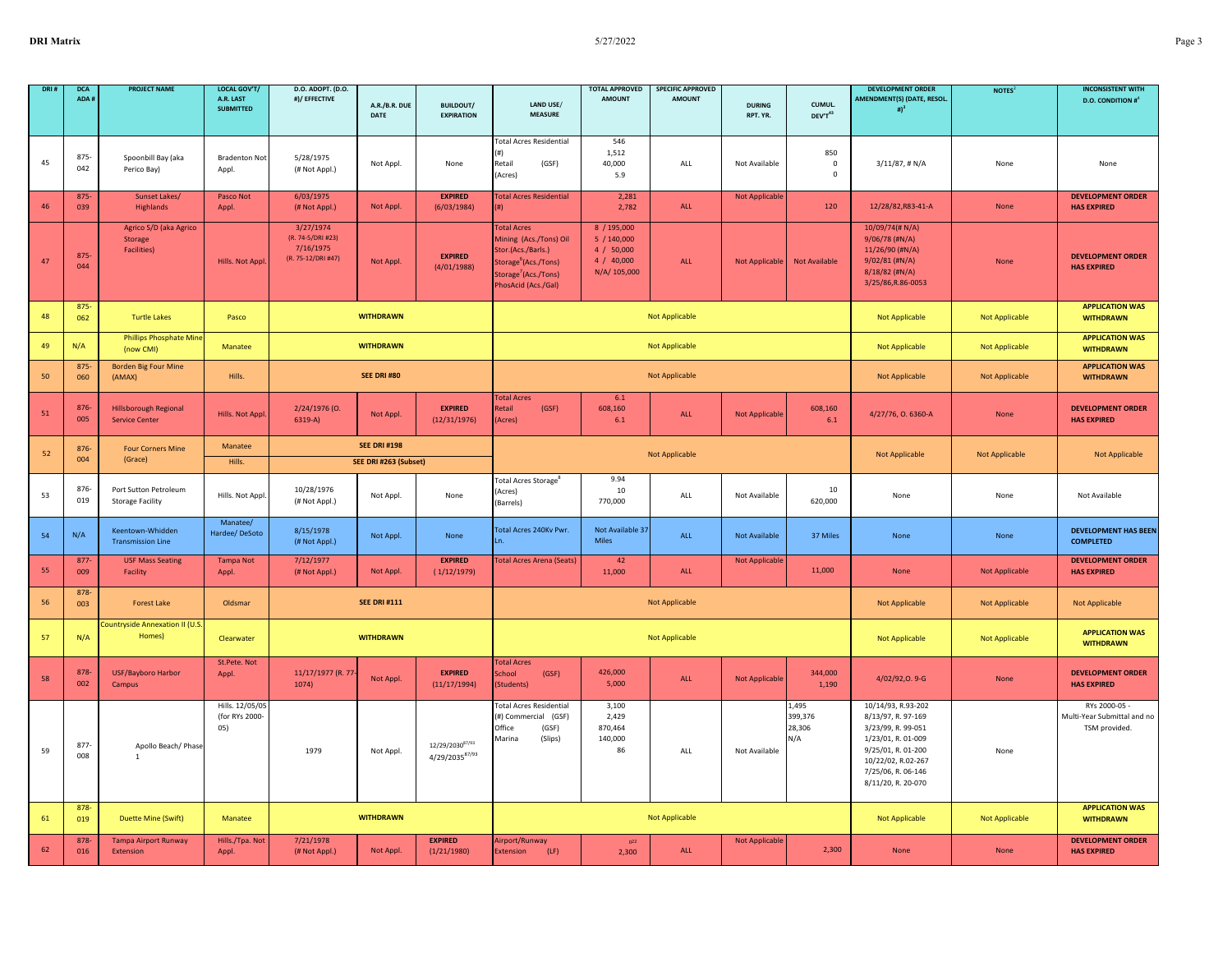| DRL1 | <b>DCA</b><br>ADA# | <b>PROJECT NAME</b>                                      | LOCAL GOV'T/<br>A.R. LAST<br><b>SUBMITTED</b> | D.O. ADOPT. (D.O.<br>#)/ EFFECTIVE                                | A.R./B.R. DUE<br>DATE                        | <b>BUILDOUT/</b><br><b>EXPIRATION</b> | <b>LAND USE/</b><br><b>MEASURE</b>                                                                                                                                | <b>TOTAL APPROVED</b><br><b>AMOUNT</b>                               | <b>SPECIFIC APPROVED</b><br><b>AMOUNT</b> | <b>DURING</b><br>RPT. YR. | CUMUL.<br>DEV'T43                 | <b>DEVELOPMENT ORDER</b><br>AMENDMENT(S) (DATE, RESOL.<br># $)^3$                                                                                                            | NOTES <sup>2</sup>    | <b>INCONSISTENT WITH</b><br><b>D.O. CONDITION #</b> <sup>4</sup> |
|------|--------------------|----------------------------------------------------------|-----------------------------------------------|-------------------------------------------------------------------|----------------------------------------------|---------------------------------------|-------------------------------------------------------------------------------------------------------------------------------------------------------------------|----------------------------------------------------------------------|-------------------------------------------|---------------------------|-----------------------------------|------------------------------------------------------------------------------------------------------------------------------------------------------------------------------|-----------------------|------------------------------------------------------------------|
| 45   | $875 -$<br>042     | Spoonbill Bay (aka<br>Perico Bay)                        | <b>Bradenton Not</b><br>Appl.                 | 5/28/1975<br>(# Not Appl.)                                        | Not Appl.                                    | None                                  | <b>Total Acres Residential</b><br>'#1<br>Retail<br>(GSF)<br>(Acres)                                                                                               | 546<br>1,512<br>40,000<br>5.9                                        | ALL                                       | Not Available             | 850<br>$\,$ 0<br>$\mathbf 0$      | $3/11/87$ , # N/A                                                                                                                                                            | None                  | None                                                             |
| 46   | $875 -$<br>039     | <b>Sunset Lakes/</b><br>Highlands                        | Pasco Not<br>Appl.                            | 6/03/1975<br>(# Not Appl.)                                        | Not Appl.                                    | <b>EXPIRED</b><br>(6/03/1984)         | <b>Total Acres Residential</b>                                                                                                                                    | 2,281<br>2,782                                                       | ALL                                       | <b>Not Applicable</b>     | 120                               | 12/28/82, R83-41-A                                                                                                                                                           | None                  | <b>DEVELOPMENT ORDER</b><br><b>HAS EXPIRED</b>                   |
| 47   | 875<br>044         | Agrico S/D (aka Agrico<br>Storage<br><b>Facilities</b> ) | Hills. Not Appl                               | 3/27/1974<br>(R. 74-5/DRI #23)<br>7/16/1975<br>(R. 75-12/DRI #47) | Not Appl.                                    | <b>EXPIRED</b><br>(4/01/1988)         | <b>Total Acres</b><br>Mining (Acs./Tons) Oil<br>Stor.(Acs./Barls.)<br>Storage <sup>6</sup> (Acs./Tons)<br>Storage <sup>7</sup> (Acs./Tons)<br>PhosAcid (Acs./Gal) | 8 / 195,000<br>5/140,000<br>4 / 50,000<br>4 / 40,000<br>N/A/ 105,000 | ALL                                       | <b>Not Applicable</b>     | <b>Not Available</b>              | 10/09/74(# N/A)<br>9/06/78 (#N/A)<br>11/26/90 (#N/A)<br>$9/02/81$ (#N/A)<br>8/18/82 (#N/A)<br>3/25/86, R.86-0053                                                             | None                  | <b>DEVELOPMENT ORDER</b><br><b>HAS EXPIRED</b>                   |
| 48   | $875 -$<br>062     | <b>Turtle Lakes</b>                                      | Pasco                                         |                                                                   | <b>WITHDRAWN</b>                             |                                       |                                                                                                                                                                   |                                                                      | <b>Not Applicable</b>                     |                           |                                   | <b>Not Applicable</b>                                                                                                                                                        | Not Applicable        | <b>APPLICATION WAS</b><br><b>WITHDRAWN</b>                       |
| 49   | N/A                | Phillips Phosphate Min<br>(now CMI)                      | Manatee                                       |                                                                   | <b>WITHDRAWN</b>                             |                                       |                                                                                                                                                                   |                                                                      | Not Applicable                            |                           |                                   | Not Applicable                                                                                                                                                               | <b>Not Applicable</b> | <b>APPLICATION WAS</b><br><b>WITHDRAWN</b>                       |
| 50   | 875<br>060         | <b>Borden Big Four Mine</b><br>(AMAX)                    | Hills.                                        |                                                                   | <b>SEE DRI #80</b>                           |                                       |                                                                                                                                                                   |                                                                      | <b>Not Applicable</b>                     |                           |                                   | <b>Not Applicable</b>                                                                                                                                                        | Not Applicable        | <b>APPLICATION WAS</b><br><b>WITHDRAWN</b>                       |
| 51   | 876<br>005         | <b>Hillsborough Regional</b><br><b>Service Center</b>    | <b>Hills. Not Appl</b>                        | 2/24/1976 (0.<br>$6319-A$                                         | Not Appl.                                    | <b>EXPIRED</b><br>(12/31/1976)        | <b>Total Acres</b><br>Retail<br>(GSF)<br>(Acres)                                                                                                                  | 6.1<br>608,160<br>6.1                                                | ALL                                       | <b>Not Applicable</b>     | 608,160<br>6.1                    | 4/27/76, O. 6360-A                                                                                                                                                           | None                  | <b>DEVELOPMENT ORDER</b><br><b>HAS EXPIRED</b>                   |
| 52   | 876-<br>004        | <b>Four Corners Mine</b><br>(Grace)                      | Manatee<br>Hills.                             |                                                                   | <b>SEE DRI #198</b><br>SEE DRI #263 (Subset) |                                       |                                                                                                                                                                   |                                                                      | Not Applicable                            |                           |                                   | Not Applicable                                                                                                                                                               | <b>Not Applicable</b> | Not Applicable                                                   |
| 53   | 876<br>019         | Port Sutton Petroleum<br><b>Storage Facility</b>         | Hills. Not Appl                               | 10/28/1976<br>(# Not Appl.)                                       | Not Appl.                                    | None                                  | Total Acres Storage <sup>8</sup><br>Acres)<br>(Barrels)                                                                                                           | 9.94<br>10<br>770,000                                                | ALL                                       | Not Available             | 10<br>620,000                     | None                                                                                                                                                                         | None                  | Not Available                                                    |
| 54   | N/A                | Keentown-Whidden<br><b>Transmission Line</b>             | Manatee/<br>Hardee/DeSoto                     | 8/15/1978<br>(# Not Appl.)                                        | Not Appl.                                    | None                                  | Total Acres 240Kv Pwr.                                                                                                                                            | Not Available 37<br><b>Miles</b>                                     | <b>ALL</b>                                | <b>Not Available</b>      | 37 Miles                          | None                                                                                                                                                                         | None                  | <b>DEVELOPMENT HAS BEEN</b><br><b>COMPLETED</b>                  |
| 55   | 877<br>009         | <b>USF Mass Seating</b><br>Facility                      | <b>Tampa Not</b><br>Appl.                     | 7/12/1977<br>(# Not Appl.)                                        | Not Appl.                                    | <b>EXPIRED</b><br>(1/12/1979)         | <b>Total Acres Arena (Seats)</b>                                                                                                                                  | 42<br>11,000                                                         | ALL                                       | <b>Not Applicable</b>     | 11,000                            | None                                                                                                                                                                         | <b>Not Applicable</b> | <b>DEVELOPMENT ORDER</b><br><b>HAS EXPIRED</b>                   |
| 56   | 878-<br>003        | <b>Forest Lake</b>                                       | Oldsmar                                       |                                                                   | <b>SEE DRI #111</b>                          |                                       |                                                                                                                                                                   |                                                                      | <b>Not Applicable</b>                     |                           |                                   | <b>Not Applicable</b>                                                                                                                                                        | Not Applicable        | <b>Not Applicable</b>                                            |
| 57   | N/A                | <b>Countryside Annexation II (U.S</b><br>Homes)          | Clearwater                                    |                                                                   | <b>WITHDRAWN</b>                             |                                       |                                                                                                                                                                   |                                                                      | <b>Not Applicable</b>                     |                           |                                   | <b>Not Applicable</b>                                                                                                                                                        | Not Applicable        | <b>APPLICATION WAS</b><br><b>WITHDRAWN</b>                       |
| 58   | 878<br>002         | <b>USF/Bayboro Harbor</b><br>Campus                      | St.Pete. Not<br>Appl.                         | 11/17/1977 (R. 77<br>1074)                                        | Not Appl.                                    | <b>EXPIRED</b><br>(11/17/1994)        | <b>Total Acres</b><br>School<br>(GSF)<br>(Students)                                                                                                               | 426,000<br>5,000                                                     | ALL                                       | Not Applicable            | 344,000<br>1,190                  | 4/02/92, 0.9-G                                                                                                                                                               | None                  | <b>DEVELOPMENT ORDER</b><br><b>HAS EXPIRED</b>                   |
| 59   | 877<br>008         | Apollo Beach/ Phase<br>$\mathbf{1}$                      | Hills. 12/05/05<br>(for RYs 2000-<br>05)      | 1979                                                              | Not Appl.                                    | 12/29/203087/93<br>4/29/203587/93     | <b>Total Acres Residential</b><br>(#) Commercial (GSF)<br>Office<br>(GSF)<br>Marina<br>(Slips)                                                                    | 3,100<br>2,429<br>870,464<br>140,000<br>86                           | ALL                                       | Not Available             | 1,495<br>399,376<br>28,306<br>N/A | 10/14/93, R.93-202<br>8/13/97, R. 97-169<br>3/23/99, R. 99-051<br>1/23/01, R. 01-009<br>9/25/01, R. 01-200<br>10/22/02, R.02-267<br>7/25/06, R. 06-146<br>8/11/20, R. 20-070 | None                  | RYs 2000-05 -<br>Multi-Year Submittal and no<br>TSM provided.    |
| 61   | 878<br>019         | <b>Duette Mine (Swift)</b>                               | Manatee                                       |                                                                   | <b>WITHDRAWN</b>                             |                                       |                                                                                                                                                                   |                                                                      | Not Applicable                            |                           |                                   | Not Applicable                                                                                                                                                               | <b>Not Applicable</b> | <b>APPLICATION WAS</b><br><b>WITHDRAWN</b>                       |
| 62   | 878<br>016         | <b>Tampa Airport Runway</b><br>Extension                 | Hills./Tpa. Not<br>Appl.                      | 7/21/1978<br>(# Not Appl.)                                        | Not Appl.                                    | <b>EXPIRED</b><br>(1/21/1980)         | Airport/Runway<br>Extension<br>(LF)                                                                                                                               | 0 <sup>22</sup><br>2,300                                             | ALL                                       | <b>Not Applicable</b>     | 2,300                             | None                                                                                                                                                                         | None                  | <b>DEVELOPMENT ORDER</b><br><b>HAS EXPIRED</b>                   |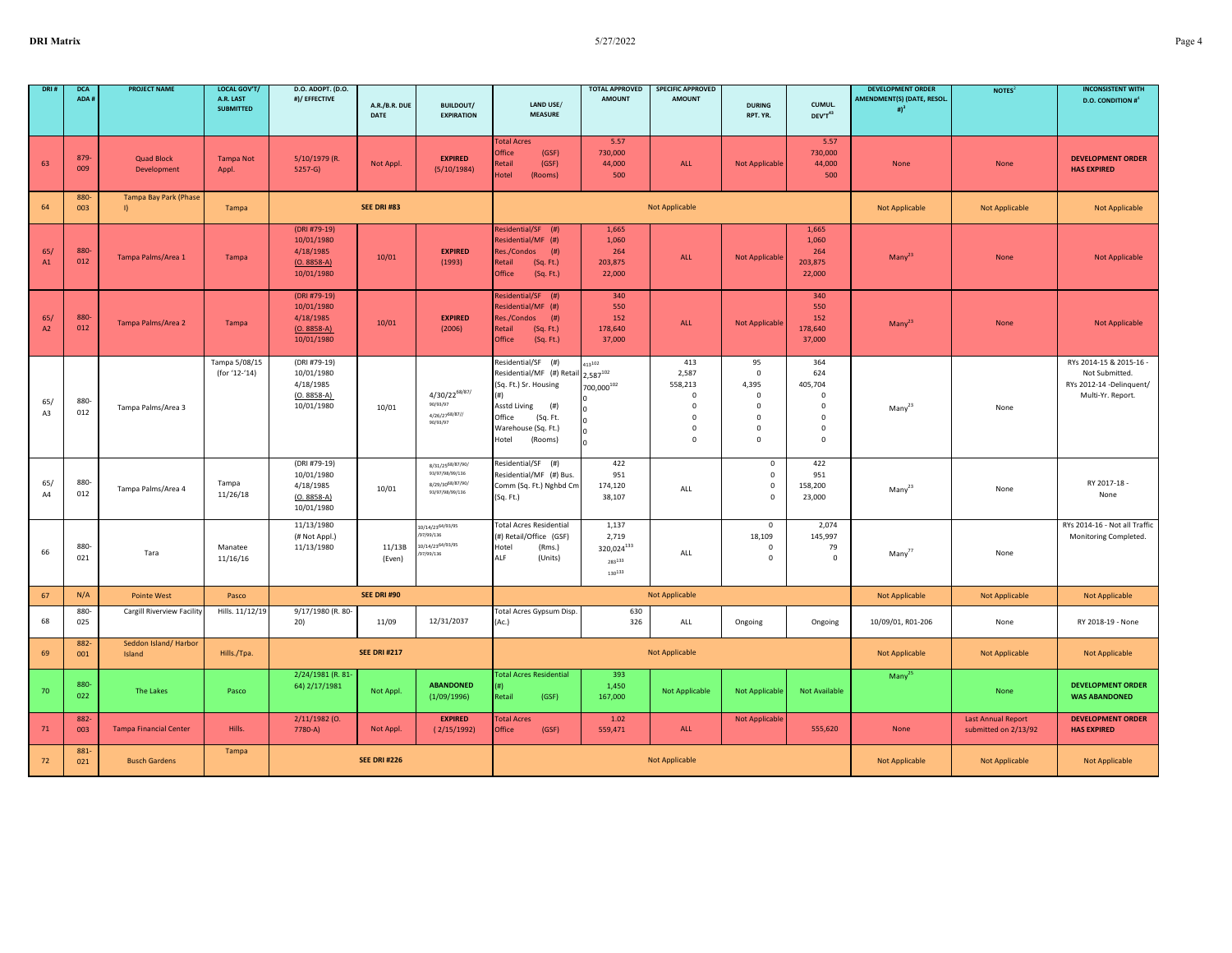| DRI#      | <b>DCA</b><br>ADA # | <b>PROJECT NAME</b>                          | <b>LOCAL GOV'T/</b><br>A.R. LAST<br><b>SUBMITTED</b> | D.O. ADOPT. (D.O.<br>#)/ EFFECTIVE                                     | A.R./B.R. DUE<br>DATE | <b>BUILDOUT/</b><br><b>EXPIRATION</b>                                      | LAND USE/<br><b>MEASURE</b>                                                                                                                                      | <b>TOTAL APPROVED</b><br><b>AMOUNT</b>           | <b>SPECIFIC APPROVED</b><br><b>AMOUNT</b>                                                           | <b>DURING</b><br>RPT. YR.                                                                         | CUMUL.<br>DEV'T43                                                                                | <b>DEVELOPMENT ORDER</b><br>AMENDMENT(S) (DATE, RESOL.<br># $)^3$ | NOTES <sup>2</sup>                                | <b>INCONSISTENT WITH</b><br><b>D.O. CONDITION #</b> <sup>4</sup>                           |
|-----------|---------------------|----------------------------------------------|------------------------------------------------------|------------------------------------------------------------------------|-----------------------|----------------------------------------------------------------------------|------------------------------------------------------------------------------------------------------------------------------------------------------------------|--------------------------------------------------|-----------------------------------------------------------------------------------------------------|---------------------------------------------------------------------------------------------------|--------------------------------------------------------------------------------------------------|-------------------------------------------------------------------|---------------------------------------------------|--------------------------------------------------------------------------------------------|
| 63        | 879-<br>009         | <b>Quad Block</b><br>Development             | <b>Tampa Not</b><br>Appl.                            | 5/10/1979 (R.<br>$5257-G$                                              | Not Appl.             | <b>EXPIRED</b><br>(5/10/1984)                                              | <b>Total Acres</b><br>Office<br>(GSF)<br>Retail<br>(GSF)<br>Hotel<br>(Rooms)                                                                                     | 5.57<br>730,000<br>44,000<br>500                 | ALL                                                                                                 | <b>Not Applicable</b>                                                                             | 5.57<br>730,000<br>44,000<br>500                                                                 | None                                                              | None                                              | <b>DEVELOPMENT ORDER</b><br><b>HAS EXPIRED</b>                                             |
| 64        | 880-<br>003         | <b>Tampa Bay Park (Phase</b><br>$\mathbf{I}$ | Tampa                                                |                                                                        | <b>SEE DRI #83</b>    |                                                                            |                                                                                                                                                                  |                                                  | <b>Not Applicable</b>                                                                               |                                                                                                   |                                                                                                  | <b>Not Applicable</b>                                             | <b>Not Applicable</b>                             | <b>Not Applicable</b>                                                                      |
| 65/<br>A1 | 880-<br>012         | Tampa Palms/Area 1                           | Tampa                                                | (DRI #79-19)<br>10/01/1980<br>4/18/1985<br>$(O. 8858-A)$<br>10/01/1980 | 10/01                 | <b>EXPIRED</b><br>(1993)                                                   | Residential/SF (#)<br>Residential/MF (#)<br>$($ #)<br>Res./Condos<br>Retail<br>(Sq. Ft.)<br>Office<br>(Sq. Ft.)                                                  | 1,665<br>1,060<br>264<br>203,875<br>22,000       | <b>ALL</b>                                                                                          | <b>Not Applicable</b>                                                                             | 1,665<br>1,060<br>264<br>203,875<br>22,000                                                       | $Many^{23}$                                                       | None                                              | <b>Not Applicable</b>                                                                      |
| 65/<br>A2 | 880-<br>012         | Tampa Palms/Area 2                           | Tampa                                                | (DRI #79-19)<br>10/01/1980<br>4/18/1985<br>$(O. 8858-A)$<br>10/01/1980 | 10/01                 | <b>EXPIRED</b><br>(2006)                                                   | Residential/SF (#)<br>Residential/MF (#)<br>Res./Condos<br>(# )<br>Retail<br>(Sq. Ft.)<br>Office<br>(Sq. Ft.)                                                    | 340<br>550<br>152<br>178,640<br>37,000           | ALL                                                                                                 | Not Applicable                                                                                    | 340<br>550<br>152<br>178,640<br>37,000                                                           | $Many^{23}$                                                       | None                                              | <b>Not Applicable</b>                                                                      |
| 65/<br>A3 | 880-<br>012         | Tampa Palms/Area 3                           | Tampa 5/08/15<br>(for '12-'14)                       | (DRI #79-19)<br>10/01/1980<br>4/18/1985<br>$(O. 8858-A)$<br>10/01/1980 | 10/01                 | $4/30/22^{68/87/}$<br>90/93/97<br>4/26/2768/87//<br>90/93/97               | Residential/SF (#)<br>Residential/MF (#) Retai<br>(Sq. Ft.) Sr. Housing<br>Asstd Living<br>(# )<br>Office<br>(Sq. Ft.<br>Warehouse (Sq. Ft.)<br>Hotel<br>(Rooms) | $413^{102}$<br>2,587102<br>$700,000^{102}$       | 413<br>2,587<br>558,213<br>$\mathbf 0$<br>$\mathbf 0$<br>$\mathbf 0$<br>$\mathbf{0}$<br>$\mathbf 0$ | 95<br>$\mathsf 0$<br>4,395<br>$\mathbf 0$<br>$^{\circ}$<br>$\mathbf 0$<br>$\Omega$<br>$\mathbf 0$ | 364<br>624<br>405,704<br>$\mathbf 0$<br>$\mathbf 0$<br>$\mathsf 0$<br>$\mathsf 0$<br>$\mathbf 0$ | $Many^{23}$                                                       | None                                              | RYs 2014-15 & 2015-16 -<br>Not Submitted.<br>RYs 2012-14 -Delinquent/<br>Multi-Yr. Report. |
| 65/<br>AA | 880-<br>012         | Tampa Palms/Area 4                           | Tampa<br>11/26/18                                    | (DRI #79-19)<br>10/01/1980<br>4/18/1985<br>$(O. 8858-A)$<br>10/01/1980 | 10/01                 | 8/31/2568/87/90/<br>93/97/98/99/136<br>8/29/3068/87/90/<br>93/97/98/99/136 | Residential/SF (#)<br>Residential/MF (#) Bus.<br>Comm (Sq. Ft.) Nghbd Cm<br>(Sq. Ft.)                                                                            | 422<br>951<br>174,120<br>38,107                  | ALL                                                                                                 | $\mathsf 0$<br>$\mathbf 0$<br>$\mathbf 0$<br>$\mathbf 0$                                          | 422<br>951<br>158,200<br>23,000                                                                  | $Many^{23}$                                                       | None                                              | RY 2017-18 -<br>None                                                                       |
| 66        | 880-<br>021         | Tara                                         | Manatee<br>11/16/16                                  | 11/13/1980<br>(# Not Appl.)<br>11/13/1980                              | 11/13B<br>(Even)      | 10/14/2364/93/95<br>7/99/136<br>10/14/23 <sup>64/93/95</sup><br>7/99/136   | <b>Total Acres Residential</b><br>(#) Retail/Office (GSF)<br>Hotel<br>(Rms.)<br>ALF<br>(Units)                                                                   | 1,137<br>2,719<br>320,024133<br>283133<br>130133 | ALL                                                                                                 | $\mathsf 0$<br>18,109<br>$\mathsf 0$<br>$\mathbf 0$                                               | 2,074<br>145,997<br>79<br>$\mathbf 0$                                                            | Many <sup>77</sup>                                                | None                                              | RYs 2014-16 - Not all Traffic<br>Monitoring Completed.                                     |
| 67        | N/A                 | <b>Pointe West</b>                           | Pasco                                                |                                                                        | <b>SEE DRI #90</b>    |                                                                            |                                                                                                                                                                  |                                                  | <b>Not Applicable</b>                                                                               |                                                                                                   |                                                                                                  | <b>Not Applicable</b>                                             | <b>Not Applicable</b>                             | <b>Not Applicable</b>                                                                      |
| 68        | 880-<br>025         | Cargill Riverview Facility                   | Hills. 11/12/19                                      | 9/17/1980 (R. 80-<br>20)                                               | 11/09                 | 12/31/2037                                                                 | Total Acres Gypsum Disp.<br>(Ac.)                                                                                                                                | 630<br>326                                       | ALL                                                                                                 | Ongoing                                                                                           | Ongoing                                                                                          | 10/09/01, R01-206                                                 | None                                              | RY 2018-19 - None                                                                          |
| 69        | 882-<br>001         | Seddon Island/ Harbor<br>Island              | Hills./Tpa.                                          |                                                                        | <b>SEE DRI #217</b>   |                                                                            |                                                                                                                                                                  |                                                  | Not Applicable                                                                                      |                                                                                                   |                                                                                                  | Not Applicable                                                    | Not Applicable                                    | Not Applicable                                                                             |
| 70        | 880-<br>022         | The Lakes                                    | Pasco                                                | 2/24/1981 (R. 81<br>64) 2/17/1981                                      | Not Appl.             | <b>ABANDONED</b><br>(1/09/1996)                                            | <b>Total Acres Residential</b><br>Retail<br>(GSF)                                                                                                                | 393<br>1,450<br>167,000                          | <b>Not Applicable</b>                                                                               | <b>Not Applicable</b>                                                                             | <b>Not Available</b>                                                                             | Many <sup>25</sup>                                                | None                                              | <b>DEVELOPMENT ORDER</b><br><b>WAS ABANDONED</b>                                           |
| 71        | 882<br>003          | <b>Tampa Financial Center</b>                | Hills.                                               | 2/11/1982 (0.<br>7780-A)                                               | Not Appl.             | <b>EXPIRED</b><br>(2/15/1992)                                              | <b>Total Acres</b><br>Office<br>(GSF)                                                                                                                            | 1.02<br>559,471                                  | ALL                                                                                                 | <b>Not Applicable</b>                                                                             | 555,620                                                                                          | None                                                              | <b>Last Annual Report</b><br>submitted on 2/13/92 | <b>DEVELOPMENT ORDER</b><br><b>HAS EXPIRED</b>                                             |
| 72        | 881-<br>021         | <b>Busch Gardens</b>                         | Tampa                                                |                                                                        | <b>SEE DRI #226</b>   |                                                                            |                                                                                                                                                                  |                                                  | <b>Not Applicable</b>                                                                               |                                                                                                   |                                                                                                  | <b>Not Applicable</b>                                             | <b>Not Applicable</b>                             | Not Applicable                                                                             |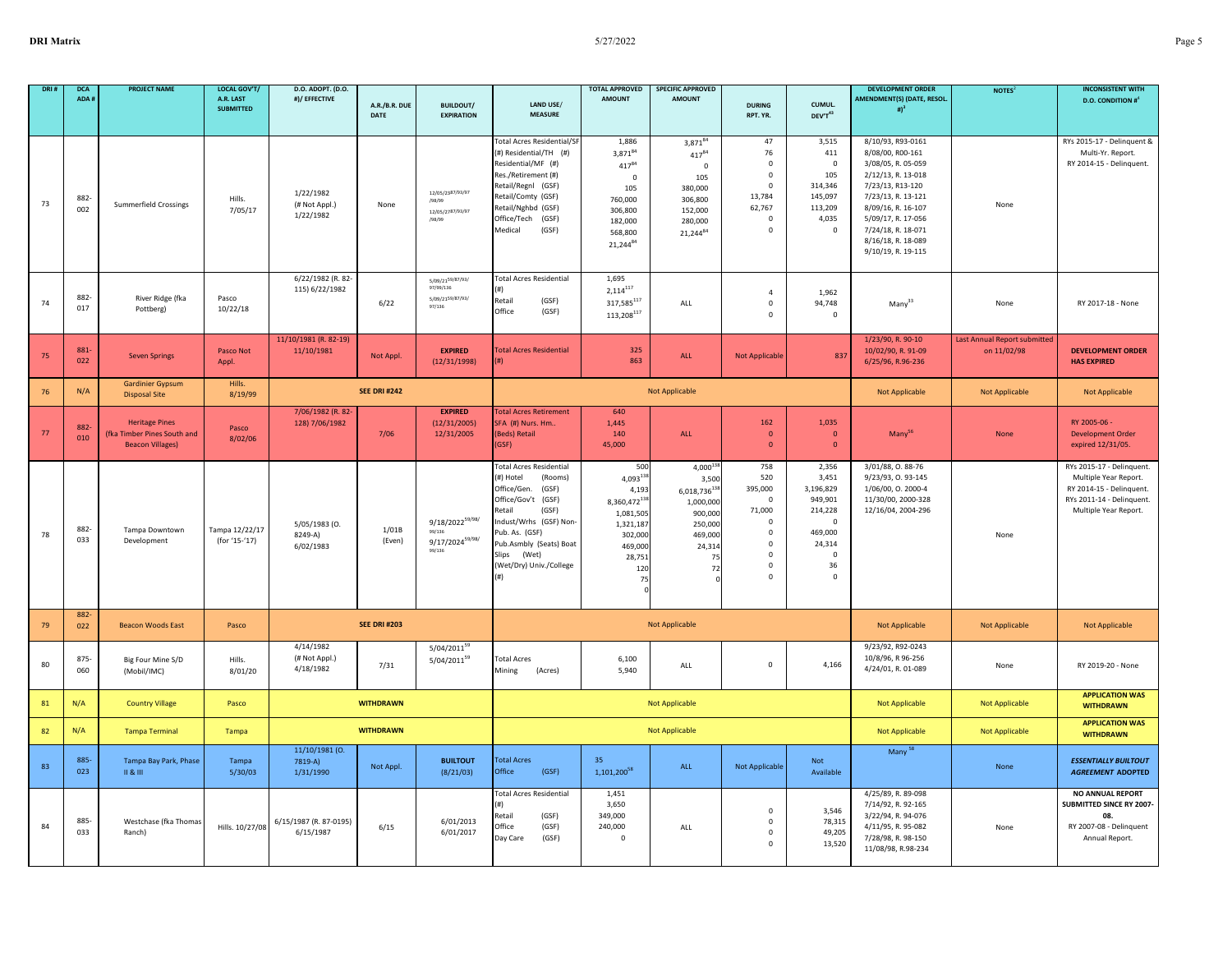| DRI: | <b>DCA</b><br>ADA # | <b>PROJECT NAME</b>                                                             | LOCAL GOV'T/<br>A.R. LAST<br><b>SUBMITTED</b> | D.O. ADOPT. (D.O.<br>#)/ EFFECTIVE      | A.R./B.R. DUE<br>DATE | <b>BUILDOUT/</b><br><b>EXPIRATION</b>                                   | LAND USE/<br><b>MEASURE</b>                                                                                                                                                                                                                         | <b>TOTAL APPROVED</b><br><b>AMOUNT</b>                                                                                      | <b>SPECIFIC APPROVED</b><br><b>AMOUNT</b>                                                                            | <b>DURING</b><br>RPT. YR.                                                                                                       | CUMUL.<br>DEV'T <sup>43</sup>                                                                                             | <b>DEVELOPMENT ORDER</b><br><b>MENDMENT(S) (DATE, RESOL</b><br># $)^3$                                                                                                                                                                    | NOTES <sup>2</sup>                          | <b>INCONSISTENT WITH</b><br><b>D.O. CONDITION #</b>                                                                                  |
|------|---------------------|---------------------------------------------------------------------------------|-----------------------------------------------|-----------------------------------------|-----------------------|-------------------------------------------------------------------------|-----------------------------------------------------------------------------------------------------------------------------------------------------------------------------------------------------------------------------------------------------|-----------------------------------------------------------------------------------------------------------------------------|----------------------------------------------------------------------------------------------------------------------|---------------------------------------------------------------------------------------------------------------------------------|---------------------------------------------------------------------------------------------------------------------------|-------------------------------------------------------------------------------------------------------------------------------------------------------------------------------------------------------------------------------------------|---------------------------------------------|--------------------------------------------------------------------------------------------------------------------------------------|
| 73   | 882<br>002          | <b>Summerfield Crossings</b>                                                    | Hills.<br>7/05/17                             | 1/22/1982<br>(# Not Appl.)<br>1/22/1982 | None                  | 12/05/23 <sup>87/93/97</sup><br>/98/99<br>12/05/2787/93/97<br>/98/99    | <b>Total Acres Residential/SF</b><br>(#) Residential/TH (#)<br>Residential/MF (#)<br>Res./Retirement (#)<br>Retail/Regnl (GSF)<br>Retail/Comty (GSF)<br>Retail/Nghbd (GSF)<br>Office/Tech (GSF)<br>Medical<br>(GSF)                                 | 1,886<br>3,87184<br>41784<br>$\mathbf 0$<br>105<br>760,000<br>306,800<br>182,000<br>568,800<br>21,24484                     | 3,87184<br>$417^{84}$<br>$\mathbf 0$<br>105<br>380,000<br>306,800<br>152,000<br>280,000<br>21,24484                  | 47<br>76<br>$\Omega$<br>$\Omega$<br>$\mathbf 0$<br>13,784<br>62,767<br>$\Omega$<br>$^{\circ}$                                   | 3,515<br>411<br>$\Omega$<br>105<br>314,346<br>145,097<br>113,209<br>4,035<br>0                                            | 8/10/93, R93-0161<br>8/08/00, R00-161<br>3/08/05, R. 05-059<br>2/12/13, R. 13-018<br>7/23/13, R13-120<br>7/23/13, R. 13-121<br>8/09/16, R. 16-107<br>5/09/17, R. 17-056<br>7/24/18, R. 18-071<br>8/16/18, R. 18-089<br>9/10/19, R. 19-115 | None                                        | RYs 2015-17 - Delinquent &<br>Multi-Yr. Report.<br>RY 2014-15 - Delinquent.                                                          |
| 74   | 882-<br>017         | River Ridge (fka<br>Pottberg)                                                   | Pasco<br>10/22/18                             | 6/22/1982 (R. 82-<br>115) 6/22/1982     | 6/22                  | 5/09/2159/87/93/<br>97/99/136<br>5/09/21 <sup>59/87/93/</sup><br>97/136 | <b>Total Acres Residential</b><br>Retail<br>(GSF)<br>Office<br>(GSF)                                                                                                                                                                                | 1,695<br>$2,114^{117}$<br>317,585 $^{117}$<br>113,208 $^{117}$                                                              | ALL                                                                                                                  | $\overline{4}$<br>$\mathbf 0$<br>$\Omega$                                                                                       | 1,962<br>94,748<br>0                                                                                                      | Many <sup>33</sup>                                                                                                                                                                                                                        | None                                        | RY 2017-18 - None                                                                                                                    |
| 75   | 881<br>022          | <b>Seven Springs</b>                                                            | Pasco Not<br>Appl.                            | 11/10/1981 (R. 82-19)<br>11/10/1981     | Not Appl.             | <b>EXPIRED</b><br>(12/31/1998)                                          | <b>Total Acres Residential</b>                                                                                                                                                                                                                      | 325<br>863                                                                                                                  | ALL                                                                                                                  | <b>Not Applicable</b>                                                                                                           | 837                                                                                                                       | 1/23/90, R. 90-10<br>10/02/90, R. 91-09<br>6/25/96, R.96-236                                                                                                                                                                              | Last Annual Report submitted<br>on 11/02/98 | <b>DEVELOPMENT ORDER</b><br><b>HAS EXPIRED</b>                                                                                       |
| 76   | N/A                 | <b>Gardinier Gypsum</b><br><b>Disposal Site</b>                                 | Hills.<br>8/19/99                             |                                         | <b>SEE DRI #242</b>   |                                                                         |                                                                                                                                                                                                                                                     |                                                                                                                             | <b>Not Applicable</b>                                                                                                |                                                                                                                                 |                                                                                                                           | <b>Not Applicable</b>                                                                                                                                                                                                                     | <b>Not Applicable</b>                       | <b>Not Applicable</b>                                                                                                                |
| 77   | 882-<br>010         | <b>Heritage Pines</b><br>(fka Timber Pines South and<br><b>Beacon Villages)</b> | Pasco<br>8/02/06                              | 7/06/1982 (R. 82-<br>128) 7/06/1982     | 7/06                  | <b>EXPIRED</b><br>(12/31/2005)<br>12/31/2005                            | <b>Total Acres Retirement</b><br>SFA (#) Nurs. Hm<br>(Beds) Retail<br>(GSF)                                                                                                                                                                         | 640<br>1,445<br>140<br>45,000                                                                                               | ALL                                                                                                                  | 162<br>$\mathbf 0$<br>$\mathbf{0}$                                                                                              | 1,035<br>$\mathbf{0}$<br>$\mathbf 0$                                                                                      | Many <sup>3t</sup>                                                                                                                                                                                                                        | None                                        | RY 2005-06 -<br><b>Development Order</b><br>expired 12/31/05.                                                                        |
| 78   | 882<br>033          | Tampa Downtown<br>Development                                                   | Tampa 12/22/17<br>(for '15-'17)               | 5/05/1983 (O.<br>8249-A)<br>6/02/1983   | 1/01B<br>(Even)       | 9/18/202259/98/<br>99/136<br>$9/17/2024^{59/98/}$<br>99/136             | <b>Total Acres Residential</b><br>(#) Hotel<br>(Rooms)<br>Office/Gen.<br>(GSF)<br>Office/Gov't (GSF)<br>Retail<br>(GSF)<br>Indust/Wrhs (GSF) Non-<br>Pub. As. (GSF)<br>Pub.Asmbly (Seats) Boat<br>Slips<br>(Wet)<br>(Wet/Dry) Univ./College<br>(# ) | 500<br>$4,093^{11}$<br>4,19<br>8,360,472 <sup>13</sup><br>1,081,505<br>1,321,18<br>302,000<br>469,000<br>28,75<br>120<br>7! | $4,000^{11}$<br>3,500<br>6,018,73613<br>1,000,000<br>900,000<br>250,000<br>469,000<br>24,314<br>7'<br>7 <sup>2</sup> | 758<br>520<br>395,000<br>$\mathbf 0$<br>71,000<br>$\mathbf 0$<br>$\mathbf 0$<br>$\Omega$<br>$\mathbf 0$<br>$\Omega$<br>$\Omega$ | 2,356<br>3,451<br>3,196,829<br>949,901<br>214,228<br>$\mathbf 0$<br>469,000<br>24,314<br>$\mathbf 0$<br>36<br>$\mathbf 0$ | 3/01/88, 0.88-76<br>9/23/93, 0.93-145<br>1/06/00, 0. 2000-4<br>11/30/00, 2000-328<br>12/16/04, 2004-296                                                                                                                                   | None                                        | RYs 2015-17 - Delinquent.<br>Multiple Year Report.<br>RY 2014-15 - Delinquent.<br>RYs 2011-14 - Delinquent.<br>Multiple Year Report. |
| 79   | 882-<br>022         | <b>Beacon Woods East</b>                                                        | Pasco                                         |                                         | <b>SEE DRI #203</b>   |                                                                         |                                                                                                                                                                                                                                                     |                                                                                                                             | <b>Not Applicable</b>                                                                                                |                                                                                                                                 |                                                                                                                           | <b>Not Applicable</b>                                                                                                                                                                                                                     | <b>Not Applicable</b>                       | Not Applicable                                                                                                                       |
| 80   | $875 -$<br>060      | Big Four Mine S/D<br>(Mobil/IMC)                                                | Hills.<br>8/01/20                             | 4/14/1982<br>(# Not Appl.)<br>4/18/1982 | 7/31                  | 5/04/201159<br>5/04/201159                                              | <b>Total Acres</b><br>Mining<br>(Acres)                                                                                                                                                                                                             | 6,100<br>5,940                                                                                                              | ALL                                                                                                                  | $\mathbf 0$                                                                                                                     | 4,166                                                                                                                     | 9/23/92, R92-0243<br>10/8/96, R 96-256<br>4/24/01, R. 01-089                                                                                                                                                                              | None                                        | RY 2019-20 - None                                                                                                                    |
| 81   | N/A                 | <b>Country Village</b>                                                          | Pasco                                         |                                         | <b>WITHDRAWN</b>      |                                                                         |                                                                                                                                                                                                                                                     |                                                                                                                             | <b>Not Applicable</b>                                                                                                |                                                                                                                                 |                                                                                                                           | <b>Not Applicable</b>                                                                                                                                                                                                                     | <b>Not Applicable</b>                       | <b>APPLICATION WAS</b><br><b>WITHDRAWN</b>                                                                                           |
| 82   | N/A                 | <b>Tampa Terminal</b>                                                           | Tampa                                         |                                         | <b>WITHDRAWN</b>      |                                                                         |                                                                                                                                                                                                                                                     |                                                                                                                             | <b>Not Applicable</b>                                                                                                |                                                                                                                                 |                                                                                                                           | <b>Not Applicable</b>                                                                                                                                                                                                                     | <b>Not Applicable</b>                       | <b>APPLICATION WAS</b><br><b>WITHDRAWN</b>                                                                                           |
| 83   | 885-<br>023         | Tampa Bay Park, Phase<br>11 & 111                                               | Tampa<br>5/30/03                              | 11/10/1981 (0.<br>7819-A)<br>1/31/1990  | Not Appl.             | <b>BUILTOUT</b><br>(8/21/03)                                            | <b>Total Acres</b><br>Office<br>(GSF)                                                                                                                                                                                                               | 35<br>1,101,20058                                                                                                           | ALL                                                                                                                  | Not Applicable                                                                                                                  | Not<br>Available                                                                                                          | Many <sup>58</sup>                                                                                                                                                                                                                        | None                                        | <b>ESSENTIALLY BUILTOUT</b><br><b>AGREEMENT ADOPTED</b>                                                                              |
| 84   | 885-<br>033         | Westchase (fka Thomas<br>Ranch)                                                 | Hills. 10/27/08                               | 6/15/1987 (R. 87-0195)<br>6/15/1987     | 6/15                  | 6/01/2013<br>6/01/2017                                                  | <b>Total Acres Residential</b><br>(#)<br>Retail<br>(GSF)<br>Office<br>(GSF)<br>(GSF)<br>Day Care                                                                                                                                                    | 1,451<br>3,650<br>349,000<br>240,000<br>0                                                                                   | $\mathsf{ALL}$                                                                                                       | $\mathbf 0$<br>$\mathbf{0}$<br>0<br>$\mathsf 0$                                                                                 | 3,546<br>78,315<br>49,205<br>13,520                                                                                       | 4/25/89, R. 89-098<br>7/14/92, R. 92-165<br>3/22/94, R. 94-076<br>4/11/95, R. 95-082<br>7/28/98, R. 98-150<br>11/08/98, R.98-234                                                                                                          | None                                        | <b>NO ANNUAL REPORT</b><br><b>SUBMITTED SINCE RY 2007</b><br>08<br>RY 2007-08 - Delinquent<br>Annual Report.                         |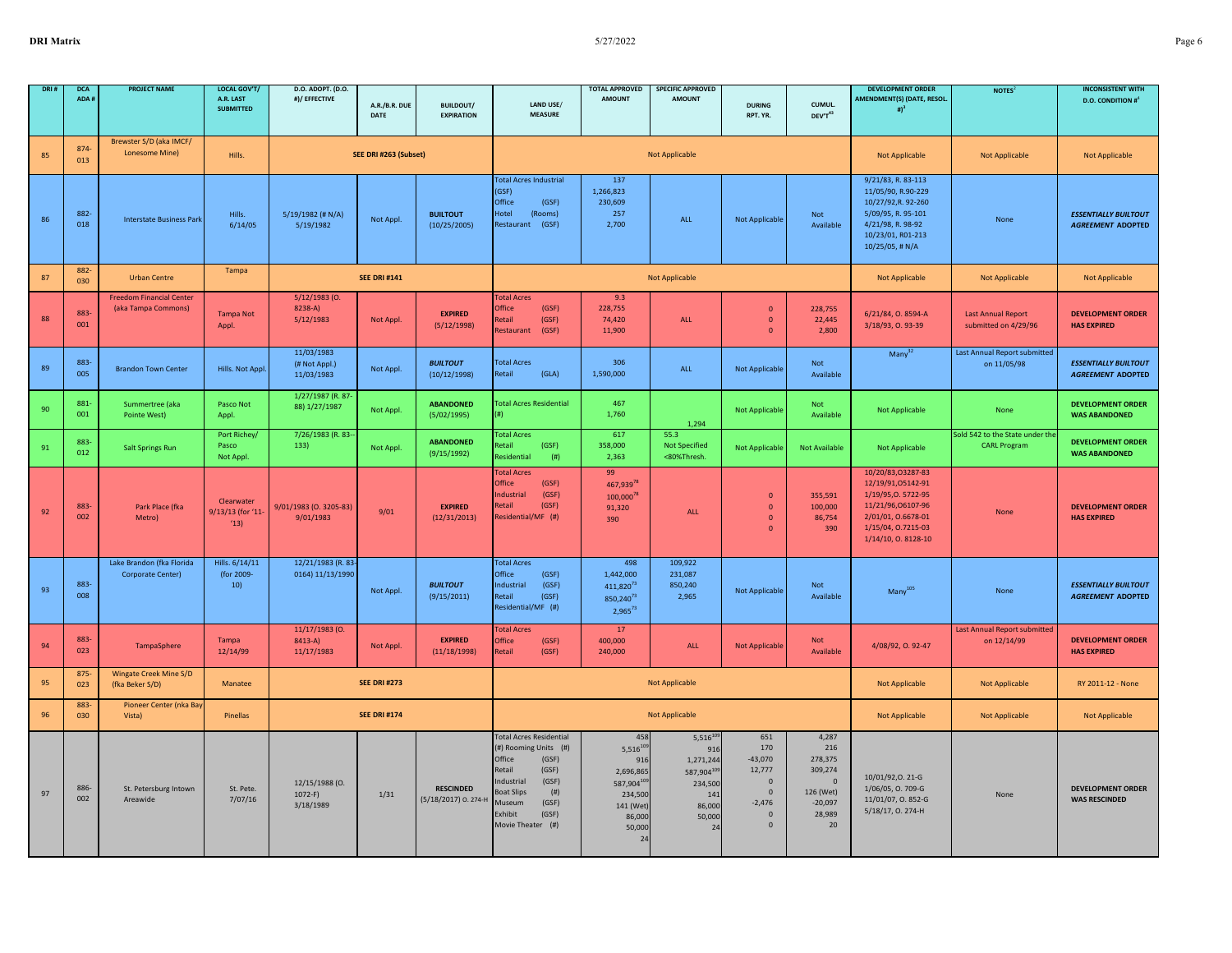| DRI: | <b>DCA</b><br>ADA # | <b>PROJECT NAME</b>                                    | <b>LOCAL GOV'T/</b><br>A.R. LAST<br><b>SUBMITTED</b> | D.O. ADOPT. (D.O.<br>#)/ EFFECTIVE        | A.R./B.R. DUE         | <b>BUILDOUT/</b>                         | LAND USE/                                                                                                                                                                                                     | <b>TOTAL APPROVED</b><br><b>AMOUNT</b>                                                                            | <b>SPECIFIC APPROVED</b><br><b>AMOUNT</b>                                                 | <b>DURING</b>                                                                                                 | CUMUL.                                                                                         | <b>DEVELOPMENT ORDER</b><br>AMENDMENT(S) (DATE, RESOL.<br>$\#$ <sup>3</sup>                                                                          | NOTES <sup>2</sup>                                     | <b>INCONSISTENT WITH</b><br><b>D.O. CONDITION #</b>     |
|------|---------------------|--------------------------------------------------------|------------------------------------------------------|-------------------------------------------|-----------------------|------------------------------------------|---------------------------------------------------------------------------------------------------------------------------------------------------------------------------------------------------------------|-------------------------------------------------------------------------------------------------------------------|-------------------------------------------------------------------------------------------|---------------------------------------------------------------------------------------------------------------|------------------------------------------------------------------------------------------------|------------------------------------------------------------------------------------------------------------------------------------------------------|--------------------------------------------------------|---------------------------------------------------------|
|      |                     |                                                        |                                                      |                                           | <b>DATE</b>           | <b>EXPIRATION</b>                        | <b>MEASURE</b>                                                                                                                                                                                                |                                                                                                                   |                                                                                           | RPT. YR.                                                                                                      | DEV'T43                                                                                        |                                                                                                                                                      |                                                        |                                                         |
| 85   | 874-<br>013         | Brewster S/D (aka IMCF/<br>Lonesome Mine)              | Hills.                                               |                                           | SEE DRI #263 (Subset) |                                          |                                                                                                                                                                                                               |                                                                                                                   | <b>Not Applicable</b>                                                                     |                                                                                                               |                                                                                                | <b>Not Applicable</b>                                                                                                                                | Not Applicable                                         | Not Applicable                                          |
| 86   | 882-<br>018         | <b>Interstate Business Park</b>                        | Hills.<br>6/14/05                                    | 5/19/1982 (# N/A)<br>5/19/1982            | Not Appl.             | <b>BUILTOUT</b><br>(10/25/2005)          | <b>Total Acres Industrial</b><br>(GSF)<br>Office<br>(GSF)<br>Hotel<br>(Rooms)<br>Restaurant (GSF)                                                                                                             | 137<br>1,266,823<br>230,609<br>257<br>2,700                                                                       | ALL                                                                                       | <b>Not Applicable</b>                                                                                         | <b>Not</b><br>Available                                                                        | 9/21/83, R. 83-113<br>11/05/90, R.90-229<br>10/27/92, R. 92-260<br>5/09/95, R. 95-101<br>4/21/98, R. 98-92<br>10/23/01, R01-213<br>10/25/05, # N/A   | None                                                   | <b>ESSENTIALLY BUILTOUT</b><br><b>AGREEMENT ADOPTED</b> |
| 87   | 882-<br>030         | <b>Urban Centre</b>                                    | Tampa                                                |                                           | <b>SEE DRI #141</b>   |                                          |                                                                                                                                                                                                               |                                                                                                                   | <b>Not Applicable</b>                                                                     |                                                                                                               |                                                                                                | <b>Not Applicable</b>                                                                                                                                | <b>Not Applicable</b>                                  | <b>Not Applicable</b>                                   |
| 88   | 883-<br>001         | <b>Freedom Financial Center</b><br>(aka Tampa Commons) | <b>Tampa Not</b><br>Appl.                            | $5/12/1983$ (O.<br>8238-A)<br>5/12/1983   | Not Appl.             | <b>EXPIRED</b><br>(5/12/1998)            | <b>Total Acres</b><br>Office<br>(GSF)<br>Retail<br>(GSF)<br>Restaurant<br>(GSF)                                                                                                                               | 9.3<br>228.755<br>74,420<br>11,900                                                                                | ALL                                                                                       | $\mathbf{0}$<br>$\overline{0}$<br>$\Omega$                                                                    | 228,755<br>22,445<br>2,800                                                                     | 6/21/84, O. 8594-A<br>3/18/93, 0.93-39                                                                                                               | <b>Last Annual Report</b><br>submitted on 4/29/96      | <b>DEVELOPMENT ORDER</b><br><b>HAS EXPIRED</b>          |
| 89   | 883<br>005          | <b>Brandon Town Center</b>                             | Hills. Not Appl.                                     | 11/03/1983<br>(# Not Appl.)<br>11/03/1983 | Not Appl.             | <b>BUILTOUT</b><br>(10/12/1998)          | <b>Total Acres</b><br>Retail<br>(GLA)                                                                                                                                                                         | 306<br>1,590,000                                                                                                  | ALL                                                                                       | <b>Not Applicable</b>                                                                                         | Not<br>Available                                                                               | Many <sup>32</sup>                                                                                                                                   | Last Annual Report submitted<br>on 11/05/98            | <b>ESSENTIALLY BUILTOUT</b><br><b>AGREEMENT ADOPTED</b> |
| 90   | 881-<br>001         | Summertree (aka<br>Pointe West)                        | Pasco Not<br>Appl.                                   | 1/27/1987 (R. 87-<br>88) 1/27/1987        | Not Appl.             | <b>ABANDONED</b><br>(5/02/1995)          | <b>Total Acres Residential</b>                                                                                                                                                                                | 467<br>1,760                                                                                                      | 1,294                                                                                     | <b>Not Applicable</b>                                                                                         | Not<br>Available                                                                               | Not Applicable                                                                                                                                       | None                                                   | <b>DEVELOPMENT ORDER</b><br><b>WAS ABANDONED</b>        |
| 91   | 883-<br>012         | <b>Salt Springs Run</b>                                | Port Richey/<br>Pasco<br>Not Appl.                   | 7/26/1983 (R. 83-<br>133)                 | Not Appl.             | <b>ABANDONED</b><br>(9/15/1992)          | <b>Total Acres</b><br>Retail<br>(GSF)<br>Residential<br>(#)                                                                                                                                                   | 617<br>358,000<br>2,363                                                                                           | 55.3<br><b>Not Specified</b><br><80%Thresh.                                               | <b>Not Applicable</b>                                                                                         | <b>Not Available</b>                                                                           | Not Applicable                                                                                                                                       | Sold 542 to the State under the<br><b>CARL Program</b> | <b>DEVELOPMENT ORDER</b><br><b>WAS ABANDONED</b>        |
| 92   | 883-<br>002         | Park Place (fka<br>Metro)                              | Clearwater<br>9/13/13 (for '11<br>(13)               | 9/01/1983 (0. 3205-83)<br>9/01/1983       | 9/01                  | <b>EXPIRED</b><br>(12/31/2013)           | <b>Total Acres</b><br>Office<br>(GSF)<br>(GSF)<br>ndustrial<br>(GSF)<br><b>Retail</b><br>Residential/MF (#)                                                                                                   | 99<br>467,93978<br>100,00078<br>91,320<br>390                                                                     | ALL                                                                                       | $\mathbf{0}$<br>$\overline{0}$<br>$\overline{0}$<br>$\Omega$                                                  | 355,591<br>100,000<br>86,754<br>390                                                            | 10/20/83,03287-83<br>12/19/91,05142-91<br>1/19/95, 0.5722-95<br>11/21/96,06107-96<br>2/01/01, 0.6678-01<br>1/15/04, 0.7215-03<br>1/14/10, 0. 8128-10 | None                                                   | <b>DEVELOPMENT ORDER</b><br><b>HAS EXPIRED</b>          |
| 93   | 883-<br>008         | Lake Brandon (fka Florida<br>Corporate Center)         | Hills. 6/14/11<br>(for 2009-<br>10)                  | 12/21/1983 (R. 83-<br>0164) 11/13/1990    | Not Appl.             | <b>BUILTOUT</b><br>(9/15/2011)           | <b>Total Acres</b><br>Office<br>(GSF)<br>Industrial<br>(GSF)<br>Retail<br>(GSF)<br>Residential/MF (#)                                                                                                         | 498<br>1,442,000<br>$411,820^{73}$<br>850,240 <sup>73</sup><br>$2,965^{73}$                                       | 109,922<br>231,087<br>850,240<br>2,965                                                    | <b>Not Applicable</b>                                                                                         | Not<br>Available                                                                               | Many <sup>105</sup>                                                                                                                                  | None                                                   | <b>ESSENTIALLY BUILTOUT</b><br><b>AGREEMENT ADOPTED</b> |
| 94   | 883-<br>023         | TampaSphere                                            | Tampa<br>12/14/99                                    | 11/17/1983 (0.<br>8413-A)<br>11/17/1983   | Not Appl.             | <b>EXPIRED</b><br>(11/18/1998)           | <b>Total Acres</b><br>Office<br>(GSF)<br>Retail<br>(GSF)                                                                                                                                                      | 17<br>400.000<br>240,000                                                                                          | ALL                                                                                       | <b>Not Applicable</b>                                                                                         | <b>Not</b><br>Available                                                                        | 4/08/92, 0.92-47                                                                                                                                     | Last Annual Report submitted<br>on 12/14/99            | <b>DEVELOPMENT ORDER</b><br><b>HAS EXPIRED</b>          |
| 95   | 875<br>023          | Wingate Creek Mine S/D<br>(fka Beker S/D)              | Manatee                                              |                                           | <b>SEE DRI #273</b>   |                                          |                                                                                                                                                                                                               |                                                                                                                   | <b>Not Applicable</b>                                                                     |                                                                                                               |                                                                                                | <b>Not Applicable</b>                                                                                                                                | Not Applicable                                         | RY 2011-12 - None                                       |
| 96   | 883-<br>030         | Pioneer Center (nka Bay<br>Vista)                      | Pinellas                                             |                                           | <b>SEE DRI #174</b>   |                                          |                                                                                                                                                                                                               |                                                                                                                   | <b>Not Applicable</b>                                                                     |                                                                                                               |                                                                                                | Not Applicable                                                                                                                                       | <b>Not Applicable</b>                                  | <b>Not Applicable</b>                                   |
| 97   | 886-<br>002         | St. Petersburg Intown<br>Areawide                      | St. Pete.<br>7/07/16                                 | 12/15/1988 (0.<br>$1072-F$<br>3/18/1989   | 1/31                  | <b>RESCINDED</b><br>(5/18/2017) O. 274-H | <b>Total Acres Residential</b><br>(#) Rooming Units (#)<br>Office<br>(GSF)<br>Retail<br>(GSF)<br>Industrial<br>(GSF)<br><b>Boat Slips</b><br>(# )<br>Museum<br>(GSF)<br>Exhibit<br>(GSF)<br>Movie Theater (#) | 458<br>$5,516^{10}$<br>916<br>2,696,865<br>587,90410<br>234,500<br>141 (Wet<br>86,000<br>50,000<br>2 <sup>i</sup> | $5,516^{105}$<br>916<br>1,271,244<br>587,90410<br>234,500<br>14<br>86,000<br>50,000<br>24 | 651<br>170<br>$-43,070$<br>12,777<br>$\overline{0}$<br>$\overline{0}$<br>$-2,476$<br>$\mathbf{0}$<br>$\Omega$ | 4,287<br>216<br>278,375<br>309,274<br>$\overline{0}$<br>126 (Wet)<br>$-20,097$<br>28,989<br>20 | 10/01/92, 0.21-G<br>1/06/05, O. 709-G<br>11/01/07, O. 852-G<br>5/18/17, O. 274-H                                                                     | None                                                   | <b>DEVELOPMENT ORDER</b><br><b>WAS RESCINDED</b>        |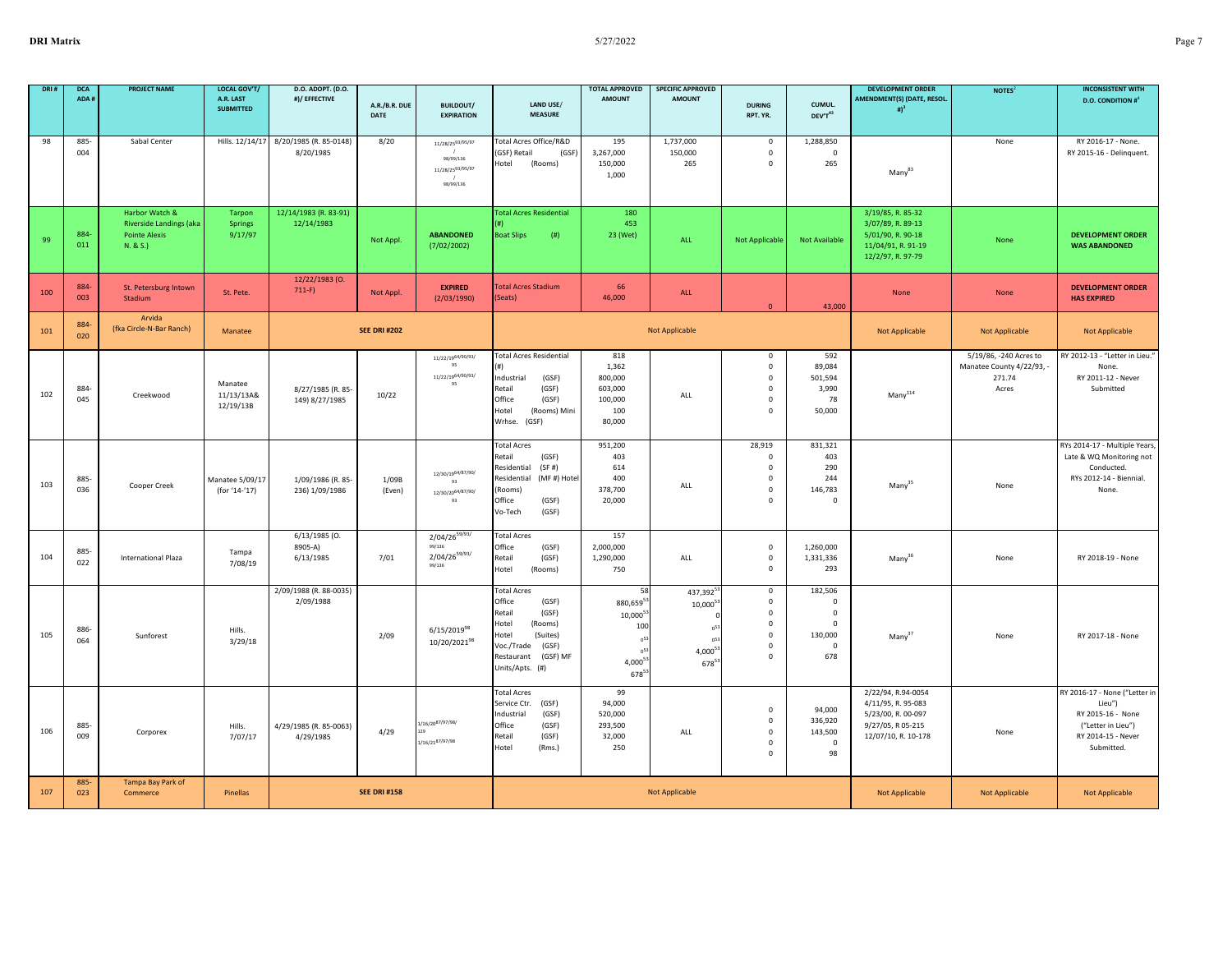| DRI: | <b>DCA</b><br>ADA# | <b>PROJECT NAME</b>                                                           | <b>LOCAL GOV'T/</b><br>A.R. LAST<br><b>SUBMITTED</b> | D.O. ADOPT. (D.O.<br>#)/ EFFECTIVE      | A.R./B.R. DUE<br>DATE | <b>BUILDOUT/</b><br><b>EXPIRATION</b>                                      | LAND USE/<br><b>MEASURE</b>                                                                                                                                           | <b>TOTAL APPROVED</b><br><b>AMOUNT</b>                                       | <b>SPECIFIC APPROVED</b><br><b>AMOUNT</b>                            | <b>DURING</b><br>RPT. YR.                                                            | CUMUL.<br>DEV'T43                                                            | <b>DEVELOPMENT ORDER</b><br>AMENDMENT(S) (DATE, RESOL.<br>$\sharp$ <sup>3</sup>                            | NOTES <sup>2</sup>                                                     | <b>INCONSISTENT WITH</b><br><b>D.O. CONDITION #</b> <sup>4</sup>                                                       |
|------|--------------------|-------------------------------------------------------------------------------|------------------------------------------------------|-----------------------------------------|-----------------------|----------------------------------------------------------------------------|-----------------------------------------------------------------------------------------------------------------------------------------------------------------------|------------------------------------------------------------------------------|----------------------------------------------------------------------|--------------------------------------------------------------------------------------|------------------------------------------------------------------------------|------------------------------------------------------------------------------------------------------------|------------------------------------------------------------------------|------------------------------------------------------------------------------------------------------------------------|
| 98   | 885-<br>004        | Sabal Center                                                                  | Hills. 12/14/17                                      | 8/20/1985 (R. 85-0148)<br>8/20/1985     | 8/20                  | 11/28/2593/95/97<br>98/99/136<br>11/28/2593/95/97<br>98/99/136             | Total Acres Office/R&D<br>GSF) Retail<br>(GSF)<br>lotel<br>(Rooms)                                                                                                    | 195<br>3,267,000<br>150,000<br>1,000                                         | 1,737,000<br>150,000<br>265                                          | $\mathsf 0$<br>$\pmb{0}$<br>$\Omega$                                                 | 1,288,850<br>$\mathsf 0$<br>265                                              | Many <sup>83</sup>                                                                                         | None                                                                   | RY 2016-17 - None.<br>RY 2015-16 - Delinquent.                                                                         |
| 99   | 884<br>011         | Harbor Watch &<br>Riverside Landings (aka<br><b>Pointe Alexis</b><br>N. & S.) | Tarpon<br><b>Springs</b><br>9/17/97                  | 12/14/1983 (R. 83-91)<br>12/14/1983     | Not Appl.             | <b>ABANDONED</b><br>(7/02/2002)                                            | <b>Total Acres Residential</b><br><b>Boat Slips</b><br>(#)                                                                                                            | 180<br>453<br>23 (Wet)                                                       | <b>ALL</b>                                                           | <b>Not Applicable</b>                                                                | <b>Not Available</b>                                                         | 3/19/85, R. 85-32<br>3/07/89, R. 89-13<br>5/01/90, R. 90-18<br>11/04/91, R. 91-19<br>12/2/97, R. 97-79     | None                                                                   | <b>DEVELOPMENT ORDER</b><br><b>WAS ABANDONED</b>                                                                       |
| 100  | 884-<br>003        | St. Petersburg Intown<br>Stadium                                              | St. Pete.                                            | 12/22/1983 (0.<br>$711-F$               | Not Appl.             | <b>EXPIRED</b><br>(2/03/1990)                                              | <b>Total Acres Stadium</b><br>(Seats)                                                                                                                                 | 66<br>46,000                                                                 | ALL                                                                  | $\Omega$                                                                             | 43,000                                                                       | None                                                                                                       | None                                                                   | <b>DEVELOPMENT ORDER</b><br><b>HAS EXPIRED</b>                                                                         |
| 101  | 884-<br>020        | Arvida<br>(fka Circle-N-Bar Ranch)                                            | Manatee                                              |                                         | <b>SEE DRI #202</b>   |                                                                            |                                                                                                                                                                       |                                                                              | <b>Not Applicable</b>                                                |                                                                                      |                                                                              | <b>Not Applicable</b>                                                                                      | <b>Not Applicable</b>                                                  | <b>Not Applicable</b>                                                                                                  |
| 102  | 884<br>045         | Creekwood                                                                     | Manatee<br>11/13/13A&<br>12/19/13B                   | 8/27/1985 (R. 85-<br>149) 8/27/1985     | 10/22                 | 11/22/19 <sup>64/90/93/</sup><br>95<br>11/22/1964/90/93/<br>95             | <b>Total Acres Residential</b><br>Industrial<br>(GSF)<br>(GSF)<br>Retail<br>Office<br>(GSF)<br>Hotel<br>(Rooms) Mini<br>Wrhse.<br>(GSF)                               | 818<br>1,362<br>800,000<br>603,000<br>100,000<br>100<br>80,000               | ALL                                                                  | $\mathsf 0$<br>$\mathbf 0$<br>$\mathbf 0$<br>$^{\circ}$<br>$^{\circ}$<br>$\mathbf 0$ | 592<br>89,084<br>501,594<br>3,990<br>78<br>50,000                            | $\mathsf{Many}^{114}$                                                                                      | 5/19/86, -240 Acres to<br>Manatee County 4/22/93, -<br>271.74<br>Acres | RY 2012-13 - "Letter in Lieu."<br>None.<br>RY 2011-12 - Never<br>Submitted                                             |
| 103  | 885-<br>036        | Cooper Creek                                                                  | Manatee 5/09/17<br>(for '14-'17)                     | 1/09/1986 (R. 85-<br>236) 1/09/1986     | 1/09B<br>(Even)       | 12/30/19 <sup>64/87/90/</sup><br>93<br>12/30/20 <sup>64/87/90/</sup><br>93 | <b>Total Acres</b><br>Retail<br>(GSF)<br>(SF#)<br>Residential<br>Residential<br>(MF#) Hote<br>Rooms)<br>Office<br>(GSF)<br>(GSF)<br>Vo-Tech                           | 951,200<br>403<br>614<br>400<br>378,700<br>20,000                            | ALL                                                                  | 28,919<br>$\mathbf 0$<br>$^{\circ}$<br>$\mathbf 0$<br>$^{\circ}$<br>$\Omega$         | 831,321<br>403<br>290<br>244<br>146,783<br>$\Omega$                          | $Many^{35}$                                                                                                | None                                                                   | RYs 2014-17 - Multiple Years,<br>Late & WQ Monitoring not<br>Conducted.<br>RYs 2012-14 - Biennial.<br>None.            |
| 104  | 885-<br>022        | <b>International Plaza</b>                                                    | Tampa<br>7/08/19                                     | $6/13/1985$ (0.<br>8905-A)<br>6/13/1985 | 7/01                  | $2/04/26^{59/93/}$<br>99/136<br>$2/04/26^{59/93/}$<br>99/136               | <b>Total Acres</b><br>Office<br>(GSF)<br>Retail<br>(GSF)<br>Hotel<br>(Rooms)                                                                                          | 157<br>2,000,000<br>1,290,000<br>750                                         | ALL                                                                  | $\mathsf 0$<br>$\overline{0}$<br>$\Omega$                                            | 1,260,000<br>1,331,336<br>293                                                | Many <sup>36</sup>                                                                                         | None                                                                   | RY 2018-19 - None                                                                                                      |
| 105  | 886-<br>064        | Sunforest                                                                     | Hills.<br>3/29/18                                    | 2/09/1988 (R. 88-0035)<br>2/09/1988     | 2/09                  | $6/15/2019^{98}$<br>10/20/202198                                           | <b>Total Acres</b><br>Office<br>(GSF)<br>Retail<br>(GSF)<br>Hotel<br>(Rooms)<br>Hotel<br>(Suites)<br>Voc./Trade<br>(GSF)<br>Restaurant<br>(GSF) MF<br>Units/Apts. (#) | 58<br>880,659 <sup>5</sup><br>10,000<br>100<br>$4,000^5$<br>678 <sup>5</sup> | 437,3925<br>10,0005<br>n.<br>n <sup>5</sup><br>$4,000^{51}$<br>67853 | $\mathbf 0$<br>$\mathsf 0$<br>$\mathbf 0$<br>0<br>$\mathbf 0$<br>0<br>$\Omega$       | 182,506<br>0<br>$\mathbf 0$<br>$\mathbf{0}$<br>130,000<br>$\mathbf 0$<br>678 | Many <sup>37</sup>                                                                                         | None                                                                   | RY 2017-18 - None                                                                                                      |
| 106  | 885-<br>009        | Corporex                                                                      | Hills.<br>7/07/17                                    | 4/29/1985 (R. 85-0063)<br>4/29/1985     | 4/29                  | 1/16/2087/97/98<br>129<br>1/16/2187/97/98                                  | <b>Total Acres</b><br>Service Ctr.<br>(GSF)<br>(GSF)<br>Industrial<br>Office<br>(GSF)<br>Retail<br>(GSF)<br>Hotel<br>(Rms.)                                           | 99<br>94,000<br>520,000<br>293,500<br>32,000<br>250                          | ALL                                                                  | $\mathsf 0$<br>$\mathbf{0}$<br>$\mathbf 0$<br>$\mathbf 0$<br>$^{\circ}$              | 94,000<br>336,920<br>143,500<br>$\mathbf{0}$<br>98                           | 2/22/94, R.94-0054<br>4/11/95, R. 95-083<br>5/23/00, R. 00-097<br>9/27/05, R 05-215<br>12/07/10, R. 10-178 | None                                                                   | RY 2016-17 - None ("Letter in<br>Lieu")<br>RY 2015-16 - None<br>("Letter in Lieu")<br>RY 2014-15 - Never<br>Submitted. |
| 107  | 885-<br>023        | Tampa Bay Park of<br>Commerce                                                 | Pinellas                                             |                                         | <b>SEE DRI #158</b>   |                                                                            |                                                                                                                                                                       |                                                                              | <b>Not Applicable</b>                                                |                                                                                      |                                                                              | Not Applicable                                                                                             | Not Applicable                                                         | Not Applicable                                                                                                         |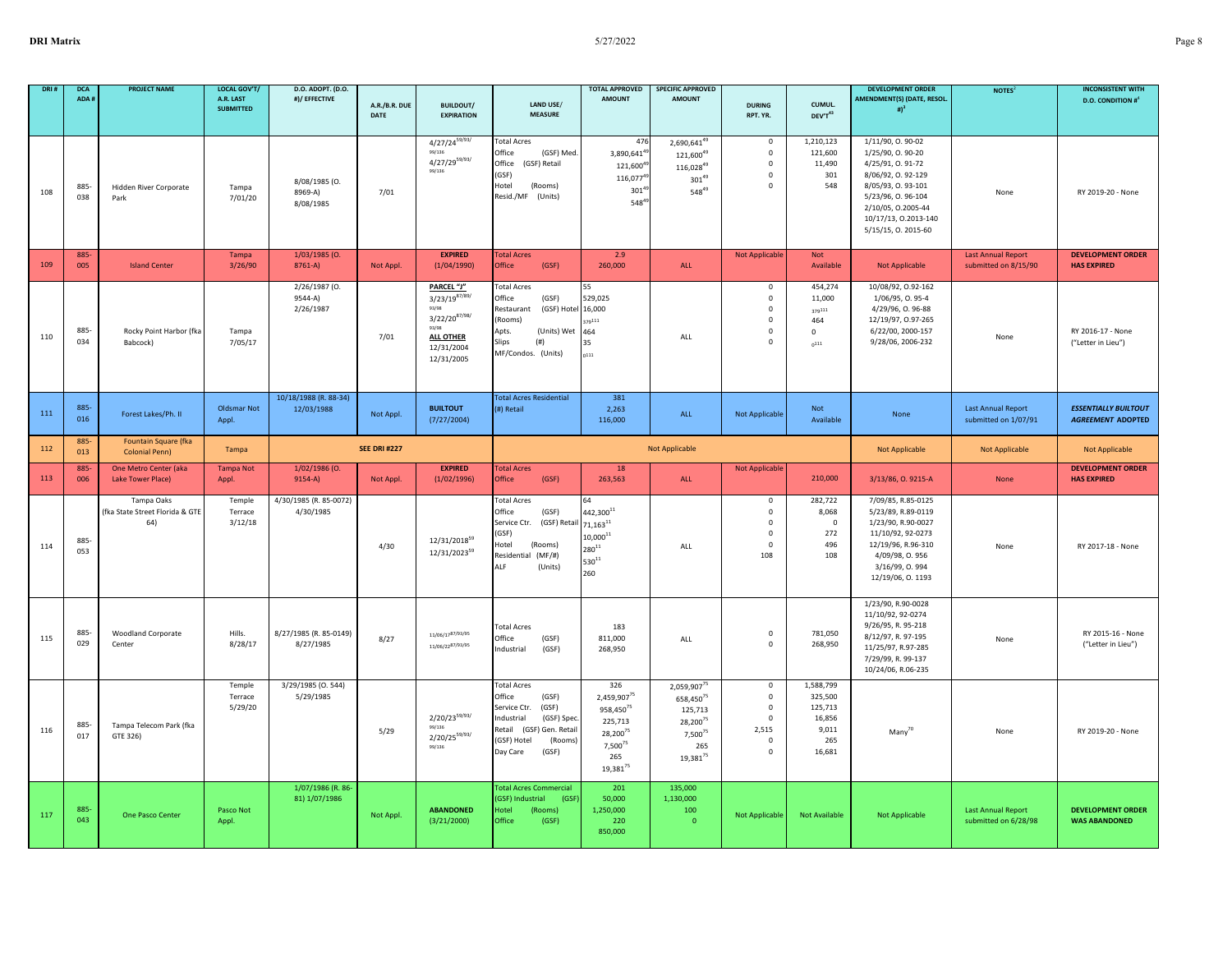|     | <b>DCA</b><br>ADA # | <b>PROJECT NAME</b>                                  | <b>LOCAL GOV'T/</b><br>A.R. LAST<br><b>SUBMITTED</b> | D.O. ADOPT. (D.O.<br>#)/ EFFECTIVE    | A.R./B.R. DUE<br><b>DATE</b> | <b>BUILDOUT/</b><br><b>EXPIRATION</b>                                                                                    | LAND USE/<br><b>MEASURE</b>                                                                                                                                              | <b>TOTAL APPROVED</b><br><b>AMOUNT</b>                                                                                       | <b>SPECIFIC APPROVED</b><br><b>AMOUNT</b>                                                                                                 | <b>DURING</b><br>RPT. YR.                                                           | CUMUL.<br>DEV'T43                                                   | <b>DEVELOPMENT ORDER</b><br>AMENDMENT(S) (DATE, RESOL.<br># $)^3$                                                                                                                            | NOTES <sup>2</sup>                                | <b>INCONSISTENT WITH</b><br><b>D.O. CONDITION #</b> <sup>4</sup> |
|-----|---------------------|------------------------------------------------------|------------------------------------------------------|---------------------------------------|------------------------------|--------------------------------------------------------------------------------------------------------------------------|--------------------------------------------------------------------------------------------------------------------------------------------------------------------------|------------------------------------------------------------------------------------------------------------------------------|-------------------------------------------------------------------------------------------------------------------------------------------|-------------------------------------------------------------------------------------|---------------------------------------------------------------------|----------------------------------------------------------------------------------------------------------------------------------------------------------------------------------------------|---------------------------------------------------|------------------------------------------------------------------|
| 108 | 885<br>038          | Hidden River Corporate<br>Park                       | Tampa<br>7/01/20                                     | 8/08/1985 (0.<br>8969-A)<br>8/08/1985 | 7/01                         | $4/27/24^{59/93/}$<br>99/136<br>$4/27/29^{59/93/}$<br>99/136                                                             | <b>Total Acres</b><br>Office<br>(GSF) Med.<br>Office<br>(GSF) Retail<br>(GSF)<br>Hotel<br>(Rooms)<br>Resid./MF (Units)                                                   | 476<br>3,890,641 <sup>4</sup><br>121,600 <sup>4</sup><br>116,077 <sup>4</sup><br>$301^{4}$<br>5484                           | 2,690,6414<br>121,60049<br>116,02849<br>$301^{49}$<br>54849                                                                               | $\mathsf 0$<br>$\mathsf 0$<br>$\mathsf 0$<br>$\mathbf 0$<br>$\mathsf 0$             | 1,210,123<br>121,600<br>11,490<br>301<br>548                        | 1/11/90, 0.90-02<br>1/25/90, 0.90-20<br>4/25/91, 0.91-72<br>8/06/92, 0.92-129<br>8/05/93, 0.93-101<br>5/23/96, 0.96-104<br>2/10/05, 0.2005-44<br>10/17/13, 0.2013-140<br>5/15/15, 0. 2015-60 | None                                              | RY 2019-20 - None                                                |
| 109 | 885<br>005          | <b>Island Center</b>                                 | Tampa<br>3/26/90                                     | 1/03/1985 (O.<br>8761-A)              | Not Appl.                    | <b>EXPIRED</b><br>(1/04/1990)                                                                                            | <b>Total Acres</b><br>Office<br>(GSF)                                                                                                                                    | 2.9<br>260,000                                                                                                               | ALL                                                                                                                                       | Not Applicable                                                                      | Not<br>Available                                                    | <b>Not Applicable</b>                                                                                                                                                                        | <b>Last Annual Report</b><br>submitted on 8/15/90 | <b>DEVELOPMENT ORDER</b><br><b>HAS EXPIRED</b>                   |
| 110 | 885-<br>034         | Rocky Point Harbor (fka<br>Babcock)                  | Tampa<br>7/05/17                                     | 2/26/1987 (0.<br>9544-A)<br>2/26/1987 | 7/01                         | PARCEL "J"<br>$3/23/19^{87/89/}$<br>93/98<br>$3/22/20^{87/98/}$<br>93/98<br><b>ALL OTHER</b><br>12/31/2004<br>12/31/2005 | <b>Total Acres</b><br>Office<br>(GSF)<br>(GSF) Hotel<br>Restaurant<br>(Rooms)<br>Apts.<br>(Units) Wet<br><b>Slips</b><br>(# )<br>MF/Condos. (Units)                      | 529,025<br>16,000<br>79111<br>464<br>35<br>0111                                                                              | ALL                                                                                                                                       | $\mathbf 0$<br>$\mathsf 0$<br>$\mathsf 0$<br>$\mathsf 0$<br>0<br>$\Omega$           | 454,274<br>11,000<br>379111<br>464<br>0<br>$0^{111}$                | 10/08/92, 0.92-162<br>1/06/95, 0.95-4<br>4/29/96, 0.96-88<br>12/19/97, 0.97-265<br>6/22/00, 2000-157<br>9/28/06, 2006-232                                                                    | None                                              | RY 2016-17 - None<br>("Letter in Lieu")                          |
| 111 | 885<br>016          | Forest Lakes/Ph. II                                  | <b>Oldsmar Not</b><br>Appl.                          | 10/18/1988 (R. 88-34)<br>12/03/1988   | Not Appl.                    | <b>BUILTOUT</b><br>(7/27/2004)                                                                                           | <b>Total Acres Residential</b><br>(#) Retail                                                                                                                             | 381<br>2,263<br>116,000                                                                                                      | ALL                                                                                                                                       | <b>Not Applicable</b>                                                               | Not<br>Available                                                    | None                                                                                                                                                                                         | <b>Last Annual Report</b><br>submitted on 1/07/91 | <b>ESSENTIALLY BUILTOUT</b><br><b>AGREEMENT ADOPTED</b>          |
| 112 | 885-<br>013         | Fountain Square (fka<br><b>Colonial Penn)</b>        | Tampa                                                |                                       | <b>SEE DRI #227</b>          |                                                                                                                          |                                                                                                                                                                          |                                                                                                                              | Not Applicable                                                                                                                            |                                                                                     |                                                                     | <b>Not Applicable</b>                                                                                                                                                                        | Not Applicable                                    | Not Applicable                                                   |
| 113 | 885-<br>006         | One Metro Center (aka<br>Lake Tower Place)           | <b>Tampa Not</b><br>Appl.                            | 1/02/1986 (O.<br>$9154-A)$            | Not Appl.                    | <b>EXPIRED</b><br>(1/02/1996)                                                                                            | <b>Total Acres</b><br>Office<br>(GSF)                                                                                                                                    | 18<br>263,563                                                                                                                | ALL                                                                                                                                       | Not Applicable                                                                      | 210,000                                                             | 3/13/86, O. 9215-A                                                                                                                                                                           | None                                              | <b>DEVELOPMENT ORDER</b><br><b>HAS EXPIRED</b>                   |
| 114 | 885<br>053          | Tampa Oaks<br>(fka State Street Florida & GTE<br>64) | Temple<br>Terrace<br>3/12/18                         | 4/30/1985 (R. 85-0072)<br>4/30/1985   | 4/30                         | 12/31/2018 <sup>59</sup><br>12/31/202359                                                                                 | <b>Total Acres</b><br>Office<br>(GSF)<br>Service Ctr. (GSF) Retail<br>(GSF)<br>Hotel<br>(Rooms)<br>Residential (MF/#)<br>ALF<br>(Units)                                  | 442,300 <sup>11</sup><br>$71,163^{11}$<br>$10,000^{11}$<br>$280^{11}$<br>$530^{11}$<br>260                                   | ALL                                                                                                                                       | 0<br>0<br>$\mathsf 0$<br>$\mathbf 0$<br>$\mathsf 0$<br>108                          | 282,722<br>8,068<br>$\mathbf 0$<br>272<br>496<br>108                | 7/09/85, R.85-0125<br>5/23/89, R.89-0119<br>1/23/90, R.90-0027<br>11/10/92, 92-0273<br>12/19/96, R.96-310<br>4/09/98, 0.956<br>3/16/99, 0.994<br>12/19/06, 0. 1193                           | None                                              | RY 2017-18 - None                                                |
| 115 | 885<br>029          | Woodland Corporate<br>Center                         | Hills.<br>8/28/17                                    | 8/27/1985 (R. 85-0149)<br>8/27/1985   | 8/27                         | 11/06/17 <sup>87/93/95</sup><br>11/06/2287/93/95                                                                         | <b>Total Acres</b><br>Office<br>(GSF)<br>Industrial<br>(GSF)                                                                                                             | 183<br>811,000<br>268,950                                                                                                    | ALL                                                                                                                                       | $\mathsf 0$<br>$\mathbf 0$                                                          | 781,050<br>268,950                                                  | 1/23/90, R.90-0028<br>11/10/92, 92-0274<br>9/26/95, R. 95-218<br>8/12/97, R. 97-195<br>11/25/97, R.97-285<br>7/29/99, R. 99-137<br>10/24/06, R.06-235                                        | None                                              | RY 2015-16 - None<br>("Letter in Lieu")                          |
| 116 | 885<br>017          | Tampa Telecom Park (fka<br>GTE 326)                  | Temple<br>Terrace<br>5/29/20                         | 3/29/1985 (0.544)<br>5/29/1985        | 5/29                         | $2/20/23^{59/93/}$<br>99/136<br>$2/20/25^{59/93/}$<br>99/136                                                             | <b>Total Acres</b><br>Office<br>(GSF)<br>(GSF)<br>Service Ctr.<br>Industrial<br>(GSF) Spec<br>Retail<br>(GSF) Gen. Retail<br>(GSF) Hotel<br>(Rooms)<br>Day Care<br>(GSF) | 326<br>2,459,907 <sup>75</sup><br>958,450 <sup>75</sup><br>225,713<br>$28,200^{2}$<br>7,500 <sup>75</sup><br>265<br>19,38175 | 2,059,907 <sup>75</sup><br>658,450 <sup>75</sup><br>125,713<br>28,200 <sup>75</sup><br>7,500 <sup>75</sup><br>265<br>19,381 <sup>75</sup> | $\mathsf 0$<br>$\mathsf 0$<br>0<br>$\Omega$<br>2,515<br>$\mathbf{0}$<br>$\mathsf 0$ | 1,588,799<br>325,500<br>125,713<br>16,856<br>9,011<br>265<br>16,681 | Many <sup>70</sup>                                                                                                                                                                           | None                                              | RY 2019-20 - None                                                |
| 117 | 885<br>043          | One Pasco Center                                     | Pasco Not<br>Appl.                                   | 1/07/1986 (R. 86-<br>81) 1/07/1986    | Not Appl.                    | <b>ABANDONED</b><br>(3/21/2000)                                                                                          | <b>Total Acres Commercial</b><br>(GSF) Industrial<br>(GSF)<br>Hotel<br>(Rooms)<br>Office<br>(GSF)                                                                        | 201<br>50,000<br>1,250,000<br>220<br>850,000                                                                                 | 135,000<br>1.130.000<br>100<br>$\mathbf{0}$                                                                                               | <b>Not Applicable</b>                                                               | <b>Not Available</b>                                                | Not Applicable                                                                                                                                                                               | <b>Last Annual Report</b><br>submitted on 6/28/98 | <b>DEVELOPMENT ORDER</b><br><b>WAS ABANDONED</b>                 |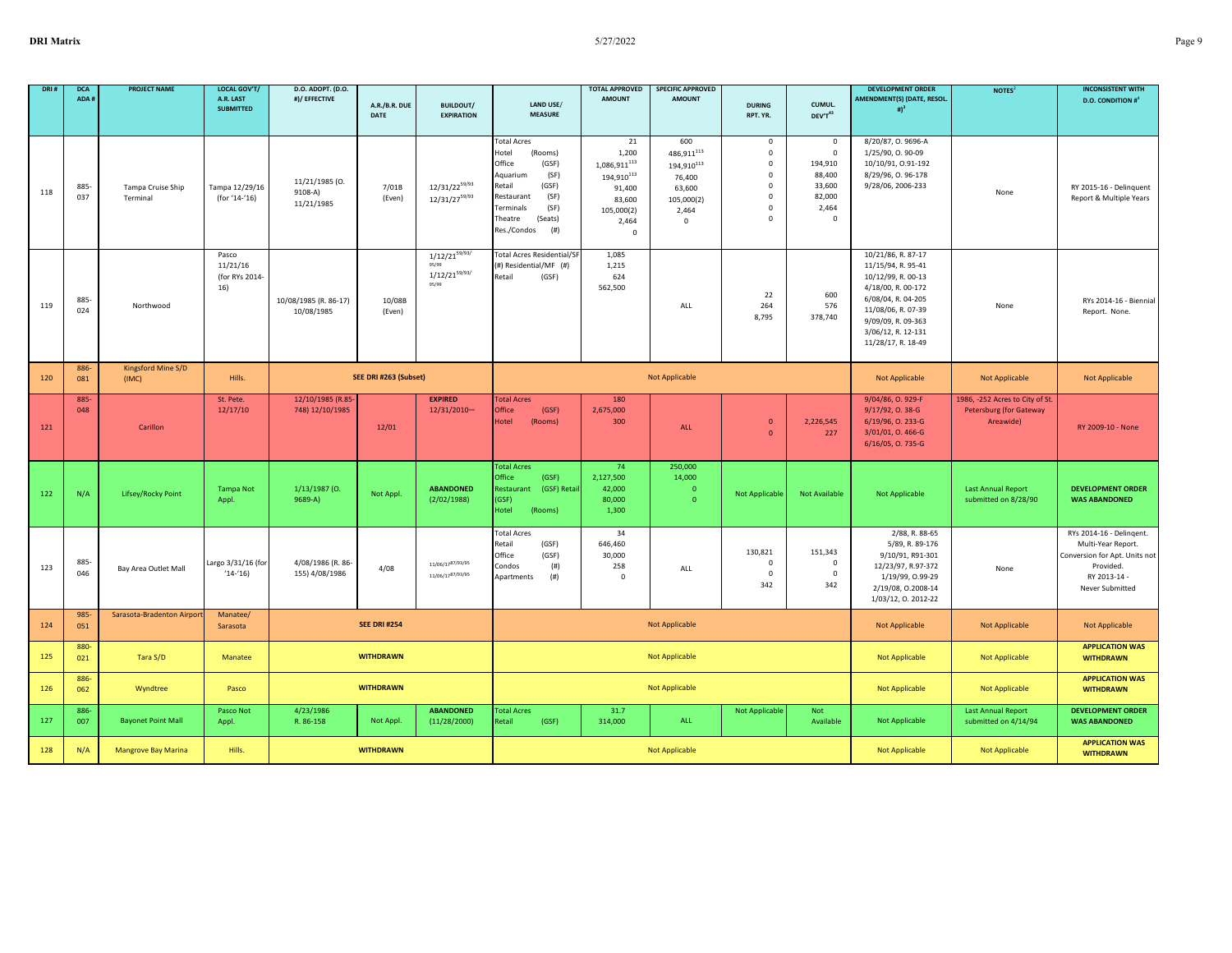| DRI 8 | <b>DCA</b><br>ADA# | <b>PROJECT NAME</b>           | <b>LOCAL GOV'T/</b><br>A.R. LAST<br><b>SUBMITTED</b> | D.O. ADOPT. (D.O.<br>#)/ EFFECTIVE      | A.R./B.R. DUE<br><b>DATE</b> | <b>BUILDOUT/</b><br><b>EXPIRATION</b>                      | LAND USE/<br><b>MEASURE</b>                                                                                                                                                              | <b>TOTAL APPROVED</b><br><b>AMOUNT</b>                                                                                      | <b>SPECIFIC APPROVED</b><br><b>AMOUNT</b>                                                                         | <b>DURING</b><br>RPT. YR.                                                                                            | CUMUL.<br>DEV'T43                                                                           | <b>DEVELOPMENT ORDER</b><br>AMENDMENT(S) (DATE, RESOL.<br># $)^3$                                                                                                                                  | NOTES <sup>2</sup>                                                             | <b>INCONSISTENT WITH</b><br><b>D.O. CONDITION #</b> <sup>4</sup>                                                                |
|-------|--------------------|-------------------------------|------------------------------------------------------|-----------------------------------------|------------------------------|------------------------------------------------------------|------------------------------------------------------------------------------------------------------------------------------------------------------------------------------------------|-----------------------------------------------------------------------------------------------------------------------------|-------------------------------------------------------------------------------------------------------------------|----------------------------------------------------------------------------------------------------------------------|---------------------------------------------------------------------------------------------|----------------------------------------------------------------------------------------------------------------------------------------------------------------------------------------------------|--------------------------------------------------------------------------------|---------------------------------------------------------------------------------------------------------------------------------|
|       |                    |                               |                                                      |                                         |                              |                                                            |                                                                                                                                                                                          |                                                                                                                             |                                                                                                                   |                                                                                                                      |                                                                                             |                                                                                                                                                                                                    |                                                                                |                                                                                                                                 |
| 118   | 885-<br>037        | Tampa Cruise Ship<br>Terminal | Tampa 12/29/16<br>(for '14-'16)                      | 11/21/1985 (0.<br>9108-A)<br>11/21/1985 | 7/01B<br>(Even)              | $12/31/22^{59/93}$<br>12/31/2759/93                        | <b>Total Acres</b><br>Hotel<br>(Rooms)<br>Office<br>(GSF)<br>(SF)<br>Aquarium<br>Retail<br>(GSF)<br>Restaurant<br>(SF)<br>Terminals<br>(SF)<br>Theatre<br>(Seats)<br>Res./Condos<br>(# ) | 21<br>1,200<br>$\mathbf{1{,}086{,}911}^{113}$<br>194,910 $^{113}$<br>91,400<br>83,600<br>105,000(2)<br>2,464<br>$\mathbf 0$ | 600<br>486,911 <sup>113</sup><br>194,910 <sup>113</sup><br>76,400<br>63,600<br>105,000(2)<br>2,464<br>$\mathbf 0$ | $\mathbf{0}$<br>$\mathbf 0$<br>$\mathbf 0$<br>$^{\circ}$<br>$\mathbf 0$<br>$\mathbf 0$<br>$\mathbf 0$<br>$\mathbf 0$ | $\mathbf 0$<br>$\mathbf 0$<br>194,910<br>88,400<br>33,600<br>82,000<br>2,464<br>$\mathbf 0$ | 8/20/87, O. 9696-A<br>1/25/90, 0.90-09<br>10/10/91, 0.91-192<br>8/29/96, 0.96-178<br>9/28/06, 2006-233                                                                                             | None                                                                           | RY 2015-16 - Delinquent<br>Report & Multiple Years                                                                              |
| 119   | 885<br>024         | Northwood                     | Pasco<br>11/21/16<br>(for RYs 2014-<br>16)           | 10/08/1985 (R. 86-17)<br>10/08/1985     | 10/08B<br>(Even)             | $1/12/21^{59/93/}$<br>95/99<br>$1/12/21^{59/93/}$<br>95/99 | <b>Total Acres Residential/SF</b><br>(#) Residential/MF (#)<br>Retail<br>(GSF)                                                                                                           | 1,085<br>1,215<br>624<br>562,500                                                                                            | ALL                                                                                                               | 22<br>264<br>8,795                                                                                                   | 600<br>576<br>378,740                                                                       | 10/21/86, R. 87-17<br>11/15/94, R. 95-41<br>10/12/99, R. 00-13<br>4/18/00, R. 00-172<br>6/08/04, R. 04-205<br>11/08/06, R. 07-39<br>9/09/09, R. 09-363<br>3/06/12, R. 12-131<br>11/28/17, R. 18-49 | None                                                                           | RYs 2014-16 - Biennial<br>Report. None.                                                                                         |
| 120   | 886-<br>081        | Kingsford Mine S/D<br>(IMC)   | Hills.                                               |                                         | SEE DRI #263 (Subset)        |                                                            |                                                                                                                                                                                          |                                                                                                                             | <b>Not Applicable</b>                                                                                             |                                                                                                                      |                                                                                             | Not Applicable                                                                                                                                                                                     | Not Applicable                                                                 | <b>Not Applicable</b>                                                                                                           |
| 121   | 885<br>048         | Carillon                      | St. Pete.<br>12/17/10                                | 12/10/1985 (R.85<br>748) 12/10/1985     | 12/01                        | <b>EXPIRED</b><br>12/31/2010ww                             | <b>Total Acres</b><br>Office<br>(GSF)<br>Hotel<br>(Rooms)                                                                                                                                | 180<br>2,675,000<br>300                                                                                                     | ALL                                                                                                               | $\mathbf{0}$<br>$\Omega$                                                                                             | 2,226,545<br>227                                                                            | 9/04/86, O. 929-F<br>9/17/92, O. 38-G<br>6/19/96, O. 233-G<br>3/01/01, O. 466-G<br>6/16/05, O. 735-G                                                                                               | 1986, -252 Acres to City of St.<br><b>Petersburg (for Gateway</b><br>Areawide) | RY 2009-10 - None                                                                                                               |
| 122   | N/A                | Lifsey/Rocky Point            | <b>Tampa Not</b><br>Appl.                            | 1/13/1987 (0.<br>$9689 - A$             | Not Appl.                    | <b>ABANDONED</b><br>(2/02/1988)                            | <b>Total Acres</b><br>Office<br>(GSF)<br>Restaurant<br>(GSF) Retai<br>(GSF)<br>Hotel<br>(Rooms)                                                                                          | 74<br>2,127,500<br>42,000<br>80,000<br>1,300                                                                                | 250,000<br>14,000<br>$\overline{0}$<br>$\Omega$                                                                   | Not Applicable                                                                                                       | Not Available                                                                               | Not Applicable                                                                                                                                                                                     | <b>Last Annual Report</b><br>submitted on 8/28/90                              | <b>DEVELOPMENT ORDER</b><br><b>WAS ABANDONED</b>                                                                                |
| 123   | 885-<br>046        | Bay Area Outlet Mall          | Largo 3/31/16 (for<br>$(14-16)$                      | 4/08/1986 (R. 86-<br>155) 4/08/1986     | 4/08                         | $11/06/17^{87/93/95}$<br>$11/06/17^{87/93/95}$             | <b>Total Acres</b><br>Retail<br>(GSF)<br>(GSF)<br>Office<br>Condos<br>(# )<br>(# )<br>Apartments                                                                                         | 34<br>646,460<br>30,000<br>258<br>$^{\circ}$                                                                                | ALL                                                                                                               | 130,821<br>$\mathbf 0$<br>$\mathbf 0$<br>342                                                                         | 151,343<br>$\mathbf 0$<br>$\mathbf 0$<br>342                                                | 2/88, R. 88-65<br>5/89, R. 89-176<br>9/10/91, R91-301<br>12/23/97, R.97-372<br>1/19/99, 0.99-29<br>2/19/08, 0.2008-14<br>1/03/12, 0. 2012-22                                                       | None                                                                           | RYs 2014-16 - Delingent.<br>Multi-Year Report.<br>Conversion for Apt. Units not<br>Provided.<br>RY 2013-14 -<br>Never Submitted |
| 124   | 985<br>051         | Sarasota-Bradenton Airport    | Manatee/<br>Sarasota                                 |                                         | <b>SEE DRI #254</b>          |                                                            |                                                                                                                                                                                          |                                                                                                                             | <b>Not Applicable</b>                                                                                             |                                                                                                                      |                                                                                             | <b>Not Applicable</b>                                                                                                                                                                              | <b>Not Applicable</b>                                                          | <b>Not Applicable</b>                                                                                                           |
| 125   | 880-<br>021        | Tara S/D                      | Manatee                                              |                                         | <b>WITHDRAWN</b>             |                                                            |                                                                                                                                                                                          |                                                                                                                             | <b>Not Applicable</b>                                                                                             |                                                                                                                      |                                                                                             | Not Applicable                                                                                                                                                                                     | <b>Not Applicable</b>                                                          | <b>APPLICATION WAS</b><br><b>WITHDRAWN</b>                                                                                      |
| 126   | 886-<br>062        | Wyndtree                      | Pasco                                                |                                         | <b>WITHDRAWN</b>             |                                                            |                                                                                                                                                                                          |                                                                                                                             | <b>Not Applicable</b>                                                                                             |                                                                                                                      |                                                                                             | Not Applicable                                                                                                                                                                                     | <b>Not Applicable</b>                                                          | <b>APPLICATION WAS</b><br><b>WITHDRAWN</b>                                                                                      |
| 127   | 886-<br>007        | <b>Bayonet Point Mall</b>     | Pasco Not<br>Appl.                                   | 4/23/1986<br>R. 86-158                  | Not Appl.                    | <b>ABANDONED</b><br>(11/28/2000)                           | <b>Total Acres</b><br>Retail<br>(GSF)                                                                                                                                                    | 31.7<br>314,000                                                                                                             | ALL                                                                                                               | <b>Not Applicable</b>                                                                                                | Not<br>Available                                                                            | Not Applicable                                                                                                                                                                                     | <b>Last Annual Report</b><br>submitted on 4/14/94                              | <b>DEVELOPMENT ORDER</b><br><b>WAS ABANDONED</b>                                                                                |
| 128   | N/A                | <b>Mangrove Bay Marina</b>    | Hills.                                               |                                         | <b>WITHDRAWN</b>             |                                                            |                                                                                                                                                                                          |                                                                                                                             | <b>Not Applicable</b>                                                                                             |                                                                                                                      |                                                                                             | <b>Not Applicable</b>                                                                                                                                                                              | <b>Not Applicable</b>                                                          | <b>APPLICATION WAS</b><br><b>WITHDRAWN</b>                                                                                      |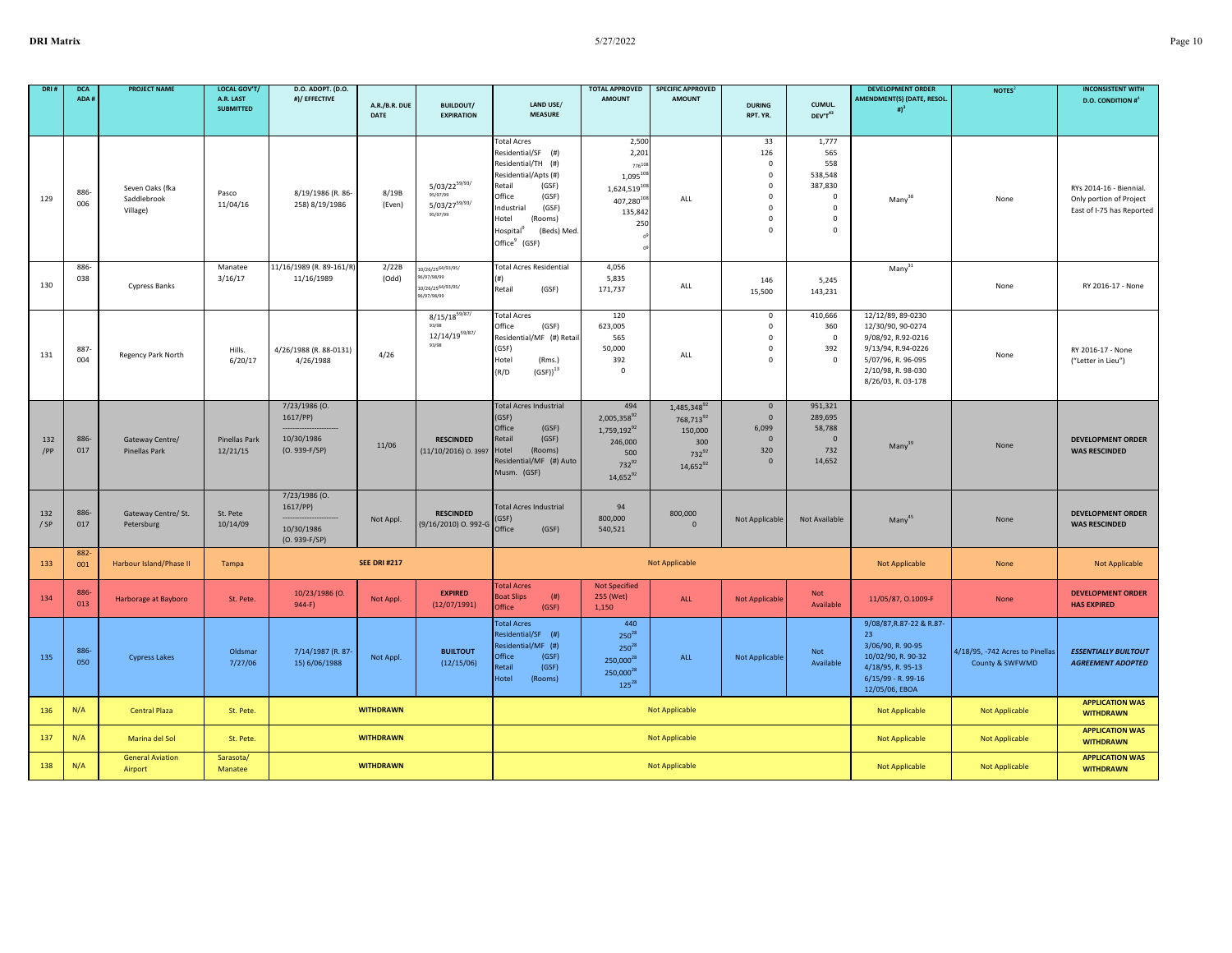| <b>DRI</b>    | <b>DCA</b><br>ADA# | <b>PROJECT NAME</b>                        | LOCAL GOV'T/<br>A.R. LAST<br><b>SUBMITTED</b> | D.O. ADOPT. (D.O.<br>#)/ EFFECTIVE                         | A.R./B.R. DUE       | <b>BUILDOUT/</b>                                                                | LAND USE/                                                                                                                                                                                                                       | <b>TOTAL APPROVED</b><br><b>AMOUNT</b>                                                          | <b>SPECIFIC APPROVED</b><br><b>AMOUNT</b>                                                                | <b>DURING</b>                                                                                                  | CUMUL.                                                                                      | <b>DEVELOPMENT ORDER</b><br>AMENDMENT(S) (DATE, RESOL.<br># $)^3$                                                                                    | NOTES <sup>2</sup>                                 | <b>INCONSISTENT WITH</b><br><b>D.O. CONDITION #</b> <sup>4</sup>                |
|---------------|--------------------|--------------------------------------------|-----------------------------------------------|------------------------------------------------------------|---------------------|---------------------------------------------------------------------------------|---------------------------------------------------------------------------------------------------------------------------------------------------------------------------------------------------------------------------------|-------------------------------------------------------------------------------------------------|----------------------------------------------------------------------------------------------------------|----------------------------------------------------------------------------------------------------------------|---------------------------------------------------------------------------------------------|------------------------------------------------------------------------------------------------------------------------------------------------------|----------------------------------------------------|---------------------------------------------------------------------------------|
|               |                    |                                            |                                               |                                                            | DATE                | <b>EXPIRATION</b>                                                               | <b>MEASURE</b>                                                                                                                                                                                                                  |                                                                                                 |                                                                                                          | RPT. YR.                                                                                                       | DEV'T43                                                                                     |                                                                                                                                                      |                                                    |                                                                                 |
| 129           | 886-<br>006        | Seven Oaks (fka<br>Saddlebrook<br>Village) | Pasco<br>11/04/16                             | 8/19/1986 (R. 86-<br>258) 8/19/1986                        | 8/19B<br>(Even)     | $5/03/22^{59/93/}$<br>95/97/99<br>$5/03/27^{59/93/}$<br>95/97/99                | <b>Total Acres</b><br>Residential/SF (#)<br>Residential/TH (#)<br>Residential/Apts (#)<br>Retail<br>(GSF)<br>Office<br>(GSF)<br>Industrial<br>(GSF)<br>Hotel<br>(Rooms)<br>Hospital<br>(Beds) Med.<br>Office <sup>9</sup> (GSF) | 2,50<br>2,201<br>77610<br>$1,095^{10}$<br>1,624,51910<br>407,28010<br>135,842<br>250            | ALL                                                                                                      | 33<br>126<br>$\mathsf 0$<br>$\mathbf 0$<br>$\mathbf 0$<br>$\mathsf 0$<br>$\mathbf 0$<br>$^{\circ}$<br>$\Omega$ | 1,777<br>565<br>558<br>538,548<br>387,830<br>$\mathbf 0$<br>$\mathbf 0$<br>0<br>$\mathbf 0$ | Many <sup>32</sup>                                                                                                                                   | None                                               | RYs 2014-16 - Biennial.<br>Only portion of Project<br>East of I-75 has Reported |
| 130           | 886-<br>038        | Cypress Banks                              | Manatee<br>3/16/17                            | 11/16/1989 (R. 89-161/R)<br>11/16/1989                     | 2/22B<br>(Odd)      | 10/26/2564/93/95/<br>96/97/98/99<br>10/26/25 <sup>64/93/95/</sup><br>6/97/98/99 | <b>Total Acres Residential</b><br>Retail<br>(GSF)                                                                                                                                                                               | 4,056<br>5,835<br>171,737                                                                       | ALL                                                                                                      | 146<br>15,500                                                                                                  | 5,245<br>143,231                                                                            | $Many^{31}$                                                                                                                                          | None                                               | RY 2016-17 - None                                                               |
| 131           | 887<br>004         | Regency Park North                         | Hills.<br>6/20/17                             | 4/26/1988 (R. 88-0131)<br>4/26/1988                        | 4/26                | $8/15/18^{59/87/}$<br>93/98<br>$12/14/19^{59/87/}$<br>93/98                     | <b>Total Acres</b><br>Office<br>(GSF)<br>Residential/MF (#) Retail<br>(GSF)<br>Hotel<br>(Rms.)<br>$(GSF)$ <sup>13</sup><br>(R/D)                                                                                                | 120<br>623,005<br>565<br>50,000<br>392<br>$^{\circ}$                                            | ALL                                                                                                      | $\mathsf 0$<br>$\mathbf 0$<br>$\mathbf 0$<br>$\mathbf 0$<br>$\mathbf 0$                                        | 410,666<br>360<br>$\mathbf 0$<br>392<br>$\mathbf 0$                                         | 12/12/89, 89-0230<br>12/30/90, 90-0274<br>9/08/92, R.92-0216<br>9/13/94, R.94-0226<br>5/07/96, R. 96-095<br>2/10/98, R. 98-030<br>8/26/03, R. 03-178 | None                                               | RY 2016-17 - None<br>("Letter in Lieu")                                         |
| 132<br>/PP    | 886-<br>017        | Gateway Centre/<br><b>Pinellas Park</b>    | Pinellas Park<br>12/21/15                     | 7/23/1986 (O.<br>1617/PP)<br>10/30/1986<br>(O. 939-F/SP)   | 11/06               | <b>RESCINDED</b><br>(11/10/2016) O. 3997 Hotel                                  | <b>Total Acres Industrial</b><br>(GSF)<br>Office<br>(GSF)<br>Retail<br>(GSF)<br>(Rooms)<br>Residential/MF (#) Auto<br>Musm. (GSF)                                                                                               | 494<br>2,005,35892<br>1,759,192 <sup>92</sup><br>246,000<br>500<br>$732^{92}$<br>$14,652^{92}$  | 1,485,348 <sup>92</sup><br>768,713 <sup>92</sup><br>150,000<br>300<br>732 <sup>92</sup><br>$14,652^{92}$ | $\mathbf 0$<br>$\mathbf 0$<br>6,099<br>$\mathbf{0}$<br>320<br>$\mathbf{0}$                                     | 951,321<br>289,695<br>58,788<br>$\overline{0}$<br>732<br>14,652                             | Many <sup>39</sup>                                                                                                                                   | None                                               | <b>DEVELOPMENT ORDER</b><br><b>WAS RESCINDED</b>                                |
| 132<br>$/$ SP | 886-<br>017        | Gateway Centre/ St.<br>Petersburg          | St. Pete<br>10/14/09                          | 7/23/1986 (O.<br>1617/PP)<br>10/30/1986<br>$(O. 939-F/SP)$ | Not Appl.           | <b>RESCINDED</b><br>(9/16/2010) O. 992-G Office                                 | <b>Total Acres Industrial</b><br>(GSF)<br>(GSF)                                                                                                                                                                                 | 94<br>800,000<br>540,521                                                                        | 800,000<br>$\Omega$                                                                                      | Not Applicable                                                                                                 | Not Available                                                                               | Manv <sup>45</sup>                                                                                                                                   | None                                               | <b>DEVELOPMENT ORDER</b><br><b>WAS RESCINDED</b>                                |
| 133           | 882<br>001         | Harbour Island/Phase II                    | Tampa                                         |                                                            | <b>SEE DRI #217</b> |                                                                                 |                                                                                                                                                                                                                                 |                                                                                                 | <b>Not Applicable</b>                                                                                    |                                                                                                                |                                                                                             | Not Applicable                                                                                                                                       | None                                               | <b>Not Applicable</b>                                                           |
| 134           | 886-<br>013        | Harborage at Bayboro                       | St. Pete.                                     | 10/23/1986 (O.<br>$944-F$                                  | Not Appl.           | <b>EXPIRED</b><br>(12/07/1991)                                                  | <b>Total Acres</b><br>(# )<br><b>Boat Slips</b><br>Office<br>(GSF)                                                                                                                                                              | <b>Not Specified</b><br>255 (Wet)<br>1,150                                                      | ALL                                                                                                      | <b>Not Applicable</b>                                                                                          | Not<br>Available                                                                            | 11/05/87, 0.1009-F                                                                                                                                   | None                                               | <b>DEVELOPMENT ORDER</b><br><b>HAS EXPIRED</b>                                  |
| 135           | 886-<br>050        | <b>Cypress Lakes</b>                       | Oldsmar<br>7/27/06                            | 7/14/1987 (R. 87-<br>15) 6/06/1988                         | Not Appl.           | <b>BUILTOUT</b><br>(12/15/06)                                                   | <b>Total Acres</b><br>Residential/SF (#)<br>Residential/MF (#)<br>Office<br>(GSF)<br>Retail<br>(GSF)<br>Hotel<br>(Rooms)                                                                                                        | 440<br>$250^{28}$<br>$250^{28}$<br>250.000 <sup>28</sup><br>250,000 <sup>28</sup><br>$125^{28}$ | ALL                                                                                                      | <b>Not Applicable</b>                                                                                          | Not<br>Available                                                                            | 9/08/87, R.87-22 & R.87-<br>23<br>3/06/90, R. 90-95<br>10/02/90, R. 90-32<br>4/18/95, R. 95-13<br>$6/15/99$ - R. 99-16<br>12/05/06, EBOA             | 4/18/95, -742 Acres to Pinellas<br>County & SWFWMD | <b>ESSENTIALLY BUILTOUT</b><br><b>AGREEMENT ADOPTED</b>                         |
| 136           | N/A                | <b>Central Plaza</b>                       | St. Pete.                                     |                                                            | <b>WITHDRAWN</b>    |                                                                                 |                                                                                                                                                                                                                                 |                                                                                                 | Not Applicable                                                                                           |                                                                                                                |                                                                                             | <b>Not Applicable</b>                                                                                                                                | Not Applicable                                     | <b>APPLICATION WAS</b><br><b>WITHDRAWN</b>                                      |
| 137           | N/A                | Marina del Sol                             | St. Pete.                                     |                                                            | <b>WITHDRAWN</b>    |                                                                                 |                                                                                                                                                                                                                                 |                                                                                                 | <b>Not Applicable</b>                                                                                    |                                                                                                                |                                                                                             | <b>Not Applicable</b>                                                                                                                                | Not Applicable                                     | <b>APPLICATION WAS</b><br><b>WITHDRAWN</b>                                      |
| 138           | N/A                | <b>General Aviation</b><br>Airport         | Sarasota/<br>Manatee                          |                                                            | <b>WITHDRAWN</b>    |                                                                                 |                                                                                                                                                                                                                                 |                                                                                                 | <b>Not Applicable</b>                                                                                    |                                                                                                                |                                                                                             | <b>Not Applicable</b>                                                                                                                                | <b>Not Applicable</b>                              | <b>APPLICATION WAS</b><br><b>WITHDRAWN</b>                                      |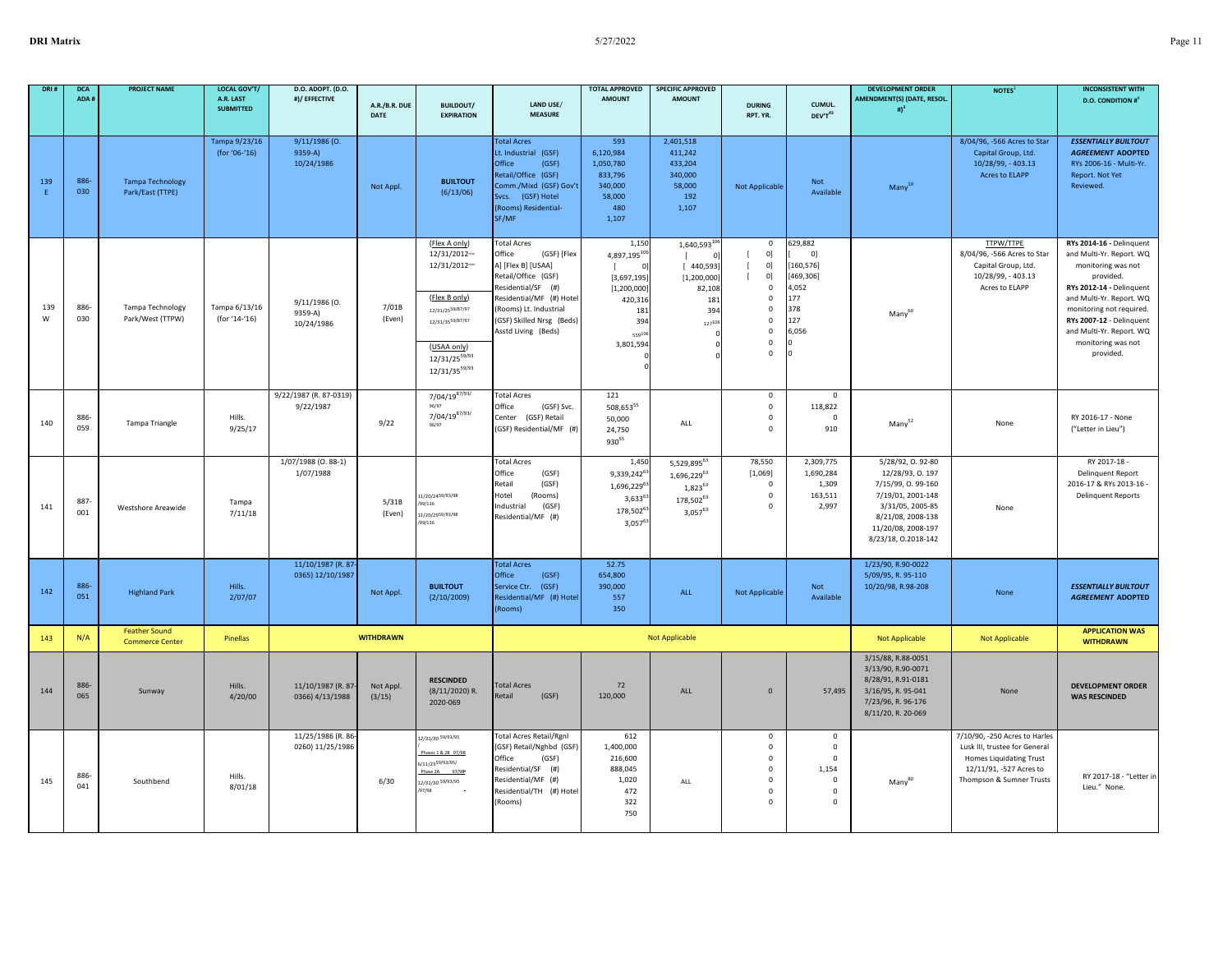| DRI#     | <b>DCA</b><br>ADA # | <b>PROJECT NAME</b>                            | LOCAL GOV'T/<br>A.R. LAST<br><b>SUBMITTED</b> | D.O. ADOPT. (D.O.<br>#)/ EFFECTIVE     | A.R./B.R. DUE<br><b>DATE</b> | <b>BUILDOUT/</b><br><b>EXPIRATION</b>                                                                                                                                                     | LAND USE/<br><b>MEASURE</b>                                                                                                                                                                                              | <b>TOTAL APPROVED</b><br><b>AMOUNT</b>                                                                           | <b>SPECIFIC APPROVED</b><br><b>AMOUNT</b>                                                                     | <b>DURING</b><br>RPT. YR.                                                                                                              | CUMUL.<br>DEV'T43                                                                            | <b>DEVELOPMENT ORDER</b><br>AMENDMENT(S) (DATE, RESOL.<br>$#$ <sup>3</sup>                                                                                          | NOTES <sup>2</sup>                                                                                                                                      | <b>INCONSISTENT WITH</b><br><b>D.O. CONDITION #</b> <sup>4</sup>                                                                                                                                                                                                       |
|----------|---------------------|------------------------------------------------|-----------------------------------------------|----------------------------------------|------------------------------|-------------------------------------------------------------------------------------------------------------------------------------------------------------------------------------------|--------------------------------------------------------------------------------------------------------------------------------------------------------------------------------------------------------------------------|------------------------------------------------------------------------------------------------------------------|---------------------------------------------------------------------------------------------------------------|----------------------------------------------------------------------------------------------------------------------------------------|----------------------------------------------------------------------------------------------|---------------------------------------------------------------------------------------------------------------------------------------------------------------------|---------------------------------------------------------------------------------------------------------------------------------------------------------|------------------------------------------------------------------------------------------------------------------------------------------------------------------------------------------------------------------------------------------------------------------------|
| 139<br>E | 886-<br>030         | <b>Tampa Technology</b><br>Park/East (TTPE)    | Tampa 9/23/16<br>(for '06-'16)                | 9/11/1986 (0.<br>9359-A)<br>10/24/1986 | Not Appl.                    | <b>BUILTOUT</b><br>(6/13/06)                                                                                                                                                              | <b>Total Acres</b><br>Lt. Industrial (GSF)<br>Office<br>(GSF)<br>Retail/Office (GSF)<br>Comm./Mixd (GSF) Gov't<br>Svcs. (GSF) Hotel<br>(Rooms) Residential-<br>SF/MF                                                     | 593<br>6.120.984<br>1,050,780<br>833,796<br>340,000<br>58,000<br>480<br>1,107                                    | 2,401,518<br>411.242<br>433,204<br>340,000<br>58,000<br>192<br>1,107                                          | <b>Not Applicable</b>                                                                                                                  | Not<br>Available                                                                             | $Many^{10}$                                                                                                                                                         | 8/04/96, -566 Acres to Star<br>Capital Group, Ltd.<br>10/28/99, - 403.13<br><b>Acres to ELAPP</b>                                                       | <b>ESSENTIALLY BUILTOUT</b><br><b>AGREEMENT ADOPTED</b><br>RYs 2006-16 - Multi-Yr.<br>Report. Not Yet<br>Reviewed.                                                                                                                                                     |
| 139<br>W | 886-<br>030         | Tampa Technology<br>Park/West (TTPW)           | Tampa 6/13/16<br>(for '14-'16)                | 9/11/1986 (0.<br>9359-A)<br>10/24/1986 | 7/01B<br>(Even)              | (Flex A only)<br>12/31/2012 ***<br>12/31/2012 vver<br>(Flex B only)<br>12/31/25 <sup>59/87/97</sup><br>12/31/35 <sup>59/87/97</sup><br>(USAA only)<br>12/31/2559/93<br>$12/31/35^{59/93}$ | <b>Total Acres</b><br>(GSF) [Flex<br>Office<br>A] [Flex B] [USAA]<br>Retail/Office (GSF)<br>Residential/SF (#)<br>Residential/MF (#) Hotel<br>(Rooms) Lt. Industrial<br>(GSF) Skilled Nrsg (Beds)<br>Asstd Living (Beds) | 1,150<br>4,897,19510<br>$\epsilon$<br>[3,697,195]<br>[1, 200, 000]<br>420,31<br>181<br>394<br>55910<br>3,801,594 | $1,640,593^{10}$<br>$\mathbb{I}$<br>$^{\circ}$<br>[440,593]<br>[1, 200, 000]<br>82,108<br>181<br>394<br>12710 | $\mathsf 0$<br>0]<br>0]<br>0]<br>$\mathsf 0$<br>$\mathsf 0$<br>$\mathsf 0$<br>$\mathsf 0$<br>$\mathbf 0$<br>$\mathsf 0$<br>$\mathbf 0$ | 629,882<br>0]<br>160,576]<br>[469, 306]<br>4,052<br>177<br>378<br>127<br>6,056               | Many <sup>60</sup>                                                                                                                                                  | <b>TTPW/TTPE</b><br>8/04/96, -566 Acres to Star<br>Capital Group, Ltd.<br>10/28/99, - 403.13<br>Acres to ELAPP                                          | RYs 2014-16 - Delinquent<br>and Multi-Yr. Report. WQ<br>monitoring was not<br>provided.<br>RYs 2012-14 - Delinquent<br>and Multi-Yr. Report. WQ<br>monitoring not required.<br>RYs 2007-12 - Delinquent<br>and Multi-Yr. Report. WQ<br>monitoring was not<br>provided. |
| 140      | 886<br>059          | Tampa Triangle                                 | Hills.<br>9/25/17                             | 9/22/1987 (R. 87-0319)<br>9/22/1987    | 9/22                         | 7/04/1987/93/<br>$7/04/19^{87/93/}$<br>96/97                                                                                                                                              | <b>Total Acres</b><br>(GSF) Svc.<br>Office<br>Center (GSF) Retail<br>(GSF) Residential/MF (#)                                                                                                                            | 121<br>$508,653^{55}$<br>50,000<br>24,750<br>93055                                                               | ALL                                                                                                           | $\mathsf 0$<br>$\mathsf 0$<br>$\mathsf 0$<br>$\mathbf 0$                                                                               | $\mathbf 0$<br>118,822<br>$\mathbf 0$<br>910                                                 | $Many^{52}$                                                                                                                                                         | None                                                                                                                                                    | RY 2016-17 - None<br>("Letter in Lieu")                                                                                                                                                                                                                                |
| 141      | 887-<br>001         | Westshore Areawide                             | Tampa<br>7/11/18                              | 1/07/1988 (0.88-1)<br>1/07/1988        | 5/31B<br>(Even)              | 11/20/24 <sup>59/93/98</sup><br>99/136<br>11/20/2959/93/98<br>/99/136                                                                                                                     | <b>Total Acres</b><br>Office<br>(GSF)<br>Retail<br>(GSF)<br>Hotel<br>(Rooms)<br>Industrial<br>(GSF)<br>Residential/MF (#)                                                                                                | 1,450<br>9,339,242 <sup>6</sup><br>1,696,229 <sup>6</sup><br>$3,633^{6}$<br>178,502 <sup>6</sup><br>$3,057^6$    | 5,529,89563<br>1,696,22963<br>1,82363<br>178,50263<br>$3,057^{63}$                                            | 78,550<br>[1,069]<br>$\Omega$<br>$\mathsf 0$<br>$\mathsf 0$                                                                            | 2,309,775<br>1,690,284<br>1,309<br>163,511<br>2,997                                          | 5/28/92, 0.92-80<br>12/28/93, 0.197<br>7/15/99, 0.99-160<br>7/19/01, 2001-148<br>3/31/05, 2005-85<br>8/21/08, 2008-138<br>11/20/08, 2008-197<br>8/23/18, 0.2018-142 | None                                                                                                                                                    | RY 2017-18 -<br><b>Delinquent Report</b><br>2016-17 & RYs 2013-16 -<br><b>Delinquent Reports</b>                                                                                                                                                                       |
| 142      | 886-<br>051         | <b>Highland Park</b>                           | Hills.<br>2/07/07                             | 11/10/1987 (R. 87-<br>0365) 12/10/1987 | Not Appl.                    | <b>BUILTOUT</b><br>(2/10/2009)                                                                                                                                                            | <b>Total Acres</b><br>Office<br>(GSF)<br>(GSF)<br>Service Ctr.<br>Residential/MF (#) Hotel<br>(Rooms)                                                                                                                    | 52.75<br>654,800<br>390,000<br>557<br>350                                                                        | ALL                                                                                                           | <b>Not Applicable</b>                                                                                                                  | Not<br>Available                                                                             | 1/23/90, R.90-0022<br>5/09/95, R. 95-110<br>10/20/98, R.98-208                                                                                                      | None                                                                                                                                                    | <b>ESSENTIALLY BUILTOUT</b><br><b>AGREEMENT ADOPTED</b>                                                                                                                                                                                                                |
| 143      | N/A                 | <b>Feather Sound</b><br><b>Commerce Center</b> | Pinellas                                      |                                        | <b>WITHDRAWN</b>             |                                                                                                                                                                                           |                                                                                                                                                                                                                          |                                                                                                                  | <b>Not Applicable</b>                                                                                         |                                                                                                                                        |                                                                                              | Not Applicable                                                                                                                                                      | Not Applicable                                                                                                                                          | <b>APPLICATION WAS</b><br><b>WITHDRAWN</b>                                                                                                                                                                                                                             |
| 144      | 886-<br>065         | Sunway                                         | Hills.<br>4/20/00                             | 11/10/1987 (R. 87-<br>0366) 4/13/1988  | Not Appl.<br>(3/15)          | <b>RESCINDED</b><br>$(8/11/2020)$ R.<br>2020-069                                                                                                                                          | <b>Total Acres</b><br>Retail<br>(GSF)                                                                                                                                                                                    | 72<br>120,000                                                                                                    | ALL                                                                                                           | $\mathbf{0}$                                                                                                                           | 57,495                                                                                       | 3/15/88, R.88-0051<br>3/13/90, R.90-0071<br>8/28/91, R.91-0181<br>3/16/95, R. 95-041<br>7/23/96, R. 96-176<br>8/11/20, R. 20-069                                    | None                                                                                                                                                    | <b>DEVELOPMENT ORDER</b><br><b>WAS RESCINDED</b>                                                                                                                                                                                                                       |
| 145      | 886<br>041          | Southbend                                      | Hills.<br>8/01/18                             | 11/25/1986 (R. 86-<br>0260) 11/25/1986 | 6/30                         | 12/31/30 59/93/95<br>Phases 1 & 2B 97/98<br>5/11/2359/93/95/<br>Phase 2A 97/98<br>12/31/30 59/93/95<br>/97/98                                                                             | <b>Total Acres Retail/Rgnl</b><br>(GSF) Retail/Nghbd (GSF)<br>Office<br>(GSF)<br>Residential/SF (#)<br>Residential/MF (#)<br>Residential/TH (#) Hotel<br>(Rooms)                                                         | 612<br>1,400,000<br>216,600<br>888,045<br>1,020<br>472<br>322<br>750                                             | ALL                                                                                                           | $\mathbf 0$<br>$\mathsf 0$<br>$\Omega$<br>$\mathsf 0$<br>$\mathsf 0$<br>$\mathsf 0$<br>$\Omega$                                        | $\mathbf 0$<br>$\mathbf 0$<br>$\Omega$<br>1,154<br>$\mathbf 0$<br>$\mathbf 0$<br>$\mathbf 0$ | Many <sup>80</sup>                                                                                                                                                  | 7/10/90, -250 Acres to Harles<br>Lusk III, trustee for General<br><b>Homes Liquidating Trust</b><br>12/11/91, -527 Acres to<br>Thompson & Sumner Trusts | RY 2017-18 - "Letter in<br>Lieu." None.                                                                                                                                                                                                                                |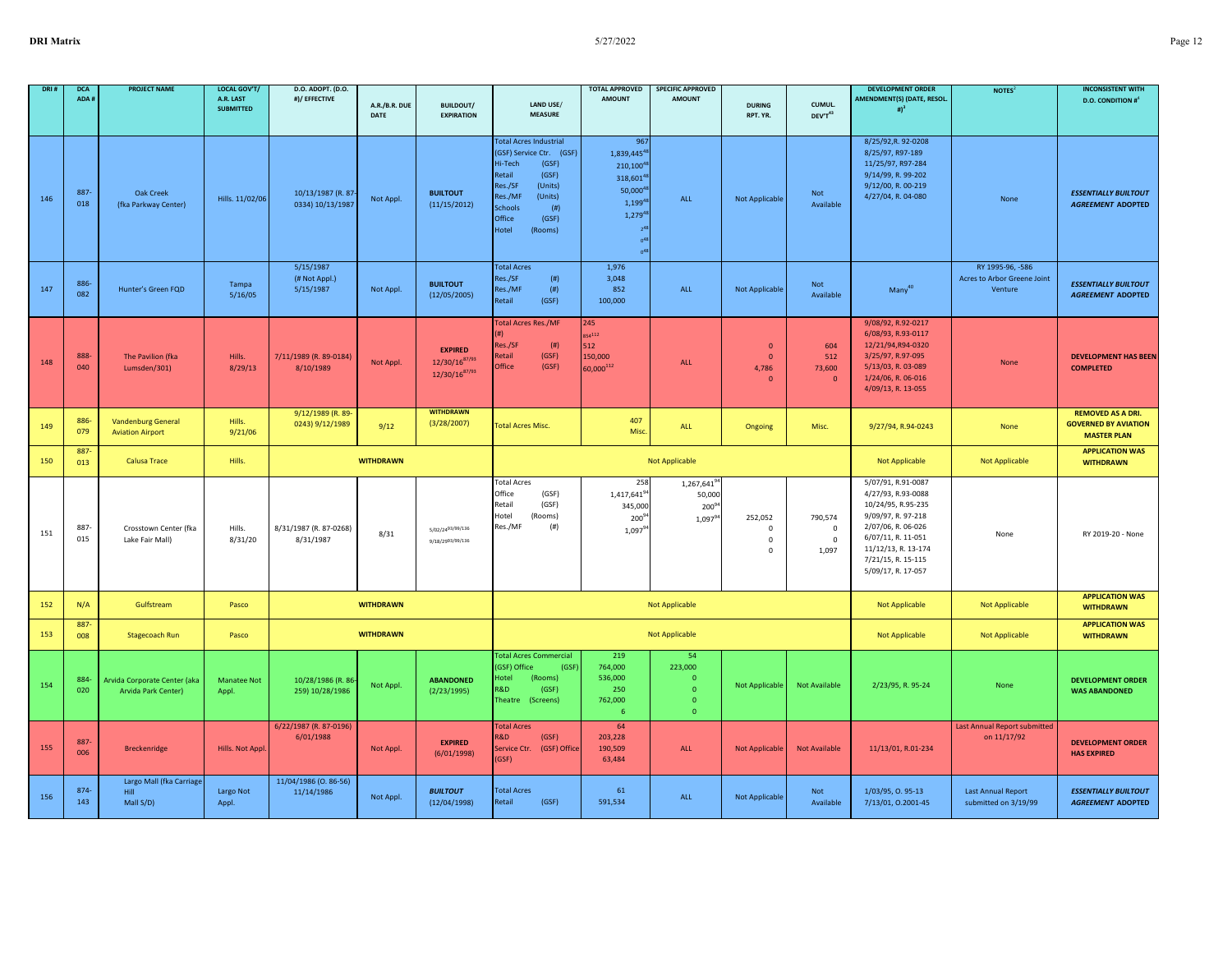| DRI# | <b>DCA</b><br>ADA # | <b>PROJECT NAME</b>                                  | LOCAL GOV'T/<br>A.R. LAST<br><b>SUBMITTED</b> | D.O. ADOPT. (D.O.<br>#)/ EFFECTIVE      | A.R./B.R. DUE<br><b>DATE</b> | <b>BUILDOUT/</b><br><b>EXPIRATION</b>                 | LAND USE/<br><b>MEASURE</b>                                                                                                                                                                                   | <b>TOTAL APPROVED</b><br><b>AMOUNT</b>                                                                                                | <b>SPECIFIC APPROVED</b><br><b>AMOUNT</b>                                 | <b>DURING</b><br>RPT. YR.                         | CUMUL.<br>$\text{DEV} \text{T}^{43}$           | <b>DEVELOPMENT ORDER</b><br>AMENDMENT(S) (DATE, RESOL.<br># $)^3$                                                                                                                                   | NOTES <sup>2</sup>                                         | <b>INCONSISTENT WITH</b><br><b>D.O. CONDITION #</b>                           |
|------|---------------------|------------------------------------------------------|-----------------------------------------------|-----------------------------------------|------------------------------|-------------------------------------------------------|---------------------------------------------------------------------------------------------------------------------------------------------------------------------------------------------------------------|---------------------------------------------------------------------------------------------------------------------------------------|---------------------------------------------------------------------------|---------------------------------------------------|------------------------------------------------|-----------------------------------------------------------------------------------------------------------------------------------------------------------------------------------------------------|------------------------------------------------------------|-------------------------------------------------------------------------------|
|      |                     |                                                      |                                               |                                         |                              |                                                       |                                                                                                                                                                                                               |                                                                                                                                       |                                                                           |                                                   |                                                |                                                                                                                                                                                                     |                                                            |                                                                               |
| 146  | 887<br>018          | <b>Oak Creek</b><br>(fka Parkway Center)             | Hills. 11/02/06                               | 10/13/1987 (R. 87-<br>0334) 10/13/1987  | Not Appl.                    | <b>BUILTOUT</b><br>(11/15/2012)                       | <b>Total Acres Industrial</b><br>(GSF) Service Ctr. (GSF)<br>Hi-Tech<br>(GSF)<br>Retail<br>(GSF)<br>Res./SF<br>(Units)<br>Res./MF<br>(Units)<br><b>Schools</b><br>(# )<br>Office<br>(GSF)<br>Hotel<br>(Rooms) | 967<br>1,839,445 <sup>41</sup><br>$210,100^{4}$<br>318,601 <sup>4</sup><br>$50,000^4$<br>$1,199^{4}$<br>$1,279^{4}$<br>0 <sup>4</sup> | ALL                                                                       | Not Applicable                                    | Not<br>Available                               | 8/25/92, R. 92-0208<br>8/25/97, R97-189<br>11/25/97, R97-284<br>9/14/99, R. 99-202<br>9/12/00, R. 00-219<br>4/27/04, R. 04-080                                                                      | None                                                       | <b>ESSENTIALLY BUILTOUT</b><br><b>AGREEMENT ADOPTED</b>                       |
| 147  | 886<br>082          | Hunter's Green FQD                                   | Tampa<br>5/16/05                              | 5/15/1987<br>(# Not Appl.)<br>5/15/1987 | Not Appl.                    | <b>BUILTOUT</b><br>(12/05/2005)                       | <b>Total Acres</b><br>Res./SF<br>(# )<br>(# )<br>Res./MF<br>Retail<br>(GSF)                                                                                                                                   | 1,976<br>3,048<br>852<br>100,000                                                                                                      | ALL                                                                       | Not Applicable                                    | Not<br>Available                               | Many <sup>40</sup>                                                                                                                                                                                  | RY 1995-96, -586<br>Acres to Arbor Greene Joint<br>Venture | <b>ESSENTIALLY BUILTOUT</b><br><b>AGREEMENT ADOPTED</b>                       |
| 148  | 888<br>040          | The Pavilion (fka<br>Lumsden/301)                    | Hills.<br>8/29/13                             | 7/11/1989 (R. 89-0184)<br>8/10/1989     | Not Appl.                    | <b>EXPIRED</b><br>12/30/1687/93<br>$12/30/16^{87/93}$ | <b>Total Acres Res./MF</b><br>(#)<br>Res./SF<br>(# )<br>(GSF)<br><b>Retail</b><br>Office<br>(GSF)                                                                                                             | 245<br>54112<br>512<br>150,000<br>60,000 $^{112}$                                                                                     | ALL                                                                       | $\mathbf{0}$<br>$\mathbf{0}$<br>4,786<br>$\Omega$ | 604<br>512<br>73,600<br>$\mathbf{0}$           | 9/08/92, R.92-0217<br>6/08/93, R.93-0117<br>12/21/94,R94-0320<br>3/25/97, R.97-095<br>5/13/03, R. 03-089<br>1/24/06, R. 06-016<br>4/09/13, R. 13-055                                                | None                                                       | <b>DEVELOPMENT HAS BEEN</b><br><b>COMPLETED</b>                               |
| 149  | 886<br>079          | <b>Vandenburg General</b><br><b>Aviation Airport</b> | Hills.<br>9/21/06                             | 9/12/1989 (R. 89-<br>0243) 9/12/1989    | 9/12                         | <b>WITHDRAWN</b><br>(3/28/2007)                       | <b>Total Acres Misc.</b>                                                                                                                                                                                      | 407<br>Misc.                                                                                                                          | <b>ALL</b>                                                                | Ongoing                                           | Misc.                                          | 9/27/94, R.94-0243                                                                                                                                                                                  | None                                                       | <b>REMOVED AS A DRI.</b><br><b>GOVERNED BY AVIATION</b><br><b>MASTER PLAN</b> |
| 150  | 887<br>013          | <b>Calusa Trace</b>                                  | Hills.                                        |                                         | <b>WITHDRAWN</b>             |                                                       |                                                                                                                                                                                                               |                                                                                                                                       | <b>Not Applicable</b>                                                     |                                                   |                                                | Not Applicable                                                                                                                                                                                      | Not Applicable                                             | <b>APPLICATION WAS</b><br><b>WITHDRAWN</b>                                    |
| 151  | 887-<br>015         | Crosstown Center (fka<br>Lake Fair Mall)             | Hills.<br>8/31/20                             | 8/31/1987 (R. 87-0268)<br>8/31/1987     | 8/31                         | 5/02/2493/99/136<br>9/18/2993/99/136                  | <b>Total Acres</b><br>Office<br>(GSF)<br>etail<br>(GSF)<br>(Rooms)<br>Hotel<br>Res./MF<br>(#)                                                                                                                 | 258<br>$1,417,641^9$<br>345,000<br>200 <sup>9</sup><br>$1,097^9$                                                                      | 1,267,641 <sup>9</sup><br>50,000<br>$200^{94}$<br>1,09794                 | 252,052<br>0<br>$\mathsf 0$<br>$\mathsf 0$        | 790,574<br>$\mathbf 0$<br>$\mathsf 0$<br>1,097 | 5/07/91, R.91-0087<br>4/27/93, R.93-0088<br>10/24/95, R.95-235<br>9/09/97, R. 97-218<br>2/07/06, R. 06-026<br>6/07/11, R. 11-051<br>11/12/13, R. 13-174<br>7/21/15, R. 15-115<br>5/09/17, R. 17-057 | None                                                       | RY 2019-20 - None                                                             |
| 152  | N/A                 | Gulfstream                                           | Pasco                                         |                                         | <b>WITHDRAWN</b>             |                                                       |                                                                                                                                                                                                               |                                                                                                                                       | <b>Not Applicable</b>                                                     |                                                   |                                                | Not Applicable                                                                                                                                                                                      | Not Applicable                                             | <b>APPLICATION WAS</b><br><b>WITHDRAWN</b>                                    |
| 153  | 887<br>008          | <b>Stagecoach Run</b>                                | Pasco                                         |                                         | <b>WITHDRAWN</b>             |                                                       |                                                                                                                                                                                                               |                                                                                                                                       | Not Applicable                                                            |                                                   |                                                | Not Applicable                                                                                                                                                                                      | Not Applicable                                             | <b>APPLICATION WAS</b><br><b>WITHDRAWN</b>                                    |
| 154  | 884<br>020          | Arvida Corporate Center (aka<br>Arvida Park Center)  | <b>Manatee Not</b><br>Appl.                   | 10/28/1986 (R. 86<br>259) 10/28/1986    | Not Appl.                    | <b>ABANDONED</b><br>(2/23/1995)                       | <b>Total Acres Commercial</b><br>(GSF) Office<br>(GSF)<br><b>Hotel</b><br>(Rooms)<br>R&D<br>(GSF)<br>Theatre<br>(Screens)                                                                                     | 219<br>764,000<br>536,000<br>250<br>762,000<br>-6                                                                                     | 54<br>223,000<br>$\mathbf{0}$<br>$\mathbf 0$<br>$\bullet$<br>$\mathbf{0}$ | <b>Not Applicable</b>                             | <b>Not Available</b>                           | 2/23/95, R. 95-24                                                                                                                                                                                   | None                                                       | <b>DEVELOPMENT ORDER</b><br><b>WAS ABANDONED</b>                              |
| 155  | 887-<br>006         | <b>Breckenridge</b>                                  | Hills. Not Appl                               | 6/22/1987 (R. 87-0196)<br>6/01/1988     | Not Appl.                    | <b>EXPIRED</b><br>(6/01/1998)                         | <b>Total Acres</b><br>R&D<br>(GSF)<br>Service Ctr. (GSF) Office<br>(GSF)                                                                                                                                      | 64<br>203,228<br>190,509<br>63,484                                                                                                    | ALL                                                                       | <b>Not Applicable</b>                             | <b>Not Available</b>                           | 11/13/01, R.01-234                                                                                                                                                                                  | <b>Last Annual Report submitted</b><br>on 11/17/92         | <b>DEVELOPMENT ORDER</b><br><b>HAS EXPIRED</b>                                |
| 156  | $874 -$<br>143      | Largo Mall (fka Carriage<br>Hill<br>Mall S/D)        | Largo Not<br>Appl.                            | 11/04/1986 (0.86-56)<br>11/14/1986      | Not Appl.                    | <b>BUILTOUT</b><br>(12/04/1998)                       | <b>Total Acres</b><br>Retail<br>(GSF)                                                                                                                                                                         | 61<br>591,534                                                                                                                         | ALL                                                                       | Not Applicable                                    | Not<br>Available                               | 1/03/95, 0.95-13<br>7/13/01, 0.2001-45                                                                                                                                                              | <b>Last Annual Report</b><br>submitted on 3/19/99          | <b>ESSENTIALLY BUILTOUT</b><br><b>AGREEMENT ADOPTED</b>                       |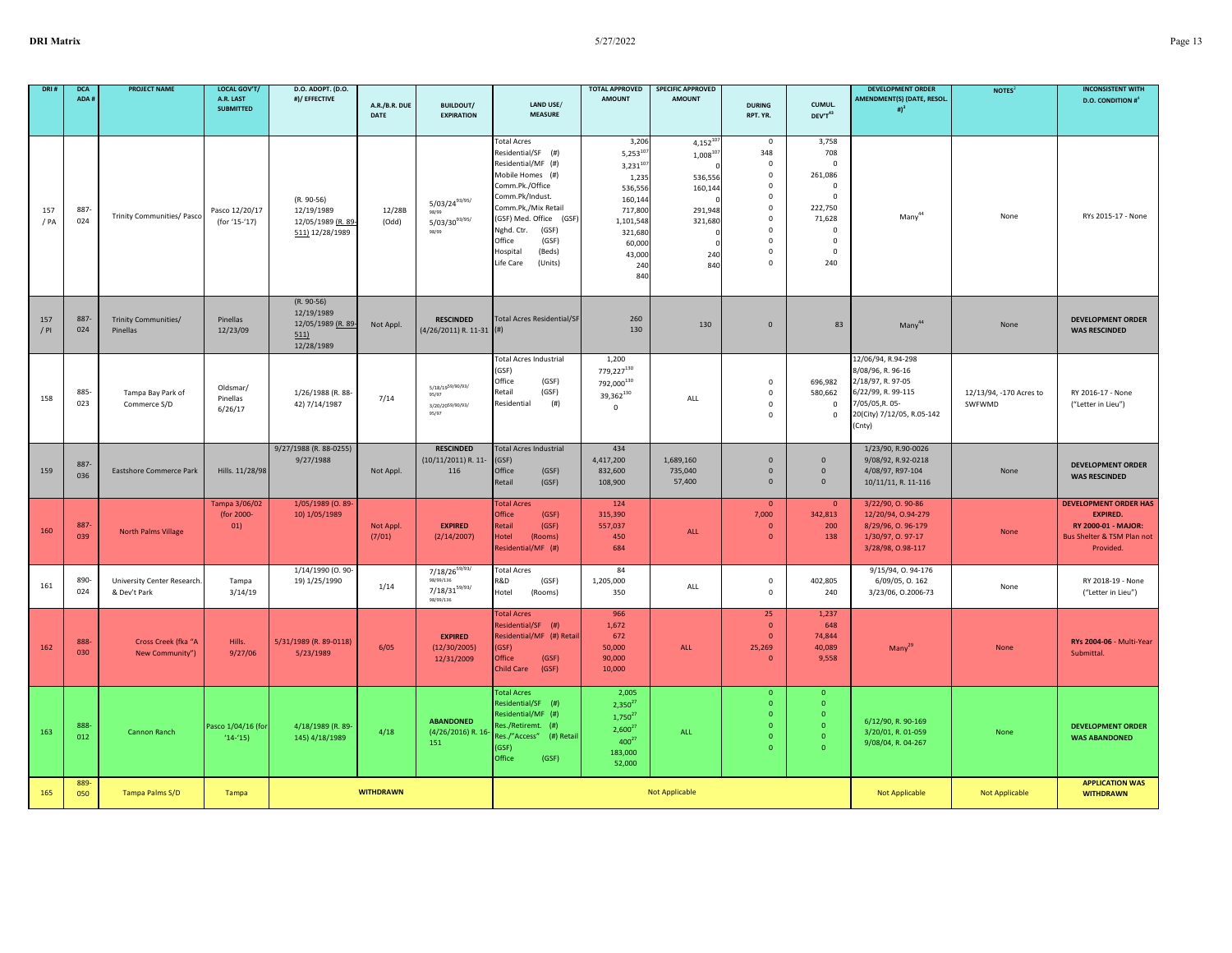| DRI#          | <b>DCA</b><br>ADA# | <b>PROJECT NAME</b>                         | <b>LOCAL GOV'T/</b><br>A.R. LAST<br><b>SUBMITTED</b> | D.O. ADOPT. (D.O.<br>#)/ EFFECTIVE                                    | A.R./B.R. DUE<br>DATE | <b>BUILDOUT/</b><br><b>EXPIRATION</b>                                     | LAND USE/<br><b>MEASURE</b>                                                                                                                                                                                                                                        | <b>TOTAL APPROVED</b><br><b>AMOUNT</b>                                                                                                    | <b>SPECIFIC APPROVED</b><br><b>AMOUNT</b>                                               | <b>DURING</b><br>RPT. YR.                                                                                                                                  | CUMUL.<br>DEV'T43                                                                                                                          | <b>DEVELOPMENT ORDER</b><br>AMENDMENT(S) (DATE, RESOL.<br># $)^3$                                                                             | NOTES <sup>2</sup>                | <b>INCONSISTENT WITH</b><br><b>D.O. CONDITION #</b>                                                               |
|---------------|--------------------|---------------------------------------------|------------------------------------------------------|-----------------------------------------------------------------------|-----------------------|---------------------------------------------------------------------------|--------------------------------------------------------------------------------------------------------------------------------------------------------------------------------------------------------------------------------------------------------------------|-------------------------------------------------------------------------------------------------------------------------------------------|-----------------------------------------------------------------------------------------|------------------------------------------------------------------------------------------------------------------------------------------------------------|--------------------------------------------------------------------------------------------------------------------------------------------|-----------------------------------------------------------------------------------------------------------------------------------------------|-----------------------------------|-------------------------------------------------------------------------------------------------------------------|
|               |                    |                                             |                                                      |                                                                       |                       |                                                                           |                                                                                                                                                                                                                                                                    |                                                                                                                                           |                                                                                         |                                                                                                                                                            |                                                                                                                                            |                                                                                                                                               |                                   |                                                                                                                   |
| 157<br>/ PA   | 887<br>024         | Trinity Communities/ Pasco                  | Pasco 12/20/17<br>(for '15-'17)                      | $(R. 90-56)$<br>12/19/1989<br>12/05/1989 (R. 89-<br>511) 12/28/1989   | 12/28B<br>(Odd)       | $5/03/24^{93/95/}$<br>98/99<br>$5/03/30^{93/95/}$<br>98/99                | <b>Total Acres</b><br>Residential/SF (#)<br>Residential/MF (#)<br>Mobile Homes (#)<br>Comm.Pk./Office<br>Comm.Pk/Indust.<br>Comm.Pk,/Mix Retail<br>(GSF) Med. Office (GSF)<br>Nghd. Ctr.<br>(GSF)<br>Office<br>(GSF)<br>Hospital<br>(Beds)<br>Life Care<br>(Units) | 3,206<br>$5,253^{10}$<br>$3,231^{10}$<br>1,235<br>536,556<br>160,144<br>717,800<br>1,101,548<br>321,680<br>60,000<br>43,000<br>240<br>840 | $4,152^{10}$<br>$1,008^{107}$<br>536,556<br>160,144<br>291,948<br>321,680<br>240<br>840 | $\mathbf{0}$<br>348<br>$^{\circ}$<br>$\mathbf 0$<br>$\mathbf 0$<br>$\Omega$<br>$\Omega$<br>$^{\circ}$<br>$\Omega$<br>$^{\circ}$<br>$\mathbf 0$<br>$\Omega$ | 3,758<br>708<br>$\mathbf 0$<br>261,086<br>$\mathbf 0$<br>$\Omega$<br>222.750<br>71,628<br>$\mathbf 0$<br>$\mathbf 0$<br>$\mathbf 0$<br>240 | Many <sup>44</sup>                                                                                                                            | None                              | RYs 2015-17 - None                                                                                                |
| 157<br>$/$ PI | 887-<br>024        | <b>Trinity Communities/</b><br>Pinellas     | Pinellas<br>12/23/09                                 | $(R. 90-56)$<br>12/19/1989<br>12/05/1989 (R. 89-<br>511<br>12/28/1989 | Not Appl.             | <b>RESCINDED</b><br>$(4/26/2011)$ R. 11-31 (#)                            | <b>Total Acres Residential/SF</b>                                                                                                                                                                                                                                  | 260<br>130                                                                                                                                | 130                                                                                     | $\mathbf{0}$                                                                                                                                               | 83                                                                                                                                         | Many <sup>44</sup>                                                                                                                            | None                              | <b>DEVELOPMENT ORDER</b><br><b>WAS RESCINDED</b>                                                                  |
| 158           | 885-<br>023        | Tampa Bay Park of<br>Commerce S/D           | Oldsmar/<br>Pinellas<br>6/26/17                      | 1/26/1988 (R. 88-<br>42) 7/14/1987                                    | 7/14                  | 5/18/1959/90/93/<br>95/97<br>3/20/20 <sup>59/90/93/</sup><br>95/97        | <b>Total Acres Industrial</b><br>(GSF)<br>Office<br>(GSF)<br>Retail<br>(GSF)<br>Residential<br>(# )                                                                                                                                                                | 1,200<br>779,227130<br>792,000130<br>39,362130<br>$\mathbf 0$                                                                             | ALL                                                                                     | $\Omega$<br>$\mathsf 0$<br>$\mathbf 0$<br>$\Omega$                                                                                                         | 696,982<br>580,662<br>$\mathbf 0$<br>$\mathbf 0$                                                                                           | 12/06/94, R.94-298<br>8/08/96, R. 96-16<br>2/18/97, R. 97-05<br>6/22/99, R. 99-115<br>7/05/05, R. 05-<br>20(City) 7/12/05, R.05-142<br>(Cnty) | 12/13/94, -170 Acres to<br>SWFWMD | RY 2016-17 - None<br>("Letter in Lieu")                                                                           |
| 159           | 887-<br>036        | <b>Eastshore Commerce Park</b>              | Hills. 11/28/98                                      | 9/27/1988 (R. 88-0255)<br>9/27/1988                                   | Not Appl.             | <b>RESCINDED</b><br>(10/11/2011) R. 11-<br>116                            | <b>Total Acres Industrial</b><br>(GSF)<br>Office<br>(GSF)<br>Retail<br>(GSF)                                                                                                                                                                                       | 434<br>4,417,200<br>832,600<br>108,900                                                                                                    | 1,689,160<br>735,040<br>57,400                                                          | $\mathbf 0$<br>$\mathbf 0$<br>$\mathbf 0$                                                                                                                  | $\mathbf{0}$<br>$\mathbf 0$<br>$\mathbf{0}$                                                                                                | 1/23/90, R.90-0026<br>9/08/92, R.92-0218<br>4/08/97, R97-104<br>10/11/11, R. 11-116                                                           | None                              | <b>DEVELOPMENT ORDER</b><br><b>WAS RESCINDED</b>                                                                  |
| 160           | 887-<br>039        | <b>North Palms Village</b>                  | Tampa 3/06/02<br>(for 2000-<br>01)                   | 1/05/1989 (0.89<br>10) 1/05/1989                                      | Not Appl.<br>(7/01)   | <b>EXPIRED</b><br>(2/14/2007)                                             | <b>Total Acres</b><br>Office<br>(GSF)<br>Retail<br>(GSF)<br>Hotel<br>(Rooms)<br>Residential/MF (#)                                                                                                                                                                 | 124<br>315,390<br>557,037<br>450<br>684                                                                                                   | ALL                                                                                     | $\mathbf{0}$<br>7,000<br>$\mathbf{0}$<br>$\Omega$                                                                                                          | $\overline{\mathbf{0}}$<br>342,813<br>200<br>138                                                                                           | 3/22/90, 0.90-86<br>12/20/94, 0.94-279<br>8/29/96, O. 96-179<br>1/30/97, O. 97-17<br>3/28/98, 0.98-117                                        | None                              | <b>DEVELOPMENT ORDER HAS</b><br><b>EXPIRED.</b><br>RY 2000-01 - MAJOR:<br>Bus Shelter & TSM Plan not<br>Provided. |
| 161           | 890-<br>024        | University Center Research.<br>& Dev't Park | Tampa<br>3/14/19                                     | 1/14/1990 (0.90<br>19) 1/25/1990                                      | 1/14                  | 7/18/26 <sup>59/93/</sup><br>98/99/136<br>$7/18/31^{59/93/}$<br>98/99/136 | <b>Total Acres</b><br>R&D<br>(GSF)<br>Hotel<br>(Rooms)                                                                                                                                                                                                             | 84<br>1,205,000<br>350                                                                                                                    | ALL                                                                                     | $\mathbf 0$<br>$\mathsf 0$                                                                                                                                 | 402,805<br>240                                                                                                                             | 9/15/94, 0. 94-176<br>6/09/05, 0.162<br>3/23/06, 0.2006-73                                                                                    | None                              | RY 2018-19 - None<br>("Letter in Lieu")                                                                           |
| 162           | 888<br>030         | Cross Creek (fka "A<br>New Community")      | Hills.<br>9/27/06                                    | 5/31/1989 (R. 89-0118)<br>5/23/1989                                   | 6/05                  | <b>EXPIRED</b><br>(12/30/2005)<br>12/31/2009                              | <b>Total Acres</b><br>Residential/SF (#)<br>Residential/MF (#) Retai<br>(GSF)<br>Office<br>(GSF)<br><b>Child Care</b><br>(GSF)                                                                                                                                     | 966<br>1,672<br>672<br>50,000<br>90,000<br>10,000                                                                                         | ALL                                                                                     | 25<br>$\overline{0}$<br>$\mathbf{0}$<br>25,269<br>$\mathbf{0}$                                                                                             | 1,237<br>648<br>74,844<br>40,089<br>9,558                                                                                                  | $Many^2$                                                                                                                                      | None                              | RYs 2004-06 - Multi-Year<br>Submittal.                                                                            |
| 163           | 888<br>012         | Cannon Ranch                                | Pasco 1/04/16 (for<br>$(14-(15))$                    | 4/18/1989 (R. 89-<br>145) 4/18/1989                                   | 4/18                  | <b>ABANDONED</b><br>(4/26/2016) R. 16<br>151                              | <b>Total Acres</b><br>Residential/SF (#)<br>Residential/MF (#)<br>Res./Retiremt. (#)<br>Res./"Access" (#) Retail<br>(GSF)<br>Office<br>(GSF)                                                                                                                       | 2,005<br>$2,350^{2}$<br>$1,750^{27}$<br>$2,600^{2}$<br>$400^{27}$<br>183,000<br>52,000                                                    | ALL                                                                                     | $\Omega$<br>$\mathbf{0}$<br>$\Omega$                                                                                                                       | $\mathbf{0}$<br>$\mathbf{0}$<br>$\Omega$<br>$\overline{0}$<br>$\Omega$                                                                     | 6/12/90, R. 90-169<br>3/20/01, R. 01-059<br>9/08/04, R. 04-267                                                                                | None                              | <b>DEVELOPMENT ORDER</b><br><b>WAS ABANDONED</b>                                                                  |
| 165           | 889<br>050         | Tampa Palms S/D                             | Tampa                                                |                                                                       | <b>WITHDRAWN</b>      |                                                                           |                                                                                                                                                                                                                                                                    |                                                                                                                                           | Not Applicable                                                                          |                                                                                                                                                            |                                                                                                                                            | Not Applicable                                                                                                                                | Not Applicable                    | <b>APPLICATION WAS</b><br><b>WITHDRAWN</b>                                                                        |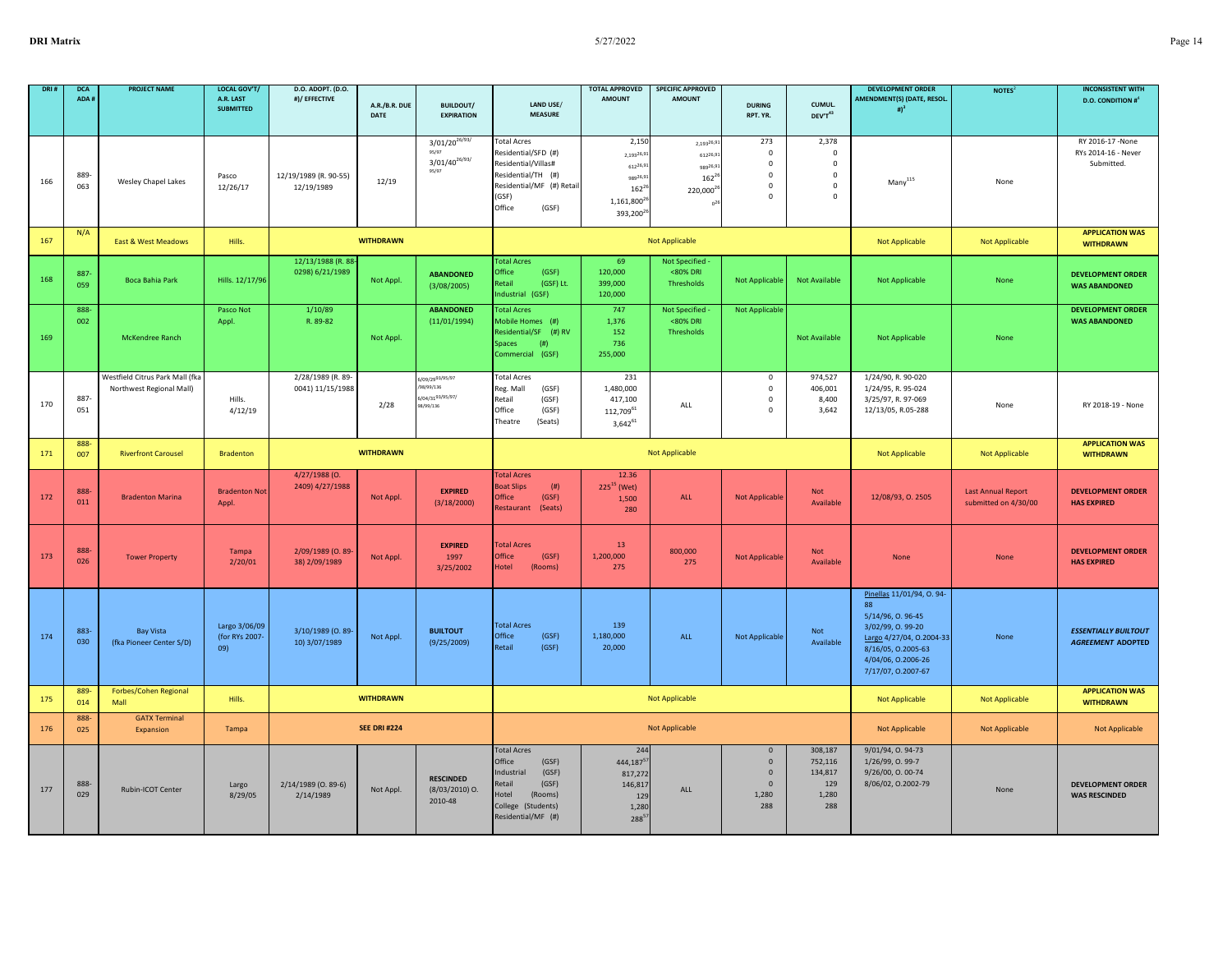| DRI # | <b>DCA</b><br>ADA# | <b>PROJECT NAME</b>                                         | LOCAL GOV'T/<br>A.R. LAST<br><b>SUBMITTED</b> | <b>D.O. ADOPT. (D.O.</b><br>#)/ EFFECTIVE | A.R./B.R. DUE<br>DATE | <b>BUILDOUT/</b><br><b>EXPIRATION</b>                         | LAND USE/<br><b>MEASURE</b>                                                                                                                     | <b>TOTAL APPROVED</b><br><b>AMOUNT</b>                                                                   | <b>SPECIFIC APPROVED</b><br><b>AMOUNT</b>                                        | <b>DURING</b><br>RPT. YR.                                                     | CUMUL.<br>$\text{DEV} \text{T}^{43}$                                   | <b>DEVELOPMENT ORDER</b><br>AMENDMENT(S) (DATE, RESOL.<br># $)^3$                                                                                                             | NOTES <sup>2</sup>                                | <b>INCONSISTENT WITH</b><br><b>D.O. CONDITION #</b>     |
|-------|--------------------|-------------------------------------------------------------|-----------------------------------------------|-------------------------------------------|-----------------------|---------------------------------------------------------------|-------------------------------------------------------------------------------------------------------------------------------------------------|----------------------------------------------------------------------------------------------------------|----------------------------------------------------------------------------------|-------------------------------------------------------------------------------|------------------------------------------------------------------------|-------------------------------------------------------------------------------------------------------------------------------------------------------------------------------|---------------------------------------------------|---------------------------------------------------------|
| 166   | 889<br>063         | Wesley Chapel Lakes                                         | Pasco<br>12/26/17                             | 12/19/1989 (R. 90-55)<br>12/19/1989       | 12/19                 | $3/01/20^{26/93/}$<br>$3/01/40^{26/93/}$<br>95/97             | <b>Total Acres</b><br>Residential/SFD (#)<br>Residential/Villas#<br>Residential/TH (#)<br>Residential/MF (#) Retail<br>(GSF)<br>Office<br>(GSF) | 2,150<br>2,19326,9<br>61226,9<br>98926,9<br>$162^{21}$<br>1,161,800 <sup>2</sup><br>393,200 <sup>2</sup> | 2,19326,9<br>61226,9<br>98926,9<br>$162^{2}$<br>220,000 <sup>2</sup><br>$n^{21}$ | 273<br>$\mathbf 0$<br>$\mathsf 0$<br>$\mathbf 0$<br>$\mathbf 0$<br>$\Omega$   | 2,378<br>$\mathbf 0$<br>$\mathsf 0$<br>$\mathbf 0$<br>$\mathbf 0$<br>0 | $\mathsf{Many}^\mathsf{115}$                                                                                                                                                  | None                                              | RY 2016-17 -None<br>RYs 2014-16 - Never<br>Submitted.   |
| 167   | N/A                | East & West Meadows                                         | Hills.                                        |                                           | <b>WITHDRAWN</b>      |                                                               |                                                                                                                                                 |                                                                                                          | <b>Not Applicable</b>                                                            |                                                                               |                                                                        | <b>Not Applicable</b>                                                                                                                                                         | Not Applicable                                    | <b>APPLICATION WAS</b><br><b>WITHDRAWN</b>              |
| 168   | 887<br>059         | Boca Bahia Park                                             | Hills. 12/17/96                               | 12/13/1988 (R. 88-<br>0298) 6/21/1989     | Not Appl.             | <b>ABANDONED</b><br>(3/08/2005)                               | <b>Total Acres</b><br>Office<br>(GSF)<br>Retail<br>(GSF) Lt.<br>Industrial (GSF)                                                                | 69<br>120,000<br>399,000<br>120,000                                                                      | <b>Not Specified</b><br><80% DRI<br>Thresholds                                   | <b>Not Applicable</b>                                                         | <b>Not Available</b>                                                   | Not Applicable                                                                                                                                                                | None                                              | <b>DEVELOPMENT ORDER</b><br><b>WAS ABANDONED</b>        |
| 169   | 888<br>002         | McKendree Ranch                                             | Pasco Not<br>Appl.                            | 1/10/89<br>R. 89-82                       | Not Appl.             | <b>ABANDONED</b><br>(11/01/1994)                              | <b>Total Acres</b><br>Mobile Homes (#)<br>Residential/SF (#) RV<br>Spaces<br>(# )<br>Commercial (GSF)                                           | 747<br>1,376<br>152<br>736<br>255,000                                                                    | Not Specified -<br><80% DRI<br>Thresholds                                        | <b>Not Applicable</b>                                                         | Not Available                                                          | <b>Not Applicable</b>                                                                                                                                                         | None                                              | <b>DEVELOPMENT ORDER</b><br><b>WAS ABANDONED</b>        |
| 170   | 887<br>051         | Westfield Citrus Park Mall (fka<br>Northwest Regional Mall) | Hills.<br>4/12/19                             | 2/28/1989 (R. 89-<br>0041) 11/15/1988     | 2/28                  | 6/09/2993/95/97<br>98/99/136<br>6/04/3193/95/97/<br>98/99/136 | <b>Total Acres</b><br>Reg. Mall<br>(GSF)<br>Retail<br>(GSF)<br>Office<br>(GSF)<br>Theatre<br>(Seats)                                            | 231<br>1,480,000<br>417,100<br>$112,709^{61}$<br>$3,642^{61}$                                            | ALL                                                                              | $\mathsf 0$<br>$\mathbf 0$<br>$\mathsf 0$<br>$\mathbf 0$                      | 974,527<br>406,001<br>8,400<br>3,642                                   | 1/24/90, R. 90-020<br>1/24/95, R. 95-024<br>3/25/97, R. 97-069<br>12/13/05, R.05-288                                                                                          | None                                              | RY 2018-19 - None                                       |
| 171   | 888<br>007         | <b>Riverfront Carousel</b>                                  | <b>Bradenton</b>                              |                                           | <b>WITHDRAWN</b>      |                                                               |                                                                                                                                                 |                                                                                                          | Not Applicable                                                                   |                                                                               |                                                                        | Not Applicable                                                                                                                                                                | Not Applicable                                    | <b>APPLICATION WAS</b><br><b>WITHDRAWN</b>              |
| 172   | 888<br>011         | <b>Bradenton Marina</b>                                     | <b>Bradenton Not</b><br>Appl.                 | 4/27/1988 (O.<br>2409) 4/27/1988          | Not Appl.             | <b>EXPIRED</b><br>(3/18/2000)                                 | <b>Total Acres</b><br>(#)<br><b>Boat Slips</b><br>Office<br>(GSF)<br>Restaurant<br>(Seats)                                                      | 12.36<br>$225^{15}$ (Wet)<br>1,500<br>280                                                                | ALL                                                                              | <b>Not Applicable</b>                                                         | <b>Not</b><br>Available                                                | 12/08/93, O. 2505                                                                                                                                                             | <b>Last Annual Report</b><br>submitted on 4/30/00 | <b>DEVELOPMENT ORDER</b><br><b>HAS EXPIRED</b>          |
| 173   | 888-<br>026        | <b>Tower Property</b>                                       | <b>Tampa</b><br>2/20/01                       | 2/09/1989 (0.89-<br>38) 2/09/1989         | Not Appl.             | <b>EXPIRED</b><br>1997<br>3/25/2002                           | <b>Total Acres</b><br>Office<br>(GSF)<br>Hotel<br>(Rooms)                                                                                       | 13<br>1,200,000<br>275                                                                                   | 800,000<br>275                                                                   | Not Applicable                                                                | <b>Not</b><br>Available                                                | None                                                                                                                                                                          | None                                              | <b>DEVELOPMENT ORDER</b><br><b>HAS EXPIRED</b>          |
| 174   | 883-<br>030        | <b>Bay Vista</b><br>(fka Pioneer Center S/D)                | Largo 3/06/09<br>(for RYs 2007-<br>09)        | 3/10/1989 (O. 89-<br>10) 3/07/1989        | Not Appl.             | <b>BUILTOUT</b><br>(9/25/2009)                                | <b>Total Acres</b><br>Office<br>(GSF)<br>(GSF)<br>Retail                                                                                        | 139<br>1,180,000<br>20,000                                                                               | ALL                                                                              | Not Applicable                                                                | Not<br>Available                                                       | Pinellas 11/01/94, O. 94-<br>$\Omega$<br>5/14/96, O. 96-45<br>3/02/99, O. 99-20<br>Largo 4/27/04, O.2004-33<br>8/16/05, 0.2005-63<br>4/04/06, 0.2006-26<br>7/17/07, 0.2007-67 | None                                              | <b>ESSENTIALLY BUILTOUT</b><br><b>AGREEMENT ADOPTED</b> |
| 175   | 889<br>014         | Forbes/Cohen Regional<br>Mall                               | Hills.                                        |                                           | <b>WITHDRAWN</b>      |                                                               |                                                                                                                                                 |                                                                                                          | <b>Not Applicable</b>                                                            |                                                                               |                                                                        | <b>Not Applicable</b>                                                                                                                                                         | Not Applicable                                    | <b>APPLICATION WAS</b><br><b>WITHDRAWN</b>              |
| 176   | 888<br>025         | <b>GATX Terminal</b><br>Expansion                           | Tampa                                         |                                           | <b>SEE DRI #224</b>   |                                                               |                                                                                                                                                 |                                                                                                          | <b>Not Applicable</b>                                                            |                                                                               |                                                                        | <b>Not Applicable</b>                                                                                                                                                         | <b>Not Applicable</b>                             | <b>Not Applicable</b>                                   |
| 177   | 888<br>029         | Rubin-ICOT Center                                           | Largo<br>8/29/05                              | 2/14/1989 (0.89-6)<br>2/14/1989           | Not Appl.             | <b>RESCINDED</b><br>$(8/03/2010)$ O.<br>2010-48               | <b>Total Acres</b><br>Office<br>(GSF)<br>Industrial<br>(GSF)<br>Retail<br>(GSF)<br>Hotel<br>(Rooms)<br>College (Students)<br>Residential/MF (#) | 244<br>444,187 <sup>5</sup><br>817,272<br>146,817<br>129<br>1,280<br>$288^{5}$                           | ALL                                                                              | $\mathbf 0$<br>$\mathbf{0}$<br>$\overline{0}$<br>$\mathbf{0}$<br>1,280<br>288 | 308,187<br>752,116<br>134,817<br>129<br>1,280<br>288                   | 9/01/94, 0.94-73<br>1/26/99, O. 99-7<br>9/26/00, O. 00-74<br>8/06/02, 0.2002-79                                                                                               | None                                              | <b>DEVELOPMENT ORDER</b><br><b>WAS RESCINDED</b>        |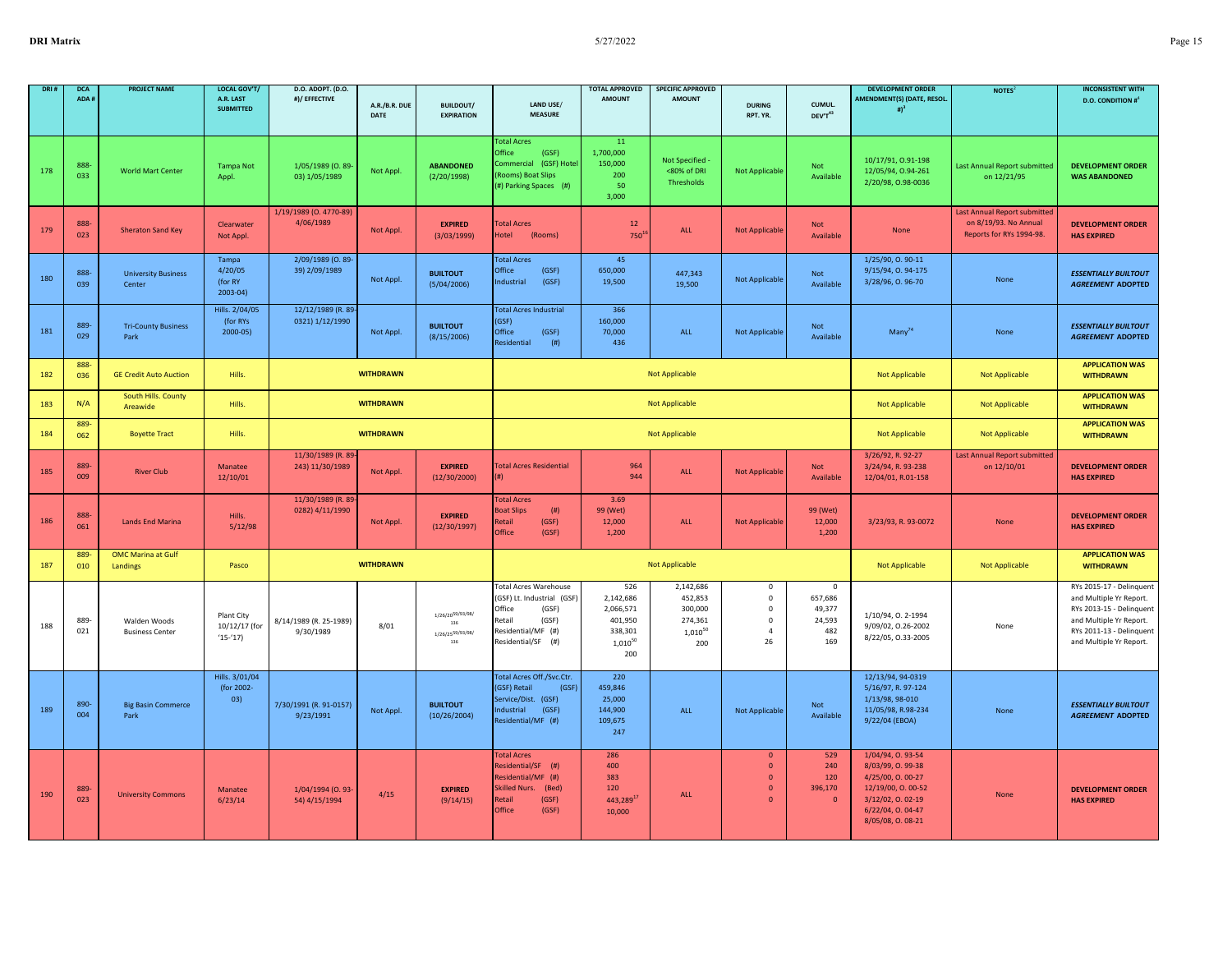| DRI 4 | <b>DCA</b><br>ADA# | <b>PROJECT NAME</b>                    | <b>LOCAL GOV'T/</b><br>A.R. LAST                | D.O. ADOPT. (D.O.<br>#)/ EFFECTIVE    |                       |                                                    |                                                                                                                                              | <b>TOTAL APPROVED</b><br><b>AMOUNT</b>                                     | <b>SPECIFIC APPROVED</b><br><b>AMOUNT</b>                         |                                                                                  |                                                          | <b>DEVELOPMENT ORDER</b><br><b>AMENDMENT(S) (DATE, RESOL.</b>                                                                                | <b>NOTES</b>                                                                      | <b>INCONSISTENT WITH</b><br><b>D.O. CONDITION #</b> <sup>4</sup>                                                                                                  |
|-------|--------------------|----------------------------------------|-------------------------------------------------|---------------------------------------|-----------------------|----------------------------------------------------|----------------------------------------------------------------------------------------------------------------------------------------------|----------------------------------------------------------------------------|-------------------------------------------------------------------|----------------------------------------------------------------------------------|----------------------------------------------------------|----------------------------------------------------------------------------------------------------------------------------------------------|-----------------------------------------------------------------------------------|-------------------------------------------------------------------------------------------------------------------------------------------------------------------|
|       |                    |                                        | <b>SUBMITTED</b>                                |                                       | A.R./B.R. DUE<br>DATE | <b>BUILDOUT/</b><br><b>EXPIRATION</b>              | LAND USE/<br><b>MEASURE</b>                                                                                                                  |                                                                            |                                                                   | <b>DURING</b><br>RPT. YR.                                                        | CUMUL.<br>DEV'T43                                        | # $)^3$                                                                                                                                      |                                                                                   |                                                                                                                                                                   |
| 178   | 888<br>033         | <b>World Mart Center</b>               | <b>Tampa Not</b><br>Appl.                       | 1/05/1989 (0.89-<br>03) 1/05/1989     | Not Appl              | <b>ABANDONED</b><br>(2/20/1998)                    | <b>Total Acres</b><br>Office<br>(GSF)<br>(GSF) Hotel<br>Commercial<br>(Rooms) Boat Slips<br>(#) Parking Spaces (#)                           | 11<br>1,700,000<br>150,000<br>200<br>50<br>3,000                           | Not Specified<br><80% of DRI<br>Thresholds                        | <b>Not Applicable</b>                                                            | <b>Not</b><br>Available                                  | 10/17/91, 0.91-198<br>12/05/94, 0.94-261<br>2/20/98, 0.98-0036                                                                               | <b>Last Annual Report submitted</b><br>on 12/21/95                                | <b>DEVELOPMENT ORDER</b><br><b>WAS ABANDONED</b>                                                                                                                  |
| 179   | 888<br>023         | <b>Sheraton Sand Key</b>               | Clearwater<br>Not Appl.                         | 1/19/1989 (O. 4770-89)<br>4/06/1989   | Not Appl.             | <b>EXPIRED</b><br>(3/03/1999)                      | <b>Total Acres</b><br>Hotel<br>(Rooms)                                                                                                       | 12<br>$750^1$                                                              | ALL                                                               | <b>Not Applicable</b>                                                            | Not<br>Available                                         | None                                                                                                                                         | Last Annual Report submitted<br>on 8/19/93. No Annual<br>Reports for RYs 1994-98. | <b>DEVELOPMENT ORDER</b><br><b>HAS EXPIRED</b>                                                                                                                    |
| 180   | 888<br>039         | <b>University Business</b><br>Center   | Tampa<br>4/20/05<br>(for RY<br>$2003 - 04$      | 2/09/1989 (0.89<br>39) 2/09/1989      | Not Appl.             | <b>BUILTOUT</b><br>(5/04/2006)                     | <b>Total Acres</b><br>Office<br>(GSF)<br>Industrial<br>(GSF)                                                                                 | 45<br>650,000<br>19,500                                                    | 447,343<br>19,500                                                 | Not Applicable                                                                   | Not<br>Available                                         | 1/25/90, 0.90-11<br>9/15/94, 0.94-175<br>3/28/96, O. 96-70                                                                                   | None                                                                              | <b>ESSENTIALLY BUILTOUT</b><br><b>AGREEMENT ADOPTED</b>                                                                                                           |
| 181   | 889-<br>029        | <b>Tri-County Business</b><br>Park     | Hills. 2/04/05<br>(for RYs<br>$2000 - 05$       | 12/12/1989 (R. 89-<br>0321) 1/12/1990 | Not Appl.             | <b>BUILTOUT</b><br>(8/15/2006)                     | <b>Total Acres Industrial</b><br>(GSF)<br>Office<br>(GSF)<br>Residential<br>(# )                                                             | 366<br>160,000<br>70,000<br>436                                            | ALL                                                               | Not Applicable                                                                   | Not<br>Available                                         | $Many^{74}$                                                                                                                                  | None                                                                              | <b>ESSENTIALLY BUILTOUT</b><br><b>AGREEMENT ADOPTED</b>                                                                                                           |
| 182   | 888-<br>036        | <b>GE Credit Auto Auction</b>          | Hills.                                          |                                       | <b>WITHDRAWN</b>      |                                                    |                                                                                                                                              |                                                                            | <b>Not Applicable</b>                                             |                                                                                  |                                                          | <b>Not Applicable</b>                                                                                                                        | <b>Not Applicable</b>                                                             | <b>APPLICATION WAS</b><br><b>WITHDRAWN</b>                                                                                                                        |
| 183   | N/A                | South Hills. County<br>Areawide        | Hills.                                          |                                       | <b>WITHDRAWN</b>      |                                                    |                                                                                                                                              |                                                                            | <b>Not Applicable</b>                                             |                                                                                  |                                                          | Not Applicable                                                                                                                               | <b>Not Applicable</b>                                                             | <b>APPLICATION WAS</b><br><b>WITHDRAWN</b>                                                                                                                        |
| 184   | 889-<br>062        | <b>Boyette Tract</b>                   | Hills.                                          |                                       | <b>WITHDRAWN</b>      |                                                    |                                                                                                                                              |                                                                            | <b>Not Applicable</b>                                             |                                                                                  |                                                          | <b>Not Applicable</b>                                                                                                                        | <b>Not Applicable</b>                                                             | <b>APPLICATION WAS</b><br><b>WITHDRAWN</b>                                                                                                                        |
| 185   | 889<br>009         | <b>River Club</b>                      | Manatee<br>12/10/01                             | 11/30/1989 (R. 89<br>243) 11/30/1989  | Not Appl.             | <b>EXPIRED</b><br>(12/30/2000)                     | <b>Total Acres Residential</b><br>(#)                                                                                                        | 964<br>944                                                                 | ALL                                                               | <b>Not Applicable</b>                                                            | <b>Not</b><br>Available                                  | 3/26/92, R. 92-27<br>3/24/94, R. 93-238<br>12/04/01, R.01-158                                                                                | <b>Last Annual Report submitted</b><br>on 12/10/01                                | <b>DEVELOPMENT ORDER</b><br><b>HAS EXPIRED</b>                                                                                                                    |
| 186   | 888<br>061         | <b>Lands End Marina</b>                | Hills.<br>5/12/98                               | 11/30/1989 (R. 89<br>0282) 4/11/1990  | Not Appl.             | <b>EXPIRED</b><br>(12/30/1997)                     | <b>Total Acres</b><br><b>Boat Slips</b><br>(# )<br><b>Retail</b><br>(GSF)<br>Office<br>(GSF)                                                 | 3.69<br>99 (Wet)<br>12,000<br>1,200                                        | ALL                                                               | <b>Not Applicable</b>                                                            | 99 (Wet)<br>12,000<br>1,200                              | 3/23/93, R. 93-0072                                                                                                                          | None                                                                              | <b>DEVELOPMENT ORDER</b><br><b>HAS EXPIRED</b>                                                                                                                    |
| 187   | 889<br>010         | <b>OMC Marina at Gulf</b><br>Landings  | Pasco                                           |                                       | <b>WITHDRAWN</b>      |                                                    |                                                                                                                                              |                                                                            | <b>Not Applicable</b>                                             |                                                                                  |                                                          | <b>Not Applicable</b>                                                                                                                        | <b>Not Applicable</b>                                                             | <b>APPLICATION WAS</b><br><b>WITHDRAWN</b>                                                                                                                        |
| 188   | 889<br>021         | Walden Woods<br><b>Business Center</b> | <b>Plant City</b><br>10/12/17 (for<br>$(15-17)$ | 8/14/1989 (R. 25-1989)<br>9/30/1989   | 8/01                  | 1/26/2059/93/98/<br>136<br>1/26/2559/93/98/<br>136 | <b>Total Acres Warehouse</b><br>(GSF) Lt. Industrial (GSF)<br>Office<br>(GSF)<br>(GSF)<br>Retail<br>Residential/MF (#)<br>Residential/SF (#) | 526<br>2,142,686<br>2,066,571<br>401,950<br>338,301<br>$1,010^{50}$<br>200 | 2,142,686<br>452,853<br>300,000<br>274,361<br>$1,010^{50}$<br>200 | $\mathsf 0$<br>$\mathbf 0$<br>$\mathbf 0$<br>$\mathbf 0$<br>$\overline{4}$<br>26 | $\mathbf 0$<br>657,686<br>49,377<br>24,593<br>482<br>169 | 1/10/94, 0. 2-1994<br>9/09/02, 0.26-2002<br>8/22/05, 0.33-2005                                                                               | None                                                                              | RYs 2015-17 - Delinquent<br>and Multiple Yr Report.<br>RYs 2013-15 - Delinquent<br>and Multiple Yr Report.<br>RYs 2011-13 - Delinquent<br>and Multiple Yr Report. |
| 189   | 890-<br>004        | <b>Big Basin Commerce</b><br>Park      | Hills. 3/01/04<br>(for 2002-<br>03)             | 7/30/1991 (R. 91-0157)<br>9/23/1991   | Not Appl.             | <b>BUILTOUT</b><br>(10/26/2004)                    | <b>Total Acres Off./Svc.Ctr</b><br>(GSF)<br>(GSF) Retail<br>Service/Dist. (GSF)<br>Industrial<br>(GSF)<br>Residential/MF (#)                 | 220<br>459,846<br>25,000<br>144,900<br>109,675<br>247                      | ALL                                                               | Not Applicable                                                                   | Not<br>Available                                         | 12/13/94, 94-0319<br>5/16/97, R. 97-124<br>1/13/98, 98-010<br>11/05/98, R.98-234<br>9/22/04 (EBOA)                                           | None                                                                              | <b>ESSENTIALLY BUILTOUT</b><br><b>AGREEMENT ADOPTED</b>                                                                                                           |
| 190   | 889<br>023         | <b>University Commons</b>              | Manatee<br>6/23/14                              | 1/04/1994 (0.93-<br>54) 4/15/1994     | 4/15                  | <b>EXPIRED</b><br>(9/14/15)                        | <b>Total Acres</b><br>Residential/SF (#)<br>Residential/MF (#)<br>Skilled Nurs. (Bed)<br>(GSF)<br><b>Retail</b><br>Office<br>(GSF)           | 286<br>400<br>383<br>120<br>443,28917<br>10,000                            | ALL                                                               | $\mathbf{0}$<br>$\mathbf 0$<br>$\mathbf 0$<br>$\mathbf 0$<br>$\mathbf{0}$        | 529<br>240<br>120<br>396,170<br>$\Omega$                 | 1/04/94, 0.93-54<br>8/03/99, O. 99-38<br>4/25/00, 0.00-27<br>12/19/00, O. 00-52<br>3/12/02, 0.02-19<br>6/22/04, 0.04-47<br>8/05/08, O. 08-21 | None                                                                              | <b>DEVELOPMENT ORDER</b><br><b>HAS EXPIRED</b>                                                                                                                    |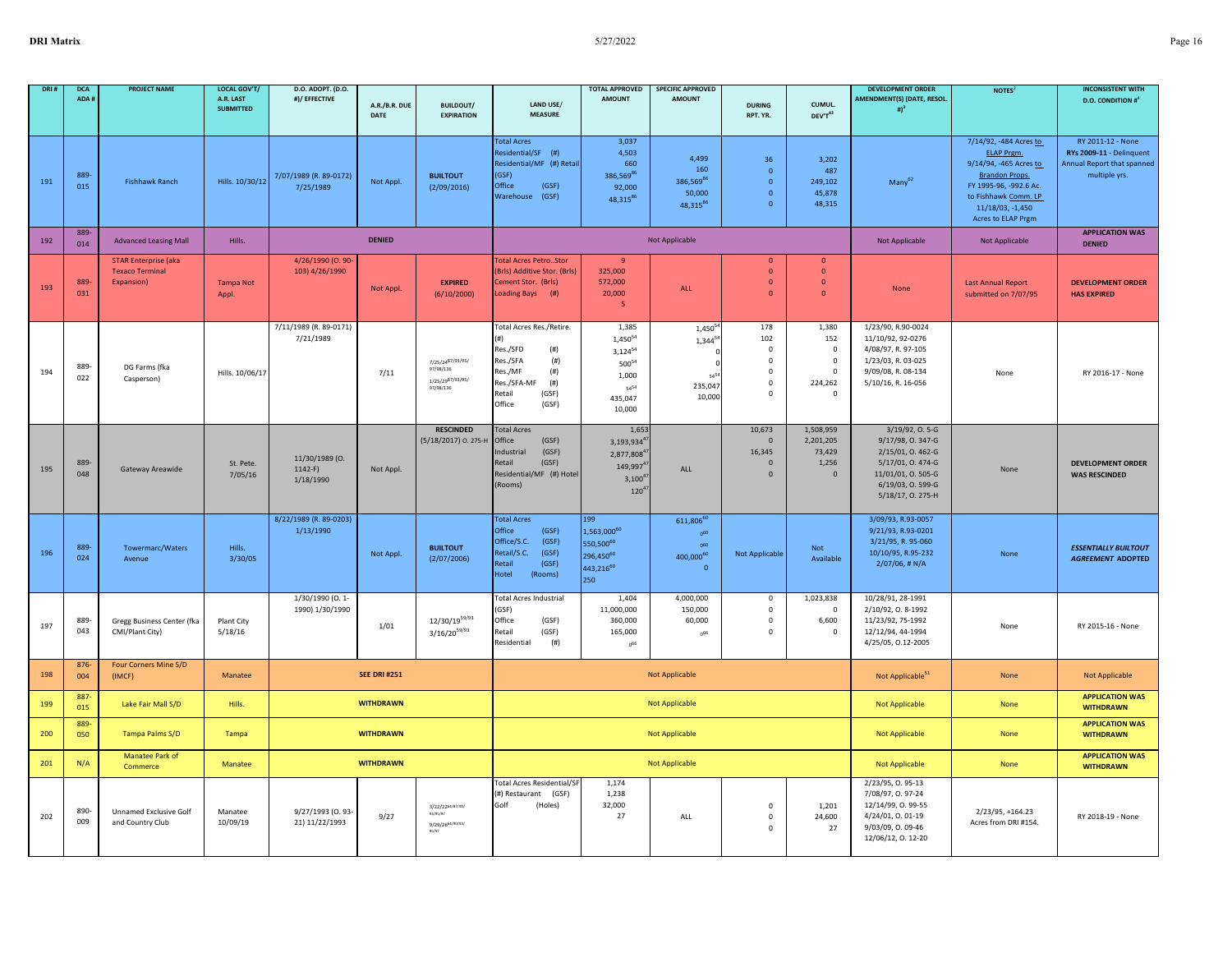| DRI # | <b>DCA</b><br>ADA# | <b>PROJECT NAME</b>                                                  | LOCAL GOV'T/<br>A.R. LAST<br><b>SUBMITTED</b> | D.O. ADOPT. (D.O.<br>#)/ EFFECTIVE      | A.R./B.R. DUE<br>DATE | <b>BUILDOUT/</b><br><b>EXPIRATION</b>                                             | LAND USE/<br><b>MEASURE</b>                                                                                                                      | <b>TOTAL APPROVED</b><br><b>AMOUNT</b>                                                           | <b>SPECIFIC APPROVED</b><br><b>AMOUNT</b>                                              | <b>DURING</b><br>RPT. YR.                                                              | CUMUL.<br>DEV'T <sup>43</sup>                                                      | <b>DEVELOPMENT ORDER</b><br>AMENDMENT(S) (DATE, RESOL.<br>$\sharp$ ) <sup>3</sup>                                                              | NOTES <sup>2</sup>                                                                                                                                                                         | <b>INCONSISTENT WITH</b><br><b>D.O. CONDITION #</b> 4                                        |
|-------|--------------------|----------------------------------------------------------------------|-----------------------------------------------|-----------------------------------------|-----------------------|-----------------------------------------------------------------------------------|--------------------------------------------------------------------------------------------------------------------------------------------------|--------------------------------------------------------------------------------------------------|----------------------------------------------------------------------------------------|----------------------------------------------------------------------------------------|------------------------------------------------------------------------------------|------------------------------------------------------------------------------------------------------------------------------------------------|--------------------------------------------------------------------------------------------------------------------------------------------------------------------------------------------|----------------------------------------------------------------------------------------------|
| 191   | 889<br>015         | <b>Fishhawk Ranch</b>                                                | Hills. 10/30/12                               | 7/07/1989 (R. 89-0172)<br>7/25/1989     | Not Appl.             | <b>BUILTOUT</b><br>(2/09/2016)                                                    | <b>Total Acres</b><br>Residential/SF (#)<br>Residential/MF (#) Retail<br>(GSF)<br>Office<br>(GSF)<br>Warehouse (GSF)                             | 3,037<br>4,503<br>660<br>386,569 <sup>86</sup><br>92,000<br>48,31586                             | 4,499<br>160<br>386,56986<br>50,000<br>48,31586                                        | 36<br>$\mathbf 0$<br>$\mathbf 0$<br>$\mathbf{0}$<br>$\circ$                            | 3,202<br>487<br>249,102<br>45,878<br>48,315                                        | $Many^{62}$                                                                                                                                    | 7/14/92, -484 Acres to<br><b>ELAP Prgm.</b><br>9/14/94, -465 Acres to<br><b>Brandon Props.</b><br>FY 1995-96, -992.6 Ac.<br>to Fishhawk Comm. LP<br>11/18/03, -1,450<br>Acres to ELAP Prgm | RY 2011-12 - None<br>RYs 2009-11 - Delinquent<br>Annual Report that spanned<br>multiple yrs. |
| 192   | 889-<br>014        | <b>Advanced Leasing Mall</b>                                         | Hills.                                        |                                         | <b>DENIED</b>         |                                                                                   |                                                                                                                                                  |                                                                                                  | Not Applicable                                                                         |                                                                                        |                                                                                    | Not Applicable                                                                                                                                 | Not Applicable                                                                                                                                                                             | <b>APPLICATION WAS</b><br><b>DENIED</b>                                                      |
| 193   | 889<br>031         | <b>STAR Enterprise (aka)</b><br><b>Texaco Terminal</b><br>Expansion) | <b>Tampa Not</b><br>Appl.                     | 4/26/1990 (0.90-<br>103) 4/26/1990      | Not Appl.             | <b>EXPIRED</b><br>(6/10/2000)                                                     | <b>Total Acres PetroStor</b><br>(Brls) Additive Stor. (Brls)<br>Cement Stor. (Brls)<br>Loading Bays (#)                                          | $\overline{9}$<br>325,000<br>572,000<br>20,000<br>-5                                             | ALL                                                                                    | $\mathbf{0}$<br>$\mathbf{0}$<br>$\mathbf 0$<br>$\mathbf{0}$                            | $\mathbf{0}$<br>$\mathbf{0}$<br>$\mathbf 0$<br>$\mathbf{0}$                        | None                                                                                                                                           | <b>Last Annual Report</b><br>submitted on 7/07/95                                                                                                                                          | <b>DEVELOPMENT ORDER</b><br><b>HAS EXPIRED</b>                                               |
| 194   | 889-<br>022        | DG Farms (fka<br>Casperson)                                          | Hills. 10/06/17                               | 7/11/1989 (R. 89-0171)<br>7/21/1989     | 7/11                  | 7/25/2487/93/95/<br>97/98/136<br>1/25/2987/93/95/<br>97/98/136                    | Total Acres Res./Retire.<br>Res./SFD<br>(# )<br>Res./SFA<br>(# )<br>(# )<br>Res./MF<br>Res./SFA-MF<br>(# )<br>Retail<br>(GSF)<br>Office<br>(GSF) | 1,385<br>1,450 <sup>54</sup><br>$3,124^{54}$<br>$500^{54}$<br>1,000<br>5454<br>435,047<br>10,000 | $1,450^5$<br>$1,344^{5}$<br>54<br>235,047<br>10,000                                    | 178<br>102<br>$\mathbf 0$<br>$\mathbf 0$<br>$\mathbf{0}$<br>$\mathbf 0$<br>$\mathbf 0$ | 1,380<br>152<br>$\mathbf 0$<br>$\mathbf 0$<br>$^{\circ}$<br>224,262<br>$\mathbf 0$ | 1/23/90, R.90-0024<br>11/10/92, 92-0276<br>4/08/97, R. 97-105<br>1/23/03, R. 03-025<br>9/09/08, R. 08-134<br>5/10/16, R. 16-056                | None                                                                                                                                                                                       | RY 2016-17 - None                                                                            |
| 195   | 889<br>048         | Gateway Areawide                                                     | St. Pete.<br>7/05/16                          | 11/30/1989 (0.<br>$1142-F$<br>1/18/1990 | Not Appl.             | <b>RESCINDED</b><br>(5/18/2017) O. 275-H                                          | <b>Total Acres</b><br>Office<br>(GSF)<br>(GSF)<br>ndustrial<br>(GSF)<br>Retail<br>Residential/MF (#) Hotel<br>(Rooms)                            | 1,653<br>3,193,9344<br>2,877,8084<br>149,997 <sup>4</sup><br>$3,100^{4}$<br>$120^{4}$            | ALL                                                                                    | 10,673<br>$\mathbf 0$<br>16,345<br>$\mathbf 0$<br>$\mathbf{0}$                         | 1,508,959<br>2,201,205<br>73,429<br>1,256<br>$\overline{0}$                        | 3/19/92, O. 5-G<br>9/17/98, O. 347-G<br>2/15/01, O. 462-G<br>5/17/01, O. 474-G<br>11/01/01, O. 505-G<br>6/19/03, O. 599-G<br>5/18/17, O. 275-H | None                                                                                                                                                                                       | <b>DEVELOPMENT ORDER</b><br><b>WAS RESCINDED</b>                                             |
| 196   | 889<br>024         | Towermarc/Waters<br>Avenue                                           | Hills.<br>3/30/05                             | 8/22/1989 (R. 89-0203)<br>1/13/1990     | Not Appl.             | <b>BUILTOUT</b><br>(2/07/2006)                                                    | <b>Total Acres</b><br>Office<br>(GSF)<br>Office/S.C.<br>(GSF)<br>(GSF)<br>Retail/S.C.<br>(GSF)<br>Retail<br>Hotel<br>(Rooms)                     | 199<br>1,563,00060<br>550,500 <sup>60</sup><br>296,450 <sup>60</sup><br>443,21660<br>250         | 611,8066<br>0 <sup>60</sup><br>n60<br>400,000 <sup>60</sup><br>$\overline{\mathbf{0}}$ | Not Applicable                                                                         | Not<br>Available                                                                   | 3/09/93, R.93-0057<br>9/21/93, R.93-0201<br>3/21/95, R. 95-060<br>10/10/95, R.95-232<br>2/07/06, # N/A                                         | None                                                                                                                                                                                       | <b>ESSENTIALLY BUILTOUT</b><br><b>AGREEMENT ADOPTED</b>                                      |
| 197   | 889-<br>043        | Gregg Business Center (fka<br>CMI/Plant City)                        | Plant City<br>5/18/16                         | 1/30/1990 (0.1-<br>1990) 1/30/1990      | 1/01                  | $12/30/19^{59/93}$<br>$3/16/20^{59/93}$                                           | <b>Total Acres Industrial</b><br>(GSF)<br>Office<br>(GSF)<br>(GSF)<br>Retail<br>Residential<br>(# )                                              | 1,404<br>11,000,000<br>360,000<br>165,000<br>$0^{66}$                                            | 4,000,000<br>150,000<br>60,000<br>0 <sup>66</sup>                                      | $\pmb{0}$<br>$\mathbf 0$<br>$\mathsf 0$<br>$\mathsf 0$                                 | 1,023,838<br>$\mathbf 0$<br>6,600<br>$\overline{0}$                                | 10/28/91, 28-1991<br>2/10/92, 0.8-1992<br>11/23/92, 75-1992<br>12/12/94, 44-1994<br>4/25/05, 0.12-2005                                         | None                                                                                                                                                                                       | RY 2015-16 - None                                                                            |
| 198   | 876<br>004         | Four Corners Mine S/D<br>(IMCF)                                      | Manatee                                       |                                         | <b>SEE DRI #251</b>   |                                                                                   |                                                                                                                                                  |                                                                                                  | <b>Not Applicable</b>                                                                  |                                                                                        |                                                                                    | Not Applicable <sup>51</sup>                                                                                                                   | None                                                                                                                                                                                       | <b>Not Applicable</b>                                                                        |
| 199   | 887<br>015         | Lake Fair Mall S/D                                                   | Hills.                                        |                                         | <b>WITHDRAWN</b>      |                                                                                   |                                                                                                                                                  |                                                                                                  | <b>Not Applicable</b>                                                                  |                                                                                        |                                                                                    | <b>Not Applicable</b>                                                                                                                          | None                                                                                                                                                                                       | <b>APPLICATION WAS</b><br><b>WITHDRAWN</b>                                                   |
| 200   | 889-<br>050        | Tampa Palms S/D                                                      | Tampa                                         |                                         | <b>WITHDRAWN</b>      |                                                                                   |                                                                                                                                                  |                                                                                                  | <b>Not Applicable</b>                                                                  |                                                                                        |                                                                                    | <b>Not Applicable</b>                                                                                                                          | None                                                                                                                                                                                       | <b>APPLICATION WAS</b><br><b>WITHDRAWN</b>                                                   |
| 201   | N/A                | Manatee Park of<br>Commerce                                          | Manatee                                       |                                         | <b>WITHDRAWN</b>      |                                                                                   |                                                                                                                                                  |                                                                                                  | Not Applicable                                                                         |                                                                                        |                                                                                    | <b>Not Applicable</b>                                                                                                                          | None                                                                                                                                                                                       | <b>APPLICATION WAS</b><br><b>WITHDRAWN</b>                                                   |
| 202   | 890<br>009         | Unnamed Exclusive Golf<br>and Country Club                           | Manatee<br>10/09/19                           | 9/27/1993 (0.93-<br>21) 11/22/1993      | 9/27                  | 3/22/22 <sup>64/87/90/</sup><br>93/95/97<br>9/29/26 <sup>64/90/93/</sup><br>95/97 | <b>Total Acres Residential/SF</b><br>(#) Restaurant (GSF)<br>Golf<br>(Holes)                                                                     | 1,174<br>1,238<br>32,000<br>27                                                                   | ALL                                                                                    | $\mathbf 0$<br>$\mathsf 0$<br>$\mathsf 0$                                              | 1,201<br>24,600<br>27                                                              | 2/23/95, 0.95-13<br>7/08/97, 0.97-24<br>12/14/99, O. 99-55<br>4/24/01, 0.01-19<br>9/03/09, 0.09-46<br>12/06/12, 0. 12-20                       | 2/23/95, +164.23<br>Acres from DRI #154.                                                                                                                                                   | RY 2018-19 - None                                                                            |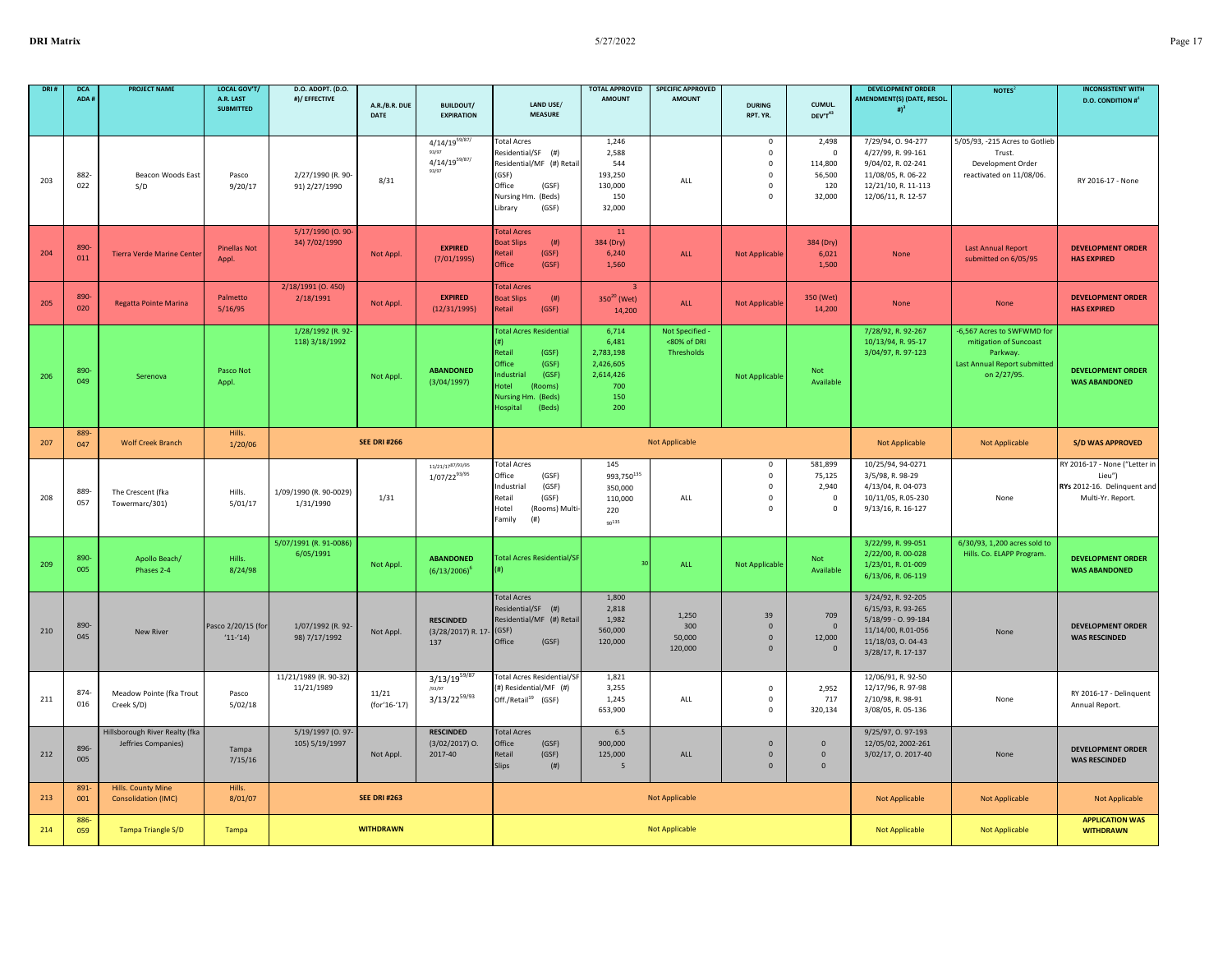| DRI 8 | <b>DCA</b><br>ADA # | <b>PROJECT NAME</b>                                   | <b>LOCAL GOV'T/</b><br>A.R. LAST<br><b>SUBMITTED</b> | D.O. ADOPT. (D.O.<br>#)/ EFFECTIVE  | A.R./B.R. DUE<br>DATE | <b>BUILDOUT/</b><br><b>EXPIRATION</b>                      | LAND USE/<br><b>MEASURE</b>                                                                                                                                 | <b>TOTAL APPROVED</b><br><b>AMOUNT</b>                                     | <b>SPECIFIC APPROVED</b><br><b>AMOUNT</b>  | <b>DURING</b><br>RPT. YR.                                                    | CUMUL.<br>DEV'T43                                          | <b>DEVELOPMENT ORDER</b><br><b>AMENDMENT(S) (DATE, RESOL.</b><br># $)^3$                                                         | NOTES <sup>2</sup>                                                                                              | <b>INCONSISTENT WITH</b><br><b>D.O. CONDITION #</b>                                         |
|-------|---------------------|-------------------------------------------------------|------------------------------------------------------|-------------------------------------|-----------------------|------------------------------------------------------------|-------------------------------------------------------------------------------------------------------------------------------------------------------------|----------------------------------------------------------------------------|--------------------------------------------|------------------------------------------------------------------------------|------------------------------------------------------------|----------------------------------------------------------------------------------------------------------------------------------|-----------------------------------------------------------------------------------------------------------------|---------------------------------------------------------------------------------------------|
| 203   | 882<br>022          | Beacon Woods East<br>S/D                              | Pasco<br>9/20/17                                     | 2/27/1990 (R. 90-<br>91) 2/27/1990  | 8/31                  | $4/14/19^{59/87/}$<br>93/97<br>$4/14/19^{59/87/}$<br>93/97 | <b>Total Acres</b><br>Residential/SF (#)<br>Residential/MF (#) Retai<br>(GSF)<br>Office<br>(GSF)<br>Nursing Hm. (Beds)<br>Library<br>(GSF)                  | 1,246<br>2,588<br>544<br>193,250<br>130,000<br>150<br>32,000               | ALL                                        | 0<br>$\mathbf 0$<br>$\mathbf 0$<br>$\mathsf 0$<br>$\mathbf 0$<br>$\mathbf 0$ | 2,498<br>$\mathbf 0$<br>114,800<br>56,500<br>120<br>32,000 | 7/29/94, 0.94-277<br>4/27/99, R. 99-161<br>9/04/02, R. 02-241<br>11/08/05, R. 06-22<br>12/21/10, R. 11-113<br>12/06/11, R. 12-57 | 5/05/93, -215 Acres to Gotlieb<br>Trust.<br>Development Order<br>reactivated on 11/08/06.                       | RY 2016-17 - None                                                                           |
| 204   | 890<br>011          | <b>Tierra Verde Marine Center</b>                     | <b>Pinellas Not</b><br>Appl                          | 5/17/1990 (O. 90-<br>34) 7/02/1990  | Not Appl.             | <b>EXPIRED</b><br>(7/01/1995)                              | <b>Total Acres</b><br>(# )<br><b>Boat Slips</b><br>(GSF)<br>Retail<br>Office<br>(GSF)                                                                       | 11<br>384 (Dry)<br>6,240<br>1,560                                          | ALL                                        | <b>Not Applicable</b>                                                        | 384 (Dry)<br>6,021<br>1,500                                | <b>None</b>                                                                                                                      | <b>Last Annual Report</b><br>submitted on 6/05/95                                                               | <b>DEVELOPMENT ORDER</b><br><b>HAS EXPIRED</b>                                              |
| 205   | 890<br>020          | Regatta Pointe Marina                                 | Palmetto<br>5/16/95                                  | 2/18/1991 (0.450)<br>2/18/1991      | Not Appl.             | <b>EXPIRED</b><br>(12/31/1995)                             | <b>Total Acres</b><br><b>Boat Slips</b><br>(# )<br>Retail<br>(GSF)                                                                                          | -3<br>$350^{20}$ (Wet)<br>14,200                                           | ALL                                        | <b>Not Applicable</b>                                                        | 350 (Wet)<br>14,200                                        | None                                                                                                                             | None                                                                                                            | <b>DEVELOPMENT ORDER</b><br><b>HAS EXPIRED</b>                                              |
| 206   | 890<br>049          | Serenova                                              | Pasco Not<br>Appl.                                   | 1/28/1992 (R. 92-<br>118) 3/18/1992 | Not Appl.             | <b>ABANDONED</b><br>(3/04/1997)                            | <b>Total Acres Residential</b><br>Retail<br>(GSF)<br>Office<br>(GSF)<br>(GSF)<br>Industrial<br>Hotel<br>(Rooms)<br>Nursing Hm. (Beds)<br>Hospital<br>(Beds) | 6,714<br>6,481<br>2,783,198<br>2,426,605<br>2,614,426<br>700<br>150<br>200 | Not Specified<br><80% of DRI<br>Thresholds | Not Applicable                                                               | Not<br>Available                                           | 7/28/92, R. 92-267<br>10/13/94, R. 95-17<br>3/04/97, R. 97-123                                                                   | -6,567 Acres to SWFWMD for<br>mitigation of Suncoast<br>Parkway.<br>Last Annual Report submitted<br>on 2/27/95. | <b>DEVELOPMENT ORDER</b><br><b>WAS ABANDONED</b>                                            |
| 207   | 889<br>047          | <b>Wolf Creek Branch</b>                              | Hills.<br>1/20/06                                    |                                     | <b>SEE DRI #266</b>   |                                                            |                                                                                                                                                             |                                                                            | <b>Not Applicable</b>                      |                                                                              |                                                            | Not Applicable                                                                                                                   | Not Applicable                                                                                                  | <b>S/D WAS APPROVED</b>                                                                     |
| 208   | 889<br>057          | The Crescent (fka<br>Towermarc/301)                   | Hills.<br>5/01/17                                    | 1/09/1990 (R. 90-0029)<br>1/31/1990 | 1/31                  | 11/21/1787/93/95<br>$1/07/22^{93/95}$                      | <b>Total Acres</b><br>Office<br>(GSF)<br>Industrial<br>(GSF)<br>Retail<br>(GSF)<br>Hotel<br>(Rooms) Multi<br>Family<br>(# )                                 | 145<br>993,750 <sup>135</sup><br>350,000<br>110,000<br>220<br>$90^{135}$   | ALL                                        | 0<br>$\mathsf 0$<br>$\mathsf 0$<br>$\mathbf 0$<br>$\mathbf 0$                | 581,899<br>75,125<br>2,940<br>$\overline{\mathbf{0}}$<br>0 | 10/25/94, 94-0271<br>3/5/98, R. 98-29<br>4/13/04, R. 04-073<br>10/11/05, R.05-230<br>9/13/16, R. 16-127                          | None                                                                                                            | RY 2016-17 - None ("Letter in<br>Lieu")<br>RYs 2012-16. Delinquent and<br>Multi-Yr. Report. |
| 209   | 890<br>005          | Apollo Beach/<br>Phases 2-4                           | Hills.<br>8/24/98                                    | 5/07/1991 (R. 91-0086)<br>6/05/1991 | Not Appl.             | <b>ABANDONED</b><br>$(6/13/2006)^6$                        | <b>Total Acres Residential/SF</b><br>(#)                                                                                                                    |                                                                            | ALL                                        | Not Applicable                                                               | Not<br>Available                                           | 3/22/99, R. 99-051<br>2/22/00, R. 00-028<br>1/23/01, R. 01-009<br>6/13/06, R. 06-119                                             | 6/30/93, 1,200 acres sold to<br>Hills. Co. ELAPP Program.                                                       | <b>DEVELOPMENT ORDER</b><br><b>WAS ABANDONED</b>                                            |
| 210   | 890-<br>045         | New River                                             | Pasco 2/20/15 (for<br>$(11-(14))$                    | 1/07/1992 (R. 92-<br>98) 7/17/1992  | Not Appl.             | <b>RESCINDED</b><br>(3/28/2017) R. 17-<br>137              | <b>Total Acres</b><br>Residential/SF (#)<br>Residential/MF (#) Retail<br>(GSF)<br>Office<br>(GSF)                                                           | 1,800<br>2,818<br>1,982<br>560,000<br>120,000                              | 1.250<br>300<br>50,000<br>120,000          | 39<br>$\mathbf 0$<br>$\mathbf 0$<br>$\Omega$                                 | 709<br>$\overline{0}$<br>12,000<br>$\mathbf 0$             | 3/24/92, R. 92-205<br>6/15/93, R. 93-265<br>5/18/99 - 0.99-184<br>11/14/00, R.01-056<br>11/18/03, 0.04-43<br>3/28/17, R. 17-137  | None                                                                                                            | <b>DEVELOPMENT ORDER</b><br><b>WAS RESCINDED</b>                                            |
| 211   | 874<br>016          | Meadow Pointe (fka Trout<br>Creek S/D)                | Pasco<br>5/02/18                                     | 11/21/1989 (R. 90-32)<br>11/21/1989 | 11/21<br>(for'16-'17) | $3/13/19^{59/87}$<br>/93/97<br>$3/13/22^{59/93}$           | Total Acres Residential/S<br>(#) Residential/MF (#)<br>Off./Retail <sup>19</sup> (GSF)                                                                      | 1,821<br>3,255<br>1,245<br>653,900                                         | ALL                                        | 0<br>$\mathbf 0$<br>$\mathbf 0$                                              | 2,952<br>717<br>320,134                                    | 12/06/91, R. 92-50<br>12/17/96, R. 97-98<br>2/10/98, R. 98-91<br>3/08/05, R. 05-136                                              | None                                                                                                            | RY 2016-17 - Delinquent<br>Annual Report.                                                   |
| 212   | 896-<br>005         | Hillsborough River Realty (fka<br>Jeffries Companies) | Tampa<br>7/15/16                                     | 5/19/1997 (0.97-<br>105) 5/19/1997  | Not Appl.             | <b>RESCINDED</b><br>$(3/02/2017)$ O.<br>2017-40            | <b>Total Acres</b><br>Office<br>(GSF)<br>(GSF)<br>Retail<br><b>Slips</b><br>(# )                                                                            | 6.5<br>900,000<br>125,000<br>5                                             | ALL                                        | $\mathbf{0}$<br>$\mathbf 0$<br>$\mathbf{0}$                                  | $\mathbf{0}$<br>$\mathbf{0}$<br>$\mathbf{0}$               | 9/25/97, 0.97-193<br>12/05/02, 2002-261<br>3/02/17, 0. 2017-40                                                                   | None                                                                                                            | <b>DEVELOPMENT ORDER</b><br><b>WAS RESCINDED</b>                                            |
| 213   | 891<br>001          | Hills. County Mine<br><b>Consolidation (IMC)</b>      | Hills.<br>8/01/07                                    |                                     | <b>SEE DRI #263</b>   |                                                            |                                                                                                                                                             |                                                                            | <b>Not Applicable</b>                      |                                                                              |                                                            | Not Applicable                                                                                                                   | Not Applicable                                                                                                  | <b>Not Applicable</b>                                                                       |
| 214   | 886<br>059          | <b>Tampa Triangle S/D</b>                             | Tampa                                                |                                     | <b>WITHDRAWN</b>      |                                                            |                                                                                                                                                             |                                                                            | <b>Not Applicable</b>                      |                                                                              |                                                            | Not Applicable                                                                                                                   | <b>Not Applicable</b>                                                                                           | <b>APPLICATION WAS</b><br><b>WITHDRAWN</b>                                                  |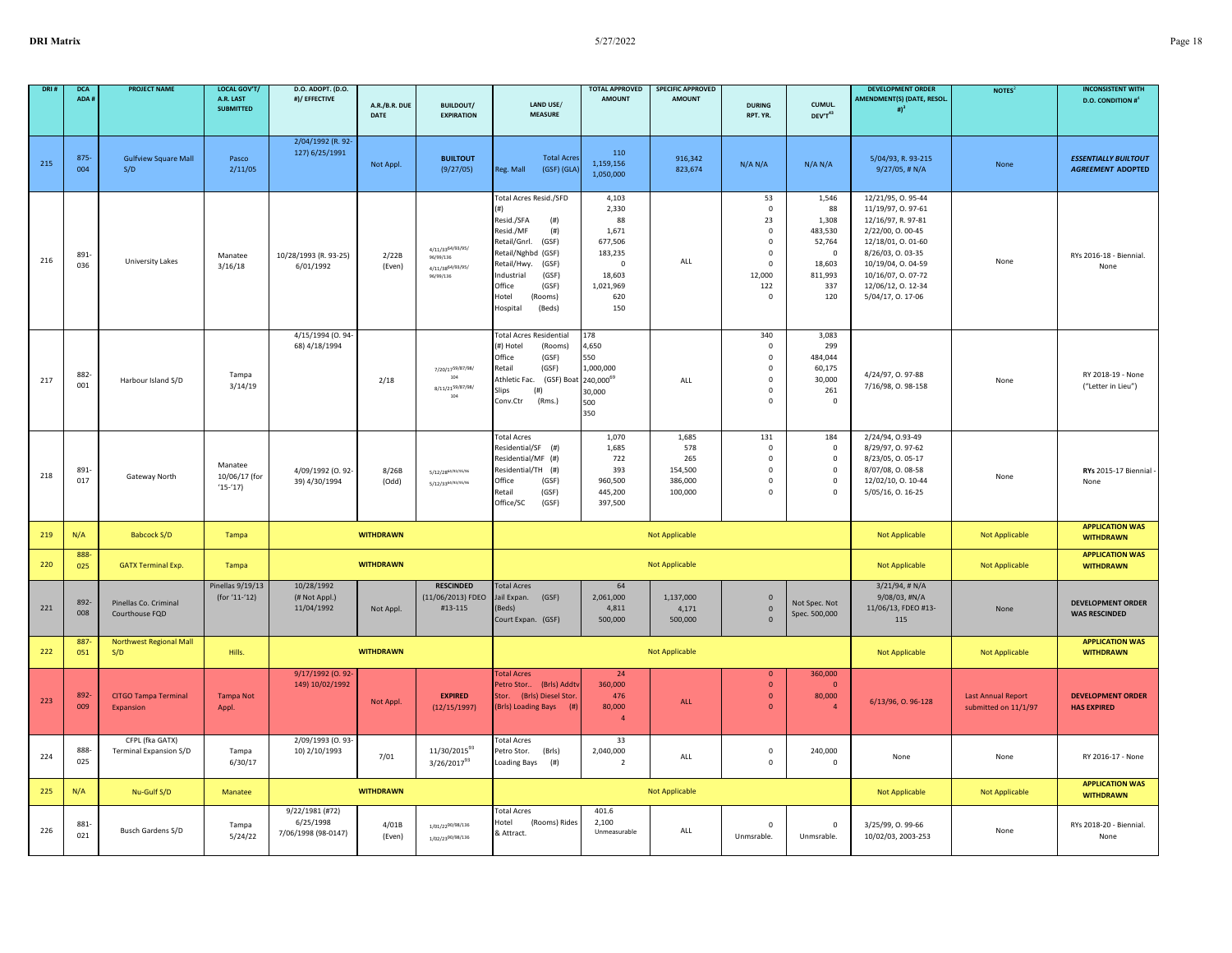| DRI# | <b>DCA</b><br>ADA i | <b>PROJECT NAME</b>                       | <b>LOCAL GOV'T/</b><br>A.R. LAST<br><b>SUBMITTED</b> | D.O. ADOPT. (D.O.<br>#)/ EFFECTIVE                  | A.R./B.R. DUE<br><b>DATE</b> | <b>BUILDOUT/</b><br><b>EXPIRATION</b>                          | LAND USE/<br><b>MEASURE</b>                                                                                                                                                                                                 | <b>TOTAL APPROVED</b><br><b>AMOUNT</b>                                                               | <b>SPECIFIC APPROVED</b><br><b>AMOUNT</b>            | <b>DURING</b><br>RPT. YR.                                                                                           | CUMUL.<br>DEV'T43                                                                           | <b>DEVELOPMENT ORDER</b><br><b>AMENDMENT(S) (DATE, RESOL.</b><br>#) <sup>3</sup>                                                                                                                               | NOTES <sup>2</sup>                                | <b>INCONSISTENT WITH</b><br><b>D.O. CONDITION #</b> <sup>4</sup> |
|------|---------------------|-------------------------------------------|------------------------------------------------------|-----------------------------------------------------|------------------------------|----------------------------------------------------------------|-----------------------------------------------------------------------------------------------------------------------------------------------------------------------------------------------------------------------------|------------------------------------------------------------------------------------------------------|------------------------------------------------------|---------------------------------------------------------------------------------------------------------------------|---------------------------------------------------------------------------------------------|----------------------------------------------------------------------------------------------------------------------------------------------------------------------------------------------------------------|---------------------------------------------------|------------------------------------------------------------------|
|      |                     |                                           |                                                      |                                                     |                              |                                                                |                                                                                                                                                                                                                             |                                                                                                      |                                                      |                                                                                                                     |                                                                                             |                                                                                                                                                                                                                |                                                   |                                                                  |
| 215  | 875<br>004          | <b>Gulfview Square Mall</b><br>S/D        | Pasco<br>2/11/05                                     | 2/04/1992 (R. 92-<br>127) 6/25/1991                 | Not Appl.                    | <b>BUILTOUT</b><br>(9/27/05)                                   | <b>Total Acres</b><br>Reg. Mall<br>(GSF) (GLA)                                                                                                                                                                              | 110<br>1,159,156<br>1,050,000                                                                        | 916,342<br>823,674                                   | N/A N/A                                                                                                             | N/A N/A                                                                                     | 5/04/93, R. 93-215<br>$9/27/05$ , # N/A                                                                                                                                                                        | None                                              | <b>ESSENTIALLY BUILTOUT</b><br><b>AGREEMENT ADOPTED</b>          |
| 216  | 891-<br>036         | University Lakes                          | Manatee<br>3/16/18                                   | 10/28/1993 (R. 93-25)<br>6/01/1992                  | 2/22B<br>(Even)              | 4/11/3364/93/95/<br>96/99/136<br>4/11/3864/93/95/<br>96/99/136 | Total Acres Resid./SFD<br>Resid./SFA<br>(# )<br>Resid./MF<br>(# )<br>Retail/Gnrl.<br>(GSF)<br>Retail/Nghbd (GSF)<br>Retail/Hwy.<br>(GSF)<br>ndustrial<br>(GSF)<br>Office<br>(GSF)<br>Hotel<br>(Rooms)<br>(Beds)<br>Hospital | 4,103<br>2,330<br>88<br>1,671<br>677,506<br>183,235<br>$\Omega$<br>18,603<br>1,021,969<br>620<br>150 | ALL                                                  | 53<br>$\mathsf 0$<br>23<br>$\mathsf 0$<br>$\mathsf 0$<br>$\mathsf 0$<br>$\mathbf 0$<br>12,000<br>122<br>$\mathsf 0$ | 1,546<br>88<br>1,308<br>483,530<br>52,764<br>$\mathbf 0$<br>18,603<br>811,993<br>337<br>120 | 12/21/95, 0.95-44<br>11/19/97, 0.97-61<br>12/16/97, R. 97-81<br>2/22/00, 0.00-45<br>12/18/01, 0.01-60<br>8/26/03, 0.03-35<br>10/19/04, 0.04-59<br>10/16/07, 0.07-72<br>12/06/12, 0. 12-34<br>5/04/17, 0. 17-06 | None                                              | RYs 2016-18 - Biennial.<br>None                                  |
| 217  | 882-<br>001         | Harbour Island S/D                        | Tampa<br>3/14/19                                     | 4/15/1994 (0.94<br>68) 4/18/1994                    | 2/18                         | 7/20/1759/87/98/<br>$104\,$<br>8/11/2159/87/98/<br>104         | <b>Total Acres Residential</b><br>(#) Hotel<br>(Rooms)<br>Office<br>(GSF)<br>(GSF)<br>Retail<br>Athletic Fac.<br>(GSF) Boat<br>(# )<br>ilips<br>(Rms.)<br>Conv.Ctr                                                          | 178<br>4,650<br>550<br>1,000,000<br>240,000 <sup>69</sup><br>30,000<br>500<br>350                    | ALL                                                  | 340<br>$\mathsf 0$<br>$\mathsf 0$<br>$\mathsf 0$<br>$\mathsf 0$<br>$\mathsf 0$<br>$\mathbf 0$                       | 3,083<br>299<br>484.044<br>60,175<br>30,000<br>261<br>$\mathbf 0$                           | 4/24/97, 0.97-88<br>7/16/98, 0.98-158                                                                                                                                                                          | None                                              | RY 2018-19 - None<br>("Letter in Lieu")                          |
| 218  | 891-<br>017         | Gateway North                             | Manatee<br>10/06/17 (for<br>$(15-17)$                | 4/09/1992 (0.92-<br>39) 4/30/1994                   | 8/26B<br>(Odd)               | 5/12/28 <sup>64/93/95/96</sup><br>5/12/3364/93/96/96           | <b>Total Acres</b><br>Residential/SF (#)<br>Residential/MF (#)<br>Residential/TH (#)<br>Office<br>(GSF)<br>Retail<br>(GSF)<br>Office/SC<br>(GSF)                                                                            | 1,070<br>1,685<br>722<br>393<br>960,500<br>445,200<br>397,500                                        | 1,685<br>578<br>265<br>154,500<br>386,000<br>100,000 | 131<br>$\mathsf 0$<br>$\mathsf 0$<br>$\mathsf 0$<br>$\mathbf 0$<br>$\mathbf 0$                                      | 184<br>$\mathbf 0$<br>$\mathbf 0$<br>$^{\circ}$<br>$^{\circ}$<br>$\mathbf 0$                | 2/24/94, 0.93-49<br>8/29/97, 0.97-62<br>8/23/05, 0.05-17<br>8/07/08, 0.08-58<br>12/02/10, 0. 10-44<br>5/05/16, 0. 16-25                                                                                        | None                                              | RYs 2015-17 Biennial -<br>None                                   |
| 219  | N/A                 | <b>Babcock S/D</b>                        | Tampa                                                |                                                     | <b>WITHDRAWN</b>             |                                                                |                                                                                                                                                                                                                             |                                                                                                      | <b>Not Applicable</b>                                |                                                                                                                     |                                                                                             | <b>Not Applicable</b>                                                                                                                                                                                          | <b>Not Applicable</b>                             | <b>APPLICATION WAS</b><br><b>WITHDRAWN</b>                       |
| 220  | 888-<br>025         | <b>GATX Terminal Exp.</b>                 | Tampa                                                |                                                     | <b>WITHDRAWN</b>             |                                                                |                                                                                                                                                                                                                             |                                                                                                      | <b>Not Applicable</b>                                |                                                                                                                     |                                                                                             | Not Applicable                                                                                                                                                                                                 | Not Applicable                                    | <b>APPLICATION WAS</b><br><b>WITHDRAWN</b>                       |
| 221  | 892-<br>008         | Pinellas Co. Criminal<br>Courthouse FQD   | Pinellas 9/19/13<br>(for '11-'12)                    | 10/28/1992<br>(# Not Appl.)<br>11/04/1992           | Not Appl.                    | <b>RESCINDED</b><br>(11/06/2013) FDEO<br>#13-115               | <b>Total Acres</b><br>Jail Expan.<br>(GSF)<br>Beds)<br>Court Expan. (GSF)                                                                                                                                                   | 64<br>2,061,000<br>4,811<br>500,000                                                                  | 1,137,000<br>4,171<br>500,000                        | $\mathbf{0}$<br>$\mathbf 0$<br>$\mathbf{0}$                                                                         | Not Spec. Not<br>Spec. 500,000                                                              | $3/21/94$ , # N/A<br>9/08/03, #N/A<br>11/06/13, FDEO #13-<br>115                                                                                                                                               | None                                              | <b>DEVELOPMENT ORDER</b><br><b>WAS RESCINDED</b>                 |
| 222  | 887<br>051          | Northwest Regional Mall<br>S/D            | Hills.                                               |                                                     | <b>WITHDRAWN</b>             |                                                                |                                                                                                                                                                                                                             |                                                                                                      | Not Applicable                                       |                                                                                                                     |                                                                                             | Not Applicable                                                                                                                                                                                                 | Not Applicable                                    | <b>APPLICATION WAS</b><br><b>WITHDRAWN</b>                       |
| 223  | 892-<br>009         | <b>CITGO Tampa Terminal</b><br>Expansion  | <b>Tampa Not</b><br>Appl.                            | 9/17/1992 (0.92-<br>149) 10/02/1992                 | Not Appl.                    | <b>EXPIRED</b><br>(12/15/1997)                                 | <b>Total Acres</b><br>(Brls) Addty<br>Petro Stor<br>Stor.<br>(Brls) Diesel Stor<br>(Brls) Loading Bays<br>(# )                                                                                                              | 24<br>360,000<br>476<br>80,000<br>$\overline{4}$                                                     | ALL                                                  | $\overline{0}$<br>$\mathbf{0}$<br>$\mathbf 0$<br>$\overline{0}$                                                     | 360,000<br>$\overline{0}$<br>80,000<br>$\overline{4}$                                       | 6/13/96, O. 96-128                                                                                                                                                                                             | <b>Last Annual Report</b><br>submitted on 11/1/97 | <b>DEVELOPMENT ORDER</b><br><b>HAS EXPIRED</b>                   |
| 224  | 888-<br>025         | CFPL (fka GATX)<br>Terminal Expansion S/D | Tampa<br>6/30/17                                     | 2/09/1993 (0.93-<br>10) 2/10/1993                   | 7/01                         | 11/30/2015 <sup>93</sup><br>$3/26/2017^{93}$                   | <b>Total Acres</b><br>Petro Stor.<br>(Brls)<br>Loading Bays<br>(# )                                                                                                                                                         | 33<br>2,040,000<br>$\overline{2}$                                                                    | ALL                                                  | $\mathsf 0$<br>$\mathsf 0$                                                                                          | 240,000<br>$\mathsf 0$                                                                      | None                                                                                                                                                                                                           | None                                              | RY 2016-17 - None                                                |
| 225  | N/A                 | Nu-Gulf S/D                               | Manatee                                              |                                                     | <b>WITHDRAWN</b>             |                                                                |                                                                                                                                                                                                                             |                                                                                                      | Not Applicable                                       |                                                                                                                     |                                                                                             | <b>Not Applicable</b>                                                                                                                                                                                          | Not Applicable                                    | <b>APPLICATION WAS</b><br><b>WITHDRAWN</b>                       |
| 226  | 881<br>021          | Busch Gardens S/D                         | Tampa<br>5/24/22                                     | 9/22/1981 (#72)<br>6/25/1998<br>7/06/1998 (98-0147) | 4/01B<br>(Even)              | 1/01/2290/98/136<br>1/02/2390/98/136                           | <b>Total Acres</b><br>(Rooms) Rides<br>Hotel<br>& Attract.                                                                                                                                                                  | 401.6<br>2,100<br>Unmeasurable                                                                       | ALL                                                  | $\Omega$<br>Unmsrable.                                                                                              | $\overline{0}$<br>Unmsrable.                                                                | 3/25/99, O. 99-66<br>10/02/03, 2003-253                                                                                                                                                                        | None                                              | RYs 2018-20 - Biennial<br>None                                   |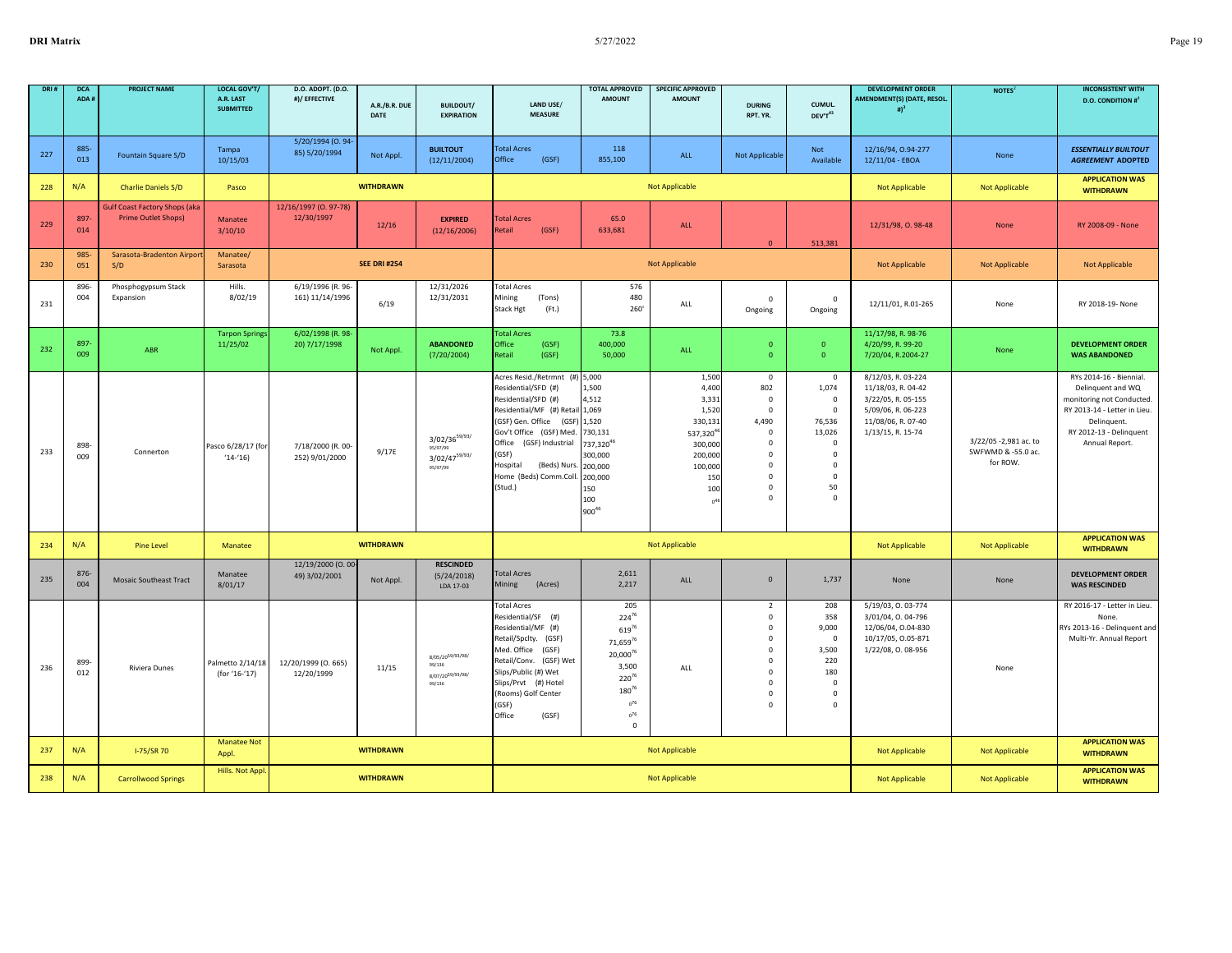| DRI: | <b>DCA</b><br>ADA # | <b>PROJECT NAME</b>                                                | <b>LOCAL GOV'T/</b><br>A.R. LAST<br><b>SUBMITTED</b> | D.O. ADOPT. (D.O.<br>#)/ EFFECTIVE   | A.R./B.R. DUE       | <b>BUILDOUT/</b>                                                 | LAND USE/                                                                                                                                                                                                                                                             | <b>TOTAL APPROVED</b><br><b>AMOUNT</b>                                                                                                   | <b>SPECIFIC APPROVED</b><br><b>AMOUNT</b>                                                                                            | <b>DURING</b>                                                                                                                                                | CUMUL.                                                                                                                                                | <b>DEVELOPMENT ORDER</b><br>AMENDMENT(S) (DATE, RESOL.<br># $)^3$                                                               | NOTES <sup>2</sup>                                      | <b>INCONSISTENT WITH</b><br><b>D.O. CONDITION #</b> <sup>4</sup>                                                                                                      |
|------|---------------------|--------------------------------------------------------------------|------------------------------------------------------|--------------------------------------|---------------------|------------------------------------------------------------------|-----------------------------------------------------------------------------------------------------------------------------------------------------------------------------------------------------------------------------------------------------------------------|------------------------------------------------------------------------------------------------------------------------------------------|--------------------------------------------------------------------------------------------------------------------------------------|--------------------------------------------------------------------------------------------------------------------------------------------------------------|-------------------------------------------------------------------------------------------------------------------------------------------------------|---------------------------------------------------------------------------------------------------------------------------------|---------------------------------------------------------|-----------------------------------------------------------------------------------------------------------------------------------------------------------------------|
|      |                     |                                                                    |                                                      |                                      | <b>DATE</b>         | <b>EXPIRATION</b>                                                | <b>MEASURE</b>                                                                                                                                                                                                                                                        |                                                                                                                                          |                                                                                                                                      | RPT. YR.                                                                                                                                                     | DEV'T43                                                                                                                                               |                                                                                                                                 |                                                         |                                                                                                                                                                       |
| 227  | 885-<br>013         | Fountain Square S/D                                                | Tampa<br>10/15/03                                    | 5/20/1994 (0.94<br>85) 5/20/1994     | Not Appl.           | <b>BUILTOUT</b><br>(12/11/2004)                                  | <b>Total Acres</b><br>Office<br>(GSF)                                                                                                                                                                                                                                 | 118<br>855,100                                                                                                                           | ALL                                                                                                                                  | <b>Not Applicable</b>                                                                                                                                        | Not<br>Available                                                                                                                                      | 12/16/94, 0.94-277<br>12/11/04 - EBOA                                                                                           | None                                                    | <b>ESSENTIALLY BUILTOUT</b><br><b>AGREEMENT ADOPTED</b>                                                                                                               |
| 228  | N/A                 | <b>Charlie Daniels S/D</b>                                         | Pasco                                                |                                      | <b>WITHDRAWN</b>    |                                                                  |                                                                                                                                                                                                                                                                       |                                                                                                                                          | <b>Not Applicable</b>                                                                                                                |                                                                                                                                                              |                                                                                                                                                       | <b>Not Applicable</b>                                                                                                           | <b>Not Applicable</b>                                   | <b>APPLICATION WAS</b><br><b>WITHDRAWN</b>                                                                                                                            |
| 229  | 897-<br>014         | <b>Gulf Coast Factory Shops (aka</b><br><b>Prime Outlet Shops)</b> | Manatee<br>3/10/10                                   | 12/16/1997 (O. 97-78)<br>12/30/1997  | 12/16               | <b>EXPIRED</b><br>(12/16/2006)                                   | <b>Total Acres</b><br>Retail<br>(GSF)                                                                                                                                                                                                                                 | 65.0<br>633,681                                                                                                                          | ALL                                                                                                                                  | $\Omega$                                                                                                                                                     | 513,381                                                                                                                                               | 12/31/98, 0.98-48                                                                                                               | None                                                    | RY 2008-09 - None                                                                                                                                                     |
| 230  | 985<br>051          | Sarasota-Bradenton Airport<br>S/D                                  | Manatee/<br>Sarasota                                 |                                      | <b>SEE DRI #254</b> |                                                                  |                                                                                                                                                                                                                                                                       |                                                                                                                                          | <b>Not Applicable</b>                                                                                                                |                                                                                                                                                              |                                                                                                                                                       | <b>Not Applicable</b>                                                                                                           | Not Applicable                                          | Not Applicable                                                                                                                                                        |
| 231  | 896<br>004          | Phosphogypsum Stack<br>Expansion                                   | Hills.<br>8/02/19                                    | 6/19/1996 (R. 96-<br>161) 11/14/1996 | 6/19                | 12/31/2026<br>12/31/2031                                         | <b>Total Acres</b><br>Mining<br>(Tons)<br>(Ft.)<br>Stack Hgt                                                                                                                                                                                                          | 576<br>480<br>260'                                                                                                                       | ALL                                                                                                                                  | $\mathsf 0$<br>Ongoing                                                                                                                                       | $\mathbf 0$<br>Ongoing                                                                                                                                | 12/11/01, R.01-265                                                                                                              | None                                                    | RY 2018-19- None                                                                                                                                                      |
| 232  | 897<br>009          | ABR                                                                | <b>Tarpon Spring</b><br>11/25/02                     | 6/02/1998 (R. 98<br>20) 7/17/1998    | Not Appl.           | <b>ABANDONED</b><br>(7/20/2004)                                  | <b>Total Acres</b><br>Office<br>(GSF)<br>Retail<br>(GSF)                                                                                                                                                                                                              | 73.8<br>400,000<br>50,000                                                                                                                | ALL                                                                                                                                  | $\mathbf{0}$<br>$\Omega$                                                                                                                                     | $\mathbf 0$<br>$\overline{\mathbf{0}}$                                                                                                                | 11/17/98, R. 98-76<br>4/20/99, R. 99-20<br>7/20/04, R.2004-27                                                                   | None                                                    | <b>DEVELOPMENT ORDER</b><br><b>WAS ABANDONED</b>                                                                                                                      |
| 233  | 898-<br>009         | Connerton                                                          | Pasco 6/28/17 (for<br>$(14-16)$                      | 7/18/2000 (R. 00-<br>252) 9/01/2000  | 9/17E               | $3/02/36^{59/93/}$<br>95/97/99<br>$3/02/47^{59/93/}$<br>95/97/99 | Acres Resid./Retrmnt (#)<br>Residential/SFD (#)<br>Residential/SFD (#)<br>Residential/MF (#) Retail 1,069<br>GSF) Gen. Office<br>(GSF)<br>Gov't Office (GSF) Med.<br>Office (GSF) Industrial<br>(GSF)<br>Hospital<br>(Beds) Nurs<br>Home (Beds) Comm.Coll.<br>(Stud.) | 5,000<br>1,500<br>4,512<br>1,520<br>730,131<br>737,320 <sup>46</sup><br>300,000<br>200,000<br>200.000<br>150<br>100<br>900 <sup>46</sup> | 1,500<br>4,400<br>3,331<br>1.520<br>330,131<br>537,320 <sup>4</sup><br>300,000<br>200,000<br>100,000<br>150<br>100<br>n <sup>4</sup> | $\mathsf 0$<br>802<br>$\mathsf 0$<br>$\mathbf 0$<br>4,490<br>$\mathbf 0$<br>$\mathbf 0$<br>$\mathbf 0$<br>$\mathbf 0$<br>$\Omega$<br>$\mathsf 0$<br>$\Omega$ | $\mathbf 0$<br>1,074<br>$\mathbf 0$<br>$\overline{0}$<br>76,536<br>13,026<br>$\mathbf 0$<br>$\mathbf 0$<br>$^{\circ}$<br>$^{\circ}$<br>50<br>$\Omega$ | 8/12/03, R. 03-224<br>11/18/03, R. 04-42<br>3/22/05, R. 05-155<br>5/09/06, R. 06-223<br>11/08/06, R. 07-40<br>1/13/15, R. 15-74 | 3/22/05 -2,981 ac. to<br>SWFWMD & -55.0 ac.<br>for ROW. | RYs 2014-16 - Biennial.<br>Delinquent and WQ<br>monitoring not Conducted.<br>RY 2013-14 - Letter in Lieu.<br>Delinquent.<br>RY 2012-13 - Delinquent<br>Annual Report. |
| 234  | N/A                 | <b>Pine Level</b>                                                  | Manatee                                              |                                      | <b>WITHDRAWN</b>    |                                                                  |                                                                                                                                                                                                                                                                       |                                                                                                                                          | <b>Not Applicable</b>                                                                                                                |                                                                                                                                                              |                                                                                                                                                       | <b>Not Applicable</b>                                                                                                           | Not Applicable                                          | <b>APPLICATION WAS</b><br><b>WITHDRAWN</b>                                                                                                                            |
| 235  | 876-<br>004         | <b>Mosaic Southeast Tract</b>                                      | Manatee<br>8/01/17                                   | 12/19/2000 (O. 00-<br>49) 3/02/2001  | Not Appl.           | <b>RESCINDED</b><br>(5/24/2018)<br>LDA 17-03                     | <b>Total Acres</b><br>Mining<br>(Acres)                                                                                                                                                                                                                               | 2,611<br>2,217                                                                                                                           | ALL                                                                                                                                  | $\mathbf 0$                                                                                                                                                  | 1,737                                                                                                                                                 | None                                                                                                                            | None                                                    | <b>DEVELOPMENT ORDER</b><br><b>WAS RESCINDED</b>                                                                                                                      |
| 236  | 899-<br>012         | Riviera Dunes                                                      | Palmetto 2/14/18<br>(for '16-'17)                    | 12/20/1999 (0. 665)<br>12/20/1999    | 11/15               | 8/05/2059/93/98/<br>99/136<br>8/07/2059/93/98/<br>99/136         | <b>Total Acres</b><br>Residential/SF (#)<br>Residential/MF (#)<br>Retail/Spclty. (GSF)<br>Med. Office<br>(GSF)<br>Retail/Conv. (GSF) Wet<br>Slips/Public (#) Wet<br>Slips/Prvt (#) Hotel<br>(Rooms) Golf Center<br>GSF)<br>Office<br>(GSF)                            | 205<br>$224^{76}$<br>61976<br>71,65976<br>20.00076<br>3,500<br>$220^{76}$<br>18076<br>$0^{76}$<br>$0^{76}$<br>$\mathsf 0$                | ALL                                                                                                                                  | $\overline{2}$<br>$\mathsf 0$<br>$\mathsf 0$<br>$\mathsf 0$<br>$\mathbf 0$<br>$\mathsf 0$<br>$\mathbf 0$<br>$\mathsf 0$<br>$\mathsf 0$<br>$\mathbf 0$        | 208<br>358<br>9,000<br>$\mathbf 0$<br>3,500<br>220<br>180<br>$\mathbf 0$<br>0<br>0                                                                    | 5/19/03, 0.03-774<br>3/01/04, 0.04-796<br>12/06/04, 0.04-830<br>10/17/05, 0.05-871<br>1/22/08, 0.08-956                         | None                                                    | RY 2016-17 - Letter in Lieu.<br>None.<br>RYs 2013-16 - Delinquent and<br>Multi-Yr. Annual Report                                                                      |
| 237  | N/A                 | I-75/SR 70                                                         | <b>Manatee Not</b><br>Appl.                          |                                      | <b>WITHDRAWN</b>    |                                                                  |                                                                                                                                                                                                                                                                       |                                                                                                                                          | <b>Not Applicable</b>                                                                                                                |                                                                                                                                                              |                                                                                                                                                       | <b>Not Applicable</b>                                                                                                           | Not Applicable                                          | <b>APPLICATION WAS</b><br><b>WITHDRAWN</b>                                                                                                                            |
| 238  | N/A                 | <b>Carrollwood Springs</b>                                         | <b>Hills. Not Appl</b>                               |                                      | <b>WITHDRAWN</b>    |                                                                  |                                                                                                                                                                                                                                                                       |                                                                                                                                          | <b>Not Applicable</b>                                                                                                                |                                                                                                                                                              |                                                                                                                                                       | <b>Not Applicable</b>                                                                                                           | <b>Not Applicable</b>                                   | <b>APPLICATION WAS</b><br><b>WITHDRAWN</b>                                                                                                                            |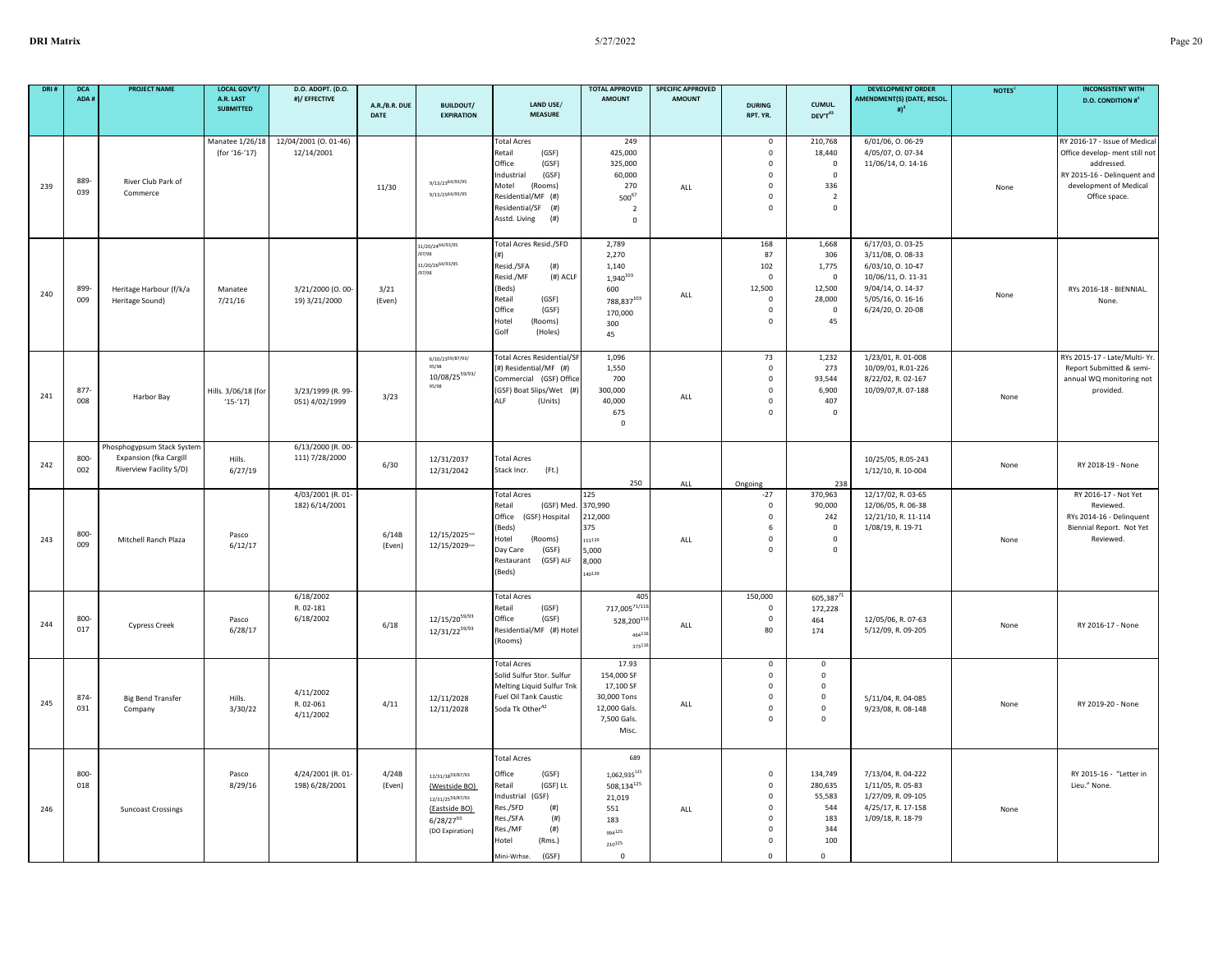|     | <b>DCA</b><br>ADA # | <b>PROJECT NAME</b>                                                             | <b>LOCAL GOV'T/</b><br>A.R. LAST<br><b>SUBMITTED</b> | D.O. ADOPT. (D.O.<br>#)/ EFFECTIVE  | A.R./B.R. DUE<br>DATE | <b>BUILDOUT/</b><br><b>EXPIRATION</b>                                                                       | LAND USE/<br><b>MEASURE</b>                                                                                                                                                              | <b>TOTAL APPROVED</b><br><b>AMOUNT</b>                                                                 | <b>SPECIFIC APPROVED</b><br><b>AMOUNT</b> | <b>DURING</b><br>RPT. YR.                                                                                       | CUMUL.<br>DEV'T43                                                                       | <b>DEVELOPMENT ORDER</b><br>AMENDMENT(S) (DATE, RESOL.<br># $)^3$                                                                              | NOTES <sup>2</sup> | <b>INCONSISTENT WITH</b><br><b>D.O. CONDITION #</b> <sup>4</sup>                                                                                        |
|-----|---------------------|---------------------------------------------------------------------------------|------------------------------------------------------|-------------------------------------|-----------------------|-------------------------------------------------------------------------------------------------------------|------------------------------------------------------------------------------------------------------------------------------------------------------------------------------------------|--------------------------------------------------------------------------------------------------------|-------------------------------------------|-----------------------------------------------------------------------------------------------------------------|-----------------------------------------------------------------------------------------|------------------------------------------------------------------------------------------------------------------------------------------------|--------------------|---------------------------------------------------------------------------------------------------------------------------------------------------------|
| 239 | 889-<br>039         | River Club Park of<br>Commerce                                                  | Manatee 1/26/18<br>(for '16-'17)                     | 12/04/2001 (0. 01-46)<br>12/14/2001 | 11/30                 | 9/13/2364/93/95<br>9/13/2564/93/95                                                                          | <b>Total Acres</b><br>Retail<br>(GSF)<br>Office<br>(GSF)<br>(GSF)<br>Industrial<br>Motel<br>(Rooms)<br>Residential/MF (#)<br>Residential/SF (#)<br>Asstd. Living<br>(# )                 | 249<br>425,000<br>325,000<br>60,000<br>270<br>$500^{67}$<br>$\overline{2}$<br>$\mathbf 0$              | ALL                                       | $\mathsf 0$<br>$\mathsf 0$<br>$\mathbf 0$<br>$\mathbf 0$<br>$\mathbf 0$<br>$\mathbf 0$<br>$\Omega$              | 210,768<br>18,440<br>$\mathbf 0$<br>$\mathbf 0$<br>336<br>$\overline{2}$<br>$\mathbf 0$ | 6/01/06, 0.06-29<br>4/05/07, 0.07-34<br>11/06/14, 0. 14-16                                                                                     | None               | RY 2016-17 - Issue of Medical<br>Office develop- ment still not<br>addressed.<br>RY 2015-16 - Delinquent and<br>development of Medical<br>Office space. |
| 240 | 899-<br>009         | Heritage Harbour (f/k/a<br>Heritage Sound)                                      | Manatee<br>7/21/16                                   | 3/21/2000 (O. 00-<br>19) 3/21/2000  | 3/21<br>(Even)        | 11/20/2464/93/95<br>97/98<br>11/20/26 <sup>64/93</sup> /95<br>7/98                                          | Total Acres Resid./SFD<br>(#)<br>Resid./SFA<br>(# )<br>Resid./MF<br>(#) ACLF<br>(Beds)<br>Retail<br>(GSF)<br>Office<br>(GSF)<br>Hotel<br>(Rooms)<br>Golf<br>(Holes)                      | 2,789<br>2,270<br>1,140<br>1,940103<br>600<br>$788,837^{103}$<br>170,000<br>300<br>45                  | ALL                                       | 168<br>87<br>102<br>$\overline{0}$<br>12,500<br>$\mathbf 0$<br>$\mathbf 0$<br>$\mathbf{0}$                      | 1,668<br>306<br>1,775<br>$\mathbf 0$<br>12,500<br>28,000<br>$\mathbf 0$<br>45           | 6/17/03, 0.03-25<br>3/11/08, 0.08-33<br>6/03/10, 0. 10-47<br>10/06/11, 0. 11-31<br>9/04/14, 0. 14-37<br>5/05/16, 0. 16-16<br>6/24/20, 0. 20-08 | None               | RYs 2016-18 - BIENNIAL.<br>None.                                                                                                                        |
| 241 | 877<br>008          | Harbor Bay                                                                      | Hills. 3/06/18 (for<br>$(15-17)$                     | 3/23/1999 (R. 99-<br>051) 4/02/1999 | 3/23                  | 6/10/2359/87/93/<br>$10/08/25^{59/93/}$<br>95/98                                                            | <b>Total Acres Residential/SF</b><br>(#) Residential/MF (#)<br>Commercial (GSF) Office<br>(GSF) Boat Slips/Wet (#)<br>ALF<br>(Units)                                                     | 1,096<br>1,550<br>700<br>300,000<br>40,000<br>675<br>$\mathbf 0$                                       | ALL                                       | 73<br>$\mathbf 0$<br>$\mathsf 0$<br>$\mathbf 0$<br>$\mathbf 0$<br>$\Omega$                                      | 1,232<br>273<br>93,544<br>6,900<br>407<br>$\mathbf 0$                                   | 1/23/01, R. 01-008<br>10/09/01, R.01-226<br>8/22/02, R. 02-167<br>10/09/07, R. 07-188                                                          | None               | RYs 2015-17 - Late/Multi- Yr.<br>Report Submitted & semi-<br>annual WQ monitoring not<br>provided.                                                      |
| 242 | 800<br>002          | Phosphogypsum Stack System<br>Expansion (fka Cargill<br>Riverview Facility S/D) | Hills.<br>6/27/19                                    | 6/13/2000 (R. 00-<br>111) 7/28/2000 | 6/30                  | 12/31/2037<br>12/31/2042                                                                                    | <b>Total Acres</b><br>Stack Incr.<br>(Ft.)                                                                                                                                               | 250                                                                                                    | ALL                                       | Ongoing                                                                                                         | 238                                                                                     | 10/25/05, R.05-243<br>1/12/10, R. 10-004                                                                                                       | None               | RY 2018-19 - None                                                                                                                                       |
| 243 | 800-<br>009         | Mitchell Ranch Plaza                                                            | Pasco<br>6/12/17                                     | 4/03/2001 (R. 01-<br>182) 6/14/2001 | 6/14B<br>(Even)       | 12/15/2025ww<br>12/15/2029ww                                                                                | <b>Total Acres</b><br>Retail<br>(GSF) Med<br>Office<br>(GSF) Hospital<br>(Beds)<br>Hotel<br>(Rooms)<br>Day Care<br>(GSF)<br>(GSF) ALF<br>Restaurant<br>(Beds)                            | 125<br>370,990<br>212,000<br>375<br>151139<br>5,000<br>8,000<br>140139                                 | ALL                                       | $-27$<br>$\mathbf 0$<br>$\mathsf 0$<br>6<br>$\mathsf 0$<br>$\Omega$                                             | 370,963<br>90,000<br>242<br>$\mathbf 0$<br>$\mathsf 0$<br>$\mathsf 0$                   | 12/17/02, R. 03-65<br>12/06/05, R. 06-38<br>12/21/10, R. 11-114<br>1/08/19, R. 19-71                                                           | None               | RY 2016-17 - Not Yet<br>Reviewed.<br>RYs 2014-16 - Delinquent<br>Biennial Report. Not Yet<br>Reviewed.                                                  |
| 244 | 800-<br>017         | Cypress Creek                                                                   | Pasco<br>6/28/17                                     | 6/18/2002<br>R. 02-181<br>6/18/2002 | 6/18                  | $12/15/20^{59/93}$<br>12/31/2259/93                                                                         | <b>Total Acres</b><br>Retail<br>(GSF)<br>Office<br>(GSF)<br>Residential/MF (#) Hotel<br>(Rooms)                                                                                          | 40<br>$717,005^{71/116}$<br>528,200 <sup>11</sup><br>4641<br>37311                                     | ALL                                       | 150,000<br>$\mathsf 0$<br>$\mathbf 0$<br>80                                                                     | 605,38771<br>172,228<br>464<br>174                                                      | 12/05/06, R. 07-63<br>5/12/09, R. 09-205                                                                                                       | None               | RY 2016-17 - None                                                                                                                                       |
| 245 | 874-<br>031         | <b>Big Bend Transfer</b><br>Company                                             | Hills.<br>3/30/22                                    | 4/11/2002<br>R. 02-061<br>4/11/2002 | 4/11                  | 12/11/2028<br>12/11/2028                                                                                    | <b>Total Acres</b><br>Solid Sulfur Stor. Sulfur<br>Melting Liquid Sulfur Tnk<br>Fuel Oil Tank Caustic<br>Soda Tk Other <sup>42</sup>                                                     | 17.93<br>154,000 SF<br>17,100 SF<br>30,000 Tons<br>12,000 Gals.<br>7,500 Gals.<br>Misc.                | ALL                                       | $\mathbf 0$<br>$\mathbf 0$<br>$\mathbf 0$<br>$\mathbf 0$<br>$\mathbf 0$<br>$\Omega$                             | $\mathsf 0$<br>$\mathbf 0$<br>$\mathsf 0$<br>$\mathsf 0$<br>$\mathsf 0$<br>$\mathbf 0$  | 5/11/04, R. 04-085<br>9/23/08, R. 08-148                                                                                                       | None               | RY 2019-20 - None                                                                                                                                       |
| 246 | 800-<br>018         | <b>Suncoast Crossings</b>                                                       | Pasco<br>8/29/16                                     | 4/24/2001 (R. 01-<br>198) 6/28/2001 | 4/24B<br>(Even)       | 12/31/1859/87/93<br>(Westside BO)<br>12/31/2559/87/93<br>(Eastside BO)<br>$6/28/27^{93}$<br>(DO Expiration) | <b>Total Acres</b><br>Office<br>(GSF)<br>(GSF) Lt.<br>Retail<br>Industrial<br>(GSF)<br>Res./SFD<br>(# )<br>Res./SFA<br>(# )<br>Res./MF<br>(#)<br>Hotel<br>(Rms.)<br>(GSF)<br>Mini-Wrhse. | 689<br>$1,062,935^{125}$<br>$508,134^{125}$<br>21,019<br>551<br>183<br>994125<br>210125<br>$\mathsf 0$ | ALL                                       | $\mathbf 0$<br>$\mathbf 0$<br>$\mathbf 0$<br>$\mathsf 0$<br>$\mathbf{0}$<br>$\mathbf 0$<br>$\Omega$<br>$\Omega$ | 134,749<br>280,635<br>55,583<br>544<br>183<br>344<br>100<br>$\mathbf 0$                 | 7/13/04, R. 04-222<br>1/11/05, R. 05-83<br>1/27/09, R. 09-105<br>4/25/17, R. 17-158<br>1/09/18, R. 18-79                                       | None               | RY 2015-16 - "Letter in<br>Lieu." None.                                                                                                                 |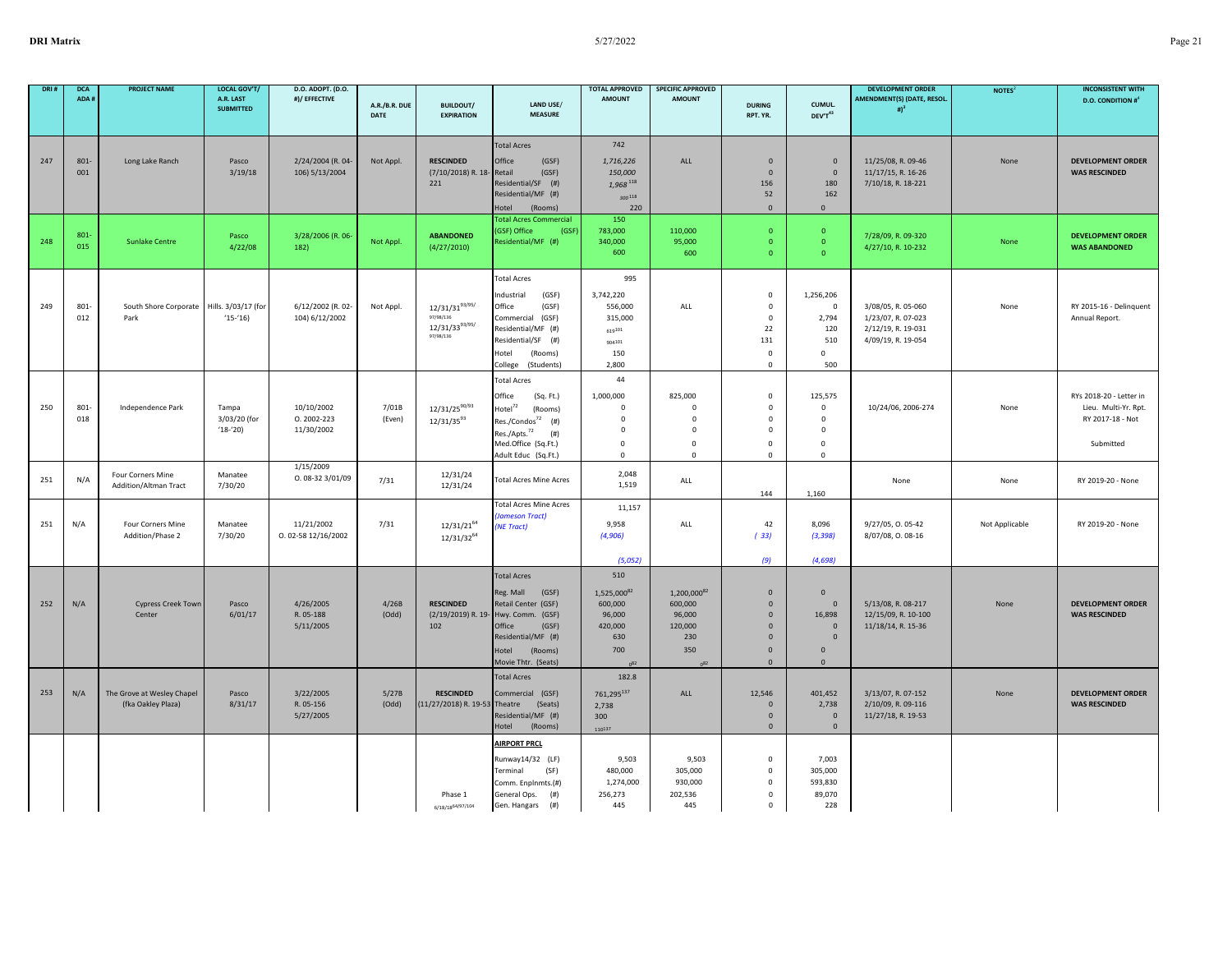| DRI# | <b>DCA</b> | <b>PROJECT NAME</b>                                                                        | <b>LOCAL GOV'T/</b>                                 | D.O. ADOPT. (D.O.                                                                                       |                        |                                                                                                               |                                                                                                                                                  | <b>TOTAL APPROVED</b>                                                                            | <b>SPECIFIC APPROVED</b>                       |                                                                                                             |                                                                                                    | <b>DEVELOPMENT ORDER</b>                                                                                                      | NOTES <sup>2</sup> | <b>INCONSISTENT WITH</b>                     |
|------|------------|--------------------------------------------------------------------------------------------|-----------------------------------------------------|---------------------------------------------------------------------------------------------------------|------------------------|---------------------------------------------------------------------------------------------------------------|--------------------------------------------------------------------------------------------------------------------------------------------------|--------------------------------------------------------------------------------------------------|------------------------------------------------|-------------------------------------------------------------------------------------------------------------|----------------------------------------------------------------------------------------------------|-------------------------------------------------------------------------------------------------------------------------------|--------------------|----------------------------------------------|
|      | ADA#       |                                                                                            | A.R. LAST<br><b>SUBMITTED</b>                       | #)/ EFFECTIVE                                                                                           | A.R./B.R. DUE<br>DATE  | <b>BUILDOUT/</b><br><b>EXPIRATION</b>                                                                         | LAND USE/<br><b>MEASURE</b>                                                                                                                      | <b>AMOUNT</b>                                                                                    | <b>AMOUNT</b>                                  | <b>DURING</b><br>RPT. YR.                                                                                   | CUMUL.<br>DEV'T <sup>43</sup>                                                                      | AMENDMENT(S) (DATE, RESOL.<br># $)^3$                                                                                         |                    | <b>D.O. CONDITION #</b> <sup>4</sup>         |
|      |            |                                                                                            |                                                     |                                                                                                         |                        |                                                                                                               |                                                                                                                                                  |                                                                                                  |                                                |                                                                                                             |                                                                                                    |                                                                                                                               |                    |                                              |
|      |            |                                                                                            |                                                     |                                                                                                         |                        |                                                                                                               | <b>Total Acres</b>                                                                                                                               | 742                                                                                              |                                                |                                                                                                             |                                                                                                    |                                                                                                                               |                    |                                              |
| 247  | 801-       | Long Lake Ranch                                                                            | Pasco                                               | 2/24/2004 (R. 04-                                                                                       | Not Appl.              | <b>RESCINDED</b>                                                                                              | Office<br>(GSF)                                                                                                                                  | 1,716,226                                                                                        | ALL                                            | $\mathbf 0$                                                                                                 | $\mathbf{0}$                                                                                       | 11/25/08, R. 09-46                                                                                                            | None               | <b>DEVELOPMENT ORDER</b>                     |
|      | 001        |                                                                                            | 3/19/18                                             | 106) 5/13/2004                                                                                          |                        | (7/10/2018) R. 18-                                                                                            | Retail<br>(GSF)                                                                                                                                  | 150,000                                                                                          |                                                | $\mathbf 0$                                                                                                 | $\mathbf 0$                                                                                        | 11/17/15, R. 16-26                                                                                                            |                    | <b>WAS RESCINDED</b>                         |
|      |            |                                                                                            |                                                     |                                                                                                         |                        | 221                                                                                                           | Residential/SF (#)<br>Residential/MF (#)                                                                                                         | 1,968 118                                                                                        |                                                | 156<br>52                                                                                                   | 180<br>162                                                                                         | 7/10/18, R. 18-221                                                                                                            |                    |                                              |
|      |            |                                                                                            |                                                     |                                                                                                         |                        |                                                                                                               | Hotel<br>(Rooms)                                                                                                                                 | $300^{118}$<br>220                                                                               |                                                | $\mathbf{0}$                                                                                                | $\mathbf{0}$                                                                                       |                                                                                                                               |                    |                                              |
|      |            |                                                                                            |                                                     |                                                                                                         |                        |                                                                                                               | <b>Fotal Acres Commercial</b>                                                                                                                    | 150                                                                                              |                                                |                                                                                                             |                                                                                                    |                                                                                                                               |                    |                                              |
|      | 801        |                                                                                            | Pasco                                               | 3/28/2006 (R. 06-                                                                                       |                        | <b>ABANDONED</b>                                                                                              | (GSF)<br>(GSF) Office                                                                                                                            | 783,000                                                                                          | 110,000                                        | $\Omega$                                                                                                    | $\bullet$                                                                                          | 7/28/09, R. 09-320                                                                                                            |                    | <b>DEVELOPMENT ORDER</b>                     |
| 248  | 015        | <b>Sunlake Centre</b>                                                                      | 4/22/08                                             | 182)                                                                                                    | Not Appl.              | (4/27/2010)                                                                                                   | Residential/MF (#)                                                                                                                               | 340,000<br>600                                                                                   | 95,000<br>600                                  | $\Omega$<br>$\Omega$                                                                                        | $\overline{0}$<br>$\Omega$                                                                         | 4/27/10, R. 10-232                                                                                                            | None               | <b>WAS ABANDONED</b>                         |
|      |            |                                                                                            |                                                     |                                                                                                         |                        |                                                                                                               |                                                                                                                                                  |                                                                                                  |                                                |                                                                                                             |                                                                                                    |                                                                                                                               |                    |                                              |
|      |            |                                                                                            |                                                     |                                                                                                         |                        |                                                                                                               | <b>Total Acres</b>                                                                                                                               | 995                                                                                              |                                                |                                                                                                             |                                                                                                    |                                                                                                                               |                    |                                              |
|      |            |                                                                                            |                                                     |                                                                                                         |                        |                                                                                                               | (GSF)<br>Industrial                                                                                                                              | 3,742,220                                                                                        |                                                | $\mathbf 0$                                                                                                 | 1,256,206                                                                                          |                                                                                                                               |                    |                                              |
| 249  | 801        | South Shore Corporate                                                                      | Hills. 3/03/17 (for                                 | 6/12/2002 (R. 02-                                                                                       | Not Appl.              | 12/31/3193/95/                                                                                                | Office<br>(GSF)                                                                                                                                  | 556,000                                                                                          | ALL                                            | $\mathsf 0$                                                                                                 | $\mathsf 0$                                                                                        | 3/08/05, R. 05-060                                                                                                            | None               | RY 2015-16 - Delinquent                      |
|      | 012        | Park                                                                                       | $(15-16)$                                           | 104) 6/12/2002                                                                                          |                        | 97/98/136<br>12/31/3393/95/                                                                                   | Commercial (GSF)                                                                                                                                 | 315,000                                                                                          |                                                | $\mathsf 0$                                                                                                 | 2,794                                                                                              | 1/23/07, R. 07-023                                                                                                            |                    | Annual Report.                               |
|      |            |                                                                                            |                                                     |                                                                                                         |                        | 97/98/136                                                                                                     | Residential/MF (#)<br>Residential/SF (#)                                                                                                         | 619101                                                                                           |                                                | 22<br>131                                                                                                   | 120<br>510                                                                                         | 2/12/19, R. 19-031<br>4/09/19, R. 19-054                                                                                      |                    |                                              |
|      |            |                                                                                            |                                                     |                                                                                                         |                        |                                                                                                               | (Rooms)<br>Hotel                                                                                                                                 | 904101<br>150                                                                                    |                                                | $\mathbf 0$                                                                                                 | $\mathbf{0}$                                                                                       |                                                                                                                               |                    |                                              |
|      |            |                                                                                            |                                                     |                                                                                                         |                        |                                                                                                               | College (Students)                                                                                                                               | 2,800                                                                                            |                                                | $\mathsf 0$                                                                                                 | 500                                                                                                |                                                                                                                               |                    |                                              |
|      |            |                                                                                            |                                                     |                                                                                                         |                        |                                                                                                               | <b>Total Acres</b>                                                                                                                               | 44                                                                                               |                                                |                                                                                                             |                                                                                                    |                                                                                                                               |                    |                                              |
|      |            |                                                                                            |                                                     |                                                                                                         |                        |                                                                                                               | Office<br>(Sq. Ft.)                                                                                                                              | 1,000,000                                                                                        | 825,000                                        | $\mathbf 0$                                                                                                 | 125,575                                                                                            |                                                                                                                               |                    | RYs 2018-20 - Letter in                      |
| 250  | 801        | Independence Park                                                                          | Tampa                                               | 10/10/2002                                                                                              | 7/01B                  | $12/31/25^{90/93}$                                                                                            | Hotel <sup>72</sup><br>(Rooms)                                                                                                                   | $\mathbf 0$                                                                                      | $\mathbf 0$                                    | 0                                                                                                           | $\mathbf 0$                                                                                        | 10/24/06, 2006-274                                                                                                            | None               | Lieu. Multi-Yr. Rpt.                         |
|      | 018        |                                                                                            | 3/03/20 (for                                        | $0.2002 - 223$                                                                                          | (Even)                 | $12/31/35^{93}$                                                                                               | Res./Condos <sup>72</sup> (#)                                                                                                                    | $\Omega$                                                                                         | $\Omega$                                       | $\mathbf 0$                                                                                                 | $\mathbf 0$                                                                                        |                                                                                                                               |                    | RY 2017-18 - Not                             |
|      |            |                                                                                            | $(18-20)$                                           | 11/30/2002                                                                                              |                        |                                                                                                               | Res./Apts. <sup>72</sup><br>(# )<br>Med.Office (Sq.Ft.)                                                                                          | $\mathbf 0$<br>$\Omega$                                                                          | $\mathbf 0$<br>$\Omega$                        | $\mathbf 0$<br>$\mathbf 0$                                                                                  | $\mathbf 0$<br>$\Omega$                                                                            |                                                                                                                               |                    | Submitted                                    |
|      |            |                                                                                            |                                                     |                                                                                                         |                        |                                                                                                               | Adult Educ (Sq.Ft.)                                                                                                                              | $\mathbf 0$                                                                                      | $\mathbf 0$                                    | 0                                                                                                           | $\mathbf 0$                                                                                        |                                                                                                                               |                    |                                              |
|      |            |                                                                                            |                                                     | 1/15/2009                                                                                               |                        |                                                                                                               |                                                                                                                                                  |                                                                                                  |                                                |                                                                                                             |                                                                                                    |                                                                                                                               |                    |                                              |
| 251  | N/A        | Addition/Altman Tract                                                                      | 7/30/20                                             |                                                                                                         | 7/31                   |                                                                                                               | <b>Total Acres Mine Acres</b>                                                                                                                    | 1,519                                                                                            | ALL                                            |                                                                                                             |                                                                                                    | None                                                                                                                          | None               | RY 2019-20 - None                            |
|      |            |                                                                                            |                                                     |                                                                                                         |                        |                                                                                                               |                                                                                                                                                  |                                                                                                  |                                                |                                                                                                             |                                                                                                    |                                                                                                                               |                    |                                              |
|      |            |                                                                                            |                                                     |                                                                                                         |                        |                                                                                                               | <b>Jameson Tract)</b>                                                                                                                            |                                                                                                  |                                                |                                                                                                             |                                                                                                    |                                                                                                                               |                    |                                              |
|      |            |                                                                                            |                                                     |                                                                                                         |                        |                                                                                                               | (NE Tract)                                                                                                                                       |                                                                                                  |                                                |                                                                                                             |                                                                                                    |                                                                                                                               |                    | RY 2019-20 - None                            |
|      |            |                                                                                            |                                                     |                                                                                                         |                        |                                                                                                               |                                                                                                                                                  |                                                                                                  |                                                |                                                                                                             |                                                                                                    |                                                                                                                               |                    |                                              |
|      |            |                                                                                            |                                                     |                                                                                                         |                        |                                                                                                               |                                                                                                                                                  | (5,052)                                                                                          |                                                | (9)                                                                                                         | (4,698)                                                                                            |                                                                                                                               |                    |                                              |
|      |            |                                                                                            |                                                     |                                                                                                         |                        |                                                                                                               | <b>Total Acres</b>                                                                                                                               | 510                                                                                              |                                                |                                                                                                             |                                                                                                    |                                                                                                                               |                    |                                              |
|      |            |                                                                                            |                                                     |                                                                                                         |                        |                                                                                                               | Reg. Mall<br>(GSF)                                                                                                                               | 1,525,00082                                                                                      | 1,200,000 <sup>82</sup>                        | $\mathbf{0}$                                                                                                | $\mathbf{0}$                                                                                       |                                                                                                                               |                    |                                              |
| 252  | N/A        | Cypress Creek Town                                                                         | Pasco                                               | 4/26/2005                                                                                               | 4/26B                  | <b>RESCINDED</b>                                                                                              | Retail Center (GSF)                                                                                                                              | 600,000                                                                                          | 600,000                                        | $\mathbf 0$                                                                                                 | $\mathbf{0}$                                                                                       | 5/13/08, R. 08-217                                                                                                            | None               | <b>DEVELOPMENT ORDER</b>                     |
|      |            |                                                                                            |                                                     |                                                                                                         |                        |                                                                                                               |                                                                                                                                                  |                                                                                                  |                                                |                                                                                                             |                                                                                                    |                                                                                                                               |                    |                                              |
|      |            |                                                                                            |                                                     |                                                                                                         |                        |                                                                                                               | Residential/MF (#)                                                                                                                               | 630                                                                                              | 230                                            | $\mathbf{0}$                                                                                                | $\Omega$                                                                                           |                                                                                                                               |                    |                                              |
|      |            |                                                                                            |                                                     |                                                                                                         |                        |                                                                                                               | Hotel<br>(Rooms)                                                                                                                                 | 700                                                                                              | 350                                            | $\mathbf 0$                                                                                                 | $\mathbf 0$                                                                                        |                                                                                                                               |                    |                                              |
|      |            |                                                                                            |                                                     |                                                                                                         |                        |                                                                                                               | Movie Thtr. (Seats)                                                                                                                              | n82                                                                                              | $0^{82}$                                       | $\mathbf{0}$                                                                                                | $\Omega$                                                                                           |                                                                                                                               |                    |                                              |
|      |            |                                                                                            |                                                     |                                                                                                         |                        |                                                                                                               | <b>Total Acres</b>                                                                                                                               | 182.8                                                                                            |                                                |                                                                                                             |                                                                                                    |                                                                                                                               |                    |                                              |
| 253  | N/A        | The Grove at Wesley Chapel                                                                 | Pasco                                               | 3/22/2005                                                                                               | 5/27B                  | <b>RESCINDED</b>                                                                                              | Commercial (GSF)                                                                                                                                 | 761,295137                                                                                       | ALL                                            | 12,546                                                                                                      | 401,452                                                                                            | 3/13/07, R. 07-152                                                                                                            | None               | <b>DEVELOPMENT ORDER</b>                     |
|      |            |                                                                                            |                                                     |                                                                                                         |                        |                                                                                                               |                                                                                                                                                  |                                                                                                  |                                                |                                                                                                             |                                                                                                    |                                                                                                                               |                    |                                              |
|      |            |                                                                                            |                                                     |                                                                                                         |                        |                                                                                                               | (Rooms)<br>Hotel                                                                                                                                 | $110^{137}$                                                                                      |                                                | $\mathbf{0}$                                                                                                | $\mathbf 0$                                                                                        |                                                                                                                               |                    |                                              |
|      |            |                                                                                            |                                                     |                                                                                                         |                        |                                                                                                               | <b>AIRPORT PRCL</b>                                                                                                                              |                                                                                                  |                                                |                                                                                                             |                                                                                                    |                                                                                                                               |                    |                                              |
|      |            |                                                                                            |                                                     |                                                                                                         |                        |                                                                                                               | Runway14/32 (LF)                                                                                                                                 | 9,503                                                                                            | 9,503                                          | $\mathbf 0$                                                                                                 | 7,003                                                                                              |                                                                                                                               |                    |                                              |
|      |            |                                                                                            |                                                     |                                                                                                         |                        |                                                                                                               | Terminal<br>(SF)                                                                                                                                 | 480,000                                                                                          | 305,000                                        | 0                                                                                                           | 305,000                                                                                            |                                                                                                                               |                    |                                              |
|      |            |                                                                                            |                                                     |                                                                                                         |                        |                                                                                                               | Comm. Enplnmts.(#)                                                                                                                               |                                                                                                  |                                                |                                                                                                             |                                                                                                    |                                                                                                                               |                    |                                              |
|      |            |                                                                                            |                                                     |                                                                                                         |                        | 6/18/1864/97/104                                                                                              | Gen. Hangars<br>(# )                                                                                                                             | 445                                                                                              | 445                                            | $\mathbf 0$                                                                                                 | 228                                                                                                |                                                                                                                               |                    |                                              |
| 251  | N/A        | Four Corners Mine<br>Four Corners Mine<br>Addition/Phase 2<br>Center<br>(fka Oakley Plaza) | Manatee<br>Manatee<br>7/30/20<br>6/01/17<br>8/31/17 | 0.08-32 3/01/09<br>11/21/2002<br>0.02-58 12/16/2002<br>R. 05-188<br>5/11/2005<br>R. 05-156<br>5/27/2005 | 7/31<br>(Odd)<br>(Odd) | 12/31/24<br>12/31/24<br>$12/31/21^{64}$<br>$12/31/32^{64}$<br>102<br>(11/27/2018) R. 19-53 Theatre<br>Phase 1 | <b>Total Acres Mine Acres</b><br>(2/19/2019) R. 19- Hwy. Comm. (GSF)<br>Office<br>(GSF)<br>(Seats)<br>Residential/MF (#)<br>General Ops.<br>(# ) | 2,048<br>11,157<br>9,958<br>(4,906)<br>96,000<br>420,000<br>2,738<br>300<br>1,274,000<br>256,273 | ALL<br>96,000<br>120,000<br>930,000<br>202,536 | 144<br>42<br>(33)<br>$\mathbf 0$<br>$\mathbf 0$<br>$\mathbf 0$<br>$\mathbf 0$<br>$\mathbf 0$<br>$\mathbf 0$ | 1,160<br>8,096<br>(3, 398)<br>16,898<br>$\mathbf{0}$<br>2,738<br>$\mathbf{0}$<br>593,830<br>89,070 | 9/27/05, 0.05-42<br>8/07/08, 0.08-16<br>12/15/09, R. 10-100<br>11/18/14, R. 15-36<br>2/10/09, R. 09-116<br>11/27/18, R. 19-53 | Not Applicable     | <b>WAS RESCINDED</b><br><b>WAS RESCINDED</b> |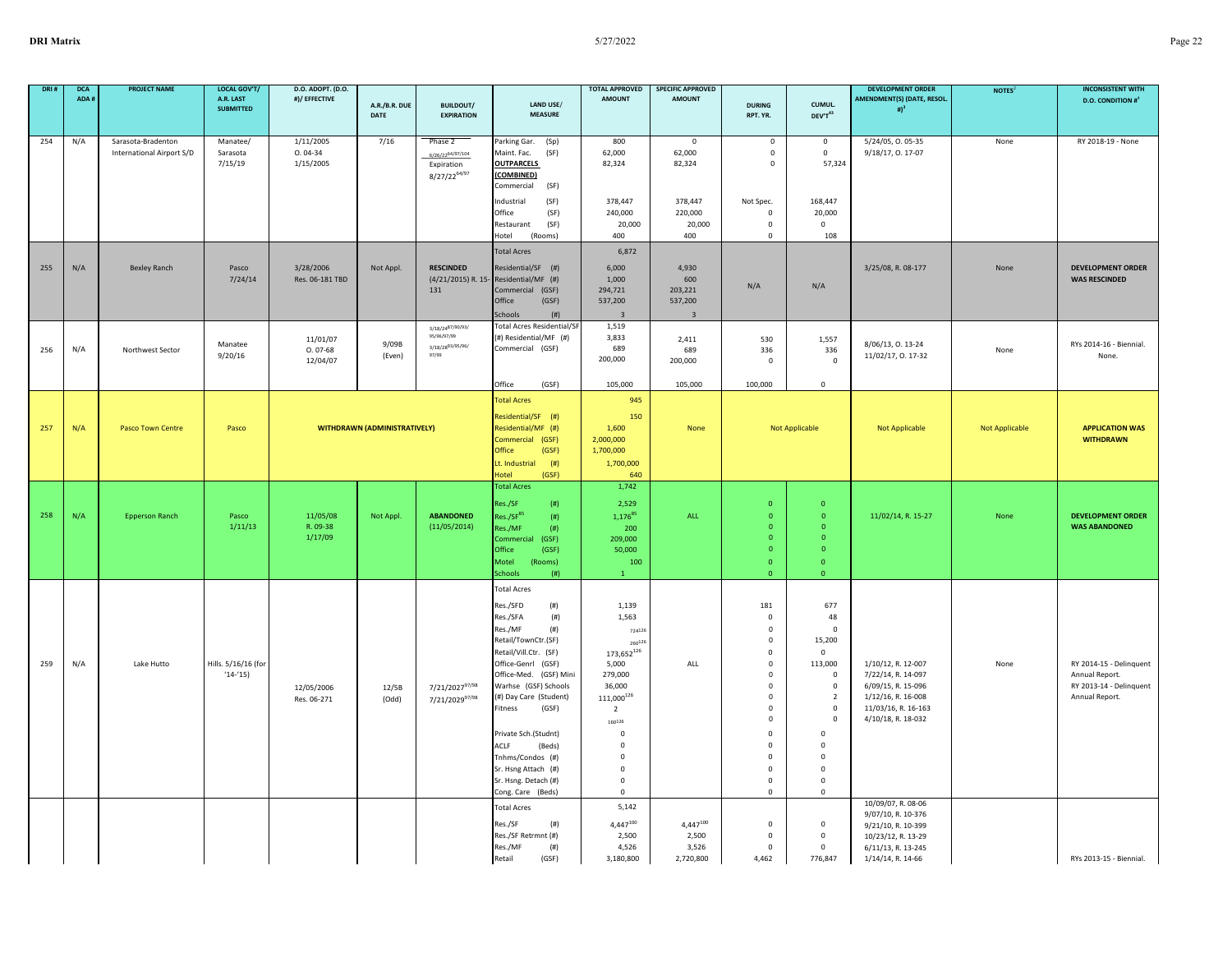| DRI# | <b>DCA</b><br>ADA # | <b>PROJECT NAME</b>                             | LOCAL GOV'T/<br>A.R. LAST<br><b>SUBMITTED</b> | D.O. ADOPT. (D.O.<br>#)/ EFFECTIVE  | A.R./B.R. DUE                       | <b>BUILDOUT/</b>                                                            | LAND USE/                                                                                                                                                                                                                                                                                                                                                                             | <b>TOTAL APPROVED</b><br><b>AMOUNT</b>                                                                                                                                                                | <b>SPECIFIC APPROVED</b><br><b>AMOUNT</b>                     | <b>DURING</b>                                                                                                                                                                                                                   | CUMUL.                                                                                                                                                                                                                                 | <b>DEVELOPMENT ORDER</b><br>AMENDMENT(S) (DATE, RESOL.                                                                            | NOTES <sup>2</sup> | <b>INCONSISTENT WITH</b><br><b>D.O. CONDITION #</b> <sup>4</sup>                       |
|------|---------------------|-------------------------------------------------|-----------------------------------------------|-------------------------------------|-------------------------------------|-----------------------------------------------------------------------------|---------------------------------------------------------------------------------------------------------------------------------------------------------------------------------------------------------------------------------------------------------------------------------------------------------------------------------------------------------------------------------------|-------------------------------------------------------------------------------------------------------------------------------------------------------------------------------------------------------|---------------------------------------------------------------|---------------------------------------------------------------------------------------------------------------------------------------------------------------------------------------------------------------------------------|----------------------------------------------------------------------------------------------------------------------------------------------------------------------------------------------------------------------------------------|-----------------------------------------------------------------------------------------------------------------------------------|--------------------|----------------------------------------------------------------------------------------|
|      |                     |                                                 |                                               |                                     | DATE                                | <b>EXPIRATION</b>                                                           | <b>MEASURE</b>                                                                                                                                                                                                                                                                                                                                                                        |                                                                                                                                                                                                       |                                                               | RPT. YR.                                                                                                                                                                                                                        | DEV'T43                                                                                                                                                                                                                                | # $)^3$                                                                                                                           |                    |                                                                                        |
| 254  | N/A                 | Sarasota-Bradenton<br>International Airport S/D | Manatee/<br>Sarasota<br>7/15/19               | 1/11/2005<br>$0.04-34$<br>1/15/2005 | 7/16                                | Phase 2<br>6/26/22 <sup>64/97</sup> /104<br>Expiration<br>$8/27/22^{64/97}$ | Parking Gar.<br>(Sp)<br>Maint. Fac.<br>(SF)<br><b>OUTPARCELS</b><br>(COMBINED)<br>(SF)<br>Commercial                                                                                                                                                                                                                                                                                  | 800<br>62,000<br>82,324                                                                                                                                                                               | $\mathbf 0$<br>62,000<br>82,324                               | $\mathbf 0$<br>$\mathbf 0$<br>$\mathbf 0$                                                                                                                                                                                       | $\mathsf{O}$<br>$\mathsf{O}$<br>57,324                                                                                                                                                                                                 | 5/24/05, 0.05-35<br>9/18/17, 0. 17-07                                                                                             | None               | RY 2018-19 - None                                                                      |
|      |                     |                                                 |                                               |                                     |                                     |                                                                             | (SF)<br>Industrial<br>Office<br>(SF)<br>(SF)<br>Restaurant<br>Hotel<br>(Rooms)                                                                                                                                                                                                                                                                                                        | 378,447<br>240,000<br>20,000<br>400                                                                                                                                                                   | 378,447<br>220,000<br>20,000<br>400                           | Not Spec.<br>$^{\circ}$<br>$\mathbf 0$<br>$\mathbf 0$                                                                                                                                                                           | 168,447<br>20,000<br>$\Omega$<br>108                                                                                                                                                                                                   |                                                                                                                                   |                    |                                                                                        |
| 255  | N/A                 | <b>Bexley Ranch</b>                             | Pasco<br>7/24/14                              | 3/28/2006<br>Res. 06-181 TBD        | Not Appl.                           | <b>RESCINDED</b><br>(4/21/2015) R. 15-<br>131                               | <b>Total Acres</b><br>Residential/SF (#)<br>Residential/MF (#)<br>Commercial (GSF)<br>Office<br>(GSF)<br>Schools<br>(# )                                                                                                                                                                                                                                                              | 6,872<br>6,000<br>1.000<br>294,721<br>537,200                                                                                                                                                         | 4,930<br>600<br>203,221<br>537,200<br>$\overline{\mathbf{3}}$ | N/A                                                                                                                                                                                                                             | N/A                                                                                                                                                                                                                                    | 3/25/08, R. 08-177                                                                                                                | None               | <b>DEVELOPMENT ORDER</b><br><b>WAS RESCINDED</b>                                       |
| 256  | N/A                 | Northwest Sector                                | Manatee<br>9/20/16                            | 11/01/07<br>$0.07 - 68$<br>12/04/07 | 9/09B<br>(Even)                     | 3/18/2487/90/93/<br>95/96/97/99<br>3/18/2893/95/96/<br>97/99                | <b>Total Acres Residential/SF</b><br>(#) Residential/MF (#)<br>Commercial (GSF)<br>Office<br>(GSF)                                                                                                                                                                                                                                                                                    | 1,519<br>3,833<br>689<br>200,000<br>105,000                                                                                                                                                           | 2,411<br>689<br>200,000<br>105,000                            | 530<br>336<br>$\mathsf 0$<br>100,000                                                                                                                                                                                            | 1,557<br>336<br>$\mathsf 0$                                                                                                                                                                                                            | 8/06/13, 0. 13-24<br>11/02/17, 0. 17-32                                                                                           | None               | RYs 2014-16 - Biennial.<br>None.                                                       |
| 257  | N/A                 | Pasco Town Centre                               | Pasco                                         |                                     | <b>WITHDRAWN (ADMINISTRATIVELY)</b> |                                                                             | <b>Total Acres</b><br>Residential/SF (#)<br>Residential/MF (#)<br>Commercial (GSF)<br>Office<br>(GSF)<br>Lt. Industrial<br>(# )<br>Hotel<br>(GSF)                                                                                                                                                                                                                                     | 945<br>150<br>1,600<br>2,000,000<br>1,700,000<br>1,700,000<br>640                                                                                                                                     | None                                                          |                                                                                                                                                                                                                                 | $\mathbf 0$<br>Not Applicable                                                                                                                                                                                                          | Not Applicable                                                                                                                    | Not Applicable     | <b>APPLICATION WAS</b><br><b>WITHDRAWN</b>                                             |
| 258  | N/A                 | <b>Epperson Ranch</b>                           | Pasco<br>1/11/13                              | 11/05/08<br>R. 09-38<br>1/17/09     | Not Appl.                           | <b>ABANDONED</b><br>(11/05/2014)                                            | <b>Total Acres</b><br>(# )<br>Res./SF<br>Res./SF <sup>85</sup><br>(# )<br>Res./MF<br>(# )<br>Commercial<br>(GSF)<br>Office<br>(GSF)<br>Motel<br>(Rooms)<br>Schools<br>(# )                                                                                                                                                                                                            | 1,742<br>2,529<br>1,17685<br>200<br>209,000<br>50,000<br>100                                                                                                                                          | ALL                                                           | $\overline{0}$<br>$\mathbf{0}$<br>$\mathbf{0}$<br>$\overline{0}$<br>$\Omega$<br>$\Omega$<br>$\overline{0}$                                                                                                                      | $\mathbf{0}$<br>$\mathbf{0}$<br>$\mathbf{0}$<br>$\overline{0}$<br>$\Omega$<br>$\mathbf{o}$<br>$\mathbf{0}$                                                                                                                             | 11/02/14, R. 15-27                                                                                                                | None               | <b>DEVELOPMENT ORDER</b><br><b>WAS ABANDONED</b>                                       |
| 259  | N/A                 | Lake Hutto                                      | Hills. 5/16/16 (for<br>$(14-15)$              | 12/05/2006<br>Res. 06-271           | 12/5B<br>(Odd)                      | 7/21/202797/98<br>7/21/202997/98                                            | <b>Total Acres</b><br>Res./SFD<br>(# )<br>(# )<br>Res./SFA<br>(# )<br>Res./MF<br>Retail/TownCtr.(SF)<br>Retail/Vill.Ctr. (SF)<br>Office-Genrl (GSF)<br>Office-Med. (GSF) Mini<br>Warhse (GSF) Schools<br>(#) Day Care (Student)<br>Fitness<br>(GSF)<br>Private Sch.(Studnt)<br>ACLF<br>(Beds)<br>Tnhms/Condos (#)<br>Sr. Hsng Attach (#)<br>Sr. Hsng. Detach (#)<br>Cong. Care (Beds) | 1,139<br>1,563<br>724126<br>260126<br>173,652126<br>5,000<br>279,000<br>36,000<br>111,000126<br>2<br>$160^{126}$<br>$\mathbf 0$<br>$\Omega$<br>$\mathbf 0$<br>$\mathbf 0$<br>$\pmb{0}$<br>$\mathbf 0$ | ALL                                                           | 181<br>$\overline{0}$<br>$\mathbf 0$<br>$\Omega$<br>$\mathsf 0$<br>$\mathsf{o}\,$<br>0<br>0<br>$\mathsf 0$<br>$\mathbf 0$<br>$\mathbf 0$<br>$\mathbf 0$<br>$\Omega$<br>$\mathbf 0$<br>$\mathbf 0$<br>$\mathbf 0$<br>$\mathsf 0$ | 677<br>48<br>$\mathbf 0$<br>15,200<br>$\overline{0}$<br>113,000<br>$\overline{0}$<br>$\mathbf{0}$<br>$\overline{2}$<br>$\mathbf 0$<br>$\Omega$<br>$\mathbf 0$<br>$\mathbf 0$<br>$\mathbf 0$<br>$\mathbf 0$<br>$\pmb{0}$<br>$\mathbf 0$ | 1/10/12, R. 12-007<br>7/22/14, R. 14-097<br>6/09/15, R. 15-096<br>1/12/16, R. 16-008<br>11/03/16, R. 16-163<br>4/10/18, R. 18-032 | None               | RY 2014-15 - Delinquent<br>Annual Report.<br>RY 2013-14 - Delinquent<br>Annual Report. |
|      |                     |                                                 |                                               |                                     |                                     |                                                                             | <b>Total Acres</b><br>Res./SF<br>(# )<br>Res./SF Retrmnt (#)<br>Res./MF<br>(# )<br>Retail<br>(GSF)                                                                                                                                                                                                                                                                                    | 5,142<br>$4,447^{100}$<br>2,500<br>4,526<br>3,180,800                                                                                                                                                 | $4,447^{100}$<br>2,500<br>3,526<br>2,720,800                  | $\mathsf 0$<br>$\mathsf 0$<br>$\mathbf 0$<br>4,462                                                                                                                                                                              | $\mathbf 0$<br>$\mathsf 0$<br>$\mathsf 0$<br>776,847                                                                                                                                                                                   | 10/09/07, R. 08-06<br>9/07/10, R. 10-376<br>9/21/10, R. 10-399<br>10/23/12, R. 13-29<br>6/11/13, R. 13-245<br>1/14/14, R. 14-66   |                    | RYs 2013-15 - Biennial.                                                                |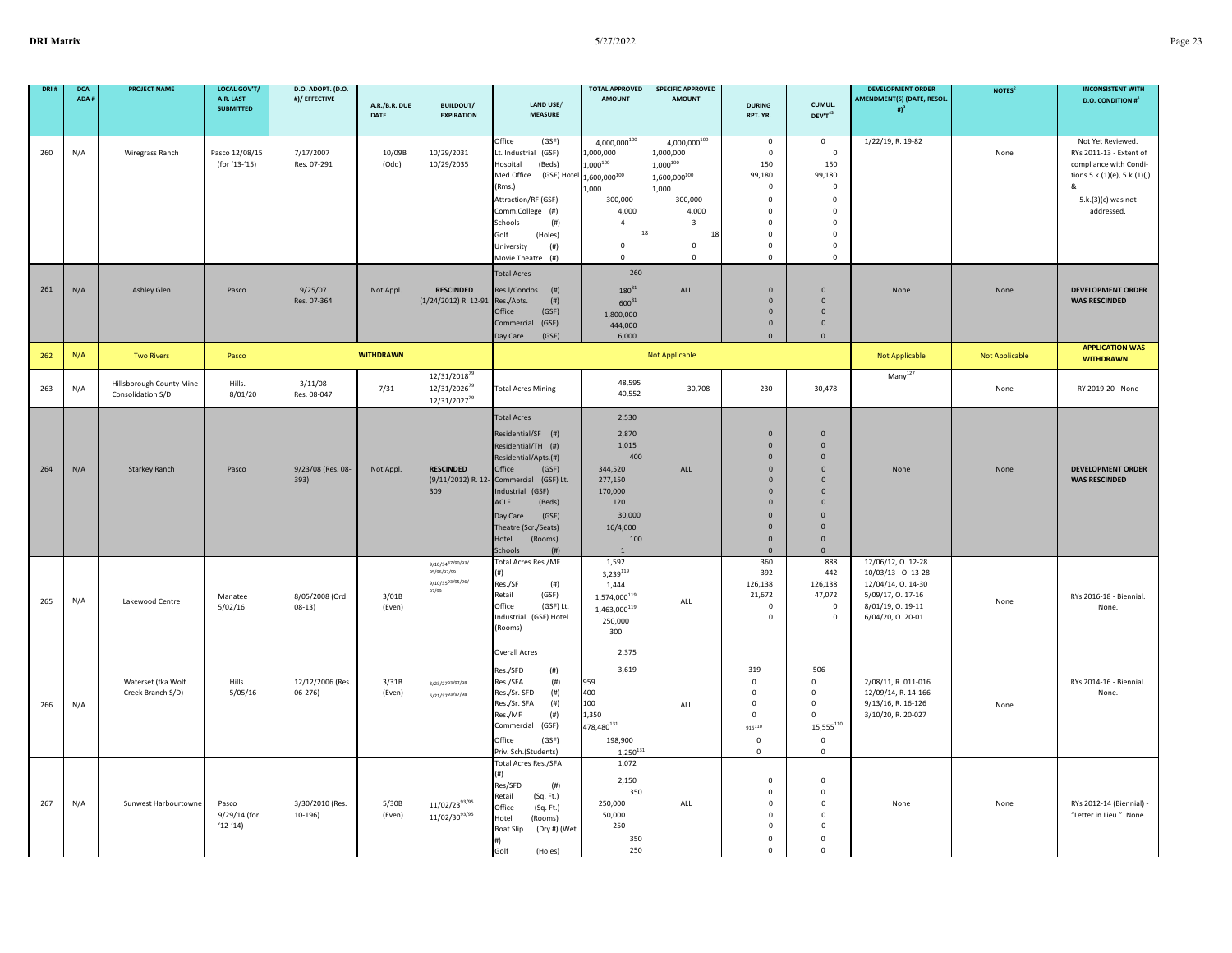| DRI# | <b>DCA</b><br>ADA # | <b>PROJECT NAME</b>                           | LOCAL GOV'T/<br>A.R. LAST<br><b>SUBMITTED</b> | D.O. ADOPT. (D.O.<br>#)/ EFFECTIVE | A.R./B.R. DUE<br>DATE | <b>BUILDOUT/</b><br><b>EXPIRATION</b>                                            | LAND USE/<br><b>MEASURE</b>                                                                                                                                                                                                                                | <b>TOTAL APPROVED</b><br><b>AMOUNT</b>                                                                                                  | <b>SPECIFIC APPROVED</b><br><b>AMOUNT</b>                                                                                                                 | <b>DURING</b><br>RPT. YR.                                                                                                                                                | CUMUL.<br>DEV'T43                                                                                                                                                | <b>DEVELOPMENT ORDER</b><br><b>AMENDMENT(S) (DATE, RESOL</b><br># $)^3$                                                           | NOTES <sup>2</sup>    | <b>INCONSISTENT WITH</b><br><b>D.O. CONDITION #</b>                                                                                              |
|------|---------------------|-----------------------------------------------|-----------------------------------------------|------------------------------------|-----------------------|----------------------------------------------------------------------------------|------------------------------------------------------------------------------------------------------------------------------------------------------------------------------------------------------------------------------------------------------------|-----------------------------------------------------------------------------------------------------------------------------------------|-----------------------------------------------------------------------------------------------------------------------------------------------------------|--------------------------------------------------------------------------------------------------------------------------------------------------------------------------|------------------------------------------------------------------------------------------------------------------------------------------------------------------|-----------------------------------------------------------------------------------------------------------------------------------|-----------------------|--------------------------------------------------------------------------------------------------------------------------------------------------|
| 260  | N/A                 | Wiregrass Ranch                               | Pasco 12/08/15<br>(for '13-'15)               | 7/17/2007<br>Res. 07-291           | 10/09B<br>(Odd)       | 10/29/2031<br>10/29/2035                                                         | Office<br>(GSF)<br>Lt. Industrial (GSF)<br>Hospital<br>(Beds)<br>Med.Office<br>(GSF) Hotel<br>(Rms.)<br>Attraction/RF (GSF)<br>Comm.College (#)<br>Schools<br>(# )<br>Golf<br>(Holes)<br>University<br>(# )<br>Movie Theatre (#)                           | 4,000,000100<br>1,000,000<br>$1,000^{100}$<br>1,600,000100<br>1,000<br>300,000<br>4,000<br>$\overline{4}$<br>$\mathsf 0$<br>$\mathbf 0$ | 4,000,000100<br>,000,000<br>$1,000^{100}$<br>$,600,000^{100}$<br>1,000<br>300,000<br>4,000<br>$\overline{\mathbf{3}}$<br>18<br>$\mathsf 0$<br>$\mathbf 0$ | $\mathbf 0$<br>$\mathbf 0$<br>150<br>99,180<br>$\Omega$<br>$\mathbf 0$<br>$\mathbf 0$<br>$\mathbf 0$<br>$\mathbf 0$<br>$\Omega$<br>$\mathbf 0$                           | $\mathbf 0$<br>$\mathsf 0$<br>150<br>99,180<br>$\mathsf 0$<br>$\mathsf 0$<br>$\mathsf 0$<br>$\mathsf 0$<br>$\mathsf 0$<br>$\mathsf 0$<br>$\mathsf 0$             | 1/22/19, R. 19-82                                                                                                                 | None                  | Not Yet Reviewed.<br>RYs 2011-13 - Extent of<br>compliance with Condi-<br>tions 5.k.(1)(e), 5.k.(1)(j)<br>୍ଷ<br>5.k.(3)(c) was not<br>addressed. |
| 261  | N/A                 | <b>Ashley Glen</b>                            | Pasco                                         | 9/25/07<br>Res. 07-364             | Not Appl.             | <b>RESCINDED</b><br>(1/24/2012) R. 12-91 Res./Apts.                              | <b>Total Acres</b><br>Res.I/Condos<br>(# )<br>(# )<br>Office<br>(GSF)<br>Commercial (GSF)<br>(GSF)<br>Day Care                                                                                                                                             | 260<br>$180^{81}$<br>600 <sup>81</sup><br>1,800,000<br>444,000<br>6,000                                                                 | ALL                                                                                                                                                       | $\Omega$<br>$\mathbf{0}$<br>$\overline{0}$<br>$\mathbf{0}$<br>$\Omega$                                                                                                   | $\Omega$<br>$\mathbf{0}$<br>$\mathbf{0}$<br>$\mathbf{0}$<br>$\mathbf{0}$                                                                                         | None                                                                                                                              | None                  | <b>DEVELOPMENT ORDER</b><br><b>WAS RESCINDED</b>                                                                                                 |
| 262  | N/A                 | <b>Two Rivers</b>                             | Pasco                                         |                                    | <b>WITHDRAWN</b>      |                                                                                  |                                                                                                                                                                                                                                                            |                                                                                                                                         | Not Applicable                                                                                                                                            |                                                                                                                                                                          |                                                                                                                                                                  | <b>Not Applicable</b>                                                                                                             | <b>Not Applicable</b> | <b>APPLICATION WAS</b><br><b>WITHDRAWN</b>                                                                                                       |
| 263  | N/A                 | Hillsborough County Mine<br>Consolidation S/D | Hills.<br>8/01/20                             | 3/11/08<br>Res. 08-047             | 7/31                  | 12/31/2018 <sup>79</sup><br>12/31/2026 <sup>79</sup><br>12/31/2027 <sup>79</sup> | <b>Total Acres Mining</b>                                                                                                                                                                                                                                  | 48,595<br>40,552                                                                                                                        | 30,708                                                                                                                                                    | 230                                                                                                                                                                      | 30,478                                                                                                                                                           | $Many^{127}$                                                                                                                      | None                  | RY 2019-20 - None                                                                                                                                |
| 264  | N/A                 | <b>Starkey Ranch</b>                          | Pasco                                         | 9/23/08 (Res. 08-<br>393)          | Not Appl.             | <b>RESCINDED</b><br>(9/11/2012) R. 12<br>309                                     | <b>Total Acres</b><br>Residential/SF (#)<br>Residential/TH (#)<br>Residential/Apts.(#)<br>Office<br>(GSF)<br>Commercial (GSF) Lt.<br>Industrial (GSF)<br>ACLF<br>(Beds)<br>(GSF)<br>Day Care<br>Theatre (Scr./Seats)<br>Hotel<br>(Rooms)<br>Schools<br>(#) | 2,530<br>2,870<br>1,015<br>400<br>344,520<br>277,150<br>170,000<br>120<br>30,000<br>16/4,000<br>100                                     | ALL                                                                                                                                                       | $\overline{0}$<br>$\overline{0}$<br>$\mathbf 0$<br>$\mathbf{0}$<br>$\mathbf{0}$<br>$\mathbf{0}$<br>$\mathbf{0}$<br>$\Omega$<br>$\mathbf 0$<br>$\Omega$<br>$\overline{0}$ | $\mathbf{0}$<br>$\overline{0}$<br>$\mathbf{0}$<br>$\Omega$<br>$\mathbf{0}$<br>$\overline{0}$<br>$\mathbf{0}$<br>$\Omega$<br>$\mathbf{0}$<br>$\Omega$<br>$\Omega$ | None                                                                                                                              | None                  | <b>DEVELOPMENT ORDER</b><br><b>WAS RESCINDED</b>                                                                                                 |
| 265  | N/A                 | Lakewood Centre                               | Manatee<br>5/02/16                            | 8/05/2008 (Ord.<br>$08-13)$        | 3/01B<br>(Even)       | 9/10/3487/90/93/<br>95/96/97/99<br>9/10/3593/95/96/<br>97/99                     | Total Acres Res./MF<br>(#)<br>Res./SF<br>(#)<br>Retail<br>(GSF)<br>Office<br>(GSF) Lt.<br>Industrial<br>(GSF) Hotel<br>(Rooms)                                                                                                                             | 1,592<br>3,239119<br>1.444<br>1,574,000 $^{119}$<br>1,463,000 $^{119}$<br>250,000<br>300                                                | ALL                                                                                                                                                       | 360<br>392<br>126,138<br>21,672<br>$\mathbf 0$<br>$\mathbf 0$                                                                                                            | 888<br>442<br>126,138<br>47,072<br>$\mathsf 0$<br>$\mathsf 0$                                                                                                    | 12/06/12, 0. 12-28<br>$10/03/13 - 0.13 - 28$<br>12/04/14, 0. 14-30<br>5/09/17, 0. 17-16<br>8/01/19, 0. 19-11<br>6/04/20, O. 20-01 | None                  | RYs 2016-18 - Biennial.<br>None.                                                                                                                 |
| 266  | N/A                 | Waterset (fka Wolf<br>Creek Branch S/D)       | Hills.<br>5/05/16                             | 12/12/2006 (Res.<br>$06 - 276$     | 3/31B<br>(Even)       | 3/23/2793/97/98<br>6/21/3793/97/98                                               | <b>Overall Acres</b><br>(# )<br>Res./SFD<br>Res./SFA<br>(#)<br>(# )<br>Res./Sr. SFD<br>Res./Sr. SFA<br>(# )<br>Res./MF<br>(#)<br>Commercial (GSF)<br>Office<br>(GSF)<br>Priv. Sch.(Students)                                                               | 2,375<br>3,619<br>959<br>400<br>100<br>1,350<br>$478,480^{131}\,$<br>198,900<br>$1,250^{131}$                                           | ALL                                                                                                                                                       | 319<br>$\mathbf 0$<br>$^{\circ}$<br>$\mathsf 0$<br>$\mathsf 0$<br>916110<br>$\mathbf 0$<br>$\mathsf{O}$                                                                  | 506<br>$\mathbf{0}$<br>$\mathbf{0}$<br>$\mathsf 0$<br>$\mathsf 0$<br>${\bf 15}, {\bf 555}^{110}$<br>$\mathbf 0$<br>$\mathbf 0$                                   | 2/08/11, R. 011-016<br>12/09/14, R. 14-166<br>9/13/16, R. 16-126<br>3/10/20, R. 20-027                                            | None                  | RYs 2014-16 - Biennial.<br>None.                                                                                                                 |
| 267  | N/A                 | Sunwest Harbourtowne                          | Pasco<br>9/29/14 (for<br>$(12-14)$            | 3/30/2010 (Res.<br>$10-196)$       | 5/30B<br>(Even)       | 11/02/2393/95<br>11/02/3093/95                                                   | Total Acres Res./SFA<br>Res/SFD<br>(# )<br>Retail<br>(Sq. Ft.)<br>Office<br>(Sq. Ft.)<br>Hotel<br>(Rooms)<br>Boat Slip<br>(Dry #) (Wet<br>#1<br>Golf<br>(Holes)                                                                                            | 1,072<br>2,150<br>350<br>250,000<br>50,000<br>250<br>350<br>250                                                                         | ALL                                                                                                                                                       | $\mathbf 0$<br>$\mathbf 0$<br>$\mathsf 0$<br>0<br>$\pmb{0}$<br>$\mathbf 0$<br>$\Omega$                                                                                   | $\mathbf 0$<br>$\mathbf 0$<br>$\mathsf 0$<br>$\mathbf 0$<br>$\mathbf 0$<br>$\mathbf 0$<br>$\Omega$                                                               | None                                                                                                                              | None                  | RYs 2012-14 (Biennial)<br>"Letter in Lieu." None.                                                                                                |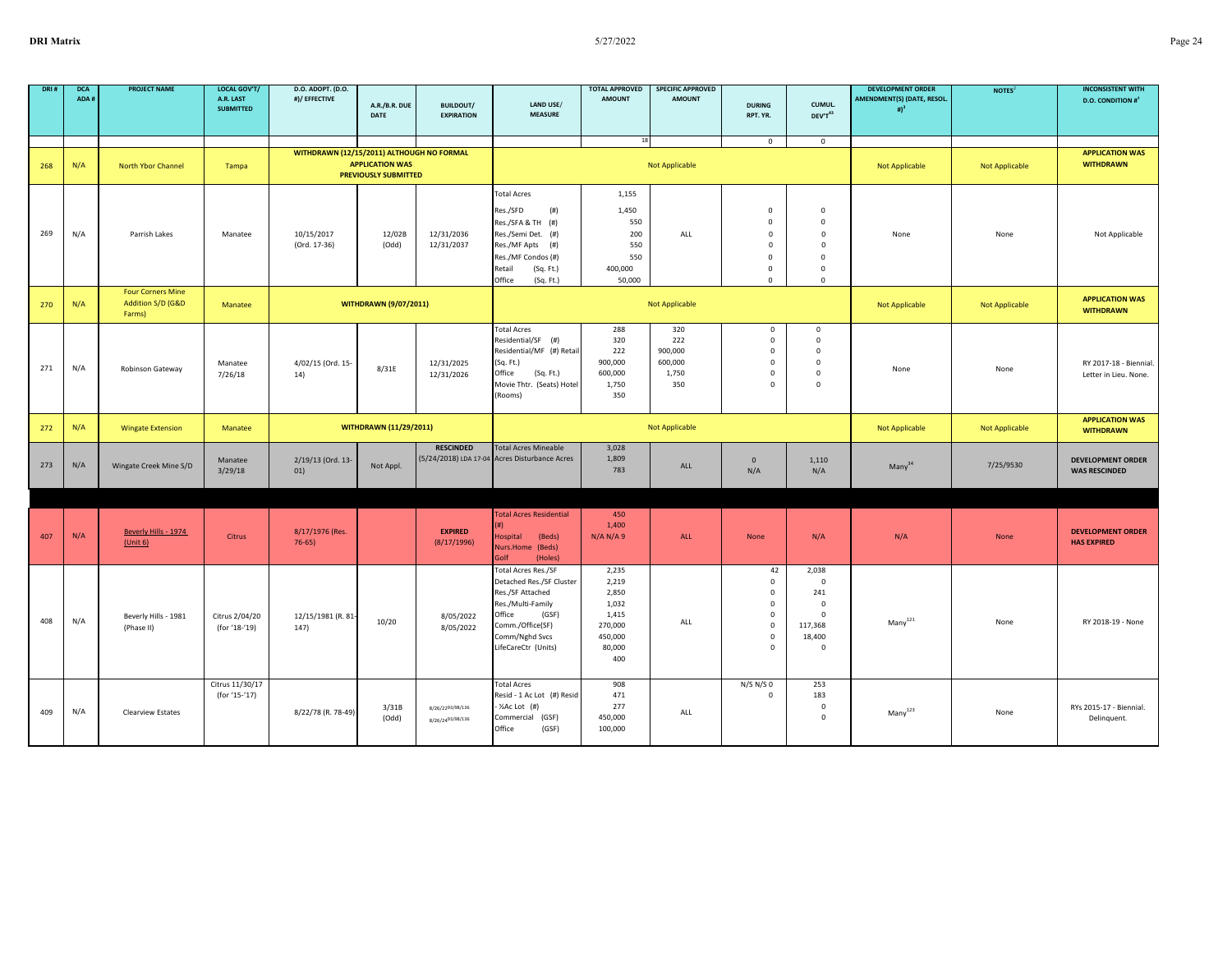| DRI# | <b>DCA</b><br>ADA # | <b>PROJECT NAME</b>                                     | LOCAL GOV'T/<br>A.R. LAST<br><b>SUBMITTED</b> | D.O. ADOPT. (D.O.<br>#)/ EFFECTIVE        | A.R./B.R. DUE<br><b>DATE</b>                          | <b>BUILDOUT/</b><br><b>EXPIRATION</b> | LAND USE/<br><b>MEASURE</b>                                                                                                                                               | <b>TOTAL APPROVED</b><br><b>AMOUNT</b>                                           | <b>SPECIFIC APPROVED</b><br><b>AMOUNT</b>        | <b>DURING</b><br>RPT. YR.                                                                                | CUMUL.<br>DEV'T43                                                                                   | <b>DEVELOPMENT ORDER</b><br>AMENDMENT(S) (DATE, RESOL.<br># $)^3$ | NOTES <sup>2</sup>    | <b>INCONSISTENT WITH</b><br><b>D.O. CONDITION #</b> |
|------|---------------------|---------------------------------------------------------|-----------------------------------------------|-------------------------------------------|-------------------------------------------------------|---------------------------------------|---------------------------------------------------------------------------------------------------------------------------------------------------------------------------|----------------------------------------------------------------------------------|--------------------------------------------------|----------------------------------------------------------------------------------------------------------|-----------------------------------------------------------------------------------------------------|-------------------------------------------------------------------|-----------------------|-----------------------------------------------------|
|      |                     |                                                         |                                               |                                           |                                                       |                                       |                                                                                                                                                                           | 18                                                                               |                                                  |                                                                                                          |                                                                                                     |                                                                   |                       |                                                     |
| 268  | N/A                 | North Ybor Channel                                      | Tampa                                         | WITHDRAWN (12/15/2011) ALTHOUGH NO FORMAL | <b>APPLICATION WAS</b><br><b>PREVIOUSLY SUBMITTED</b> |                                       |                                                                                                                                                                           |                                                                                  | Not Applicable                                   | $\mathbf 0$                                                                                              | $\mathsf 0$                                                                                         | Not Applicable                                                    | Not Applicable        | <b>APPLICATION WAS</b><br><b>WITHDRAWN</b>          |
| 269  | N/A                 | Parrish Lakes                                           | Manatee                                       | 10/15/2017<br>(Ord. 17-36)                | 12/02B<br>(Odd)                                       | 12/31/2036<br>12/31/2037              | <b>Total Acres</b><br>Res./SFD<br>(# )<br>Res./SFA & TH (#)<br>Res./Semi Det. (#)<br>Res./MF Apts (#)<br>Res./MF Condos (#)<br>Retail<br>(Sq. Ft.)<br>Office<br>(Sq. Ft.) | 1,155<br>1,450<br>550<br>200<br>550<br>550<br>400,000<br>50,000                  | ALL                                              | $\mathbf 0$<br>$\mathbf 0$<br>$\mathbf 0$<br>$\mathbf 0$<br>$\Omega$<br>$\mathbf 0$<br>$\Omega$          | $\mathbf 0$<br>$\mathsf 0$<br>$\mathbf 0$<br>$\mathbf 0$<br>$\mathbf 0$<br>$\pmb{0}$<br>$\mathsf 0$ | None                                                              | None                  | Not Applicable                                      |
| 270  | N/A                 | <b>Four Corners Mine</b><br>Addition S/D (G&D<br>Farms) | Manatee                                       |                                           | <b>WITHDRAWN (9/07/2011)</b>                          |                                       |                                                                                                                                                                           |                                                                                  | Not Applicable                                   |                                                                                                          |                                                                                                     | Not Applicable                                                    | <b>Not Applicable</b> | <b>APPLICATION WAS</b><br><b>WITHDRAWN</b>          |
| 271  | N/A                 | Robinson Gateway                                        | Manatee<br>7/26/18                            | 4/02/15 (Ord. 15-<br>14)                  | 8/31E                                                 | 12/31/2025<br>12/31/2026              | <b>Total Acres</b><br>Residential/SF (#)<br>Residential/MF (#) Retail<br>(Sq. Ft.)<br>Office<br>(Sq. Ft.)<br>Movie Thtr. (Seats) Hotel<br>(Rooms)                         | 288<br>320<br>222<br>900,000<br>600,000<br>1,750<br>350                          | 320<br>222<br>900,000<br>600,000<br>1,750<br>350 | $\mathbf 0$<br>$\mathbf 0$<br>$\mathbf 0$<br>$\mathbf 0$<br>$\mathbf 0$<br>$\Omega$                      | $\mathbf 0$<br>$\mathsf 0$<br>$\mathbf 0$<br>$\mathbf 0$<br>$\mathbf 0$<br>$\Omega$                 | None                                                              | None                  | RY 2017-18 - Biennial.<br>Letter in Lieu. None.     |
| 272  | N/A                 | <b>Wingate Extension</b>                                | Manatee                                       |                                           | <b>WITHDRAWN (11/29/2011)</b>                         |                                       |                                                                                                                                                                           |                                                                                  | <b>Not Applicable</b>                            |                                                                                                          |                                                                                                     | <b>Not Applicable</b>                                             | <b>Not Applicable</b> | <b>APPLICATION WAS</b><br><b>WITHDRAWN</b>          |
| 273  | N/A                 | Wingate Creek Mine S/D                                  | Manatee<br>3/29/18                            | 2/19/13 (Ord. 13-<br>01)                  | Not Appl.                                             | <b>RESCINDED</b>                      | <b>Total Acres Mineable</b><br>(5/24/2018) LDA 17-04 Acres Disturbance Acres                                                                                              | 3,028<br>1,809<br>783                                                            | ALL                                              | $\mathbf{0}$<br>N/A                                                                                      | 1,110<br>N/A                                                                                        | $Many^{34}$                                                       | 7/25/9530             | <b>DEVELOPMENT ORDER</b><br><b>WAS RESCINDED</b>    |
|      |                     |                                                         |                                               |                                           |                                                       |                                       |                                                                                                                                                                           |                                                                                  |                                                  |                                                                                                          |                                                                                                     |                                                                   |                       |                                                     |
| 407  | N/A                 | Beverly Hills - 1974<br>(Unit 6)                        | <b>Citrus</b>                                 | 8/17/1976 (Res.<br>$76-65$                |                                                       | <b>EXPIRED</b><br>(8/17/1996)         | <b>Total Acres Residential</b><br>(#)<br><b>Hospital</b><br>(Beds)<br>Nurs.Home (Beds)<br>Golf<br>(Holes)                                                                 | 450<br>1,400<br>N/A N/A 9                                                        | ALL                                              | <b>None</b>                                                                                              | N/A                                                                                                 | N/A                                                               | <b>None</b>           | <b>DEVELOPMENT ORDER</b><br><b>HAS EXPIRED</b>      |
| 408  | N/A                 | Beverly Hills - 1981<br>(Phase II)                      | Citrus 2/04/20<br>(for '18-'19)               | 12/15/1981 (R. 81-<br>147)                | 10/20                                                 | 8/05/2022<br>8/05/2022                | Total Acres Res./SF<br>Detached Res./SF Cluster<br>Res./SF Attached<br>Res./Multi-Family<br>Office<br>(GSF)<br>Comm./Office(SF)<br>Comm/Nghd Svcs<br>LifeCareCtr (Units)  | 2,235<br>2,219<br>2,850<br>1,032<br>1,415<br>270,000<br>450,000<br>80,000<br>400 | ALL                                              | 42<br>$\mathbf 0$<br>$\mathbf 0$<br>$\mathbf 0$<br>$\mathbf 0$<br>$\mathbf 0$<br>$\mathbf 0$<br>$\Omega$ | 2,038<br>$\mathbf 0$<br>241<br>$\mathbf 0$<br>$\mathbf 0$<br>117,368<br>18,400<br>$\mathbf 0$       | $\mathsf{Many}^{121}$                                             | None                  | RY 2018-19 - None                                   |
| 409  | N/A                 | <b>Clearview Estates</b>                                | Citrus 11/30/17<br>(for '15-'17)              | 8/22/78 (R. 78-49)                        | 3/31B<br>(Odd)                                        | 8/26/2293/98/136<br>8/26/2493/98/136  | <b>Total Acres</b><br>Resid - 1 Ac Lot (#) Resid<br>$\frac{1}{2}$ Ac Lot $(# )$<br>Commercial (GSF)<br>Office<br>(GSF)                                                    | 908<br>471<br>277<br>450,000<br>100,000                                          | ALL                                              | N/S N/S 0<br>$\mathbf 0$                                                                                 | 253<br>183<br>$\mathbf 0$<br>$\mathsf 0$                                                            | Many <sup>123</sup>                                               | None                  | RYs 2015-17 - Biennial.<br>Delinquent.              |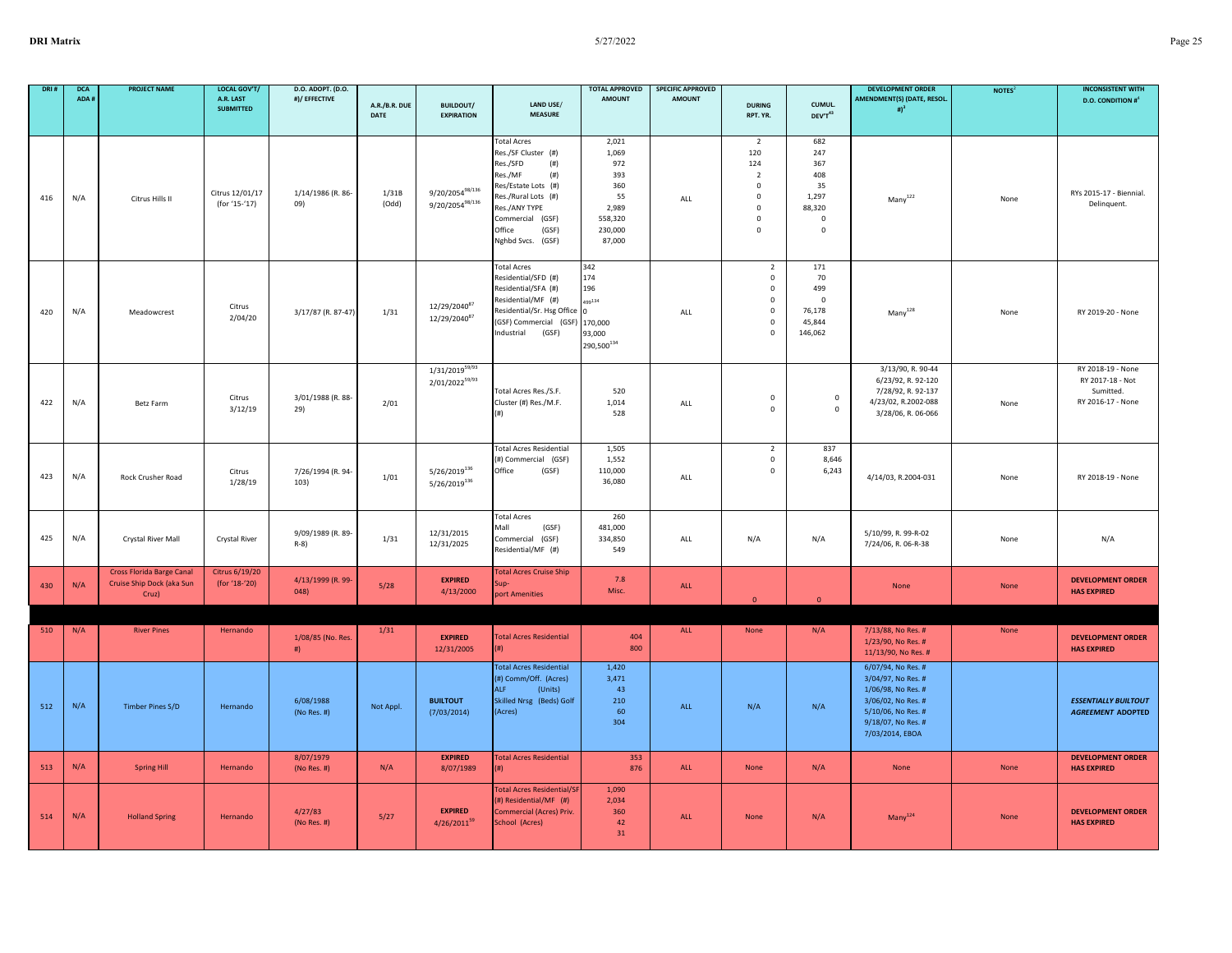| DRI 8 | <b>DCA</b><br>ADA # | <b>PROJECT NAME</b>                                                    | <b>LOCAL GOV'T/</b><br>A.R. LAST<br><b>SUBMITTED</b> | D.O. ADOPT. (D.O.<br>#)/ EFFECTIVE | A.R./B.R. DUE<br><b>DATE</b> | <b>BUILDOUT/</b><br><b>EXPIRATION</b>                | LAND USE/<br><b>MEASURE</b>                                                                                                                                                                                 | <b>TOTAL APPROVED</b><br><b>AMOUNT</b>                                             | <b>SPECIFIC APPROVED</b><br><b>AMOUNT</b> | <b>DURING</b><br>RPT. YR.                                                                                               | CUMUL.<br>DEV'T43                                                            | <b>DEVELOPMENT ORDER</b><br>AMENDMENT(S) (DATE, RESOL.<br>$\#$ <sup>3</sup>                                                                         | NOTES <sup>2</sup> | <b>INCONSISTENT WITH</b><br><b>D.O. CONDITION #</b> <sup>4</sup>        |
|-------|---------------------|------------------------------------------------------------------------|------------------------------------------------------|------------------------------------|------------------------------|------------------------------------------------------|-------------------------------------------------------------------------------------------------------------------------------------------------------------------------------------------------------------|------------------------------------------------------------------------------------|-------------------------------------------|-------------------------------------------------------------------------------------------------------------------------|------------------------------------------------------------------------------|-----------------------------------------------------------------------------------------------------------------------------------------------------|--------------------|-------------------------------------------------------------------------|
|       |                     |                                                                        |                                                      |                                    |                              |                                                      |                                                                                                                                                                                                             |                                                                                    |                                           |                                                                                                                         |                                                                              |                                                                                                                                                     |                    |                                                                         |
| 416   | N/A                 | Citrus Hills II                                                        | Citrus 12/01/17<br>(for '15-'17)                     | 1/14/1986 (R. 86-<br>09)           | 1/31B<br>(Odd)               | $9/20/2054^{98/136}$<br>$9/20/2054^{98/136}$         | <b>Total Acres</b><br>Res./SF Cluster (#)<br>Res./SFD<br>(# )<br>Res./MF<br>(# )<br>Res/Estate Lots (#)<br>Res./Rural Lots (#)<br>Res./ANY TYPE<br>Commercial (GSF)<br>Office<br>(GSF)<br>Nghbd Svcs. (GSF) | 2,021<br>1,069<br>972<br>393<br>360<br>55<br>2,989<br>558,320<br>230,000<br>87,000 | ALL                                       | $\overline{2}$<br>120<br>124<br>$\overline{2}$<br>$\mathbf 0$<br>$\mathbf 0$<br>$\mathbf{0}$<br>$\mathbf 0$<br>$\Omega$ | 682<br>247<br>367<br>408<br>35<br>1,297<br>88,320<br>$\mathbf 0$<br>$\Omega$ | Many <sup>122</sup>                                                                                                                                 | None               | RYs 2015-17 - Biennial.<br>Delinquent.                                  |
| 420   | N/A                 | Meadowcrest                                                            | Citrus<br>2/04/20                                    | 3/17/87 (R. 87-47)                 | 1/31                         | 12/29/2040 <sup>87</sup><br>12/29/2040 <sup>87</sup> | <b>Total Acres</b><br>Residential/SFD (#)<br>Residential/SFA (#)<br>Residential/MF (#)<br>Residential/Sr. Hsg Office 0<br>(GSF) Commercial (GSF)<br>Industrial<br>(GSF)                                     | 342<br>174<br>196<br>499134<br>170,000<br>93,000<br>290,500 $^{134}$               | ALL                                       | $\overline{2}$<br>$\mathbf 0$<br>$\mathbf 0$<br>$\mathbf 0$<br>$\mathbf 0$<br>0<br>$\Omega$                             | 171<br>70<br>499<br>$\Omega$<br>76,178<br>45,844<br>146,062                  | Many <sup>128</sup>                                                                                                                                 | None               | RY 2019-20 - None                                                       |
| 422   | N/A                 | Betz Farm                                                              | Citrus<br>3/12/19                                    | 3/01/1988 (R. 88-<br>29)           | 2/01                         | $1/31/2019^{59/93}$<br>2/01/202259/93                | Total Acres Res./S.F.<br>Cluster (#) Res./M.F.<br>(#)                                                                                                                                                       | 520<br>1,014<br>528                                                                | ALL                                       | $\mathsf 0$<br>$\mathbf 0$                                                                                              | $\mathbf 0$<br>$\mathbf 0$                                                   | 3/13/90, R. 90-44<br>6/23/92, R. 92-120<br>7/28/92, R. 92-137<br>4/23/02, R.2002-088<br>3/28/06, R. 06-066                                          | None               | RY 2018-19 - None<br>RY 2017-18 - Not<br>Sumitted.<br>RY 2016-17 - None |
| 423   | N/A                 | Rock Crusher Road                                                      | Citrus<br>1/28/19                                    | 7/26/1994 (R. 94-<br>103)          | 1/01                         | 5/26/2019136<br>5/26/2019136                         | <b>Total Acres Residential</b><br>(#) Commercial (GSF)<br>Office<br>(GSF)                                                                                                                                   | 1,505<br>1,552<br>110,000<br>36,080                                                | ALL                                       | $\overline{2}$<br>$\mathbf 0$<br>$\mathsf 0$                                                                            | 837<br>8,646<br>6,243                                                        | 4/14/03, R.2004-031                                                                                                                                 | None               | RY 2018-19 - None                                                       |
| 425   | N/A                 | Crystal River Mall                                                     | Crystal River                                        | 9/09/1989 (R. 89-<br>R-8)          | 1/31                         | 12/31/2015<br>12/31/2025                             | <b>Total Acres</b><br>Mall<br>(GSF)<br>Commercial (GSF)<br>Residential/MF (#)                                                                                                                               | 260<br>481,000<br>334,850<br>549                                                   | ALL                                       | N/A                                                                                                                     | N/A                                                                          | 5/10/99, R. 99-R-02<br>7/24/06, R. 06-R-38                                                                                                          | None               | N/A                                                                     |
| 430   | N/A                 | <b>Cross Florida Barge Canal</b><br>Cruise Ship Dock (aka Sun<br>Cruz) | Citrus 6/19/20<br>(for '18-'20)                      | 4/13/1999 (R. 99-<br>048)          | 5/28                         | <b>EXPIRED</b><br>4/13/2000                          | <b>Total Acres Cruise Ship</b><br>up-<br>port Amenities                                                                                                                                                     | 7.8<br>Misc.                                                                       | ALL                                       | $\Omega$                                                                                                                | $\Omega$                                                                     | None                                                                                                                                                | None               | <b>DEVELOPMENT ORDER</b><br><b>HAS EXPIRED</b>                          |
|       |                     |                                                                        |                                                      |                                    |                              |                                                      |                                                                                                                                                                                                             |                                                                                    |                                           |                                                                                                                         |                                                                              |                                                                                                                                                     |                    |                                                                         |
| 510   | N/A                 | <b>River Pines</b>                                                     | Hernando                                             | 1/08/85 (No. Res.<br>#)            | 1/31                         | <b>EXPIRED</b><br>12/31/2005                         | <b>Total Acres Residential</b><br>(#)                                                                                                                                                                       | 404<br>800                                                                         | ALL                                       | None                                                                                                                    | N/A                                                                          | 7/13/88, No Res. #<br>1/23/90, No Res. #<br>11/13/90, No Res. #                                                                                     | None               | <b>DEVELOPMENT ORDER</b><br><b>HAS EXPIRED</b>                          |
| 512   | N/A                 | <b>Timber Pines S/D</b>                                                | Hernando                                             | 6/08/1988<br>(No Res. #)           | Not Appl.                    | <b>BUILTOUT</b><br>(7/03/2014)                       | <b>Total Acres Residential</b><br>(#) Comm/Off. (Acres)<br><b>ALF</b><br>(Units)<br>Skilled Nrsg (Beds) Golf<br>(Acres)                                                                                     | 1,420<br>3,471<br>43<br>210<br>60<br>304                                           | ALL                                       | N/A                                                                                                                     | N/A                                                                          | 6/07/94, No Res. #<br>3/04/97, No Res. #<br>1/06/98, No Res. #<br>3/06/02, No Res. #<br>5/10/06, No Res. #<br>9/18/07, No Res. #<br>7/03/2014, EBOA |                    | <b>ESSENTIALLY BUILTOUT</b><br><b>AGREEMENT ADOPTED</b>                 |
| 513   | N/A                 | <b>Spring Hill</b>                                                     | Hernando                                             | 8/07/1979<br>(No Res. #)           | N/A                          | <b>EXPIRED</b><br>8/07/1989                          | <b>Total Acres Residential</b><br>(#)                                                                                                                                                                       | 353<br>876                                                                         | ALL                                       | None                                                                                                                    | N/A                                                                          | None                                                                                                                                                | None               | <b>DEVELOPMENT ORDER</b><br><b>HAS EXPIRED</b>                          |
| 514   | N/A                 | <b>Holland Spring</b>                                                  | Hernando                                             | 4/27/83<br>(No Res. $#$ )          | 5/27                         | <b>EXPIRED</b><br>$4/26/2011^{59}$                   | <b>Total Acres Residential/S</b><br>(#) Residential/MF (#)<br>Commercial (Acres) Priv.<br>School (Acres)                                                                                                    | 1,090<br>2,034<br>360<br>42<br>31                                                  | ALL                                       | None                                                                                                                    | N/A                                                                          | Many <sup>124</sup>                                                                                                                                 | None               | <b>DEVELOPMENT ORDER</b><br><b>HAS EXPIRED</b>                          |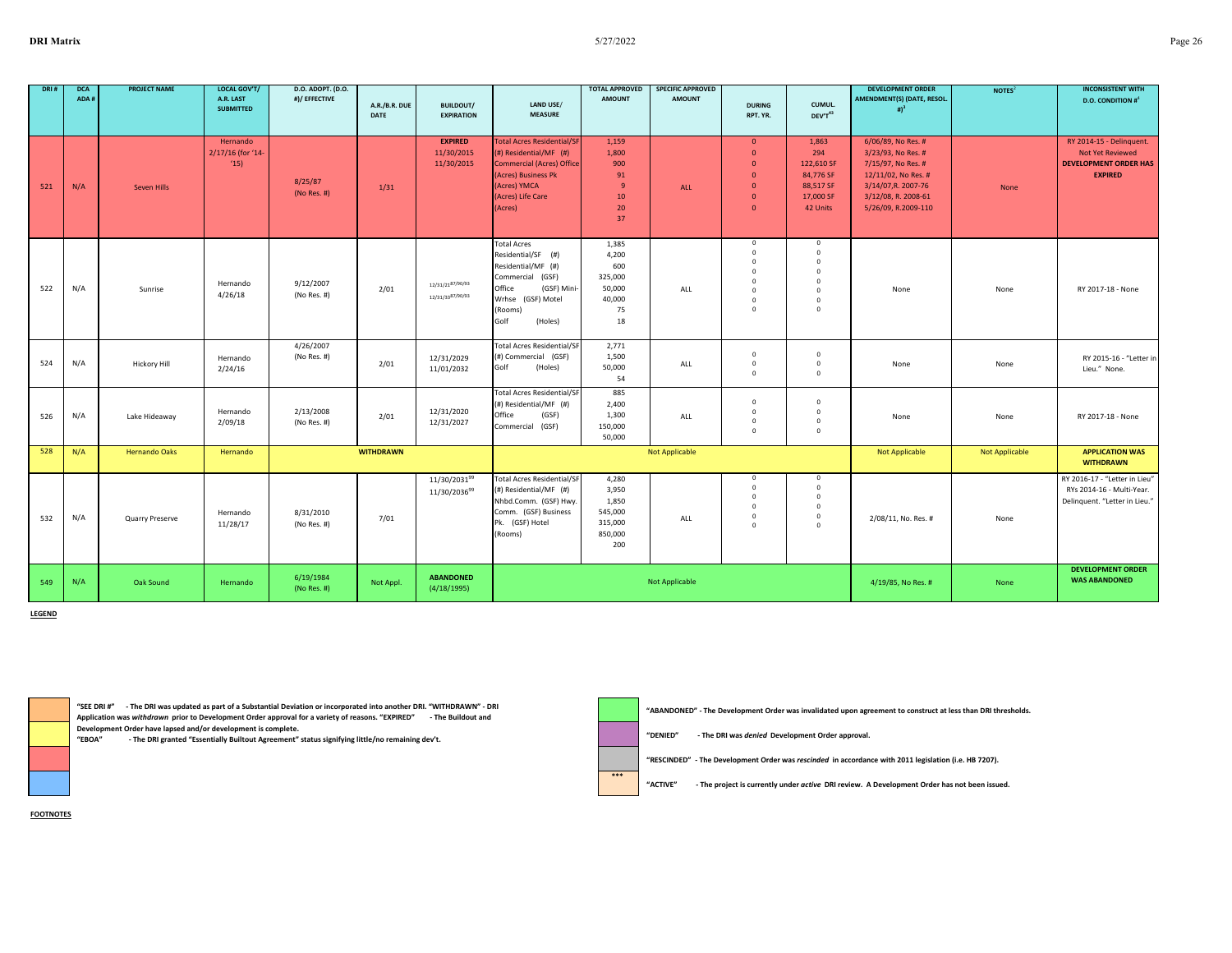| DRI # | <b>DCA</b><br>ADA# | <b>PROJECT NAME</b>  | <b>LOCAL GOV'T/</b><br>A.R. LAST<br><b>SUBMITTED</b> | D.O. ADOPT. (D.O.<br>#)/ EFFECTIVE | A.R./B.R. DUE<br><b>DATE</b> | <b>BUILDOUT/</b><br><b>EXPIRATION</b>                | LAND USE/<br><b>MEASURE</b>                                                                                                                                           | <b>TOTAL APPROVED</b><br><b>AMOUNT</b>                           | <b>SPECIFIC APPROVED</b><br><b>AMOUNT</b> | <b>DURING</b><br>RPT. YR.                                                                                    | CUMUL.<br>DEV'T <sup>43</sup>                                                           | <b>DEVELOPMENT ORDER</b><br>AMENDMENT(S) (DATE, RESOL.<br># $)^3$                                                                                          | NOTES <sup>2</sup> | <b>INCONSISTENT WITH</b><br><b>D.O. CONDITION #</b>                                                   |
|-------|--------------------|----------------------|------------------------------------------------------|------------------------------------|------------------------------|------------------------------------------------------|-----------------------------------------------------------------------------------------------------------------------------------------------------------------------|------------------------------------------------------------------|-------------------------------------------|--------------------------------------------------------------------------------------------------------------|-----------------------------------------------------------------------------------------|------------------------------------------------------------------------------------------------------------------------------------------------------------|--------------------|-------------------------------------------------------------------------------------------------------|
| 521   | N/A                | Seven Hills          | Hernando<br>2/17/16 (for '14-<br>(15)                | 8/25/87<br>(No Res. #)             | 1/31                         | <b>EXPIRED</b><br>11/30/2015<br>11/30/2015           | <b>Total Acres Residential/SF</b><br>$($ #) Residential/MF $($ #)<br>Commercial (Acres) Office<br>(Acres) Business Pk<br>(Acres) YMCA<br>(Acres) Life Care<br>(Acres) | 1.159<br>1,800<br>900<br>91<br>9<br>10 <sup>°</sup><br>20<br>37  | ALL                                       | $\mathbf{0}$<br>$\mathbf{0}$<br>$\mathbf{0}$<br>$\mathbf{0}$<br>$\mathbf{0}$<br>$\mathbf{0}$<br>$\mathbf{0}$ | 1,863<br>294<br>122,610 SF<br>84,776 SF<br>88,517 SF<br>17,000 SF<br>42 Units           | 6/06/89, No Res. #<br>3/23/93, No Res. #<br>7/15/97, No Res. #<br>12/11/02, No Res. #<br>3/14/07, R. 2007-76<br>3/12/08, R. 2008-61<br>5/26/09, R.2009-110 | None               | RY 2014-15 - Delinquent.<br><b>Not Yet Reviewed</b><br><b>DEVELOPMENT ORDER HAS</b><br><b>EXPIRED</b> |
| 522   | N/A                | Sunrise              | Hernando<br>4/26/18                                  | 9/12/2007<br>(No Res. #)           | 2/01                         | 12/31/2187/90/93<br>12/31/33 <sup>87/90/93</sup>     | <b>Total Acres</b><br>Residential/SF (#)<br>Residential/MF (#)<br>Commercial (GSF)<br>Office<br>(GSF) Mini-<br>Wrhse (GSF) Motel<br>(Rooms)<br>Golf<br>(Holes)        | 1,385<br>4,200<br>600<br>325,000<br>50,000<br>40,000<br>75<br>18 | ALL                                       | $\mathbf 0$<br>$\Omega$<br>$\Omega$<br>$\Omega$<br>$\Omega$<br>$\Omega$<br>$\Omega$<br>$\Omega$              | $\circ$<br>$\Omega$<br>$\circ$<br>$\Omega$<br>$\Omega$<br>$\circ$<br>$\circ$<br>$\circ$ | None                                                                                                                                                       | None               | RY 2017-18 - None                                                                                     |
| 524   | N/A                | <b>Hickory Hill</b>  | Hernando<br>2/24/16                                  | 4/26/2007<br>(No Res. #)           | 2/01                         | 12/31/2029<br>11/01/2032                             | <b>Total Acres Residential/SF</b><br>(#) Commercial (GSF)<br>Golf<br>(Holes)                                                                                          | 2,771<br>1,500<br>50,000<br>54                                   | ALL                                       | $\Omega$<br>$\mathbf 0$<br>$\Omega$                                                                          | $\mathbf 0$<br>$\circ$<br>$\Omega$                                                      | None                                                                                                                                                       | None               | RY 2015-16 - "Letter in<br>Lieu." None.                                                               |
| 526   | N/A                | Lake Hideaway        | Hernando<br>2/09/18                                  | 2/13/2008<br>(No Res. #)           | 2/01                         | 12/31/2020<br>12/31/2027                             | <b>Total Acres Residential/SF</b><br>(#) Residential/MF (#)<br>Office<br>(GSF)<br>Commercial (GSF)                                                                    | 885<br>2,400<br>1,300<br>150,000<br>50,000                       | ALL                                       | $\Omega$<br>$^{\circ}$<br>$\mathbf 0$<br>$\mathbf 0$                                                         | $\Omega$<br>$\mathbf 0$<br>$\circ$<br>$\circ$                                           | None                                                                                                                                                       | None               | RY 2017-18 - None                                                                                     |
| 528   | N/A                | <b>Hernando Oaks</b> | Hernando                                             |                                    | <b>WITHDRAWN</b>             |                                                      |                                                                                                                                                                       |                                                                  | <b>Not Applicable</b>                     |                                                                                                              |                                                                                         | Not Applicable                                                                                                                                             | Not Applicable     | <b>APPLICATION WAS</b><br><b>WITHDRAWN</b>                                                            |
| 532   | N/A                | Quarry Preserve      | Hernando<br>11/28/17                                 | 8/31/2010<br>(No Res. #)           | 7/01                         | 11/30/2031 <sup>99</sup><br>11/30/2036 <sup>99</sup> | <b>Total Acres Residential/SF</b><br>(#) Residential/MF (#)<br>Nhbd.Comm. (GSF) Hwy.<br>Comm. (GSF) Business<br>Pk. (GSF) Hotel<br>(Rooms)                            | 4,280<br>3,950<br>1,850<br>545,000<br>315,000<br>850,000<br>200  | ALL                                       | $\mathbf 0$<br>$\Omega$<br>$\Omega$<br>$\Omega$<br>$\mathbf 0$<br>$\Omega$                                   | $\mathbf 0$<br>$\mathbf 0$<br>$\mathbf 0$<br>$\circ$<br>$\mathbf 0$<br>$\Omega$         | 2/08/11, No. Res. #                                                                                                                                        | None               | RY 2016-17 - "Letter in Lieu"<br>RYs 2014-16 - Multi-Year.<br>Delinquent. "Letter in Lieu."           |
| 549   | N/A                | Oak Sound            | Hernando                                             | 6/19/1984<br>(No Res. $#$ )        | Not Appl.                    | <b>ABANDONED</b><br>(4/18/1995)                      |                                                                                                                                                                       |                                                                  | <b>Not Applicable</b>                     |                                                                                                              |                                                                                         | 4/19/85, No Res. #                                                                                                                                         | None               | <b>DEVELOPMENT ORDER</b><br><b>WAS ABANDONED</b>                                                      |

**\*\*\***

**LEGEND**

**"SEE DRI #" - The DRI was updated as part of a Substantial Deviation or incorporated into another DRI. "WITHDRAWN" - DRI Application was** *withdrawn* **prior to Development Order approval for a variety of reasons. "EXPIRED" - The Buildout and** 

**Development Order have lapsed and/or development is complete.** - The DRI granted "Essentially Builtout Agreement" status signifying little/no remaining dev't. **"ABANDONED" - The Development Order was invalidated upon agreement to construct at less than DRI thresholds.**

**"DENIED" - The DRI was** *denied* **Development Order approval.**

**"RESCINDED" - The Development Order was** *rescinded* **in accordance with 2011 legislation (i.e. HB 7207).**

**"ACTIVE" - The project is currently under** *active* **DRI review. A Development Order has not been issued.**

**FOOTNOTES**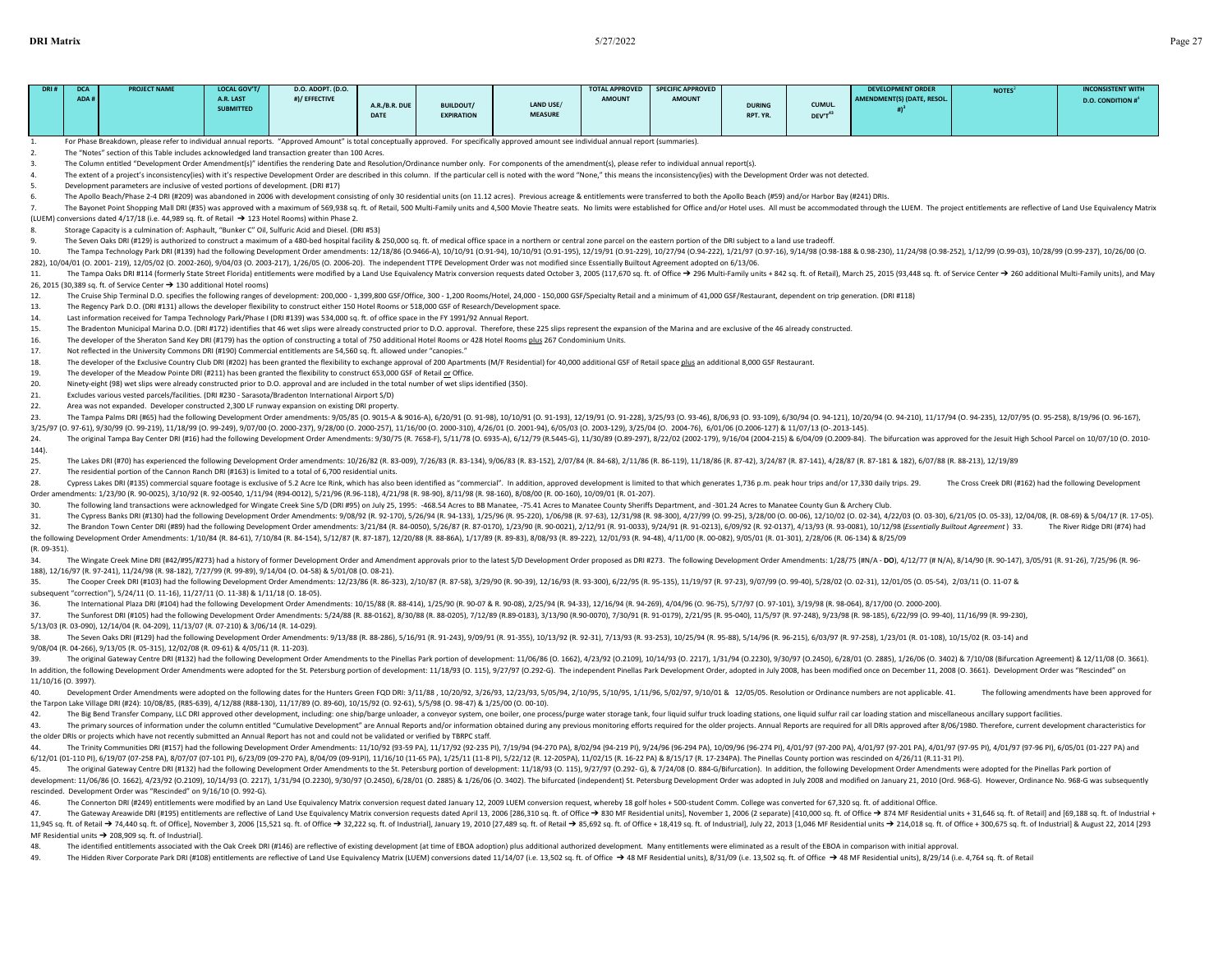| <b>DRI</b> Matrix    |                    |                                                                                                                                                                                                                                                                                                                                                                                                         |                                                     |                                    |                       |                                       |                             | 5/27/2022                              |                                           |                           |                   |                                                                                                                                                                                                                                |                    |                                                          |
|----------------------|--------------------|---------------------------------------------------------------------------------------------------------------------------------------------------------------------------------------------------------------------------------------------------------------------------------------------------------------------------------------------------------------------------------------------------------|-----------------------------------------------------|------------------------------------|-----------------------|---------------------------------------|-----------------------------|----------------------------------------|-------------------------------------------|---------------------------|-------------------|--------------------------------------------------------------------------------------------------------------------------------------------------------------------------------------------------------------------------------|--------------------|----------------------------------------------------------|
|                      |                    |                                                                                                                                                                                                                                                                                                                                                                                                         |                                                     |                                    |                       |                                       |                             |                                        |                                           |                           |                   |                                                                                                                                                                                                                                |                    |                                                          |
| DRI#                 | <b>DCA</b><br>ADA# | <b>PROJECT NAME</b>                                                                                                                                                                                                                                                                                                                                                                                     | <b>LOCAL GOV'T</b><br>A.R. LAST<br><b>SUBMITTED</b> | D.O. ADOPT. (D.O.<br>#)/ EFFECTIVE | A.R./B.R. DUE<br>DATE | <b>BUILDOUT/</b><br><b>EXPIRATION</b> | LAND USE/<br><b>MEASURE</b> | <b>TOTAL APPROVED</b><br><b>AMOUNT</b> | <b>SPECIFIC APPROVED</b><br><b>AMOUNT</b> | <b>DURING</b><br>RPT. YR. | CUMUL.<br>DEV'T43 | <b>DEVELOPMENT ORDER</b><br><b>AMENDMENT(S) (DATE, RESOL.</b><br>#                                                                                                                                                             | NOTES <sup>2</sup> | <b>INCONSISTENT WITH</b><br><b>D.O. CONDITION #</b>      |
| 1.                   |                    | For Phase Breakdown, please refer to individual annual reports. "Approved Amount" is total conceptually approved. For specifically approved amount see individual annual report (summaries).                                                                                                                                                                                                            |                                                     |                                    |                       |                                       |                             |                                        |                                           |                           |                   |                                                                                                                                                                                                                                |                    |                                                          |
| 2.                   |                    | The "Notes" section of this Table includes acknowledged land transaction greater than 100 Acres.                                                                                                                                                                                                                                                                                                        |                                                     |                                    |                       |                                       |                             |                                        |                                           |                           |                   |                                                                                                                                                                                                                                |                    |                                                          |
| 3.                   |                    | The Column entitled "Development Order Amendment(s)" identifies the rendering Date and Resolution/Ordinance number only. For components of the amendment(s), please refer to individual annual report(s).                                                                                                                                                                                               |                                                     |                                    |                       |                                       |                             |                                        |                                           |                           |                   |                                                                                                                                                                                                                                |                    |                                                          |
| $\overline{4}$<br>5. |                    | The extent of a project's inconsistency(ies) with it's respective Development Order are described in this column. If the particular cell is noted with the word "None," this means the inconsistency(ies) with the Development                                                                                                                                                                          |                                                     |                                    |                       |                                       |                             |                                        |                                           |                           |                   |                                                                                                                                                                                                                                |                    |                                                          |
| 6.                   |                    | Development parameters are inclusive of vested portions of development. (DRI #17)                                                                                                                                                                                                                                                                                                                       |                                                     |                                    |                       |                                       |                             |                                        |                                           |                           |                   |                                                                                                                                                                                                                                |                    |                                                          |
|                      |                    | The Apollo Beach/Phase 2-4 DRI (#209) was abandoned in 2006 with development consisting of only 30 residential units (on 11.12 acres). Previous acreage & entitlements were transferred to both the Apollo Beach (#59) and/or                                                                                                                                                                           |                                                     |                                    |                       |                                       |                             |                                        |                                           |                           |                   |                                                                                                                                                                                                                                |                    |                                                          |
| 7.                   |                    |                                                                                                                                                                                                                                                                                                                                                                                                         |                                                     |                                    |                       |                                       |                             |                                        |                                           |                           |                   | The Bayonet Point Shopping Mall DRI (#35) was approved with a maximum of 569,938 sq. ft. of Retail, 500 Multi-Family units and 4,500 Movie Theatre seats. No limits were established for Office and/or Hotel uses. All must be |                    |                                                          |
|                      |                    | (LUEM) conversions dated 4/17/18 (i.e. 44,989 sq. ft. of Retail → 123 Hotel Rooms) within Phase 2.                                                                                                                                                                                                                                                                                                      |                                                     |                                    |                       |                                       |                             |                                        |                                           |                           |                   |                                                                                                                                                                                                                                |                    |                                                          |
| 8.<br>9.             |                    | Storage Capacity is a culmination of: Asphault, "Bunker C" Oil, Sulfuric Acid and Diesel. (DRI #53)                                                                                                                                                                                                                                                                                                     |                                                     |                                    |                       |                                       |                             |                                        |                                           |                           |                   |                                                                                                                                                                                                                                |                    |                                                          |
| 10.                  |                    | The Seven Oaks DRI (#129) is authorized to construct a maximum of a 480-bed hospital facility & 250,000 sq. ft. of medical office space in a northern or central zone parcel on the eastern portion of the DRI subject to a la                                                                                                                                                                          |                                                     |                                    |                       |                                       |                             |                                        |                                           |                           |                   |                                                                                                                                                                                                                                |                    |                                                          |
|                      |                    | 282), 10/04/01 (0. 2001-219), 12/05/02 (0. 2002-260), 9/04/03 (0. 2003-217), 1/26/05 (0. 2006-20). The independent TTPE Development Order was not modified since Essentially Builtout Agreement adopted on 6/13/06.                                                                                                                                                                                     |                                                     |                                    |                       |                                       |                             |                                        |                                           |                           |                   | The Tampa Technology Park DRI (#139) had the following Development Order amendments: 12/18/86 (0.9466-A), 10/10/91 (0.91-94), 10/10/91 (0.91-95), 12/19/91 (0.91-93), 10/27/94 (0.94-222), 10/27/94 (0.94-222), 12/19/91 (0.94 |                    |                                                          |
| 11.                  |                    |                                                                                                                                                                                                                                                                                                                                                                                                         |                                                     |                                    |                       |                                       |                             |                                        |                                           |                           |                   | The Tampa Oaks DRI #114 (formerly State Street Florida) entitlements were modified by a Land Use Equivalency Matrix conversion requests dated October 3, 2005 (117,670 sq. ft. of Office → 296 Multi-Family units + 842 sq. f  |                    |                                                          |
|                      |                    | 26, 2015 (30,389 sq. ft. of Service Center → 130 additional Hotel rooms)                                                                                                                                                                                                                                                                                                                                |                                                     |                                    |                       |                                       |                             |                                        |                                           |                           |                   |                                                                                                                                                                                                                                |                    |                                                          |
| 12.                  |                    | The Cruise Ship Terminal D.O. specifies the following ranges of development: 200,000 - 1,399,800 GSF/Office, 300 - 1,200 Rooms/Hotel, 24,000 - 150,000 GSF/Specialty Retail and a minimum of 41,000 GSF/Restaurant, dependent                                                                                                                                                                           |                                                     |                                    |                       |                                       |                             |                                        |                                           |                           |                   |                                                                                                                                                                                                                                |                    |                                                          |
| 13.                  |                    | The Regency Park D.O. (DRI #131) allows the developer flexibility to construct either 150 Hotel Rooms or 518,000 GSF of Research/Development space.                                                                                                                                                                                                                                                     |                                                     |                                    |                       |                                       |                             |                                        |                                           |                           |                   |                                                                                                                                                                                                                                |                    |                                                          |
| 14.                  |                    | Last information received for Tampa Technology Park/Phase I (DRI #139) was 534,000 sq. ft. of office space in the FY 1991/92 Annual Report.                                                                                                                                                                                                                                                             |                                                     |                                    |                       |                                       |                             |                                        |                                           |                           |                   |                                                                                                                                                                                                                                |                    |                                                          |
| 15.                  |                    |                                                                                                                                                                                                                                                                                                                                                                                                         |                                                     |                                    |                       |                                       |                             |                                        |                                           |                           |                   |                                                                                                                                                                                                                                |                    |                                                          |
| 16.                  |                    | The Bradenton Municipal Marina D.O. (DRI #172) identifies that 46 wet slips were already constructed prior to D.O. approval. Therefore, these 225 slips represent the expansion of the Marina and are exclusive of the 46 alre<br>The developer of the Sheraton Sand Key DRI (#179) has the option of constructing a total of 750 additional Hotel Rooms or 428 Hotel Rooms plus 267 Condominium Units. |                                                     |                                    |                       |                                       |                             |                                        |                                           |                           |                   |                                                                                                                                                                                                                                |                    |                                                          |
| 17.                  |                    | Not reflected in the University Commons DRI (#190) Commercial entitlements are 54,560 sq. ft. allowed under "canopies."                                                                                                                                                                                                                                                                                 |                                                     |                                    |                       |                                       |                             |                                        |                                           |                           |                   |                                                                                                                                                                                                                                |                    |                                                          |
| 18.                  |                    | The developer of the Exclusive Country Club DRI (#202) has been granted the flexibility to exchange approval of 200 Apartments (M/F Residential) for 40,000 additional GSF of Retail space plus an additional 8,000 GSF Restau                                                                                                                                                                          |                                                     |                                    |                       |                                       |                             |                                        |                                           |                           |                   |                                                                                                                                                                                                                                |                    |                                                          |
| 19.                  |                    | The developer of the Meadow Pointe DRI (#211) has been granted the flexibility to construct 653,000 GSF of Retail or Office.                                                                                                                                                                                                                                                                            |                                                     |                                    |                       |                                       |                             |                                        |                                           |                           |                   |                                                                                                                                                                                                                                |                    |                                                          |
| 20.                  |                    | Ninety-eight (98) wet slips were already constructed prior to D.O. approval and are included in the total number of wet slips identified (350).                                                                                                                                                                                                                                                         |                                                     |                                    |                       |                                       |                             |                                        |                                           |                           |                   |                                                                                                                                                                                                                                |                    |                                                          |
| 21.                  |                    | Excludes various vested parcels/facilities. (DRI #230 - Sarasota/Bradenton International Airport S/D)                                                                                                                                                                                                                                                                                                   |                                                     |                                    |                       |                                       |                             |                                        |                                           |                           |                   |                                                                                                                                                                                                                                |                    |                                                          |
| 22.                  |                    | Area was not expanded. Developer constructed 2,300 LF runway expansion on existing DRI property.                                                                                                                                                                                                                                                                                                        |                                                     |                                    |                       |                                       |                             |                                        |                                           |                           |                   |                                                                                                                                                                                                                                |                    |                                                          |
| 23.                  |                    |                                                                                                                                                                                                                                                                                                                                                                                                         |                                                     |                                    |                       |                                       |                             |                                        |                                           |                           |                   | The Tampa Palms DRI (#65) had the following Development Order amendments: 9/05/85 (0. 9015-A & 9016-A), 6/20/91 (0. 91-98), 10/10/91 (0. 91-193), 12/19/91 (0. 91-228), 3/25/93 (0.93-40), 8/06/93 (0.93-109), 6/30/94 (0.94-1 |                    |                                                          |
|                      |                    | 3/25/97 (0.97-61), 9/30/99 (0.99-219), 11/18/99 (0.99-249), 9/07/00 (0.2000-237), 9/28/00 (0.2000-257), 11/16/00 (0.2000-310), 4/26/01 (0.2001-94), 6/05/03 (0.2003-129), 3/25/04 (0. 2004-76), 6/01/06 (0.2006-127) & 11/07/13                                                                                                                                                                         |                                                     |                                    |                       |                                       |                             |                                        |                                           |                           |                   |                                                                                                                                                                                                                                |                    |                                                          |
| 24.                  |                    |                                                                                                                                                                                                                                                                                                                                                                                                         |                                                     |                                    |                       |                                       |                             |                                        |                                           |                           |                   | The original Tampa Bay Center DRI (#16) had the following Development Order Amendments: 9/30/75 (R. 7658-F), 5/11/78 (0. 6935-A), 6/12/79 (R.5445-G), 11/30/89 (0.89-297), 8/22/02 (2002-179), 9/16/04 (2004-215) & 6/04/09 (0 |                    |                                                          |
| 144).                |                    |                                                                                                                                                                                                                                                                                                                                                                                                         |                                                     |                                    |                       |                                       |                             |                                        |                                           |                           |                   |                                                                                                                                                                                                                                |                    |                                                          |
| 25.                  |                    |                                                                                                                                                                                                                                                                                                                                                                                                         |                                                     |                                    |                       |                                       |                             |                                        |                                           |                           |                   | The Lakes DRI (#70) has experienced the following Development Order amendments: 10/26/82 (R. 83-009), 7/26/83 (R. 83-134), 9/06/83 (R. 83-152), 2/07/84 (R. 84-68), 2/11/86 (R. 86-119), 11/18/86 (R. 87-42), 3/24/87 (R. 87-4 |                    |                                                          |
| 27.                  |                    | The residential portion of the Cannon Ranch DRI (#163) is limited to a total of 6,700 residential units.                                                                                                                                                                                                                                                                                                |                                                     |                                    |                       |                                       |                             |                                        |                                           |                           |                   |                                                                                                                                                                                                                                |                    |                                                          |
| 28.                  |                    | Cypress Lakes DRI (#135) commercial square footage is exclusive of 5.2 Acre Ice Rink, which has also been identified as "commercial". In addition, approved development is limited to that which penerates 1,736 p.m. peak hou                                                                                                                                                                          |                                                     |                                    |                       |                                       |                             |                                        |                                           |                           |                   |                                                                                                                                                                                                                                |                    | The Cross Creek DRI (#162) had the following Development |
|                      |                    | Order amendments: 1/23/90 (R. 90-0025), 3/10/92 (R. 92-00540, 1/11/94 (R94-0012), 5/21/96 (R.96-118), 4/21/98 (R. 98-90), 8/11/98 (R. 98-160), 8/08/00 (R. 00-160), 10/09/01 (R. 01-207).                                                                                                                                                                                                               |                                                     |                                    |                       |                                       |                             |                                        |                                           |                           |                   |                                                                                                                                                                                                                                |                    |                                                          |
| 30.                  |                    | The following land transactions were acknowledged for Wingate Creek Sine S/D (DRI #95) on July 25, 1995: -468.54 Acres to BB Manatee, -75.41 Acres to Manatee County Sheriffs Department, and -301.24 Acres to Manatee County                                                                                                                                                                           |                                                     |                                    |                       |                                       |                             |                                        |                                           |                           |                   |                                                                                                                                                                                                                                |                    |                                                          |
| 31.                  |                    |                                                                                                                                                                                                                                                                                                                                                                                                         |                                                     |                                    |                       |                                       |                             |                                        |                                           |                           |                   | The Cypress Banks DRI (#130) had the following Development Order Amendments: 9/08/92 (R. 92-170), 5/26/94 (R. 94-133), 1/25/96 (R. 93-220), 1/06/98 (R. 97-63), 12/31/98 (R. 98-300), 4/27/99 (O. 99-25), 3/28/00 (O. 00-06),  |                    |                                                          |
| 32.                  |                    |                                                                                                                                                                                                                                                                                                                                                                                                         |                                                     |                                    |                       |                                       |                             |                                        |                                           |                           |                   | The Brandon Town Center DRI (#89) had the following Development Order amendments: 3/21/84 (R. 84-0050), 5/26/87 (R. 87-0170), 1/23/90 (R. 90-0021), 2/12/91 (R. 91-0033), 9/24/91 (R. 91-0213), 6/09/92 (R. 92-0137), 4/13/93  |                    | The River Ridge DRI (#74) had                            |
|                      |                    | the following Development Order Amendments: 1/10/84 (R. 84-61), 7/10/84 (R. 84-154), 5/12/87 (R. 87-187), 12/20/88 (R. 88-66A), 1/17/89 (R. 89-83), 8/08/93 (R. 89-222), 12/01/93 (R. 94-48), 4/11/00 (R. 00-082), 9/05/01 (R.                                                                                                                                                                          |                                                     |                                    |                       |                                       |                             |                                        |                                           |                           |                   |                                                                                                                                                                                                                                |                    |                                                          |
| (R. 09-351).         |                    |                                                                                                                                                                                                                                                                                                                                                                                                         |                                                     |                                    |                       |                                       |                             |                                        |                                           |                           |                   |                                                                                                                                                                                                                                |                    |                                                          |
| 34.                  |                    |                                                                                                                                                                                                                                                                                                                                                                                                         |                                                     |                                    |                       |                                       |                             |                                        |                                           |                           |                   | The Wingate Creek Mine DRI (#42/#95/#273) had a history of former Development Order and Amendment approvals prior to the latest S/D Development Order proposed as DRI #273. The following Development Order Amendments: 1/28/7 |                    |                                                          |
|                      |                    | 188), 12/16/97 (R. 97-241), 11/24/98 (R. 98-182), 7/27/99 (R. 99-89), 9/14/04 (O. 04-58) & 5/01/08 (O. 08-21).                                                                                                                                                                                                                                                                                          |                                                     |                                    |                       |                                       |                             |                                        |                                           |                           |                   |                                                                                                                                                                                                                                |                    |                                                          |
| 35.                  |                    |                                                                                                                                                                                                                                                                                                                                                                                                         |                                                     |                                    |                       |                                       |                             |                                        |                                           |                           |                   | The Cooper Creek DRI (#103) had the following Development Order Amendments: 12/23/86 (R. 86-323), 2/10/87 (R. 87-58), 3/29/90 (R. 90-39), 12/16/93 (R. 93-300), 6/22/95 (R. 93-313), 11/19/97 (R. 97-23), 9/07/99 (0. 99-40),  |                    |                                                          |
|                      |                    | subsequent "correction"), 5/24/11 (O. 11-16), 11/27/11 (O. 11-38) & 1/11/18 (O. 18-05).                                                                                                                                                                                                                                                                                                                 |                                                     |                                    |                       |                                       |                             |                                        |                                           |                           |                   |                                                                                                                                                                                                                                |                    |                                                          |
| 36.                  |                    | The International Plaza DRI (#104) had the following Development Order Amendments: 10/15/88 (R. 88-414), 1/25/90 (R. 90-07 & R. 90-08), 2/25/94 (R. 94-33), 12/16/94 (R. 94-269), 4/04/96 (O. 96-75), 5/7/97 (O. 97-101), 3/19                                                                                                                                                                          |                                                     |                                    |                       |                                       |                             |                                        |                                           |                           |                   |                                                                                                                                                                                                                                |                    |                                                          |
| 37.                  |                    |                                                                                                                                                                                                                                                                                                                                                                                                         |                                                     |                                    |                       |                                       |                             |                                        |                                           |                           |                   | The Sunforest DRI (#105) had the following Development Order Amendments: 5/24/88 (R. 88-0162), 8/30/88 (R. 88-0205), 7/12/89 (R.89-0183), 3/13/90 (R.90-0070), 7/30/91 (R.91-0179), 2/21/95 (R.95-040), 11/5/97 (R. 97-248), 9 |                    |                                                          |
|                      |                    | 5/13/03 (R. 03-090), 12/14/04 (R. 04-209), 11/13/07 (R. 07-210) & 3/06/14 (R. 14-029).                                                                                                                                                                                                                                                                                                                  |                                                     |                                    |                       |                                       |                             |                                        |                                           |                           |                   |                                                                                                                                                                                                                                |                    |                                                          |
| າດ                   |                    |                                                                                                                                                                                                                                                                                                                                                                                                         |                                                     |                                    |                       |                                       |                             |                                        |                                           |                           |                   | The Cours Only DDI (#130) hod the following Dovelopment Order Amendments 0/13/00 (D. 00.306) E/16/01 (D. 01.343) 0/00/01 (D. 01.351) 10/13/03 (D. 03.31) 3/13/03 (D. 03.31) 3/13/03 (D. 03.351) 10/15/06 (D. 06.341) and       |                    |                                                          |

38. The Seven Oaks DRI (#129) had the following Development Order Amendments: 9/13/88 (R. 88-286), 5/16/91 (R. 91-243), 9/09/91 (R. 91-355), 10/13/92 (R. 92-31), 7/13/93 (R. 93-253), 10/25/94 (R. 95-88), 5/14/96 (R. 96-215 9/08/04 (R. 04-266), 9/13/05 (R. 05-315), 12/02/08 (R. 09-61) & 4/05/11 (R. 11-203).

39. The original Gateway Centre DRI (#132) had the following Development Order Amendments to the Pinellas Park portion of development: 11/06/86 (0. 1662), 4/23/92 (0.2109), 10/14/93 (0.217), 1/31/94 (0.2230), 9/30/97 (0.24 In addition, the following Development Order Amendments were adopted for the St. Petersburg portion of development: 11/18/93 (0. 115), 9/27/97 (0.292-G). The independent Pinellas Park Development Order, adopted in July 200 11/10/16 (O. 3997).

40. Development Order Amendments were adopted on the following dates for the Hunters Green FQD DRI: 3/11/88, 10/20/92, 3/26/93, 12/3993, 5/05/94, 2/10/95, 5/10/95, 5/10/95, 5/10/95, 5/10/95, 5/10/95, 5/10/95, 5/2097, 9/10/ the Tarpon Lake Village DRI (#24): 10/08/85, (R85-639), 4/12/88 (R88-130), 11/17/89 (O. 89-60), 10/15/92 (O. 92-61), 5/5/98 (O. 98-47) & 1/25/00 (O. 00-10).

42. The Big Bend Transfer Company, LLC DRI approved other development, including: one ship/barge unloader, a conveyor system, one boiler, one process/purge water storage tank, four liquid sulfur truck loading stations, one

43. The primary sources of information under the column entitled "Cumulative Development" are Annual Reports and/or information obtained during any previous monitoring efforts required for the older projects. Annual Report the older DRIs or projects which have not recently submitted an Annual Report has not and could not be validated or verified by TBRPC staff.

44. The Trinity Communities DRI (#157) had the following Development Order Amendments: 11/10/92 (93-59 PA), 11/17/92 (92-335 PN), 7/17/92 (92-235 PN), 7/19/94 (94-270 PA), 8/02/94 (94-270 PA), 9/24/96 (96-239 PA), 01/09/96 6/12/01 (01-110 Pl), 6/19/07 (07-258 PA), 8/07/07 (07-101 Pl), 6/23/09 (09-270 PA), 8/04/09 (09-91Pl), 11/16/10 (11-65 PA), 1/25/11 (11-8 Pl), 5/22/12 (R. 12-205PA), 1/02/15 (R. 16-22 PA) & 8/15/17 (R. 17-234PA). The Pinel

45. The original Gateway Centre DRI (#132) had the following Development Order Amendments to the St. Petersburg portion of development: 11/18/93 (0.115), 9/27/97 (0.292- G), & 7/24/08 (0.884-G/Bifurcation). In addition, th development: 11/06/86 (0. 1662), 4/23/92 (0.2109), 10/14/93 (0. 2217), 1/31/94 (0.2230), 9/31/94 (0.2230), 9/30/97 (0.2430), 6/28/01 (0.2885) & 1/26/06 (0.3402). The bifurcated (independent) St. Petersburg Development Orde rescinded. Development Order was "Rescinded" on 9/16/10 (O. 992-G).

46. The Connerton DRI (#249) entitlements were modified by an Land Use Equivalency Matrix conversion request dated January 12, 2009 LUEM conversion request, whereby 18 golf holes + 500-student Comm. College was converted f

47. The Gateway Areawide DRI (#195) entitlements are reflective of Land Use Equivalency Matrix conversion requests dated April 13, 2006 (286,310 sq. ft. of Office → 830 MF Residential units), November 1, 2006 (2 separate) 11,945 sq. ft. of Retail → 74,440 sq. ft. of Office], November 3, 2006 [15,521 sq. ft. of Office → 32,222 sq. ft. of Olndustrial], January 19, 2010 [27,489 sq. ft. of Retail → 85,692 sq. ft. of Office + 18,419 sq. ft. of MF Residential units ➔ 208,909 sq. ft. of Industrial].

48. The identified entitlements associated with the Oak Creek DRI (#146) are reflective of existing development (at time of EBOA adoption) plus additional authorized development. Many entitlements were eliminated as a resu

49. The Hidden River Corporate Park DRI (#108) entitlements are reflective of Land Use Equivalency Matrix (LUEM) conversions dated 11/14/07 (i.e. 13,502 sq. ft. of Office → 48 MF Residential units), 8/31/09 (i.e. 13,502 s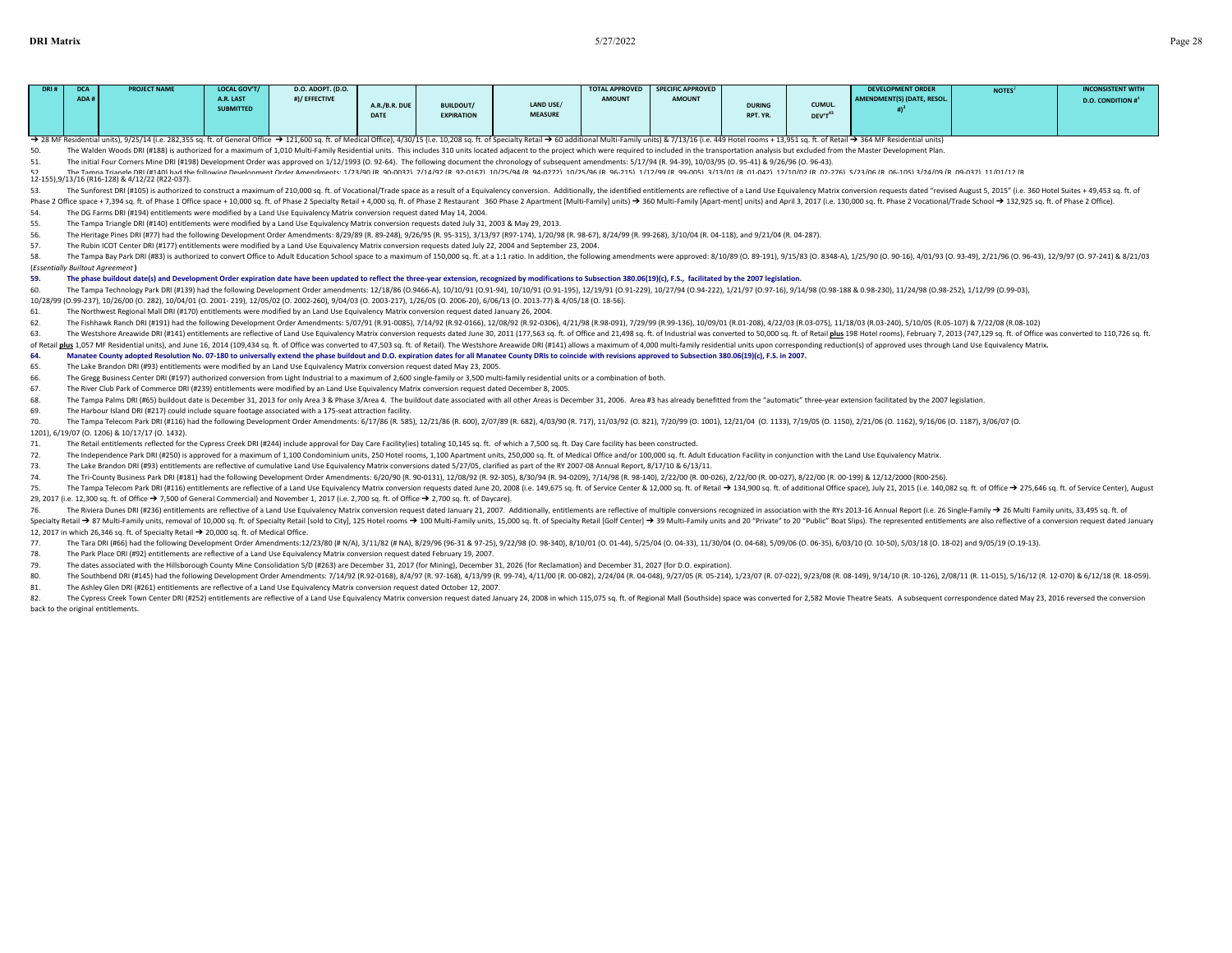| DRI# | ADA# | <b>PROJECT NAME</b> | <b>LOCAL GOV'T/</b><br>A.R. LAST<br><b>SUBMITTED</b> | D.O. ADOPT. (D.O.<br>#)/ EFFECTIVE | A.R./B.R. DUE<br><b>DATE</b> | <b>BUILDOUT/</b><br><b>EXPIRATION</b> | LAND USE/<br><b>MEASURE</b> | <b>AMOUNT</b> | TOTAL APPROVED SPECIFIC APPROVED<br><b>AMOUNT</b> | <b>DURING</b><br>RPT. YR. | <b>CUMUL.</b><br>DEV'T | <b>DEVELOPMENT ORDER</b><br>AMENDMENT(S) (DATE, RESOL. | <b>NOTES</b> | <b>INCONSISTENT WITH</b><br><b>D.O. CONDITION #</b> |
|------|------|---------------------|------------------------------------------------------|------------------------------------|------------------------------|---------------------------------------|-----------------------------|---------------|---------------------------------------------------|---------------------------|------------------------|--------------------------------------------------------|--------------|-----------------------------------------------------|
|------|------|---------------------|------------------------------------------------------|------------------------------------|------------------------------|---------------------------------------|-----------------------------|---------------|---------------------------------------------------|---------------------------|------------------------|--------------------------------------------------------|--------------|-----------------------------------------------------|

> 28 MF Residential units), 9/25/14 (i.e. 282,355 sq. ft. of General Office > 121,600 sq. ft. of Medical Office), 4/30/15 (i.e. 10,208 sq. ft. of Secialty Retail > 30 additional Multi-Family units) & 7/13/16 (i.e. 449 Hote

50. The Walden Woods DRI (#188) is authorized for a maximum of 1,010 Multi-Family Residential units. This includes 310 units located adjacent to the project which were required to included in the transportation analysis bu

The initial Four Corners Mine DRI (#198) Development Order was approved on 1/12/1993 (O. 92-64). The following document the chronology of subsequent amendments: 5/17/94 (R. 94-39), 10/03/95 (O. 95-41) & 9/26/96 (O. 96-43). 52 The Tampa Triangle DRI (#140) had the following Development Order Amendments: 1/23/90 (R 90-0032) 7/14/92 (R 92-0167) 10/25/94 (R 94-0272) 10/25/96 (R 96-215) 1/12/99 (R 99-005) 3/13/01 (R 01-042) 12/10/02 (R 02-276) 5/23/06 (R 06-105) 3/24/09 (R 09-037) 11/01/12 (R

12-155),9/13/16 (R16-128) & 4/12/22 (R22-037).

53. The Sunforest DRI (#105) is authorized to construct a maximum of 210,000 sq. ft. of Vocational/Trade space as a result of a Equivalency conversion. Additionally, the identified entitlements are reflective of a Land Use

Phase 2 Office space + 7,394 sq. ft. of Phase 1 Office space + 10,000 sq. ft. of Phase 2 Specialty Retail + 4,000 sq. ft. of Phase 2 Restaurant 360 Phase 2 Apartment [Multi-Family] units) → 360 Multi-Family [Apart-ment] u 54. The DG Farms DRI (#194) entitlements were modified by a Land Use Equivalency Matrix conversion request dated May 14, 2004.

55. The Tampa Triangle DRI (#140) entitlements were modified by a Land Use Equivalency Matrix conversion requests dated July 31, 2003 & May 29, 2013.

56. The Heritage Pines DRI (#77) had the following Development Order Amendments: 8/29/89 (R. 89-248), 9/26/95 (R. 95-315), 3/13/97 (R97-174), 1/20/98 (R. 98-67), 8/24/99 (R. 99-268), 3/10/04 (R. 04-118), and 9/21/04 (R. 04

57. The Rubin ICOT Center DRI (#177) entitlements were modified by a Land Use Equivalency Matrix conversion requests dated July 22, 2004 and September 23, 2004.

58. The Tampa Bay Park DRI (#83) is authorized to convert Office to Adult Education School space to a maximum of 150,000 sq. ft. at a 1:1 ratio. In addition, the following amendments were approved: 8/10/89 (0.89-191), 9/15 (*Essentially Builtout Agreement* **)**

59. The phase buildout date(s) and Development Order expiration date have been updated to reflect the three-year extension, recognized by modifications to Subsection 380.06(19)(c), F.S., facilitated by the 2007 legislation

60. The Tampa Technology Park DRI (#139) had the following Development Order amendments: 12/18/86 (0.9466-A), 10/10/91 (0.91-94), 10/10/91 (0.91-195), 12/19/91 (0.91-229), 10/27/94 (0.94222), 1/22/97 (0.97-16), 9/14/98 (0.

10/28/99 (O.99-237), 10/26/00 (O. 282), 10/04/01 (O. 2001- 219), 12/05/02 (O. 2002-260), 9/04/03 (O. 2003-217), 1/26/05 (O. 2006-20), 6/06/13 (O. 2013-77) & 4/05/18 (O. 18-56). 61. The Northwest Regional Mall DRI (#170) entitlements were modified by an Land Use Equivalency Matrix conversion request dated January 26, 2004.

62. The Fishhawk Ranch DRI (#191) had the following Development Order Amendments: 5/07/91 (R.91-0085), 7/14/92 (R.92-0166), 12/08/92 (R.92-0306), 4/21/98 (R.92-031), 7/29/99 (R.93-031), 7/29/99 (R.93-136), 10/09/01 (R.01-2

63. The Westshore Areawide DRI (#141) entitlements are reflective of Land Use Equivalency Matrix conversion requests dated June 30, 2011 (177,563 sq. ft. of Office and 21,498 sq. ft. of Industrial was converted to 50,000 s of Retail plus 1,057 MF Residential units), and June 16, 2014 (109,434 sq. ft. of Office was converted to 47,503 sq. ft. of Retail). The Westshore Areawide DRI (#141) allows a maximum of 4,000 multi-family residential unit

64. Manatee County adopted Resolution No. 07-180 to universally extend the phase buildout and D.O. expiration dates for all Manatee County DRIs to coincide with revisions approved to Subsection 380.06(19)(c), F.S. in 2007.

65. The Lake Brandon DRI (#93) entitlements were modified by an Land Use Equivalency Matrix conversion request dated May 23, 2005.

The Gregg Business Center DRI (#197) authorized conversion from Light Industrial to a maximum of 2,600 single-family or 3,500 multi-family residential units or a combination of both

67. The River Club Park of Commerce DRI (#239) entitlements were modified by an Land Use Equivalency Matrix conversion request dated December 8, 2005.

68. The Tampa Palms DRI (#65) buildout date is December 31, 2013 for only Area 3 & Phase 3/Area 4. The buildout date associated with all other Areas is December 31, 2006. Area #3 has already benefitted from the "automatic"

69. The Harbour Island DRI (#217) could include square footage associated with a 175-seat attraction facility.

The Tampa Telecom Park DRI (#116) had the following Development Order Amendments: 6/17/86 (R. 585), 12/21/86 (R. 600), 2/07/89 (R. 682), 4/03/90 (R. 717), 11/03/92 (0. 821), 7/20/99 (0. 1001), 12/21/04 (0. 1133), 7/19/05 ( 1201), 6/19/07 (O. 1206) & 10/17/17 (O. 1432).

71. The Retail entitlements reflected for the Cypress Creek DRI (#244) include approval for Day Care Facility(ies) totaling 10,145 sq. ft. of which a 7,500 sq. ft. Day Care facility has been constructed.

72. The Independence Park DRI (#250) is approved for a maximum of 1.100 Condominium units, 250 Hotel rooms, 1.100 Apartment units, 250,000 sq. ft. of Medical Office and/or 100,000 sq. ft. Adult Education Facility in conjun

73. The Lake Brandon DRI (#93) entitlements are reflective of cumulative Land Use Equivalency Matrix conversions dated 5/27/05, clarified as part of the RY 2007-08 Annual Report, 8/17/10 & 6/13/11.

74. The Tri-County Business Park DRI (#181) had the following Development Order Amendments: 6/20/90 (R. 90-0131), 12/08/92 (R. 92-305), 8/30/94 (R. 94-0209), 7/14/98 (R. 98-140), 2/22/00 (R. 00-026), 2/22/00 (R. 00-027), 8

75. The Tampa Telecom Park DRI (#116) entitlements are reflective of a Land Use Equivalency Matrix conversion requests dated June 20, 2008 (i.e. 149,675 sq. ft. of Service Center & 12,000 sq. ft. of Retail → 134,900 sq. f 29, 2017 (i.e. 12,300 sq. ft. of Office → 7,500 of General Commercial) and November 1, 2017 (i.e. 2,700 sq. ft. of Office → 2,700 sq. ft. of Daycare).

76. The Riviera Dunes DRI (#236) entitlements are reflective of a Land Use Equivalency Matrix conversion request dated January 21, 2007. Additionally, entitlements are reflective of multiple conversions recognized in asso

Specialty Retail → 87 Multi-Family units, removal of 10,000 sq. ft. of Specialty Retail [sold to City], 125 Hotel rooms → 100 Multi-Family units, 15,000 sq. ft. of Specialty Retail [sold to City], 125 Hotel rooms → 100 Mu 12, 2017 in which 26,346 sq. ft. of Specialty Retail ➔ 20,000 sq. ft. of Medical Office.

77. The Tara DRI (#66) had the following Development Order Amendments:12/23/80 (# N/A), 3/11/82 (# NA), 8/29/96 (96-31 & 97-25), 9/22/98 (0. 98-340), 8/10/01 (0.01-44), 5/25/04 (0.04-33), 11/30/04 (0.04-68), 5/09/06 (0.06-

78. The Park Place DRI (#92) entitlements are reflective of a Land Use Equivalency Matrix conversion request dated February 19, 2007.

79. The dates associated with the Hillsborough County Mine Consolidation S/D (#263) are December 31, 2017 (for Mining), December 31, 2026 (for Reclamation) and December 31, 2027 (for D.O. expiration).

80. The Southbend DRI (#145) had the following Development Order Amendments: 7/14/92 (R.92-0168), 8/4/97 (R. 97-168), 4/13/99 (R. 99-74), 4/11/00 (R. 00-082), 2/24/04 (R. 04-048), 9/27/05 (R. 05-214), 1/23/07 (R. 07-022),

81. The Ashley Glen DRI (#261) entitlements are reflective of a Land Use Equivalency Matrix conversion request dated October 12, 2007.

82. The Cypress Creek Town Center DRI (#252) entitlements are reflective of a Land Use Equivalency Matrix conversion request dated January 24, 2008 in which 115.075 sq. ft. of Regional Mall (Southside) space was converted back to the original entitlements.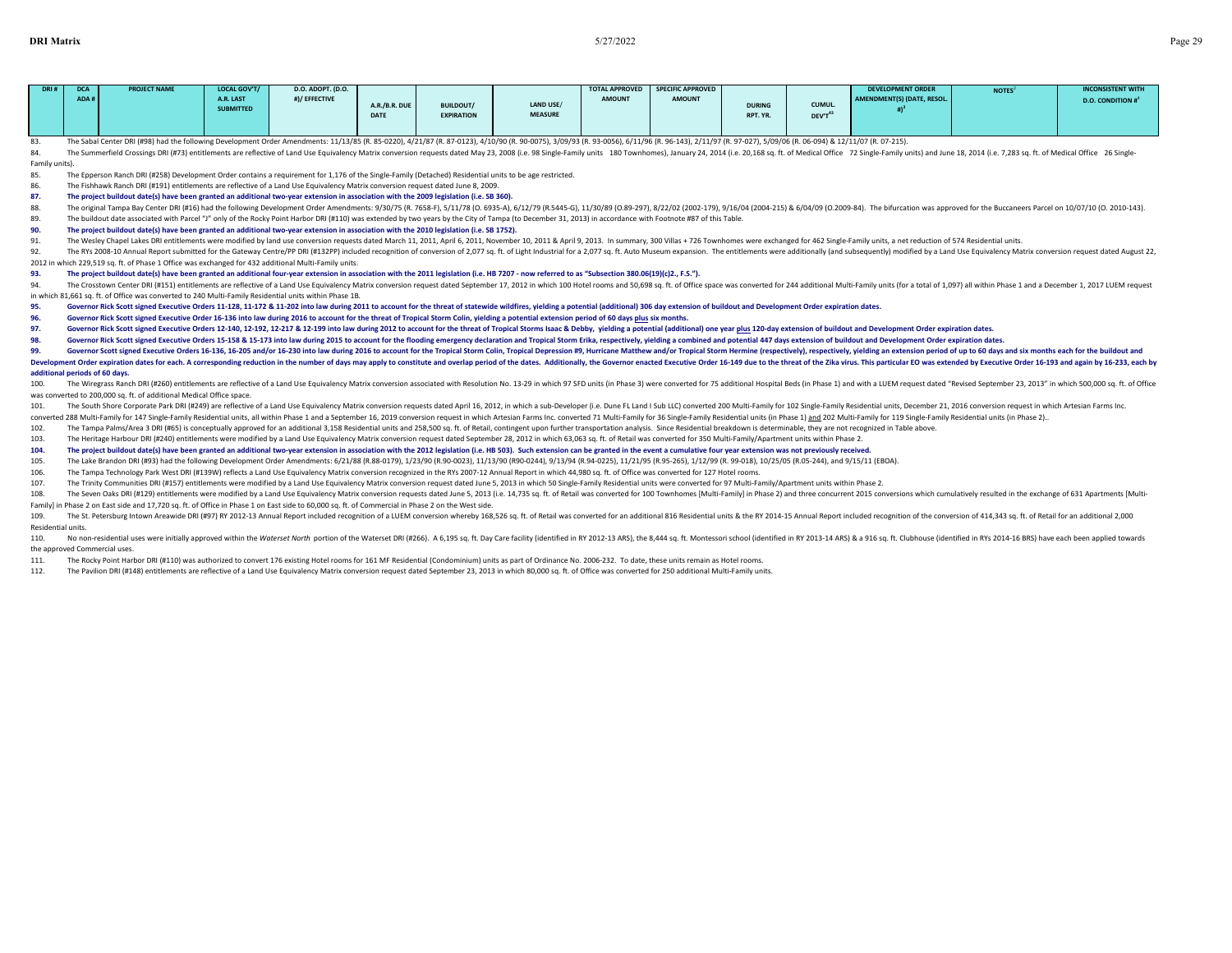| DRI# | <b>DCA</b> | <b>PROJECT NAME</b> | <b>LOCAL GOV'T/</b>           | <b>D.O. ADOPT. (D.O.</b> |                              |                                       |                             |               | TOTAL APPROVED SPECIFIC APPROVED |                           |                               | <b>DEVELOPMENT ORDER</b>          | <b>NOTES</b> | <b>INCONSISTENT WITH</b> |
|------|------------|---------------------|-------------------------------|--------------------------|------------------------------|---------------------------------------|-----------------------------|---------------|----------------------------------|---------------------------|-------------------------------|-----------------------------------|--------------|--------------------------|
|      | ADA#       |                     | A.R. LAST<br><b>SUBMITTED</b> | #)/ EFFECTIVE            | A.R./B.R. DUE<br><b>DATE</b> | <b>BUILDOUT/</b><br><b>EXPIRATION</b> | LAND USE/<br><b>MEASURE</b> | <b>AMOUNT</b> | <b>AMOUNT</b>                    | <b>DURING</b><br>RPT. YR. | CUMUL.<br>DEV'T <sup>43</sup> | <b>AMENDMENT(S) (DATE, RESOL.</b> |              | <b>D.O. CONDITION #</b>  |

83. The Sabal Center DRI (#98) had the following Development Order Amendments: 11/13/85 (R. 85-0220), 4/21/87 (R. 87-0123), 4/10/90 (R. 90-0075), 3/09/93 (R. 93-0056), 6/11/96 (R. 95-143), 2/11/97 (R. 97-027), 5/09/06 (R.

84. The Summerfield Crossings DRI (#73) entitlements are reflective of Land Use Equivalency Matrix conversion requests dated May 23, 2008 (i.e. 98 Single-Family units 180 Townhomes), January 24, 2014 (i.e. 20,168 sq. ft. o

Family units).

85. The Epperson Ranch DRI (#258) Development Order contains a requirement for 1,176 of the Single-Family (Detached) Residential units to be age restricted.

86. The Fishhawk Ranch DRI (#191) entitlements are reflective of a Land Use Equivalency Matrix conversion request dated June 8, 2009.

**87. The project buildout date(s) have been granted an additional two-year extension in association with the 2009 legislation (i.e. SB 360).**

88. The original Tampa Bay Center DRI (#16) had the following Development Order Amendments: 9/30/75 (R. 7658-F), 5/11/78 (O. 6935-A), 6/12/79 (B.5445-G), 11/30/89 (O.89-297), 8/27/02 (2002-179), 9/16/04 /2004-215), 8 604/0

89. The buildout date associated with Parcel "J" only of the Rocky Point Harbor DRI (#110) was extended by two years by the City of Tampa (to December 31, 2013) in accordance with Footnote #87 of this Table.

**90. The project buildout date(s) have been granted an additional two-year extension in association with the 2010 legislation (i.e. SB 1752).**

91. The Wesley Chapel Lakes DRI entitlements were modified by land use conversion requests dated March 11, 2011, April 6, 2011, November 10, 2011& April 9, 2013. In summary, 300 Villas + 726 Townhomes were exchanged for 46

92. The RYs 2008-10 Annual Report submitted for the Gateway Centre/PP DRI (#132PP) included recognition of conversion of 2,077 sq. ft. of Light Industrial for a 2,077 sq. ft. Auto Museum expansion. The entitlements were ad 2012 in which 229,519 sq. ft. of Phase 1 Office was exchanged for 432 additional Multi-Family units.

**93. The project buildout date(s) have been granted an additional four-year extension in association with the 2011 legislation (i.e. HB 7207 - now referred to as "Subsection 380.06(19)(c)2., F.S.").**

The Crosstown Center DRI (#151) entitlements are reflective of a Land Use Equivalency Matrix conversion request dated September 17, 2012 in which 100 Hotel rooms and 50,698 sq. ft. of Office space was converted for 244 add in which 81,661 sq. ft. of Office was converted to 240 Multi-Family Residential units within Phase 1B.

95. Governor Rick Scott signed Executive Orders 11-128, 11-172 & 11-202 into law during 2011 to account for the threat of statewide wildfires, yielding a potential (additional) 306 day extension of buildout and Development

**96. Governor Rick Scott signed Executive Order 16-136 into law during 2016 to account for the threat of Tropical Storm Colin, yielding a potential extension period of 60 days plus six months.**

97. Governor Rick Scott signed Executive Orders 12-140, 12-192, 12-217 & 12-199 into law during 2012 to account for the threat of Tropical Storms Isaac & Debby, yielding a potential (additional) one year plus 120-day exten

98. Governor Rick Scott signed Executive Orders 15-158 & 15-173 into law during 2015 to account for the flooding emergency declaration and Tropical Storm Erika, respectively, yielding a combined and potential 447 days exte

99. Governor Scott signed Executive Orders 16-136. 16-205 and/or 16-230 into law during 2016 to account for the Tropical Storm Colin. Tropical Depression #9. Hurricane Matthew and/or Tropical Storm Hermine (respectively).

Development Order expiration dates for each. A corresponding reduction in the number of days may apply to constitute and overlap period of the dates. Additionally, the Governor enacted Executive Order 16-149 due to the thr **additional periods of 60 days.**

100. The Wiregrass Ranch DRI (#260) entitlements are reflective of a Land Use Equivalency Matrix conversion associated with Resolution No. 13-29 in which 97 SFD units (in Phase 3) were converted for 75 additional Hospital was converted to 200,000 sq. ft. of additional Medical Office space.

101. The South Shore Corporate Park DRI (#249) are reflective of a Land Use Equivalency Matrix conversion requests dated April 16, 2012, in which a sub-Developer (i.e. Dune FL Land I Sub LLC) converted 200 Multi-Family for

converted 288 Multi-Family for 147 Single-Family Residential units, all within Phase 1 and a September 16, 2019 conversion request in which Artesian Farms Inc. converted 71 Multi-Family for 36 Single-Family Residential uni

102. The Tampa Palms/Area 3 DRI (#65) is conceptually approved for an additional 3,158 Residential units and 258,500 sq. ft. of Retail, contingent upon further transportation analysis. Since Residential breakdown is determ

103. The Heritage Harbour DRI (#240) entitlements were modified by a Land Use Equivalency Matrix conversion request dated September 28, 2012 in which 63,063 sq. ft. of Retail was converted for 350 Multi-Family/Apartment un

104. The project buildout date(s) have been granted an additional two-year extension in association with the 2012 legislation (i.e. HB 503). Such extension can be granted in the event a cumulative four year extension was n

105. The Lake Brandon DRI (#93) had the following Development Order Amendments: 6/21/88 (R.88-0179), 1/23/90 (R.90-0023), 11/13/90 (R90-0244), 9/13/94 (R.94-0225), 11/21/95 (R.95-265), 11/21/99 (R.99-018), 10/25/05 (R.05-2

106. The Tampa Technology Park West DRI (#139W) reflects a Land Use Equivalency Matrix conversion recognized in the RYs 2007-12 Annual Report in which 44,980 sq. ft. of Office was converted for 127 Hotel rooms

107. The Trinity Communities DRI (#157) entitlements were modified by a Land Use Equivalency Matrix conversion request dated June 5, 2013 in which 50 Single-Family Residential units were converted for 97 Multi-Family/Apart

108. The Seven Oaks DRI (#129) entitlements were modified by a Land Use Equivalency Matrix conversion requests dated June 5, 2013 (i.e. 14,735 sq. ft. of Retail was converted for 100 Townhomes [Multi-Family] in Phase 2] an Family] in Phase 2 on East side and 17,720 sq. ft. of Office in Phase 1 on East side to 60,000 sq. ft. of Commercial in Phase 2 on the West side.

109. The St. Petersburg Intown Areawide DRI (#97) RY 2012-13 Annual Report included recognition of a LUEM conversion whereby 168,526 sq. ft. of Retail was converted for an additional 816 Residential units & the RY 2014-15 Residential units.

110. No non-residential uses were initially approved within the Waterset North portion of the Waterset DRI (#256). A 6,195 sq. ft. Day Care facility (identified in RY 2012-13 ARS), the 8,444 sq. ft. Montessori school (iden the approved Commercial uses.

111. The Rocky Point Harbor DRI (#110) was authorized to convert 176 existing Hotel rooms for 161 MF Residential (Condominium) units as part of Ordinance No. 2006-232. To date, these units remain as Hotel rooms.

112. The Pavilion DRI (#148) entitlements are reflective of a Land Use Equivalency Matrix conversion request dated September 23, 2013 in which 80,000 sq. ft. of Office was converted for 250 additional Multi-Family units.